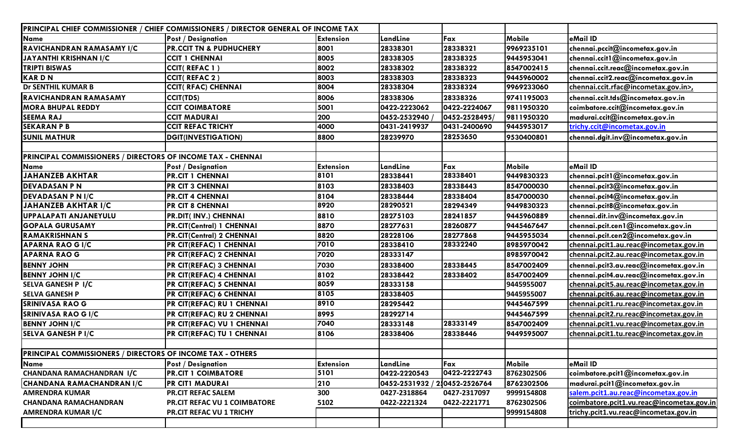|                                                                   | PRINCIPAL CHIEF COMMISSIONER / CHIEF COMMISSIONERS / DIRECTOR GENERAL OF INCOME TAX |                  |              |                     |               |                                           |
|-------------------------------------------------------------------|-------------------------------------------------------------------------------------|------------------|--------------|---------------------|---------------|-------------------------------------------|
| <b>Name</b>                                                       | <b>Post / Designation</b>                                                           | <b>Extension</b> | LandLine     | Fax                 | <b>Mobile</b> | eMail ID                                  |
| RAVICHANDRAN RAMASAMY I/C                                         | <b>PR.CCIT TN &amp; PUDHUCHERY</b>                                                  | 8001             | 28338301     | 28338321            | 9969235101    | chennai.pccit@incometax.gov.in            |
| JAYANTHI KRISHNAN I/C                                             | <b>CCIT 1 CHENNAI</b>                                                               | 8005             | 28338305     | 28338325            | 9445953041    | chennai.ccit1@incometax.gov.in            |
| <b>TRIPTI BISWAS</b>                                              | <b>CCIT(REFAC1)</b>                                                                 | 8002             | 28338302     | 28338322            | 8547002415    | chennai.ccit.reac@incometax.gov.in        |
| <b>KARDN</b>                                                      | <b>CCIT(REFAC2)</b>                                                                 | 8003             | 28338303     | 28338323            | 9445960002    | chennai.ccit2.reac@incometax.gov.in       |
| Dr SENTHIL KUMAR B                                                | <b>CCIT( RFAC) CHENNAI</b>                                                          | 8004             | 28338304     | 28338324            | 9969233060    | chennai.ccit.rfac@incometax.gov.in>,      |
| RAVICHANDRAN RAMASAMY                                             | <b>CCIT(TDS)</b>                                                                    | 8006             | 28338306     | 28338326            | 9741195003    | chennai.ccit.tds@incometax.gov.in         |
| <b>MORA BHUPAL REDDY</b>                                          | <b>CCIT COIMBATORE</b>                                                              | 5001             | 0422-2223062 | 0422-2224067        | 9811950320    | coimbatore.ccit@incometax.gov.in          |
| <b>SEEMA RAJ</b>                                                  | <b>CCIT MADURAI</b>                                                                 | 200              | 0452-2532940 | 0452-2528495/       | 9811950320    | madurai.ccit@incometax.gov.in             |
| <b>SEKARAN P B</b>                                                | <b>CCIT REFAC TRICHY</b>                                                            | 4000             | 0431-2419937 | 0431-2400690        | 9445953017    | trichy.ccit@incometax.gov.in              |
| <b>SUNIL MATHUR</b>                                               | <b>DGIT(INVESTIGATION)</b>                                                          | 8800             | 28239970     | 28253650            | 9530400801    | chennai.dgit.inv@incometax.gov.in         |
|                                                                   |                                                                                     |                  |              |                     |               |                                           |
| PRINCIPAL COMMISSIONERS / DIRECTORS OF INCOME TAX - CHENNAI       |                                                                                     |                  |              |                     |               |                                           |
| Name                                                              | <b>Post / Designation</b>                                                           | <b>Extension</b> | LandLine     | Fax                 | Mobile        | eMail ID                                  |
| <b>JAHANZEB AKHTAR</b>                                            | <b>PR.CIT 1 CHENNAI</b>                                                             | 8101             | 28338441     | 28338401            | 9449830323    | chennai.pcit1@incometax.gov.in            |
| <b>DEVADASAN P N</b>                                              | PR CIT 3 CHENNAI                                                                    | 8103             | 28338403     | 28338443            | 8547000030    | chennai.pcit3@incometax.gov.in            |
| <b>DEVADASAN P N I/C</b>                                          | <b>PR.CIT 4 CHENNAI</b>                                                             | 8104             | 28338444     | 28338404            | 8547000030    | chennai.pcit4@incometax.gov.in            |
| JAHANZEB AKHTAR I/C                                               | <b>PR CIT 8 CHENNAI</b>                                                             | 8920             | 28290521     | 28294349            | 9449830323    | chennai.pcit8@incometax.gov.in            |
| UPPALAPATI ANJANEYULU                                             | <b>PR.DIT(INV.) CHENNAI</b>                                                         | 8810             | 28275103     | 28241857            | 9445960889    | chennai.dit.inv@incometax.gov.in          |
| <b>GOPALA GURUSAMY</b>                                            | PR.CIT(Central) 1 CHENNAI                                                           | 8870             | 28277631     | 28260877            | 9445467647    | chennai.pcit.cen1@incometax.gov.in        |
| <b>RAMAKRISHNAN S</b>                                             | <b>PR.CIT(Central) 2 CHENNAI</b>                                                    | 8820             | 28228106     | 28277868            | 9445955034    | chennai.pcit.cen2@incometax.gov.in        |
| <b>APARNA RAO GI/C</b>                                            | PR CIT(REFAC) 1 CHENNAI                                                             | 7010             | 28338410     | 28332240            | 8985970042    | chennai.pcit1.au.reac@incometax.gov.in    |
| <b>APARNA RAO G</b>                                               | PR CIT(REFAC) 2 CHENNAI                                                             | 7020             | 28333147     |                     | 8985970042    | chennai.pcit2.au.reac@incometax.gov.in    |
| <b>BENNY JOHN</b>                                                 | PR CIT(REFAC) 3 CHENNAI                                                             | 7030             | 28338400     | 28338445            | 8547002409    | chennai.pcit3.au.reac@incometax.gov.in    |
| <b>BENNY JOHN I/C</b>                                             | PR CIT(REFAC) 4 CHENNAI                                                             | 8102             | 28338442     | 28338402            | 8547002409    | chennai.pcit4.au.reac@incometax.gov.in    |
| <b>SELVA GANESH P I/C</b>                                         | <b>PR CIT(REFAC) 5 CHENNAI</b>                                                      | 8059             | 28333158     |                     | 9445955007    | chennai.pcit5.au.reac@incometax.gov.in    |
| <b>SELVA GANESH P</b>                                             | PR CIT(REFAC) 6 CHENNAI                                                             | 8105             | 28338405     |                     | 9445955007    | chennai.pcit6.au.reac@incometax.gov.in    |
| <b>SRINIVASA RAO G</b>                                            | PR CIT(REFAC) RU 1 CHENNAI                                                          | 8910             | 28295442     |                     | 9445467599    | chennai.pcit1.ru.reac@incometax.gov.in    |
| <b>SRINIVASA RAO G I/C</b>                                        | PR CIT(REFAC) RU 2 CHENNAI                                                          | 8995             | 28292714     |                     | 9445467599    | chennai.pcit2.ru.reac@incometax.gov.in    |
| <b>BENNY JOHN I/C</b>                                             | PR CIT(REFAC) VU 1 CHENNAI                                                          | 7040             | 28333148     | 28333149            | 8547002409    | chennai.pcit1.vu.reac@incometax.gov.in    |
| <b>SELVA GANESH P I/C</b>                                         | PR CIT(REFAC) TU 1 CHENNAI                                                          | 8106             | 28338406     | 28338446            | 9449595007    | chennai.pcit1.tu.reac@incometax.gov.in    |
|                                                                   |                                                                                     |                  |              |                     |               |                                           |
| <b>PRINCIPAL COMMISSIONERS / DIRECTORS OF INCOME TAX - OTHERS</b> |                                                                                     |                  |              |                     |               |                                           |
| Name                                                              | <b>Post / Designation</b>                                                           | <b>Extension</b> | LandLine     | Fax<br>0422-2222743 | <b>Mobile</b> | eMail ID                                  |
| <b>CHANDANA RAMACHANDRAN I/C</b>                                  | <b>PR.CIT 1 COIMBATORE</b>                                                          | 5101             | 0422-2220543 |                     | 8762302506    | coimbatore.pcit1@incometax.gov.in         |
| CHANDANA RAMACHANDRAN I/C                                         | <b>PR CIT1 MADURAI</b>                                                              | 210              | 0452-2531932 | 2.0452-2526764      | 8762302506    | madurai.pcit1@incometax.gov.in            |
| <b>AMRENDRA KUMAR</b>                                             | <b>PR.CIT REFAC SALEM</b>                                                           | 300              | 0427-2318864 | 0427-2317097        | 9999154808    | salem.pcit1.au.reac@incometax.gov.in      |
| <b>CHANDANA RAMACHANDRAN</b>                                      | PR.CIT REFAC VU 1 COIMBATORE                                                        | 5102             | 0422-2221324 | 0422-2221771        | 8762302506    | coimbatore.pcit1.vu.reac@incometax.gov.in |
| AMRENDRA KUMAR I/C                                                | <b>PR.CIT REFAC VU 1 TRICHY</b>                                                     |                  |              |                     | 9999154808    | trichy.pcit1.vu.reac@incometax.gov.in     |
|                                                                   |                                                                                     |                  |              |                     |               |                                           |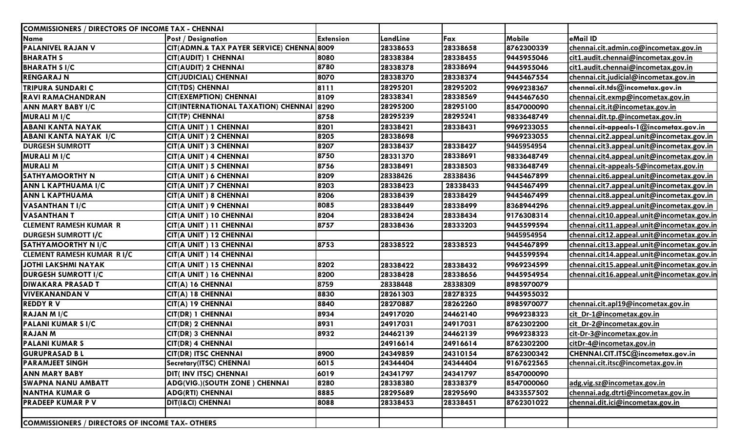| COMMISSIONERS / DIRECTORS OF INCOME TAX - CHENNAI      |                                            |                  |          |          |            |                                            |
|--------------------------------------------------------|--------------------------------------------|------------------|----------|----------|------------|--------------------------------------------|
| <b>Name</b>                                            | <b>Post / Designation</b>                  | <b>Extension</b> | LandLine | Fax      | Mobile     | eMail ID                                   |
| <b>PALANIVEL RAJAN V</b>                               | CIT(ADMN.& TAX PAYER SERVICE) CHENNA 8009  |                  | 28338653 | 28338658 | 8762300339 | chennai.cit.admin.co@incometax.gov.in      |
| <b>BHARATH S</b>                                       | CIT(AUDIT) 1 CHENNAI                       | 8080             | 28338384 | 28338455 | 9445955046 | cit1.audit.chennai@incometax.gov.in        |
| <b>BHARATH S I/C</b>                                   | <b>CIT(AUDIT) 2 CHENNAI</b>                | 8780             | 28338378 | 28338694 | 9445955046 | cit1.audit.chennai@incometax.gov.in        |
| <b>RENGARAJ N</b>                                      | <b>CIT(JUDICIAL) CHENNAI</b>               | 8070             | 28338370 | 28338374 | 9445467554 | chennai.cit.judicial@incometax.gov.in      |
| <b>TRIPURA SUNDARI C</b>                               | <b>CIT(TDS) CHENNAI</b>                    | 8111             | 28295201 | 28295202 | 9969238367 | chennai.cit.tds@incometax.gov.in           |
| <b>RAVI RAMACHANDRAN</b>                               | <b>CIT(EXEMPTION) CHENNAI</b>              | 8109             | 28338341 | 28338569 | 9445467650 | chennai.cit.exmp@incometax.gov.in          |
| <b>ANN MARY BABY I/C</b>                               | <b>CIT(INTERNATIONAL TAXATION) CHENNAI</b> | 8290             | 28295200 | 28295100 | 8547000090 | chennai.cit.it@incometax.gov.in            |
| <b>MURALI M I/C</b>                                    | <b>CIT(TP) CHENNAI</b>                     | 8758             | 28295239 | 28295241 | 9833648749 | chennai.dit.tp.@incometax.gov.in           |
| <b>ABANI KANTA NAYAK</b>                               | CIT(A UNIT) 1 CHENNAI                      | 8201             | 28338421 | 28338431 | 9969233055 | chennai.cit-appeals-1@incometax.gov.in     |
| ABANI KANTA NAYAK I/C                                  | CIT(A UNIT) 2 CHENNAI                      | 8205             | 28338698 |          | 9969233055 | chennai.cit2.appeal.unit@incometax.gov.in  |
| <b>DURGESH SUMROTT</b>                                 | CIT(A UNIT) 3 CHENNAI                      | 8207             | 28338437 | 28338427 | 9445954954 | chennai.cit3.appeal.unit@incometax.gov.in  |
| <b>MURALI M I/C</b>                                    | CIT(A UNIT) 4 CHENNAI                      | 8750             | 28331370 | 28338691 | 9833648749 | chennai.cit4.appeal.unit@incometax.gov.in  |
| <b>MURALI M</b>                                        | CIT(A UNIT) 5 CHENNAI                      | 8756             | 28338491 | 28338503 | 9833648749 | chennai.cit-appeals-5@incometax.gov.in     |
| <b>SATHYAMOORTHY N</b>                                 | CIT(A UNIT) 6 CHENNAI                      | 8209             | 28338426 | 28338436 | 9445467899 | chennai.cit6.appeal.unit@incometax.gov.in  |
| ANN L KAPTHUAMA I/C                                    | CIT(A UNIT) 7 CHENNAI                      | 8203             | 28338423 | 28338433 | 9445467499 | chennai.cit7.appeal.unit@incometax.gov.in  |
| <b>ANN L KAPTHUAMA</b>                                 | CIT(A UNIT) 8 CHENNAI                      | 8206             | 28338439 | 28338429 | 9445467499 | chennai.cit8.appeal.unit@incometax.gov.in  |
| <b>VASANTHAN T I/C</b>                                 | CIT(A UNIT) 9 CHENNAI                      | 8085             | 28338449 | 28338499 | 8368944296 | chennai.cit9.appeal.unit@incometax.gov.in  |
| <b>VASANTHAN T</b>                                     | CIT(A UNIT) 10 CHENNAI                     | 8204             | 28338424 | 28338434 | 9176308314 | chennai.cit10.appeal.unit@incometax.gov.in |
| <b>CLEMENT RAMESH KUMAR R</b>                          | CIT(A UNIT) 11 CHENNAI                     | 8757             | 28338436 | 28333203 | 9445599594 | chennai.cit11.appeal.unit@incometax.gov.in |
| <b>DURGESH SUMROTT I/C</b>                             | CIT(A UNIT) 12 CHENNAI                     |                  |          |          | 9445954954 | chennai.cit12.appeal.unit@incometax.gov.in |
| SATHYAMOORTHY N I/C                                    | CIT(A UNIT) 13 CHENNAI                     | 8753             | 28338522 | 28338523 | 9445467899 | chennai.cit13.appeal.unit@incometax.gov.in |
| <b>CLEMENT RAMESH KUMAR RI/C</b>                       | CIT(A UNIT) 14 CHENNAI                     |                  |          |          | 9445599594 | chennai.cit14.appeal.unit@incometax.gov.in |
| JOTHI LAKSHMI NAYAK                                    | CIT(A UNIT) 15 CHENNAI                     | 8202             | 28338422 | 28338432 | 9969234599 | chennai.cit15.appeal.unit@incometax.gov.in |
| <b>DURGESH SUMROTT I/C</b>                             | CIT(A UNIT) 16 CHENNAI                     | 8200             | 28338428 | 28338656 | 9445954954 | chennai.cit16.appeal.unit@incometax.gov.ir |
| <b>DIWAKARA PRASAD T</b>                               | CIT(A) 16 CHENNAI                          | 8759             | 28338448 | 28338309 | 8985970079 |                                            |
| <b>VIVEKANANDAN V</b>                                  | CIT(A) 18 CHENNAI                          | 8830             | 28261303 | 28278325 | 9445955032 |                                            |
| <b>REDDY RV</b>                                        | CIT(A) 19 CHENNAI                          | 8840             | 28270887 | 28262260 | 8985970077 | chennai.cit.apl19@incometax.gov.in         |
| RAJAN M I/C                                            | <b>CIT(DR) 1 CHENNAI</b>                   | 8934             | 24917020 | 24462140 | 9969238323 | cit_Dr-1@incometax.gov.in                  |
| PALANI KUMAR SI/C                                      | <b>CIT(DR) 2 CHENNAI</b>                   | 8931             | 24917031 | 24917031 | 8762302200 | cit_Dr-2@incometax.gov.in                  |
| <b>RAJAN M</b>                                         | <b>CIT(DR) 3 CHENNAI</b>                   | 8932             | 24462139 | 24462139 | 9969238323 | cit-Dr-3@incometax.gov.in                  |
| <b>PALANI KUMAR S</b>                                  | <b>CIT(DR) 4 CHENNAI</b>                   |                  | 24916614 | 24916614 | 8762302200 | citDr-4@incometax.gov.in                   |
| <b>GURUPRASAD BL</b>                                   | <b>CIT(DR) ITSC CHENNAI</b>                | 8900             | 24349859 | 24310154 | 8762300342 | CHENNAI.CIT.ITSC@incometax.gov.in          |
| <b>PARAMJEET SINGH</b>                                 | <b>Secretary(ITSC) CHENNAI</b>             | 6015             | 24344404 | 24344404 | 9167622565 | chennai.cit.itsc@incometax.gov.in          |
| <b>ANN MARY BABY</b>                                   | DIT( INV ITSC) CHENNAI                     | 6019             | 24341797 | 24341797 | 8547000090 |                                            |
| <b>SWAPNA NANU AMBATT</b>                              | ADG(VIG.)(SOUTH ZONE) CHENNAI              | 8280             | 28338380 | 28338379 | 8547000060 | adg.vig.sz@incometax.gov.in                |
| <b>NANTHA KUMAR G</b>                                  | <b>ADG(RTI) CHENNAI</b>                    | 8885             | 28295689 | 28295690 | 8433557502 | chennai.adg.dtrti@incometax.gov.in         |
| <b>PRADEEP KUMAR P V</b>                               | DIT(I&CI) CHENNAI                          | 8088             | 28338453 | 28338451 | 8762301022 | chennai.dit.ici@incometax.gov.in           |
|                                                        |                                            |                  |          |          |            |                                            |
| <b>COMMISSIONERS / DIRECTORS OF INCOME TAX- OTHERS</b> |                                            |                  |          |          |            |                                            |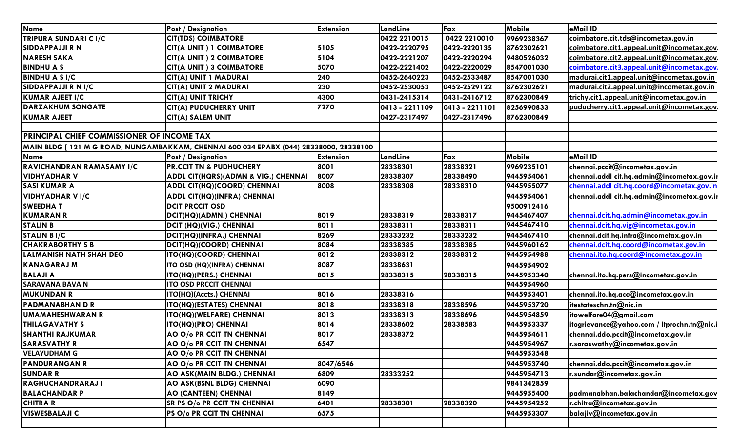| <b>Name</b>                                       | <b>Post / Designation</b>                                                              | <b>Extension</b> | LandLine       | Fax            | Mobile        | eMail ID                                   |
|---------------------------------------------------|----------------------------------------------------------------------------------------|------------------|----------------|----------------|---------------|--------------------------------------------|
| TRIPURA SUNDARI C I/C                             | <b>CIT(TDS) COIMBATORE</b>                                                             |                  | 0422 2210015   | 0422 2210010   | 9969238367    | coimbatore.cit.tds@incometax.gov.in        |
| <b>SIDDAPPAJJI R N</b>                            | <b>CIT(A UNIT) 1 COIMBATORE</b>                                                        | 5105             | 0422-2220795   | 0422-2220135   | 8762302621    | coimbatore.cit1.appeal.unit@incometax.gov  |
| <b>NARESH SAKA</b>                                | <b>CIT(A UNIT) 2 COIMBATORE</b>                                                        | 5104             | 0422-2221207   | 0422-2220294   | 9480526032    | coimbatore.cit2.appeal.unit@incometax.gov  |
| <b>BINDHU A S</b>                                 | <b>CIT(A UNIT) 3 COIMBATORE</b>                                                        | 5070             | 0422-2221402   | 0422-2220029   | 8547001030    | coimbatore.cit3.appeal.unit@incometax.gov  |
| <b>BINDHU A S I/C</b>                             | CIT(A) UNIT 1 MADURAI                                                                  | 240              | 0452-2640223   | 0452-2533487   | 8547001030    | madurai.cit1.appeal.unit@incometax.gov.in  |
| SIDDAPPAJJI R N I/C                               | CIT(A) UNIT 2 MADURAI                                                                  | 230              | 0452-2530053   | 0452-2529122   | 8762302621    | madurai.cit2.appeal.unit@incometax.gov.in  |
| <b>KUMAR AJEET I/C</b>                            | <b>CIT(A) UNIT TRICHY</b>                                                              | 4300             | 0431-2415314   | 0431-2416712   | 8762300849    | trichy.cit1.appeal.unit@incometax.gov.in   |
| <b>DARZAKHUM SONGATE</b>                          | <b>CIT(A) PUDUCHERRY UNIT</b>                                                          | 7270             | 0413 - 2211109 | 0413 - 2211101 | 8256990833    | puducherry.cit1.appeal.unit@incometax.gov  |
| <b>KUMAR AJEET</b>                                | CIT(A) SALEM UNIT                                                                      |                  | 0427-2317497   | 0427-2317496   | 8762300849    |                                            |
|                                                   |                                                                                        |                  |                |                |               |                                            |
| <b>PRINCIPAL CHIEF COMMISSIONER OF INCOME TAX</b> |                                                                                        |                  |                |                |               |                                            |
|                                                   | MAIN BLDG [ 121 M G ROAD, NUNGAMBAKKAM, CHENNAI 600 034 EPABX (044) 28338000, 28338100 |                  |                |                |               |                                            |
| <b>Name</b>                                       | <b>Post / Designation</b>                                                              | <b>Extension</b> | LandLine       | Fax            | <b>Mobile</b> | eMail ID                                   |
| RAVICHANDRAN RAMASAMY I/C                         | <b>PR.CCIT TN &amp; PUDHUCHERY</b>                                                     | 8001             | 28338301       | 28338321       | 9969235101    | chennai.pccit@incometax.gov.in             |
| <b>VIDHYADHAR V</b>                               | ADDL CIT(HQRS)(ADMN & VIG.) CHENNAI                                                    | 8007             | 28338307       | 28338490       | 9445954061    | chennai.addl cit.hq.admin@incometax.gov.ir |
| <b>SASI KUMAR A</b>                               | ADDL CIT(HQ)(COORD) CHENNAI                                                            | 8008             | 28338308       | 28338310       | 9445955077    | chennai.addl cit.hq.coord@incometax.gov.in |
| <b>VIDHYADHAR V I/C</b>                           | <b>ADDL CIT(HQ)(INFRA) CHENNAI</b>                                                     |                  |                |                | 9445954061    | chennai.addl cit.hq.admin@incometax.gov.ii |
| <b>SWEEDHAT</b>                                   | <b>DCIT PRCCIT OSD</b>                                                                 |                  |                |                | 9500912416    |                                            |
| <b>KUMARAN R</b>                                  | DCIT(HQ)(ADMN.) CHENNAI                                                                | 8019             | 28338319       | 28338317       | 9445467407    | chennai.dcit.hq.admin@incometax.gov.in     |
| <b>STALIN B</b>                                   | DCIT (HQ)(VIG.) CHENNAI                                                                | 8011             | 28338311       | 28338311       | 9445467410    | chennai.dcit.hq.vig@incometax.gov.in       |
| <b>STALIN BI/C</b>                                | DCIT(HQ)(INFRA.) CHENNAI                                                               | 8269             | 28333232       | 28333232       | 9445467410    | chennai.dcit.hq.infra@incometax.gov.in     |
| <b>CHAKRABORTHY S B</b>                           | DCIT(HQ)(COORD) CHENNAI                                                                | 8084             | 28338385       | 28338385       | 9445960162    | chennai.dcit.hg.coord@incometax.gov.in     |
| <b>LALMANISH NATH SHAH DEO</b>                    | ITO(HQ)(COORD) CHENNAI                                                                 | 8012             | 28338312       | 28338312       | 9445954988    | chennai.ito.hq.coord@incometax.gov.in      |
| <b>KANAGARAJ M</b>                                | ITO OSD (HQ)(INFRA) CHENNAI                                                            | 8087             | 28338631       |                | 9445954902    |                                            |
| <b>BALAJI A</b>                                   | <b>ITO(HQ)(PERS.) CHENNAI</b>                                                          | 8015             | 28338315       | 28338315       | 9445953340    | chennai.ito.hq.pers@incometax.gov.in       |
| <b>SARAVANA BAVA N</b>                            | <b>ITO OSD PRCCIT CHENNAI</b>                                                          |                  |                |                | 9445954960    |                                            |
| <b>MUKUNDAN R</b>                                 | ITO(HQ)(Accts.) CHENNAI                                                                | 8016             | 28338316       |                | 9445953401    | chennai.ito.hq.acc@incometax.gov.in        |
| <b>PADMANABHAN D R</b>                            | ITO(HQ)(ESTATES) CHENNAI                                                               | 8018             | 28338318       | 28338596       | 9445953720    | itestateschn.tn@nic.in                     |
| <b>UMAMAHESHWARAN R</b>                           | ITO(HQ)(WELFARE) CHENNAI                                                               | 8013             | 28338313       | 28338696       | 9445954859    | itowelfare04@gmail.com                     |
| <b>THILAGAVATHY S</b>                             | <b>ITO(HQ)(PRO) CHENNAI</b>                                                            | 8014             | 28338602       | 28338583       | 9445953337    | itogrievance@yahoo.com / ltprochn.tn@nic.i |
| <b>SHANTHI RAJKUMAR</b>                           | AO O/o PR CCIT TN CHENNAI                                                              | 8017             | 28338372       |                | 9445954611    | chennai.ddo.pccit@incometax.gov.in         |
| <b>SARASVATHY R</b>                               | AO O/o PR CCIT TN CHENNAI                                                              | 6547             |                |                | 9445954967    | r.saraswathy@incometax.gov.in              |
| <b>VELAYUDHAM G</b>                               | AO O/o PR CCIT TN CHENNAI                                                              |                  |                |                | 9445953548    |                                            |
| <b>PANDURANGAN R</b>                              | AO O/o PR CCIT TN CHENNAI                                                              | 8047/6546        |                |                | 9445953740    | chennai.ddo.pccit@incometax.gov.in         |
| <b>SUNDAR R</b>                                   | AO ASK(MAIN BLDG.) CHENNAI                                                             | 6809             | 28333252       |                | 9445954713    | r.sundar@incometax.gov.in                  |
| <b>RAGHUCHANDRARAJI</b>                           | AO ASK(BSNL BLDG) CHENNAI                                                              | 6090             |                |                | 9841342859    |                                            |
| <b>BALACHANDAR P</b>                              | AO (CANTEEN) CHENNAI                                                                   | 8149             |                |                | 9445955400    | padmanabhan.balachandar@incometax.gov      |
| <b>CHITRA R</b>                                   | <b>SR PS O/o PR CCIT TN CHENNAI</b>                                                    | 6401             | 28338301       | 28338320       | 9445954252    | r.chitra@incometax.gov.in                  |
| <b>VISWESBALAJI C</b>                             | PS O/o PR CCIT TN CHENNAI                                                              | 6575             |                |                | 9445953307    | balajiv@incometax.gov.in                   |
|                                                   |                                                                                        |                  |                |                |               |                                            |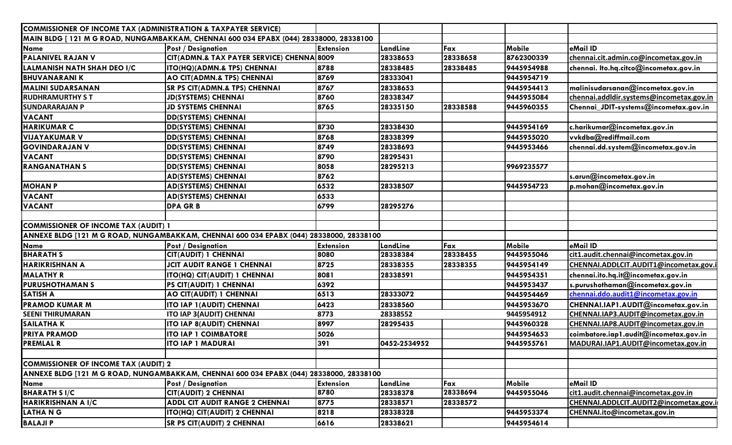| COMMISSIONER OF INCOME TAX (ADMINISTRATION & TAXPAYER SERVICE)                          |                                                                                         |                  |              |          |               |                                          |
|-----------------------------------------------------------------------------------------|-----------------------------------------------------------------------------------------|------------------|--------------|----------|---------------|------------------------------------------|
|                                                                                         | MAIN BLDG [ 121 M G ROAD, NUNGAMBAKKAM, CHENNAI 600 034 EPABX (044) 28338000, 28338100  |                  |              |          |               |                                          |
| <b>Name</b>                                                                             | <b>Post / Designation</b>                                                               | <b>Extension</b> | LandLine     | Fax      | Mobile        | eMail ID                                 |
| <b>PALANIVEL RAJAN V</b>                                                                | CIT(ADMN.& TAX PAYER SERVICE) CHENNA 8009                                               |                  | 28338653     | 28338658 | 8762300339    | chennai.cit.admin.co@incometax.gov.in    |
| LALMANISH NATH SHAH DEO I/C                                                             | ITO(HQ)(ADMN.& TPS) CHENNAI                                                             | 8788             | 28338485     | 28338485 | 9445954988    | chennai. Ito.hq.citco@incometax.gov.in   |
| <b>BHUVANARANIK</b>                                                                     | AO CIT(ADMN.& TPS) CHENNAI                                                              | 8769             | 28333041     |          | 9445954719    |                                          |
| <b>MALINI SUDARSANAN</b>                                                                | <b>SR PS CIT(ADMN.&amp; TPS) CHENNAI</b>                                                | 8767             | 28338653     |          | 9445954413    | malinisudarsanan@incometax.gov.in        |
| <b>RUDHRAMURTHY ST</b>                                                                  | <b>JD(SYSTEMS) CHENNAI</b>                                                              | 8760             | 28338347     |          | 9445955084    | chennai.addldir.systems@incometax.gov.in |
| <b>SUNDARARAJAN P</b>                                                                   | <b>JD SYSTEMS CHENNAI</b>                                                               | 8765             | 28335150     | 28338588 | 9445960355    | Chennai_JDIT-systems@incometax.gov.in    |
| <b>VACANT</b>                                                                           | <b>DD(SYSTEMS) CHENNAI</b>                                                              |                  |              |          |               |                                          |
| <b>HARIKUMAR C</b>                                                                      | <b>DD(SYSTEMS) CHENNAI</b>                                                              | 8730             | 28338430     |          | 9445954169    | c.harikumar@incometax.gov.in             |
| <b>VIJAYAKUMAR V</b>                                                                    | <b>DD(SYSTEMS) CHENNAI</b>                                                              | 8768             | 28338399     |          | 9445955020    | vvkdba@rediffmail.com                    |
| <b>GOVINDARAJAN V</b>                                                                   | <b>DD(SYSTEMS) CHENNAI</b>                                                              | 8749             | 28338693     |          | 9445953466    | chennai.dd.system@incometax.gov.in       |
| <b>VACANT</b>                                                                           | <b>DD(SYSTEMS) CHENNAI</b>                                                              | 8790             | 28295431     |          |               |                                          |
| <b>RANGANATHAN S</b>                                                                    | <b>DD(SYSTEMS) CHENNAI</b>                                                              | 8058             | 28295213     |          | 9969235577    |                                          |
|                                                                                         | <b>AD(SYSTEMS) CHENNAI</b>                                                              | 8762             |              |          |               | s.arun@incometax.gov.in                  |
| <b>MOHAN P</b>                                                                          | <b>AD(SYSTEMS) CHENNAI</b>                                                              | 6532             | 28338507     |          | 9445954723    | p.mohan@incometax.gov.in                 |
| <b>VACANT</b>                                                                           | <b>AD(SYSTEMS) CHENNAI</b>                                                              | 6533             |              |          |               |                                          |
| <b>VACANT</b>                                                                           | <b>DPA GRB</b>                                                                          | 6799             | 28295276     |          |               |                                          |
|                                                                                         |                                                                                         |                  |              |          |               |                                          |
| <b>COMMISSIONER OF INCOME TAX (AUDIT) 1</b>                                             |                                                                                         |                  |              |          |               |                                          |
| ANNEXE BLDG [121 M G ROAD, NUNGAMBAKKAM, CHENNAI 600 034 EPABX (044) 28338000, 28338100 |                                                                                         |                  |              |          |               |                                          |
| Name                                                                                    | <b>Post / Designation</b>                                                               | <b>Extension</b> | LandLine     | Fax      | <b>Mobile</b> | eMail ID                                 |
| <b>BHARATH S</b>                                                                        | CIT(AUDIT) 1 CHENNAI                                                                    | 8080             | 28338384     | 28338455 | 9445955046    | cit1.audit.chennai@incometax.gov.in      |
| <b>HARIKRISHNAN A</b>                                                                   | <b>JCIT AUDIT RANGE 1 CHENNAI</b>                                                       | 8725             | 28338355     | 28338355 | 9445954149    | CHENNAI.ADDLCIT.AUDIT1@incometax.gov.    |
| <b>MALATHY R</b>                                                                        | ITO(HQ) CIT(AUDIT) 1 CHENNAI                                                            | 8081             | 28338591     |          | 9445954351    | chennai.ito.hq.it@incometax.gov.in       |
| <b>PURUSHOTHAMAN S</b>                                                                  | PS CIT(AUDIT) 1 CHENNAI                                                                 | 6392             |              |          | 9445953437    | s.purushothaman@incometax.gov.in         |
| <b>SATISH A</b>                                                                         | AO CIT(AUDIT) 1 CHENNAI                                                                 | 6513             | 28333072     |          | 9445954469    | chennai.ddo.audit1@incometax.gov.in      |
| <b>PRAMOD KUMAR M</b>                                                                   | <b>ITO IAP 1(AUDIT) CHENNAI</b>                                                         | 6423             | 28338560     |          | 9445953670    | CHENNAI.IAP1.AUDIT@incometax.gov.in      |
| <b>SEENI THIRUMARAN</b>                                                                 | ITO IAP 3(AUDIT) CHENNAI                                                                | 8773             | 28338552     |          | 9445954912    | CHENNAI.IAP3.AUDIT@incometax.gov.in      |
| <b>SAILATHA K</b>                                                                       | <b>ITO IAP 8(AUDIT) CHENNAI</b>                                                         | 8997             | 28295435     |          | 9445960328    | CHENNAI.IAP8.AUDIT@incometax.gov.in      |
| <b>PRIYA PRAMOD</b>                                                                     | <b>ITO IAP 1 COIMBATORE</b>                                                             | 5026             |              |          | 9445954653    | coimbatore.iap1.audit@incometax.gov.in   |
| <b>PREMLAL R</b>                                                                        | <b>ITO IAP 1 MADURAI</b>                                                                | 391              | 0452-2534952 |          | 9445955761    | MADURAI.IAP1.AUDIT@incometax.gov.in      |
|                                                                                         |                                                                                         |                  |              |          |               |                                          |
| <b>COMMISSIONER OF INCOME TAX (AUDIT) 2</b>                                             |                                                                                         |                  |              |          |               |                                          |
|                                                                                         | ANNEXE BLDG [121 M G ROAD, NUNGAMBAKKAM, CHENNAI 600 034 EPABX (044) 28338000, 28338100 |                  |              |          |               |                                          |
| <b>Name</b>                                                                             | <b>Post / Designation</b>                                                               | <b>Extension</b> | LandLine     | Fax      | Mobile        | eMail ID                                 |
| <b>BHARATH S I/C</b>                                                                    | <b>CIT(AUDIT) 2 CHENNAI</b>                                                             | 8780             | 28338378     | 28338694 | 9445955046    | cit1.audit.chennai@incometax.gov.in      |
| <b>HARIKRISHNAN A I/C</b>                                                               | <b>ADDL CIT AUDIT RANGE 2 CHENNAI</b>                                                   | 8775             | 28338571     | 28338572 |               | CHENNAI.ADDLCIT.AUDIT2@incometax.gov.i   |
| <b>LATHANG</b>                                                                          | <b>ITO(HQ) CIT(AUDIT) 2 CHENNAI</b>                                                     | 8218             | 28338328     |          | 9445953374    | CHENNAI.ito@incometax.gov.in             |
| <b>BALAJIP</b>                                                                          | <b>SR PS CIT(AUDIT) 2 CHENNAI</b>                                                       | 6616             | 28338621     |          | 9445954614    |                                          |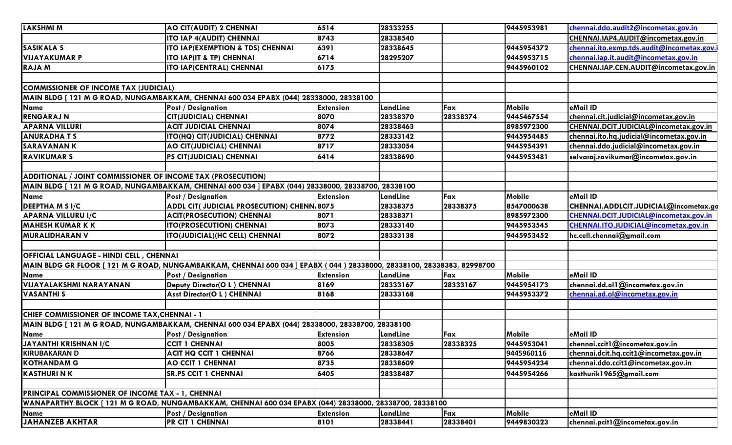| <b>LAKSHMI M</b>                                            | AO CIT(AUDIT) 2 CHENNAI                                                                                              | 6514             | 28333255 |          | 9445953981    | chennai.ddo.audit2@incometax.gov.in        |  |  |  |
|-------------------------------------------------------------|----------------------------------------------------------------------------------------------------------------------|------------------|----------|----------|---------------|--------------------------------------------|--|--|--|
|                                                             | <b>ITO IAP 4(AUDIT) CHENNAI</b>                                                                                      | 8743             | 28338540 |          |               | CHENNAI.IAP4.AUDIT@incometax.gov.in        |  |  |  |
| SASIKALA S                                                  | ITO IAP(EXEMPTION & TDS) CHENNAI                                                                                     | 6391             | 28338645 |          | 9445954372    | chennai.ito.exmp.tds.audit@incometax.gov.i |  |  |  |
| <b>VIJAYAKUMAR P</b>                                        | ITO IAP(IT & TP) CHENNAI                                                                                             | 6714             | 28295207 |          | 9445953715    | chennai.iap.it.audit@incometax.gov.in      |  |  |  |
| <b>RAJAM</b>                                                | <b>ITO IAP(CENTRAL) CHENNAI</b>                                                                                      | 6175             |          |          | 9445960102    | CHENNAI.IAP.CEN.AUDIT@incometax.gov.in     |  |  |  |
|                                                             |                                                                                                                      |                  |          |          |               |                                            |  |  |  |
| <b>COMMISSIONER OF INCOME TAX (JUDICIAL)</b>                |                                                                                                                      |                  |          |          |               |                                            |  |  |  |
|                                                             | MAIN BLDG [ 121 M G ROAD, NUNGAMBAKKAM, CHENNAI 600 034 EPABX (044) 28338000, 28338100                               |                  |          |          |               |                                            |  |  |  |
| <b>Name</b>                                                 | <b>Post / Designation</b>                                                                                            | <b>Extension</b> | LandLine | Fax      | Mobile        | eMail ID                                   |  |  |  |
| <b>RENGARAJ N</b>                                           | <b>CIT(JUDICIAL) CHENNAI</b>                                                                                         | 8070             | 28338370 | 28338374 | 9445467554    | chennai.cit.judicial@incometax.gov.in      |  |  |  |
| <b>APARNA VILLURI</b>                                       | <b>ACIT JUDICIAL CHENNAI</b>                                                                                         | 8074             | 28338463 |          | 8985972300    | CHENNAI.DCIT.JUDICIAL@incometax.gov.in     |  |  |  |
| <b>ANURADHATS</b>                                           | ITO(HQ) CIT(JUDICIAL) CHENNAI                                                                                        | 8772             | 28333142 |          | 9445954485    | chennai.ito.hq.judicial@incometax.gov.in   |  |  |  |
| <b>SARAVANANK</b>                                           | AO CIT(JUDICIAL) CHENNAI                                                                                             | 8717             | 28333054 |          | 9445954391    | chennai.ddo.judicial@incometax.gov.in      |  |  |  |
| <b>RAVIKUMAR S</b>                                          | PS CIT(JUDICIAL) CHENNAI                                                                                             | 6414             | 28338690 |          | 9445953481    | selvaraj.ravikumar@incometax.gov.in        |  |  |  |
|                                                             |                                                                                                                      |                  |          |          |               |                                            |  |  |  |
| ADDITIONAL / JOINT COMMISSIONER OF INCOME TAX (PROSECUTION) |                                                                                                                      |                  |          |          |               |                                            |  |  |  |
|                                                             | MAIN BLDG [ 121 M G ROAD, NUNGAMBAKKAM, CHENNAI 600 034 ] EPABX (044) 28338000, 28338700, 28338100                   |                  |          |          |               |                                            |  |  |  |
| <b>Name</b>                                                 | <b>Post / Designation</b>                                                                                            | <b>Extension</b> | LandLine | Fax      | <b>Mobile</b> | eMail ID                                   |  |  |  |
| <b>DEEPTHA M S I/C</b>                                      | ADDL CIT( JUDICIAL PROSECUTION) CHENN 8075                                                                           |                  | 28338375 | 28338375 | 8547000638    | CHENNAI.ADDLCIT.JUDICIAL@incometax.gc      |  |  |  |
| <b>APARNA VILLURU I/C</b>                                   | <b>ACIT(PROSECUTION) CHENNAI</b>                                                                                     | 8071             | 28338371 |          | 8985972300    | CHENNAI.DCIT.JUDICIAL@incometax.gov.in     |  |  |  |
| <b>MAHESH KUMAR K K</b>                                     | <b>ITO(PROSECUTION) CHENNAI</b>                                                                                      | 8073             | 28333140 |          | 9445953545    | CHENNAI.ITO.JUDICIAL@incometax.gov.in      |  |  |  |
| <b>MURALIDHARAN V</b>                                       | <b>ITO(JUDICIAL)(HC CELL) CHENNAI</b>                                                                                | 8072             | 28333138 |          | 9445953452    | hc.cell.chennai@gmail.com                  |  |  |  |
|                                                             |                                                                                                                      |                  |          |          |               |                                            |  |  |  |
| <b>OFFICIAL LANGUAGE - HINDI CELL, CHENNAI</b>              |                                                                                                                      |                  |          |          |               |                                            |  |  |  |
|                                                             | MAIN BLDG GR FLOOR [121 M G ROAD, NUNGAMBAKKAM, CHENNAI 600 034 ] EPABX (044) 28338000, 28338100, 28338383, 82998700 |                  |          |          |               |                                            |  |  |  |
| <b>Name</b>                                                 | <b>Post / Designation</b>                                                                                            | <b>Extension</b> | LandLine | Fax      | Mobile        | eMail ID                                   |  |  |  |
| <b>VIJAYALAKSHMI NARAYANAN</b>                              | Deputy Director(O L) CHENNAI                                                                                         | 8169             | 28333167 | 28333167 | 9445954173    | chennai.dd.ol1@incometax.gov.in            |  |  |  |
| <b>VASANTHIS</b>                                            | Asst Director(O L ) CHENNAI                                                                                          | 8168             | 28333168 |          | 9445953372    | chennai.ad.ol@incometax.gov.in             |  |  |  |
|                                                             |                                                                                                                      |                  |          |          |               |                                            |  |  |  |
| CHIEF COMMISSIONER OF INCOME TAX, CHENNAI - 1               |                                                                                                                      |                  |          |          |               |                                            |  |  |  |
|                                                             | MAIN BLDG [121 M G ROAD, NUNGAMBAKKAM, CHENNAI 600 034 EPABX (044) 28338000, 28338700, 28338100                      |                  |          |          |               |                                            |  |  |  |
| Name                                                        | <b>Post / Designation</b>                                                                                            | <b>Extension</b> | LandLine | Fax      | Mobile        | eMail ID                                   |  |  |  |
| <b>JAYANTHI KRISHNAN I/C</b>                                | <b>CCIT 1 CHENNAI</b>                                                                                                | 8005             | 28338305 | 28338325 | 9445953041    | chennai.ccit1@incometax.gov.in             |  |  |  |
| <b>KIRUBAKARAN D</b>                                        | ACIT HQ CCIT 1 CHENNAI                                                                                               | 8766             | 28338647 |          | 9445960116    | chennai.dcit.hq.ccit1@incometax.gov.in     |  |  |  |
| <b>KOTHANDAM G</b>                                          | <b>AO CCIT 1 CHENNAI</b>                                                                                             | 8735             | 28338609 |          | 9445954234    | chennai.ddo.ccit1@incometax.gov.in         |  |  |  |
| <b>KASTHURI N K</b>                                         | <b>SR.PS CCIT 1 CHENNAI</b>                                                                                          | 6405             | 28338487 |          | 9445954266    | kasthurik 1965@gmail.com                   |  |  |  |
|                                                             |                                                                                                                      |                  |          |          |               |                                            |  |  |  |
| <b>PRINCIPAL COMMISSIONER OF INCOME TAX - 1, CHENNAI</b>    |                                                                                                                      |                  |          |          |               |                                            |  |  |  |
|                                                             | WANAPARTHY BLOCK [ 121 M G ROAD, NUNGAMBAKKAM, CHENNAI 600 034 EPABX (044) 28338000, 28338700, 28338100              |                  |          |          |               |                                            |  |  |  |
| <b>Name</b>                                                 | <b>Post / Designation</b>                                                                                            | <b>Extension</b> | LandLine | Fax      | Mobile        | eMail ID                                   |  |  |  |
| <b>JAHANZEB AKHTAR</b>                                      | <b>PR CIT I CHENNAI</b>                                                                                              | 8101             | 28338441 | 28338401 | 9449830323    | chennai.pcit1@incometax.gov.in             |  |  |  |
|                                                             |                                                                                                                      |                  |          |          |               |                                            |  |  |  |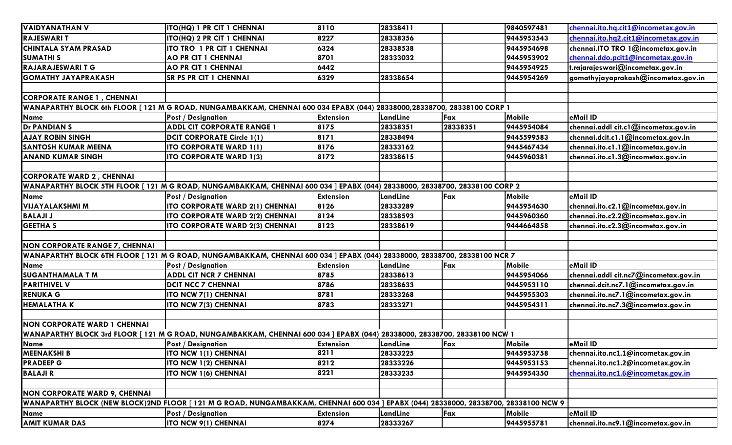| <b>VAIDYANATHAN V</b>                                                                                                  | ITO(HQ) 1 PR CIT 1 CHENNAI                                                                                                          | 8110             | 28338411 |          | 9840597481    | chennai.ito.hq.cit1@incometax.gov.in  |
|------------------------------------------------------------------------------------------------------------------------|-------------------------------------------------------------------------------------------------------------------------------------|------------------|----------|----------|---------------|---------------------------------------|
| <b>RAJESWARIT</b>                                                                                                      | ITO(HQ) 2 PR CIT 1 CHENNAI                                                                                                          | 8227             | 28338356 |          | 9445953543    | chennai.ito.hg2.cit1@incometax.gov.in |
| <b>CHINTALA SYAM PRASAD</b>                                                                                            | ITO TRO 1 PR CIT 1 CHENNAI                                                                                                          | 6324             | 28338538 |          | 9445954698    | chennai.ITO TRO 1@incometax.gov.in    |
| <b>SUMATHIS</b>                                                                                                        | <b>AO PR CIT 1 CHENNAI</b>                                                                                                          | 8701             | 28333032 |          | 9445953902    | chennai.ddo.pcit1@incometax.gov.in    |
| <b>RAJARAJESWARI T G</b>                                                                                               | <b>AO PR CIT 1 CHENNAI</b>                                                                                                          | 6442             |          |          | 9445954925    | t.rajarajeswari@incometax.gov.in      |
| <b>GOMATHY JAYAPRAKASH</b>                                                                                             | <b>SR PS PR CIT 1 CHENNAI</b>                                                                                                       | 6329             | 28338654 |          | 9445954269    | gomathyjayaprakash@incometax.gov.in   |
|                                                                                                                        |                                                                                                                                     |                  |          |          |               |                                       |
| <b>CORPORATE RANGE 1, CHENNAI</b>                                                                                      |                                                                                                                                     |                  |          |          |               |                                       |
| WANAPARTHY BLOCK 6th FLOOR [121 M G ROAD, NUNGAMBAKKAM, CHENNAI 600 034 EPABX (044) 28338000,28338700, 28338100 CORP 1 |                                                                                                                                     |                  |          |          |               |                                       |
| <b>Name</b>                                                                                                            | <b>Post / Designation</b>                                                                                                           | <b>Extension</b> | LandLine | Fax      | Mobile        | eMail ID                              |
| <b>Dr PANDIAN S</b>                                                                                                    | <b>ADDL CIT CORPORATE RANGE 1</b>                                                                                                   | 8175             | 28338351 | 28338351 | 9445954084    | chennai.addl cit.c1@incometax.gov.in  |
| AJAY ROBIN SINGH                                                                                                       | DCIT CORPORATE Circle 1(1)                                                                                                          | 8171             | 28338494 |          | 9445599583    | chennai.dcit.c1.1@incometax.gov.in    |
| <b>SANTOSH KUMAR MEENA</b>                                                                                             | <b>ITO CORPORATE WARD 1(1)</b>                                                                                                      | 8176             | 28333162 |          | 9445467434    | chennai.ito.c1.1@incometax.gov.in     |
| <b>ANAND KUMAR SINGH</b>                                                                                               | <b>ITO CORPORATE WARD 1(3)</b>                                                                                                      | 8172             | 28338615 |          | 9445960381    | chennai.ito.c1.3@incometax.gov.in     |
|                                                                                                                        |                                                                                                                                     |                  |          |          |               |                                       |
| <b>CORPORATE WARD 2, CHENNAI</b>                                                                                       |                                                                                                                                     |                  |          |          |               |                                       |
|                                                                                                                        | WANAPARTHY BLOCK 5TH FLOOR [121 M G ROAD, NUNGAMBAKKAM, CHENNAI 600 034 ] EPABX (044) 28338000, 28338700, 28338100 CORP 2           |                  |          |          |               |                                       |
| <b>Name</b>                                                                                                            | <b>Post / Designation</b>                                                                                                           | <b>Extension</b> | LandLine | Fax      | <b>Mobile</b> | eMail ID                              |
| <b>VIJAYALAKSHMI M</b>                                                                                                 | ITO CORPORATE WARD 2(1) CHENNAI                                                                                                     | 8126             | 28333289 |          | 9445954630    | chennai.ito.c2.1@incometax.gov.in     |
| <b>BALAJI J</b>                                                                                                        | ITO CORPORATE WARD 2(2) CHENNAI                                                                                                     | 8124             | 28338593 |          | 9445960360    | chennai.ito.c2.2@incometax.gov.in     |
| <b>GEETHA S</b>                                                                                                        | ITO CORPORATE WARD 2(3) CHENNAI                                                                                                     | 8123             | 28338619 |          | 9444664858    | chennai.ito.c2.3@incometax.gov.in     |
|                                                                                                                        |                                                                                                                                     |                  |          |          |               |                                       |
| <b>NON CORPORATE RANGE 7, CHENNAI</b>                                                                                  |                                                                                                                                     |                  |          |          |               |                                       |
|                                                                                                                        | WANAPARTHY BLOCK 6TH FLOOR [121 M G ROAD, NUNGAMBAKKAM, CHENNAI 600 034 ] EPABX (044) 28338000, 28338700, 28338100 NCR 7            |                  |          |          |               |                                       |
| <b>Name</b>                                                                                                            | <b>Post / Designation</b>                                                                                                           | <b>Extension</b> | LandLine | Fax      | Mobile        | eMail ID                              |
| <b>SUGANTHAMALA T M</b>                                                                                                | <b>ADDL CIT NCR 7 CHENNAI</b>                                                                                                       | 8785             | 28338613 |          | 9445954066    | chennai.addl cit.nc7@incometax.gov.in |
| <b>PARITHIVEL V</b>                                                                                                    | <b>DCIT NCC 7 CHENNAI</b>                                                                                                           | 8786             | 28338633 |          | 9445953110    | chennai.dcit.nc7.1@incometax.gov.in   |
| <b>RENUKA G</b>                                                                                                        | ITO NCW 7(1) CHENNAI                                                                                                                | 8781             | 28333268 |          | 9445955303    | chennai.ito.nc7.1@incometax.gov.in    |
| <b>HEMALATHAK</b>                                                                                                      | ITO NCW 7(3) CHENNAI                                                                                                                | 8783             | 28333271 |          | 9445954311    | chennai.ito.nc7.3@incometax.gov.in    |
|                                                                                                                        |                                                                                                                                     |                  |          |          |               |                                       |
| <b>NON CORPORATE WARD 1 CHENNAI</b>                                                                                    |                                                                                                                                     |                  |          |          |               |                                       |
|                                                                                                                        | WANAPARTHY BLOCK 3rd FLOOR [121 M G ROAD, NUNGAMBAKKAM, CHENNAI 600 034 ] EPABX (044) 28338000, 28338700, 28338100 NCW 1            |                  |          |          |               |                                       |
| Name                                                                                                                   | <b>Post / Designation</b>                                                                                                           | <b>Extension</b> | LandLine | Fax      | Mobile        | eMail ID                              |
| <b>MEENAKSHI B</b>                                                                                                     | <b>ITO NCW 1(1) CHENNAI</b>                                                                                                         | 8211             | 28333225 |          | 9445953758    | chennai.ito.nc1.1@incometax.gov.in    |
| <b>PRADEEP G</b>                                                                                                       | ITO NCW 1(2) CHENNAI                                                                                                                | 8212             | 28333226 |          | 9445953153    | chennai.ito.nc1.2@incometax.gov.in    |
| <b>BALAJIR</b>                                                                                                         | <b>ITO NCW 1(6) CHENNAI</b>                                                                                                         | 8221             | 28333235 |          | 9445954350    | chennai.ito.nc1.6@incometax.gov.in    |
| <b>NON CORPORATE WARD 9, CHENNAI</b>                                                                                   |                                                                                                                                     |                  |          |          |               |                                       |
|                                                                                                                        | WANAPARTHY BLOCK (NEW BLOCK)2ND FLOOR [121 M G ROAD, NUNGAMBAKKAM, CHENNAI 600 034 ] EPABX (044) 28338000, 28338700, 28338100 NCW 9 |                  |          |          |               |                                       |
| <b>Name</b>                                                                                                            | <b>Post / Designation</b>                                                                                                           | <b>Extension</b> | LandLine | Fax      | <b>Mobile</b> | eMail ID                              |
| <b>AMIT KUMAR DAS</b>                                                                                                  | ITO NCW 9(1) CHENNAI                                                                                                                | 8274             | 28333267 |          | 9445955781    | chennai.ito.nc9.1@incometax.gov.in    |
|                                                                                                                        |                                                                                                                                     |                  |          |          |               |                                       |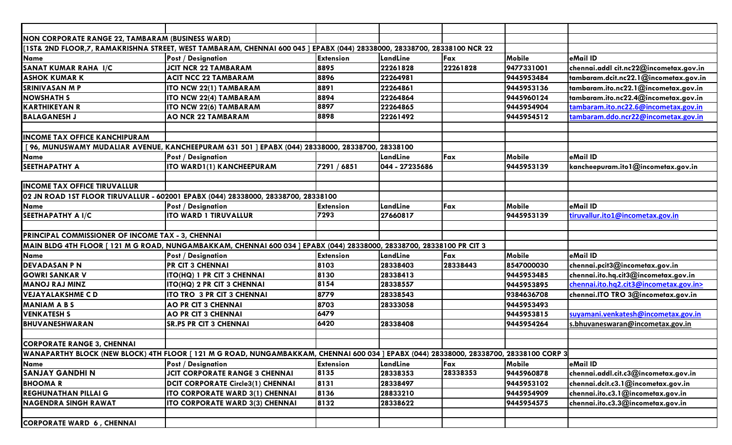| NON CORPORATE RANGE 22, TAMBARAM (BUSINESS WARD)  |                                                                                                                                       |                  |                |          |            |                                        |  |  |
|---------------------------------------------------|---------------------------------------------------------------------------------------------------------------------------------------|------------------|----------------|----------|------------|----------------------------------------|--|--|
|                                                   | [1ST& 2ND FLOOR,7, RAMAKRISHNA STREET, WEST TAMBARAM, CHENNAI 600 045 ] EPABX (044) 28338000, 28338700, 28338100 NCR 22               |                  |                |          |            |                                        |  |  |
| <b>Name</b>                                       | <b>Post / Designation</b>                                                                                                             | <b>Extension</b> | LandLine       | Fax      | Mobile     | eMail ID                               |  |  |
| <b>SANAT KUMAR RAHA I/C</b>                       | <b>JCIT NCR 22 TAMBARAM</b>                                                                                                           | 8895             | 22261828       | 22261828 | 9477331001 | chennai.addl cit.nc22@incometax.gov.in |  |  |
| <b>ASHOK KUMAR K</b>                              | <b>ACIT NCC 22 TAMBARAM</b>                                                                                                           | 8896             | 22264981       |          | 9445953484 | tambaram.dcit.nc22.1@incometax.gov.in  |  |  |
| <b>SRINIVASAN M P</b>                             | ITO NCW 22(1) TAMBARAM                                                                                                                | 8891             | 22264861       |          | 9445953136 | tambaram.ito.nc22.1@incometax.gov.in   |  |  |
| <b>NOWSHATH S</b>                                 | ITO NCW 22(4) TAMBARAM                                                                                                                | 8894             | 22264864       |          | 9445960124 | tambaram.ito.nc22.4@incometax.gov.in   |  |  |
| <b>KARTHIKEYAN R</b>                              | ITO NCW 22(6) TAMBARAM                                                                                                                | 8897             | 22264865       |          | 9445954904 | tambaram.ito.nc22.6@incometax.gov.in   |  |  |
| <b>BALAGANESH J</b>                               | <b>AO NCR 22 TAMBARAM</b>                                                                                                             | 8898             | 22261492       |          | 9445954512 | tambaram.ddo.ncr22@incometax.gov.in    |  |  |
|                                                   |                                                                                                                                       |                  |                |          |            |                                        |  |  |
| <b>INCOME TAX OFFICE KANCHIPURAM</b>              |                                                                                                                                       |                  |                |          |            |                                        |  |  |
|                                                   | [96, MUNUSWAMY MUDALIAR AVENUE, KANCHEEPURAM 631 501 ] EPABX (044) 28338000, 28338700, 28338100                                       |                  |                |          |            |                                        |  |  |
| Name                                              | <b>Post / Designation</b>                                                                                                             |                  | LandLine       | Fax      | Mobile     | eMail ID                               |  |  |
| SEETHAPATHY A                                     | ITO WARD1(1) KANCHEEPURAM                                                                                                             | 7291 / 6851      | 044 - 27235686 |          | 9445953139 | kancheepuram.itol@incometax.gov.in     |  |  |
|                                                   |                                                                                                                                       |                  |                |          |            |                                        |  |  |
| <b>INCOME TAX OFFICE TIRUVALLUR</b>               |                                                                                                                                       |                  |                |          |            |                                        |  |  |
|                                                   | 02 JN ROAD 1ST FLOOR TIRUVALLUR - 602001 EPABX (044) 28338000, 28338700, 28338100                                                     |                  |                |          |            |                                        |  |  |
| <b>Name</b>                                       | <b>Post / Designation</b>                                                                                                             | <b>Extension</b> | LandLine       | Fax      | Mobile     | eMail ID                               |  |  |
| <b>SEETHAPATHY A I/C</b>                          | <b>ITO WARD 1 TIRUVALLUR</b>                                                                                                          | 7293             | 27660817       |          | 9445953139 | tiruvallur.ito1@incometax.gov.in       |  |  |
|                                                   |                                                                                                                                       |                  |                |          |            |                                        |  |  |
| PRINCIPAL COMMISSIONER OF INCOME TAX - 3, CHENNAI |                                                                                                                                       |                  |                |          |            |                                        |  |  |
|                                                   | MAIN BLDG 4TH FLOOR [121 M G ROAD, NUNGAMBAKKAM, CHENNAI 600 034 ] EPABX (044) 28338000, 28338700, 28338100 PR CIT 3                  |                  |                |          |            |                                        |  |  |
| Name                                              | <b>Post / Designation</b>                                                                                                             | <b>Extension</b> | LandLine       | Fax      | Mobile     | eMail ID                               |  |  |
| <b>DEVADASAN P N</b>                              | <b>PR CIT 3 CHENNAI</b>                                                                                                               | 8103             | 28338403       | 28338443 | 8547000030 | chennai.pcit3@incometax.gov.in         |  |  |
| <b>GOWRI SANKAR V</b>                             | ITO(HQ) 1 PR CIT 3 CHENNAI                                                                                                            | 8130             | 28338413       |          | 9445953485 | chennai.ito.hq.cit3@incometax.gov.in   |  |  |
| <b>MANOJ RAJ MINZ</b>                             | ITO(HQ) 2 PR CIT 3 CHENNAI                                                                                                            | 8154             | 28338557       |          | 9445953895 | chennai.ito.hq2.cit3@incometax.gov.in> |  |  |
| <b>VEJAYALAKSHME CD</b>                           | ITO TRO 3 PR CIT 3 CHENNAI                                                                                                            | 8779             | 28338543       |          | 9384636708 | chennai.ITO TRO 3@incometax.gov.in     |  |  |
| <b>MANIAM A B S</b>                               | <b>AO PR CIT 3 CHENNAI</b>                                                                                                            | 8703             | 28333058       |          | 9445953493 |                                        |  |  |
| <b>VENKATESH S</b>                                | <b>AO PR CIT 3 CHENNAI</b>                                                                                                            | 6479             |                |          | 9445953815 | suyamani.venkatesh@incometax.gov.in    |  |  |
| BHUVANESHWARAN                                    | <b>SR.PS PR CIT 3 CHENNAI</b>                                                                                                         | 6420             | 28338408       |          | 9445954264 | s.bhuvaneswaran@incometax.gov.in       |  |  |
|                                                   |                                                                                                                                       |                  |                |          |            |                                        |  |  |
| <b>CORPORATE RANGE 3, CHENNAI</b>                 |                                                                                                                                       |                  |                |          |            |                                        |  |  |
|                                                   | WANAPARTHY BLOCK (NEW BLOCK) 4TH FLOOR [121 M G ROAD, NUNGAMBAKKAM, CHENNAI 600 034 ] EPABX (044) 28338000, 28338700, 28338100 CORP 3 |                  |                |          |            |                                        |  |  |
| Name                                              | <b>Post / Designation</b>                                                                                                             | <b>Extension</b> | LandLine       | Fax      | Mobile     | eMail ID                               |  |  |
| <b>SANJAY GANDHI N</b>                            | <b>JCIT CORPORATE RANGE 3 CHENNAI</b>                                                                                                 | 8135             | 28338353       | 28338353 | 9445960878 | chennai.addl.cit.c3@incometax.gov.in   |  |  |
| <b>BHOOMAR</b>                                    | <b>DCIT CORPORATE Circle3(1) CHENNAI</b>                                                                                              | 8131             | 28338497       |          | 9445953102 | chennai.dcit.c3.1@incometax.gov.in     |  |  |
| <b>REGHUNATHAN PILLAI G</b>                       | ITO CORPORATE WARD 3(1) CHENNAI                                                                                                       | 8136             | 28833210       |          | 9445954909 | chennai.ito.c3.1@incometax.gov.in      |  |  |
| <b>NAGENDRA SINGH RAWAT</b>                       | <b>ITO CORPORATE WARD 3(3) CHENNAI</b>                                                                                                | 8132             | 28338622       |          | 9445954575 | chennai.ito.c3.3@incometax.gov.in      |  |  |
|                                                   |                                                                                                                                       |                  |                |          |            |                                        |  |  |
| <b>CORPORATE WARD 6, CHENNAI</b>                  |                                                                                                                                       |                  |                |          |            |                                        |  |  |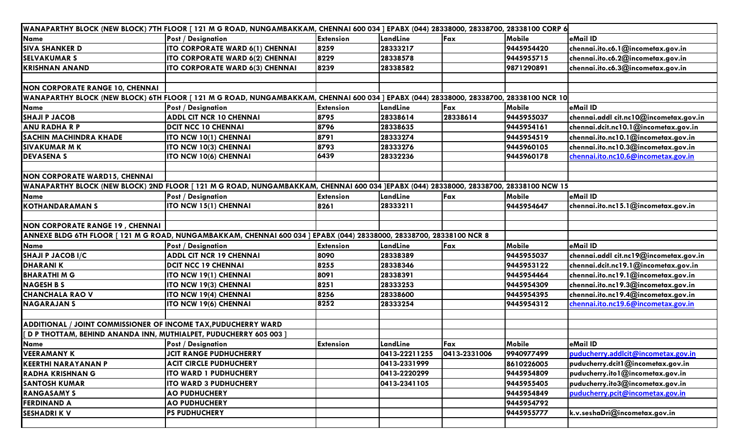| WANAPARTHY BLOCK (NEW BLOCK) 7TH FLOOR [121 M G ROAD, NUNGAMBAKKAM, CHENNAI 600 034 ] EPABX (044) 28338000, 28338700, 28338100 CORP 6 |                                                                                                                                        |                  |               |              |               |                                        |  |  |  |
|---------------------------------------------------------------------------------------------------------------------------------------|----------------------------------------------------------------------------------------------------------------------------------------|------------------|---------------|--------------|---------------|----------------------------------------|--|--|--|
| <b>Name</b>                                                                                                                           | <b>Post / Designation</b>                                                                                                              | <b>Extension</b> | LandLine      | Fax          | Mobile        | eMail ID                               |  |  |  |
| <b>SIVA SHANKER D</b>                                                                                                                 | ITO CORPORATE WARD 6(1) CHENNAI                                                                                                        | 8259             | 28333217      |              | 9445954420    | chennai.ito.c6.1@incometax.gov.in      |  |  |  |
| <b>SELVAKUMAR S</b>                                                                                                                   | ITO CORPORATE WARD 6(2) CHENNAI                                                                                                        | 8229             | 28338578      |              | 9445955715    | chennai.ito.c6.2@incometax.gov.in      |  |  |  |
| <b>KRISHNAN ANAND</b>                                                                                                                 | ITO CORPORATE WARD 6(3) CHENNAI                                                                                                        | 8239             | 28338582      |              | 9871290891    | chennai.ito.c6.3@incometax.gov.in      |  |  |  |
|                                                                                                                                       |                                                                                                                                        |                  |               |              |               |                                        |  |  |  |
| NON CORPORATE RANGE 10, CHENNAI                                                                                                       |                                                                                                                                        |                  |               |              |               |                                        |  |  |  |
|                                                                                                                                       | WANAPARTHY BLOCK (NEW BLOCK) 6TH FLOOR [ 121 M G ROAD, NUNGAMBAKKAM, CHENNAI 600 034 ] EPABX (044) 28338000, 28338700, 28338100 NCR 10 |                  |               |              |               |                                        |  |  |  |
| Name                                                                                                                                  | <b>Post / Designation</b>                                                                                                              | <b>Extension</b> | LandLine      | Fax          | Mobile        | eMail ID                               |  |  |  |
| <b>SHAJI P JACOB</b>                                                                                                                  | <b>ADDL CIT NCR 10 CHENNAI</b>                                                                                                         | 8795             | 28338614      | 28338614     | 9445955037    | chennai.addl cit.nc10@incometax.gov.in |  |  |  |
| <b>ANU RADHA R P</b>                                                                                                                  | <b>DCIT NCC 10 CHENNAI</b>                                                                                                             | 8796             | 28338635      |              | 9445954161    | chennai.dcit.nc10.1@incometax.gov.in   |  |  |  |
| <b>SACHIN MACHINDRA KHADE</b>                                                                                                         | ITO NCW 10(1) CHENNAI                                                                                                                  | 8791             | 28333274      |              | 9445954519    | chennai.ito.nc10.1@incometax.gov.in    |  |  |  |
| <b>SIVAKUMAR MK</b>                                                                                                                   | ITO NCW 10(3) CHENNAI                                                                                                                  | 8793             | 28333276      |              | 9445960105    | chennai.ito.nc10.3@incometax.gov.in    |  |  |  |
| <b>DEVASENA S</b>                                                                                                                     | ITO NCW 10(6) CHENNAI                                                                                                                  | 6439             | 28332236      |              | 9445960178    | chennai.ito.nc10.6@incometax.gov.in    |  |  |  |
|                                                                                                                                       |                                                                                                                                        |                  |               |              |               |                                        |  |  |  |
| <b>NON CORPORATE WARD15, CHENNAI</b>                                                                                                  |                                                                                                                                        |                  |               |              |               |                                        |  |  |  |
| WANAPARTHY BLOCK (NEW BLOCK) 2ND FLOOR [ 121 M G ROAD, NUNGAMBAKKAM, CHENNAI 600 034 ]EPABX (044) 28338000, 28338700, 28338100 NCW 15 |                                                                                                                                        |                  |               |              |               |                                        |  |  |  |
| <b>Name</b>                                                                                                                           | <b>Post / Designation</b>                                                                                                              | <b>Extension</b> | LandLine      | Fax          | <b>Mobile</b> | eMail ID                               |  |  |  |
| <b>KOTHANDARAMANS</b>                                                                                                                 | ITO NCW 15(1) CHENNAI                                                                                                                  | 8261             | 28333211      |              | 9445954647    | chennai.ito.nc15.1@incometax.gov.in    |  |  |  |
|                                                                                                                                       |                                                                                                                                        |                  |               |              |               |                                        |  |  |  |
| NON CORPORATE RANGE 19, CHENNAI                                                                                                       |                                                                                                                                        |                  |               |              |               |                                        |  |  |  |
|                                                                                                                                       | ANNEXE BLDG 6TH FLOOR [121 M G ROAD, NUNGAMBAKKAM, CHENNAI 600 034 ] EPABX (044) 28338000, 28338700, 28338100 NCR 8                    |                  |               |              |               |                                        |  |  |  |
| Name                                                                                                                                  | <b>Post / Designation</b>                                                                                                              | <b>Extension</b> | LandLine      | Fax          | Mobile        | eMail ID                               |  |  |  |
| <b>SHAJI P JACOB I/C</b>                                                                                                              | <b>ADDL CIT NCR 19 CHENNAI</b>                                                                                                         | 8090             | 28338389      |              | 9445955037    | chennai.addl cit.nc19@incometax.gov.in |  |  |  |
| <b>DHARANIK</b>                                                                                                                       | <b>DCIT NCC 19 CHENNAI</b>                                                                                                             | 8255             | 28338346      |              | 9445953122    | chennai.dcit.nc19.1@incometax.gov.in   |  |  |  |
| <b>BHARATHIMG</b>                                                                                                                     | ITO NCW 19(1) CHENNAI                                                                                                                  | 8091             | 28338391      |              | 9445954464    | chennai.ito.nc19.1@incometax.gov.in    |  |  |  |
| <b>NAGESH B S</b>                                                                                                                     | ITO NCW 19(3) CHENNAI                                                                                                                  | 8251             | 28333253      |              | 9445954309    | chennai.ito.nc19.3@incometax.gov.in    |  |  |  |
| <b>CHANCHALA RAO V</b>                                                                                                                | ITO NCW 19(4) CHENNAI                                                                                                                  | 8256             | 28338600      |              | 9445954395    | chennai.ito.nc19.4@incometax.gov.in    |  |  |  |
| <b>NAGARAJAN S</b>                                                                                                                    | ITO NCW 19(6) CHENNAI                                                                                                                  | 8252             | 28333254      |              | 9445954312    | chennai.ito.nc19.6@incometax.gov.in    |  |  |  |
|                                                                                                                                       |                                                                                                                                        |                  |               |              |               |                                        |  |  |  |
| ADDITIONAL / JOINT COMMISSIONER OF INCOME TAX, PUDUCHERRY WARD                                                                        |                                                                                                                                        |                  |               |              |               |                                        |  |  |  |
| D P THOTTAM, BEHIND ANANDA INN, MUTHIALPET, PUDUCHERRY 605 003                                                                        |                                                                                                                                        |                  |               |              |               |                                        |  |  |  |
| Name                                                                                                                                  | <b>Post / Designation</b>                                                                                                              | <b>Extension</b> | LandLine      | Fax          | <b>Mobile</b> | eMail ID                               |  |  |  |
| <b>VEERAMANY K</b>                                                                                                                    | <b>JCIT RANGE PUDHUCHERRY</b>                                                                                                          |                  | 0413-22211255 | 0413-2331006 | 9940977499    | puducherry.addlcit@incometax.gov.in    |  |  |  |
| <b>KEERTHI NARAYANAN P</b>                                                                                                            | <b>ACIT CIRCLE PUDHUCHERY</b>                                                                                                          |                  | 0413-2331999  |              | 8610226005    | puducherry.dcit1@incometax.gov.in      |  |  |  |
| <b>RADHA KRISHNAN G</b>                                                                                                               | <b>ITO WARD 1 PUDHUCHERY</b>                                                                                                           |                  | 0413-2220299  |              | 9445954809    | puducherry.itol@incometax.gov.in       |  |  |  |
| <b>SANTOSH KUMAR</b>                                                                                                                  | <b>ITO WARD 3 PUDHUCHERY</b>                                                                                                           |                  | 0413-2341105  |              | 9445955405    | puducherry.ito3@incometax.gov.in       |  |  |  |
| <b>RANGASAMY S</b>                                                                                                                    | <b>AO PUDHUCHERY</b>                                                                                                                   |                  |               |              | 9445954849    | puducherry.pcit@incometax.gov.in       |  |  |  |
| <b>FERDINAND A</b>                                                                                                                    | <b>AO PUDHUCHERY</b>                                                                                                                   |                  |               |              | 9445954792    |                                        |  |  |  |
| <b>SESHADRIK V</b>                                                                                                                    | <b>PS PUDHUCHERY</b>                                                                                                                   |                  |               |              | 9445955777    | k.v.seshaDri@incometax.gov.in          |  |  |  |
|                                                                                                                                       |                                                                                                                                        |                  |               |              |               |                                        |  |  |  |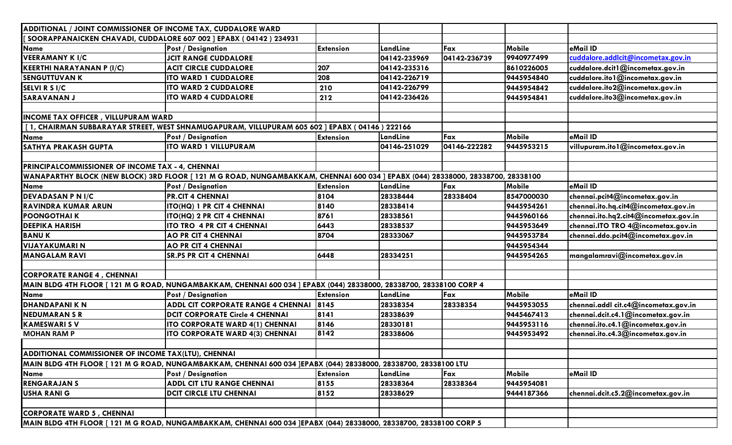| ADDITIONAL / JOINT COMMISSIONER OF INCOME TAX, CUDDALORE WARD     |                                                                                                                                 |                  |              |              |            |                                       |
|-------------------------------------------------------------------|---------------------------------------------------------------------------------------------------------------------------------|------------------|--------------|--------------|------------|---------------------------------------|
| SOORAPPANAICKEN CHAVADI, CUDDALORE 607 002 ] EPABX (04142) 234931 |                                                                                                                                 |                  |              |              |            |                                       |
| Name                                                              | <b>Post / Designation</b>                                                                                                       | <b>Extension</b> | LandLine     | Fax          | Mobile     | eMail ID                              |
| <b>VEERAMANY K I/C</b>                                            | <b>JCIT RANGE CUDDALORE</b>                                                                                                     |                  | 04142-235969 | 04142-236739 | 9940977499 | cuddalore.addlcit@incometax.gov.in    |
| <b>KEERTHI NARAYANAN P (I/C)</b>                                  | <b>ACIT CIRCLE CUDDALORE</b>                                                                                                    | 207              | 04142-235316 |              | 8610226005 | cuddalore.dcit1@incometax.gov.in      |
| <b>SENGUTTUVAN K</b>                                              | <b>ITO WARD 1 CUDDALORE</b>                                                                                                     | 208              | 04142-226719 |              | 9445954840 | cuddalore.ito1@incometax.gov.in       |
| SELVI R S I/C                                                     | <b>ITO WARD 2 CUDDALORE</b>                                                                                                     | 210              | 04142-226799 |              | 9445954842 | cuddalore.ito2@incometax.gov.in       |
| <b>SARAVANAN J</b>                                                | <b>ITO WARD 4 CUDDALORE</b>                                                                                                     | 212              | 04142-236426 |              | 9445954841 | cuddalore.ito3@incometax.gov.in       |
|                                                                   |                                                                                                                                 |                  |              |              |            |                                       |
| <b>INCOME TAX OFFICER, VILLUPURAM WARD</b>                        |                                                                                                                                 |                  |              |              |            |                                       |
|                                                                   | [1, CHAIRMAN SUBBARAYAR STREET, WEST SHNAMUGAPURAM, VILLUPURAM 605 602 ] EPABX (04146) 222166                                   |                  |              |              |            |                                       |
| <b>Name</b>                                                       | <b>Post / Designation</b>                                                                                                       | <b>Extension</b> | LandLine     | Fax          | Mobile     | eMail ID                              |
| SATHYA PRAKASH GUPTA                                              | <b>ITO WARD 1 VILLUPURAM</b>                                                                                                    |                  | 04146-251029 | 04146-222282 | 9445953215 | villupuram.ito1@incometax.gov.in      |
|                                                                   |                                                                                                                                 |                  |              |              |            |                                       |
| <b>PRINCIPALCOMMISSIONER OF INCOME TAX - 4, CHENNAI</b>           |                                                                                                                                 |                  |              |              |            |                                       |
|                                                                   | WANAPARTHY BLOCK (NEW BLOCK) 3RD FLOOR [ 121 M G ROAD, NUNGAMBAKKAM, CHENNAI 600 034 ] EPABX (044) 28338000, 28338700, 28338100 |                  |              |              |            |                                       |
| <b>Name</b>                                                       | <b>Post / Designation</b>                                                                                                       | <b>Extension</b> | LandLine     | Fax          | Mobile     | eMail ID                              |
| <b>DEVADASAN P N I/C</b>                                          | <b>PR.CIT 4 CHENNAI</b>                                                                                                         | 8104             | 28338444     | 28338404     | 8547000030 | chennai.pcit4@incometax.gov.in        |
| <b>RAVINDRA KUMAR ARUN</b>                                        | ITO(HQ) 1 PR CIT 4 CHENNAI                                                                                                      | 8140             | 28338414     |              | 9445954261 | chennai.ito.hq.cit4@incometax.gov.in  |
| <b>POONGOTHAIK</b>                                                | ITO(HQ) 2 PR CIT 4 CHENNAI                                                                                                      | 8761             | 28338561     |              | 9445960166 | chennai.ito.hq2.cit4@incometax.gov.in |
| <b>DEEPIKA HARISH</b>                                             | ITO TRO 4 PR CIT 4 CHENNAI                                                                                                      | 6443             | 28338537     |              | 9445953649 | chennai.ITO TRO 4@incometax.gov.in    |
| <b>BANUK</b>                                                      | <b>AO PR CIT 4 CHENNAI</b>                                                                                                      | 8704             | 28333067     |              | 9445953784 | chennai.ddo.pcit4@incometax.gov.in    |
| VIJAYAKUMARI N                                                    | <b>AO PR CIT 4 CHENNAI</b>                                                                                                      |                  |              |              | 9445954344 |                                       |
| <b>MANGALAM RAVI</b>                                              | <b>SR.PS PR CIT 4 CHENNAI</b>                                                                                                   | 6448             | 28334251     |              | 9445954265 | mangalamravi@incometax.gov.in         |
|                                                                   |                                                                                                                                 |                  |              |              |            |                                       |
| <b>CORPORATE RANGE 4, CHENNAI</b>                                 |                                                                                                                                 |                  |              |              |            |                                       |
|                                                                   | MAIN BLDG 4TH FLOOR [ 121 M G ROAD, NUNGAMBAKKAM, CHENNAI 600 034 ] EPABX (044) 28338000, 28338700, 28338100 CORP 4             |                  |              |              |            |                                       |
| <b>Name</b>                                                       | <b>Post / Designation</b>                                                                                                       | <b>Extension</b> | LandLine     | Fax          | Mobile     | eMail ID                              |
| <b>DHANDAPANIKN</b>                                               | <b>ADDL CIT CORPORATE RANGE 4 CHENNAI</b>                                                                                       | 8145             | 28338354     | 28338354     | 9445953055 | chennai.addl cit.c4@incometax.gov.in  |
| <b>NEDUMARAN S R</b>                                              | <b>DCIT CORPORATE Circle 4 CHENNAI</b>                                                                                          | 8141             | 28338639     |              | 9445467413 | chennai.dcit.c4.1@incometax.gov.in    |
| <b>KAMESWARI SV</b>                                               | ITO CORPORATE WARD 4(1) CHENNAI                                                                                                 | 8146             | 28330181     |              | 9445953116 | chennai.ito.c4.1@incometax.gov.in     |
| <b>MOHAN RAM P</b>                                                | ITO CORPORATE WARD 4(3) CHENNAI                                                                                                 | 8142             | 28338606     |              | 9445953492 | chennai.ito.c4.3@incometax.gov.in     |
| ADDITIONAL COMMISSIONER OF INCOME TAX(LTU), CHENNAI               |                                                                                                                                 |                  |              |              |            |                                       |
|                                                                   | MAIN BLDG 4TH FLOOR [ 121 M G ROAD, NUNGAMBAKKAM, CHENNAI 600 034 ]EPABX (044) 28338000, 28338700, 28338100 LTU                 |                  |              |              |            |                                       |
| <b>Name</b>                                                       | <b>Post / Designation</b>                                                                                                       | <b>Extension</b> | LandLine     | Fax          | Mobile     | eMail ID                              |
| <b>RENGARAJAN S</b>                                               | <b>ADDL CIT LTU RANGE CHENNAI</b>                                                                                               | 8155             | 28338364     | 28338364     | 9445954081 |                                       |
| <b>USHA RANI G</b>                                                | <b>DCIT CIRCLE LTU CHENNAI</b>                                                                                                  | 8152             | 28338629     |              | 9444187366 | chennai.dcit.c5.2@incometax.gov.in    |
|                                                                   |                                                                                                                                 |                  |              |              |            |                                       |
| <b>CORPORATE WARD 5, CHENNAI</b>                                  |                                                                                                                                 |                  |              |              |            |                                       |
|                                                                   | MAIN BLDG 4TH FLOOR [ 121 M G ROAD, NUNGAMBAKKAM, CHENNAI 600 034 ]EPABX (044) 28338000, 28338700, 28338100 CORP 5              |                  |              |              |            |                                       |
|                                                                   |                                                                                                                                 |                  |              |              |            |                                       |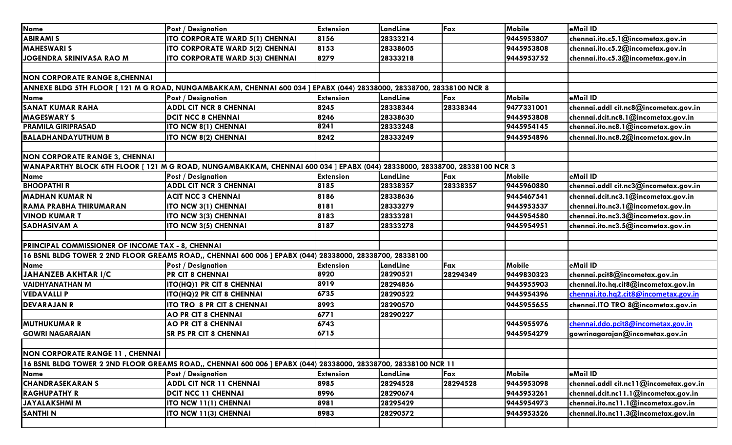| Mobile<br><b>Extension</b><br>Fax<br>eMail ID<br><b>Post / Designation</b><br>LandLine<br><b>ABIRAMI S</b><br><b>ITO CORPORATE WARD 5(1) CHENNAI</b><br>28333214<br>chennai.ito.c5.1@incometax.gov.in<br>8156<br>9445953807<br><b>MAHESWARI S</b><br><b>ITO CORPORATE WARD 5(2) CHENNAI</b><br>8153<br>28338605<br>9445953808<br>chennai.ito.c5.2@incometax.gov.in<br>JOGENDRA SRINIVASA RAO M<br>8279<br>chennai.ito.c5.3@incometax.gov.in<br>ITO CORPORATE WARD 5(3) CHENNAI<br>28333218<br>9445953752<br><b>NON CORPORATE RANGE 8, CHENNAI</b><br>ANNEXE BLDG 5TH FLOOR [121 M G ROAD, NUNGAMBAKKAM, CHENNAI 600 034 ] EPABX (044) 28338000, 28338700, 28338100 NCR 8<br>Mobile<br>eMail ID<br><b>Name</b><br><b>Extension</b><br>Fax<br><b>Post / Designation</b><br>LandLine<br><b>SANAT KUMAR RAHA</b><br><b>ADDL CIT NCR 8 CHENNAI</b><br>28338344<br>28338344<br>8245<br>9477331001<br>chennai.addl cit.nc8@incometax.gov.in<br><b>MAGESWARY S</b><br>8246<br>28338630<br>chennai.dcit.nc8.1@incometax.gov.in<br><b>DCIT NCC 8 CHENNAI</b><br>9445953808<br>8241<br>28333248<br>9445954145<br>chennai.ito.nc8.1@incometax.gov.in<br><b>PRAMILA GIRIPRASAD</b><br><b>ITO NCW 8(1) CHENNAI</b><br>chennai.ito.nc8.2@incometax.gov.in<br>8242<br>28333249<br><b>ITO NCW 8(2) CHENNAI</b><br>9445954896<br><b>NON CORPORATE RANGE 3, CHENNAI</b><br>WANAPARTHY BLOCK 6TH FLOOR [121 M G ROAD, NUNGAMBAKKAM, CHENNAI 600 034 ] EPABX (044) 28338000, 28338700, 28338100 NCR 3<br><b>Name</b><br><b>Extension</b><br>Mobile<br>eMail ID<br><b>Post / Designation</b><br>LandLine<br>Fax<br><b>BHOOPATHIR</b><br><b>ADDL CIT NCR 3 CHENNAI</b><br>28338357<br>28338357<br>9445960880<br>chennai.addl cit.nc3@incometax.gov.in<br>8185<br>8186<br>chennai.dcit.nc3.1@incometax.gov.in<br><b>ACIT NCC 3 CHENNAI</b><br>28338636<br>9445467541<br>RAMA PRABHA THIRUMARAN<br>8181<br>chennai.ito.nc3.1@incometax.gov.in<br>ITO NCW 3(1) CHENNAI<br>28333279<br>9445953537 | <b>Name</b>               |                             |      |          |            |                                    |
|------------------------------------------------------------------------------------------------------------------------------------------------------------------------------------------------------------------------------------------------------------------------------------------------------------------------------------------------------------------------------------------------------------------------------------------------------------------------------------------------------------------------------------------------------------------------------------------------------------------------------------------------------------------------------------------------------------------------------------------------------------------------------------------------------------------------------------------------------------------------------------------------------------------------------------------------------------------------------------------------------------------------------------------------------------------------------------------------------------------------------------------------------------------------------------------------------------------------------------------------------------------------------------------------------------------------------------------------------------------------------------------------------------------------------------------------------------------------------------------------------------------------------------------------------------------------------------------------------------------------------------------------------------------------------------------------------------------------------------------------------------------------------------------------------------------------------------------------------------------------------------------------------------------------------------------------------------------------|---------------------------|-----------------------------|------|----------|------------|------------------------------------|
|                                                                                                                                                                                                                                                                                                                                                                                                                                                                                                                                                                                                                                                                                                                                                                                                                                                                                                                                                                                                                                                                                                                                                                                                                                                                                                                                                                                                                                                                                                                                                                                                                                                                                                                                                                                                                                                                                                                                                                        |                           |                             |      |          |            |                                    |
|                                                                                                                                                                                                                                                                                                                                                                                                                                                                                                                                                                                                                                                                                                                                                                                                                                                                                                                                                                                                                                                                                                                                                                                                                                                                                                                                                                                                                                                                                                                                                                                                                                                                                                                                                                                                                                                                                                                                                                        |                           |                             |      |          |            |                                    |
|                                                                                                                                                                                                                                                                                                                                                                                                                                                                                                                                                                                                                                                                                                                                                                                                                                                                                                                                                                                                                                                                                                                                                                                                                                                                                                                                                                                                                                                                                                                                                                                                                                                                                                                                                                                                                                                                                                                                                                        |                           |                             |      |          |            |                                    |
|                                                                                                                                                                                                                                                                                                                                                                                                                                                                                                                                                                                                                                                                                                                                                                                                                                                                                                                                                                                                                                                                                                                                                                                                                                                                                                                                                                                                                                                                                                                                                                                                                                                                                                                                                                                                                                                                                                                                                                        |                           |                             |      |          |            |                                    |
|                                                                                                                                                                                                                                                                                                                                                                                                                                                                                                                                                                                                                                                                                                                                                                                                                                                                                                                                                                                                                                                                                                                                                                                                                                                                                                                                                                                                                                                                                                                                                                                                                                                                                                                                                                                                                                                                                                                                                                        |                           |                             |      |          |            |                                    |
|                                                                                                                                                                                                                                                                                                                                                                                                                                                                                                                                                                                                                                                                                                                                                                                                                                                                                                                                                                                                                                                                                                                                                                                                                                                                                                                                                                                                                                                                                                                                                                                                                                                                                                                                                                                                                                                                                                                                                                        |                           |                             |      |          |            |                                    |
|                                                                                                                                                                                                                                                                                                                                                                                                                                                                                                                                                                                                                                                                                                                                                                                                                                                                                                                                                                                                                                                                                                                                                                                                                                                                                                                                                                                                                                                                                                                                                                                                                                                                                                                                                                                                                                                                                                                                                                        |                           |                             |      |          |            |                                    |
|                                                                                                                                                                                                                                                                                                                                                                                                                                                                                                                                                                                                                                                                                                                                                                                                                                                                                                                                                                                                                                                                                                                                                                                                                                                                                                                                                                                                                                                                                                                                                                                                                                                                                                                                                                                                                                                                                                                                                                        |                           |                             |      |          |            |                                    |
|                                                                                                                                                                                                                                                                                                                                                                                                                                                                                                                                                                                                                                                                                                                                                                                                                                                                                                                                                                                                                                                                                                                                                                                                                                                                                                                                                                                                                                                                                                                                                                                                                                                                                                                                                                                                                                                                                                                                                                        |                           |                             |      |          |            |                                    |
|                                                                                                                                                                                                                                                                                                                                                                                                                                                                                                                                                                                                                                                                                                                                                                                                                                                                                                                                                                                                                                                                                                                                                                                                                                                                                                                                                                                                                                                                                                                                                                                                                                                                                                                                                                                                                                                                                                                                                                        |                           |                             |      |          |            |                                    |
|                                                                                                                                                                                                                                                                                                                                                                                                                                                                                                                                                                                                                                                                                                                                                                                                                                                                                                                                                                                                                                                                                                                                                                                                                                                                                                                                                                                                                                                                                                                                                                                                                                                                                                                                                                                                                                                                                                                                                                        |                           |                             |      |          |            |                                    |
|                                                                                                                                                                                                                                                                                                                                                                                                                                                                                                                                                                                                                                                                                                                                                                                                                                                                                                                                                                                                                                                                                                                                                                                                                                                                                                                                                                                                                                                                                                                                                                                                                                                                                                                                                                                                                                                                                                                                                                        | <b>BALADHANDAYUTHUM B</b> |                             |      |          |            |                                    |
|                                                                                                                                                                                                                                                                                                                                                                                                                                                                                                                                                                                                                                                                                                                                                                                                                                                                                                                                                                                                                                                                                                                                                                                                                                                                                                                                                                                                                                                                                                                                                                                                                                                                                                                                                                                                                                                                                                                                                                        |                           |                             |      |          |            |                                    |
|                                                                                                                                                                                                                                                                                                                                                                                                                                                                                                                                                                                                                                                                                                                                                                                                                                                                                                                                                                                                                                                                                                                                                                                                                                                                                                                                                                                                                                                                                                                                                                                                                                                                                                                                                                                                                                                                                                                                                                        |                           |                             |      |          |            |                                    |
|                                                                                                                                                                                                                                                                                                                                                                                                                                                                                                                                                                                                                                                                                                                                                                                                                                                                                                                                                                                                                                                                                                                                                                                                                                                                                                                                                                                                                                                                                                                                                                                                                                                                                                                                                                                                                                                                                                                                                                        |                           |                             |      |          |            |                                    |
|                                                                                                                                                                                                                                                                                                                                                                                                                                                                                                                                                                                                                                                                                                                                                                                                                                                                                                                                                                                                                                                                                                                                                                                                                                                                                                                                                                                                                                                                                                                                                                                                                                                                                                                                                                                                                                                                                                                                                                        |                           |                             |      |          |            |                                    |
|                                                                                                                                                                                                                                                                                                                                                                                                                                                                                                                                                                                                                                                                                                                                                                                                                                                                                                                                                                                                                                                                                                                                                                                                                                                                                                                                                                                                                                                                                                                                                                                                                                                                                                                                                                                                                                                                                                                                                                        |                           |                             |      |          |            |                                    |
|                                                                                                                                                                                                                                                                                                                                                                                                                                                                                                                                                                                                                                                                                                                                                                                                                                                                                                                                                                                                                                                                                                                                                                                                                                                                                                                                                                                                                                                                                                                                                                                                                                                                                                                                                                                                                                                                                                                                                                        | <b>MADHAN KUMAR N</b>     |                             |      |          |            |                                    |
|                                                                                                                                                                                                                                                                                                                                                                                                                                                                                                                                                                                                                                                                                                                                                                                                                                                                                                                                                                                                                                                                                                                                                                                                                                                                                                                                                                                                                                                                                                                                                                                                                                                                                                                                                                                                                                                                                                                                                                        |                           |                             |      |          |            |                                    |
|                                                                                                                                                                                                                                                                                                                                                                                                                                                                                                                                                                                                                                                                                                                                                                                                                                                                                                                                                                                                                                                                                                                                                                                                                                                                                                                                                                                                                                                                                                                                                                                                                                                                                                                                                                                                                                                                                                                                                                        | <b>VINOD KUMAR T</b>      | <b>ITO NCW 3(3) CHENNAI</b> | 8183 | 28333281 | 9445954580 | chennai.ito.nc3.3@incometax.gov.in |
| <b>SADHASIVAM A</b><br><b>ITO NCW 3(5) CHENNAI</b><br>8187<br>28333278<br>9445954951<br>chennai.ito.nc3.5@incometax.gov.in                                                                                                                                                                                                                                                                                                                                                                                                                                                                                                                                                                                                                                                                                                                                                                                                                                                                                                                                                                                                                                                                                                                                                                                                                                                                                                                                                                                                                                                                                                                                                                                                                                                                                                                                                                                                                                             |                           |                             |      |          |            |                                    |
|                                                                                                                                                                                                                                                                                                                                                                                                                                                                                                                                                                                                                                                                                                                                                                                                                                                                                                                                                                                                                                                                                                                                                                                                                                                                                                                                                                                                                                                                                                                                                                                                                                                                                                                                                                                                                                                                                                                                                                        |                           |                             |      |          |            |                                    |
| PRINCIPAL COMMISSIONER OF INCOME TAX - 8, CHENNAI                                                                                                                                                                                                                                                                                                                                                                                                                                                                                                                                                                                                                                                                                                                                                                                                                                                                                                                                                                                                                                                                                                                                                                                                                                                                                                                                                                                                                                                                                                                                                                                                                                                                                                                                                                                                                                                                                                                      |                           |                             |      |          |            |                                    |
| 16 BSNL BLDG TOWER 2 2ND FLOOR GREAMS ROAD,, CHENNAI 600 006 ] EPABX (044) 28338000, 28338700, 28338100                                                                                                                                                                                                                                                                                                                                                                                                                                                                                                                                                                                                                                                                                                                                                                                                                                                                                                                                                                                                                                                                                                                                                                                                                                                                                                                                                                                                                                                                                                                                                                                                                                                                                                                                                                                                                                                                |                           |                             |      |          |            |                                    |
| <b>Name</b><br>Mobile<br>eMail ID<br><b>Extension</b><br><b>Post / Designation</b><br>Fax<br>LandLine                                                                                                                                                                                                                                                                                                                                                                                                                                                                                                                                                                                                                                                                                                                                                                                                                                                                                                                                                                                                                                                                                                                                                                                                                                                                                                                                                                                                                                                                                                                                                                                                                                                                                                                                                                                                                                                                  |                           |                             |      |          |            |                                    |
| <b>JAHANZEB AKHTAR I/C</b><br>28290521<br>8920<br>28294349<br>chennai.pcit8@incometax.gov.in<br>9449830323<br><b>PR CIT 8 CHENNAI</b>                                                                                                                                                                                                                                                                                                                                                                                                                                                                                                                                                                                                                                                                                                                                                                                                                                                                                                                                                                                                                                                                                                                                                                                                                                                                                                                                                                                                                                                                                                                                                                                                                                                                                                                                                                                                                                  |                           |                             |      |          |            |                                    |
| 8919<br>chennai.ito.hq.cit8@incometax.gov.in<br><b>VAIDHYANATHAN M</b><br>28294856<br>9445955903<br><b>ITO(HQ)1 PR CIT 8 CHENNAI</b>                                                                                                                                                                                                                                                                                                                                                                                                                                                                                                                                                                                                                                                                                                                                                                                                                                                                                                                                                                                                                                                                                                                                                                                                                                                                                                                                                                                                                                                                                                                                                                                                                                                                                                                                                                                                                                   |                           |                             |      |          |            |                                    |
| 6735<br>chennai.ito.hq2.cit8@incometax.gov.in<br>9445954396<br><b>ITO(HQ)2 PR CIT 8 CHENNAI</b><br>28290522                                                                                                                                                                                                                                                                                                                                                                                                                                                                                                                                                                                                                                                                                                                                                                                                                                                                                                                                                                                                                                                                                                                                                                                                                                                                                                                                                                                                                                                                                                                                                                                                                                                                                                                                                                                                                                                            | <b>VEDAVALLIP</b>         |                             |      |          |            |                                    |
| <b>ITO TRO 8 PR CIT 8 CHENNAI</b><br>28290570<br>chennai.ITO TRO 8@incometax.gov.in<br>8993<br>9445955655                                                                                                                                                                                                                                                                                                                                                                                                                                                                                                                                                                                                                                                                                                                                                                                                                                                                                                                                                                                                                                                                                                                                                                                                                                                                                                                                                                                                                                                                                                                                                                                                                                                                                                                                                                                                                                                              | <b>DEVARAJAN R</b>        |                             |      |          |            |                                    |
| 6771<br><b>AO PR CIT 8 CHENNAI</b><br>28290227                                                                                                                                                                                                                                                                                                                                                                                                                                                                                                                                                                                                                                                                                                                                                                                                                                                                                                                                                                                                                                                                                                                                                                                                                                                                                                                                                                                                                                                                                                                                                                                                                                                                                                                                                                                                                                                                                                                         |                           |                             |      |          |            |                                    |
| 6743<br>9445955976<br>chennai.ddo.pcit8@incometax.gov.in<br><b>AO PR CIT 8 CHENNAI</b>                                                                                                                                                                                                                                                                                                                                                                                                                                                                                                                                                                                                                                                                                                                                                                                                                                                                                                                                                                                                                                                                                                                                                                                                                                                                                                                                                                                                                                                                                                                                                                                                                                                                                                                                                                                                                                                                                 | <b>MUTHUKUMAR R</b>       |                             |      |          |            |                                    |
| 6715<br>gowrinagarajan@incometax.gov.in<br><b>GOWRI NAGARAJAN</b><br><b>SR PS PR CIT 8 CHENNAI</b><br>9445954279                                                                                                                                                                                                                                                                                                                                                                                                                                                                                                                                                                                                                                                                                                                                                                                                                                                                                                                                                                                                                                                                                                                                                                                                                                                                                                                                                                                                                                                                                                                                                                                                                                                                                                                                                                                                                                                       |                           |                             |      |          |            |                                    |
|                                                                                                                                                                                                                                                                                                                                                                                                                                                                                                                                                                                                                                                                                                                                                                                                                                                                                                                                                                                                                                                                                                                                                                                                                                                                                                                                                                                                                                                                                                                                                                                                                                                                                                                                                                                                                                                                                                                                                                        |                           |                             |      |          |            |                                    |
| NON CORPORATE RANGE 11, CHENNAI                                                                                                                                                                                                                                                                                                                                                                                                                                                                                                                                                                                                                                                                                                                                                                                                                                                                                                                                                                                                                                                                                                                                                                                                                                                                                                                                                                                                                                                                                                                                                                                                                                                                                                                                                                                                                                                                                                                                        |                           |                             |      |          |            |                                    |
| 16 BSNL BLDG TOWER 2 2ND FLOOR GREAMS ROAD,, CHENNAI 600 006 ] EPABX (044) 28338000, 28338700, 28338100 NCR 11                                                                                                                                                                                                                                                                                                                                                                                                                                                                                                                                                                                                                                                                                                                                                                                                                                                                                                                                                                                                                                                                                                                                                                                                                                                                                                                                                                                                                                                                                                                                                                                                                                                                                                                                                                                                                                                         |                           |                             |      |          |            |                                    |
| eMail ID<br><b>Name</b><br>Fax<br><b>Mobile</b><br><b>Post / Designation</b><br><b>Extension</b><br>LandLine                                                                                                                                                                                                                                                                                                                                                                                                                                                                                                                                                                                                                                                                                                                                                                                                                                                                                                                                                                                                                                                                                                                                                                                                                                                                                                                                                                                                                                                                                                                                                                                                                                                                                                                                                                                                                                                           |                           |                             |      |          |            |                                    |
| 28294528<br>28294528<br>9445953098<br>chennai.addl cit.ncl 1@incometax.gov.in<br><b>ADDL CIT NCR 11 CHENNAI</b><br>8985                                                                                                                                                                                                                                                                                                                                                                                                                                                                                                                                                                                                                                                                                                                                                                                                                                                                                                                                                                                                                                                                                                                                                                                                                                                                                                                                                                                                                                                                                                                                                                                                                                                                                                                                                                                                                                                | <b>CHANDRASEKARAN S</b>   |                             |      |          |            |                                    |
| <b>DCIT NCC 11 CHENNAI</b><br>28290674<br>9445953261<br>8996<br>chennai.dcit.ncl 1.1@incometax.gov.in                                                                                                                                                                                                                                                                                                                                                                                                                                                                                                                                                                                                                                                                                                                                                                                                                                                                                                                                                                                                                                                                                                                                                                                                                                                                                                                                                                                                                                                                                                                                                                                                                                                                                                                                                                                                                                                                  | <b>RAGHUPATHY R</b>       |                             |      |          |            |                                    |
| chennai.ito.ncl 1.1@incometax.gov.in<br>8981<br>28295429<br>9445954973<br>JAYALAKSHMI M<br><b>ITO NCW 11(1) CHENNAI</b>                                                                                                                                                                                                                                                                                                                                                                                                                                                                                                                                                                                                                                                                                                                                                                                                                                                                                                                                                                                                                                                                                                                                                                                                                                                                                                                                                                                                                                                                                                                                                                                                                                                                                                                                                                                                                                                |                           |                             |      |          |            |                                    |
| <b>SANTHIN</b><br>28290572<br>9445953526<br>chennai.ito.nc11.3@incometax.gov.in<br><b>ITO NCW 11(3) CHENNAI</b><br>8983                                                                                                                                                                                                                                                                                                                                                                                                                                                                                                                                                                                                                                                                                                                                                                                                                                                                                                                                                                                                                                                                                                                                                                                                                                                                                                                                                                                                                                                                                                                                                                                                                                                                                                                                                                                                                                                |                           |                             |      |          |            |                                    |
|                                                                                                                                                                                                                                                                                                                                                                                                                                                                                                                                                                                                                                                                                                                                                                                                                                                                                                                                                                                                                                                                                                                                                                                                                                                                                                                                                                                                                                                                                                                                                                                                                                                                                                                                                                                                                                                                                                                                                                        |                           |                             |      |          |            |                                    |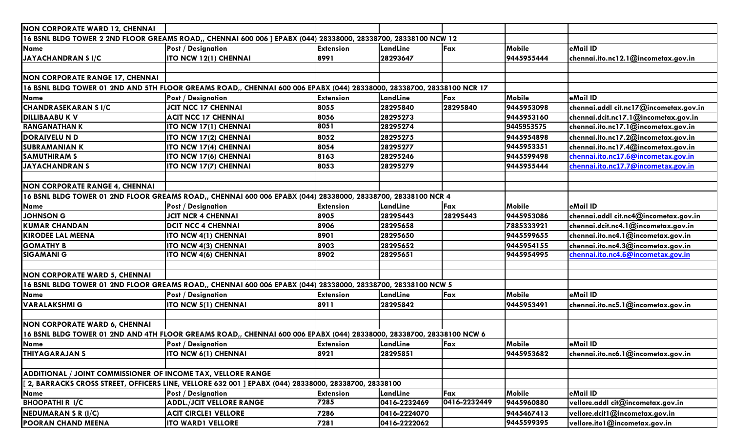| <b>NON CORPORATE WARD 12, CHENNAI</b>                                                                        |                                                                                                                       |                  |              |              |               |                                        |  |  |
|--------------------------------------------------------------------------------------------------------------|-----------------------------------------------------------------------------------------------------------------------|------------------|--------------|--------------|---------------|----------------------------------------|--|--|
|                                                                                                              | 16 BSNL BLDG TOWER 2 2ND FLOOR GREAMS ROAD,, CHENNAI 600 006 ] EPABX (044) 28338000, 28338700, 28338100 NCW 12        |                  |              |              |               |                                        |  |  |
| <b>Name</b>                                                                                                  | <b>Post / Designation</b>                                                                                             | <b>Extension</b> | LandLine     | Fax          | <b>Mobile</b> | eMail ID                               |  |  |
| JAYACHANDRAN SI/C                                                                                            | ITO NCW 12(1) CHENNAI                                                                                                 | 8991             | 28293647     |              | 9445955444    | chennai.ito.nc12.1@incometax.gov.in    |  |  |
|                                                                                                              |                                                                                                                       |                  |              |              |               |                                        |  |  |
| <b>NON CORPORATE RANGE 17, CHENNAI</b>                                                                       |                                                                                                                       |                  |              |              |               |                                        |  |  |
|                                                                                                              | 16 BSNL BLDG TOWER 01 2ND AND 5TH FLOOR GREAMS ROAD,, CHENNAI 600 006 EPABX (044) 28338000, 28338700, 28338100 NCR 17 |                  |              |              |               |                                        |  |  |
| <b>Name</b>                                                                                                  | <b>Post / Designation</b>                                                                                             | <b>Extension</b> | LandLine     | Fax          | Mobile        | eMail ID                               |  |  |
| <b>CHANDRASEKARAN SI/C</b>                                                                                   | <b>JCIT NCC 17 CHENNAI</b>                                                                                            | 8055             | 28295840     | 28295840     | 9445953098    | chennai.addl cit.nc17@incometax.gov.in |  |  |
| <b>DILLIBAABU K V</b>                                                                                        | <b>ACIT NCC 17 CHENNAI</b>                                                                                            | 8056             | 28295273     |              | 9445953160    | chennai.dcit.nc17.1@incometax.gov.in   |  |  |
| <b>RANGANATHAN K</b>                                                                                         | ITO NCW 17(1) CHENNAI                                                                                                 | 8051             | 28295274     |              | 9445953575    | chennai.ito.nc17.1@incometax.gov.in    |  |  |
| <b>DORAIVELU N D</b>                                                                                         | ITO NCW 17(2) CHENNAI                                                                                                 | 8052             | 28295275     |              | 9445954898    | chennai.ito.nc17.2@incometax.gov.in    |  |  |
| <b>SUBRAMANIAN K</b>                                                                                         | ITO NCW 17(4) CHENNAI                                                                                                 | 8054             | 28295277     |              | 9445953351    | chennai.ito.nc17.4@incometax.gov.in    |  |  |
| <b>SAMUTHIRAM S</b>                                                                                          | ITO NCW 17(6) CHENNAI                                                                                                 | 8163             | 28295246     |              | 9445599498    | chennai.ito.nc17.6@incometax.gov.in    |  |  |
| JAYACHANDRAN S                                                                                               | ITO NCW 17(7) CHENNAI                                                                                                 | 8053             | 28295279     |              | 9445955444    | chennai.ito.nc17.7@incometax.gov.in    |  |  |
|                                                                                                              |                                                                                                                       |                  |              |              |               |                                        |  |  |
| <b>NON CORPORATE RANGE 4, CHENNAI</b>                                                                        |                                                                                                                       |                  |              |              |               |                                        |  |  |
| 16 BSNL BLDG TOWER 01 2ND FLOOR GREAMS ROAD,, CHENNAI 600 006 EPABX (044) 28338000, 28338700, 28338100 NCR 4 |                                                                                                                       |                  |              |              |               |                                        |  |  |
| Name                                                                                                         | <b>Post / Designation</b>                                                                                             | <b>Extension</b> | LandLine     | Fax          | Mobile        | eMail ID                               |  |  |
| <b>JOHNSON G</b>                                                                                             | <b>JCIT NCR 4 CHENNAI</b>                                                                                             | 8905             | 28295443     | 28295443     | 9445953086    | chennai.addl cit.nc4@incometax.gov.in  |  |  |
| <b>KUMAR CHANDAN</b>                                                                                         | <b>DCIT NCC 4 CHENNAI</b>                                                                                             | 8906             | 28295658     |              | 7885333921    | chennai.dcit.nc4.1@incometax.gov.in    |  |  |
| <b>KIRODEE LAL MEENA</b>                                                                                     | <b>ITO NCW 4(1) CHENNAI</b>                                                                                           | 8901             | 28295650     |              | 9445599655    | chennai.ito.nc4.1@incometax.gov.in     |  |  |
| <b>GOMATHY B</b>                                                                                             | ITO NCW 4(3) CHENNAI                                                                                                  | 8903             | 28295652     |              | 9445954155    | chennai.ito.nc4.3@incometax.gov.in     |  |  |
| <b>SIGAMANI G</b>                                                                                            | <b>ITO NCW 4(6) CHENNAI</b>                                                                                           | 8902             | 28295651     |              | 9445954995    | chennai.ito.nc4.6@incometax.gov.in     |  |  |
|                                                                                                              |                                                                                                                       |                  |              |              |               |                                        |  |  |
| <b>NON CORPORATE WARD 5, CHENNAI</b>                                                                         |                                                                                                                       |                  |              |              |               |                                        |  |  |
|                                                                                                              | 16 BSNL BLDG TOWER 01 2ND FLOOR GREAMS ROAD,, CHENNAI 600 006 EPABX (044) 28338000, 28338700, 28338100 NCW 5          |                  |              |              |               |                                        |  |  |
| <b>Name</b>                                                                                                  | <b>Post / Designation</b>                                                                                             | <b>Extension</b> | LandLine     | Fax          | <b>Mobile</b> | eMail ID                               |  |  |
| <b>VARALAKSHMI G</b>                                                                                         | ITO NCW 5(1) CHENNAI                                                                                                  | 8911             | 28295842     |              | 9445953491    | chennai.ito.nc5.1@incometax.gov.in     |  |  |
|                                                                                                              |                                                                                                                       |                  |              |              |               |                                        |  |  |
| <b>NON CORPORATE WARD 6, CHENNAI</b>                                                                         |                                                                                                                       |                  |              |              |               |                                        |  |  |
|                                                                                                              | 16 BSNL BLDG TOWER 01 2ND AND 4TH FLOOR GREAMS ROAD,, CHENNAI 600 006 EPABX (044) 28338000, 28338700, 28338100 NCW 6  |                  |              |              |               |                                        |  |  |
| Name                                                                                                         | <b>Post / Designation</b>                                                                                             | <b>Extension</b> | LandLine     | Fax          | Mobile        | eMail ID                               |  |  |
| <b>THIYAGARAJAN S</b>                                                                                        | ITO NCW 6(1) CHENNAI                                                                                                  | 8921             | 28295851     |              | 9445953682    | chennai.ito.nc6.1@incometax.gov.in     |  |  |
|                                                                                                              |                                                                                                                       |                  |              |              |               |                                        |  |  |
| ADDITIONAL / JOINT COMMISSIONER OF INCOME TAX, VELLORE RANGE                                                 |                                                                                                                       |                  |              |              |               |                                        |  |  |
|                                                                                                              | [2, BARRACKS CROSS STREET, OFFICERS LINE, VELLORE 632 001 ] EPABX (044) 28338000, 28338700, 28338100                  |                  |              |              |               |                                        |  |  |
| <b>Name</b>                                                                                                  | <b>Post / Designation</b>                                                                                             | <b>Extension</b> | LandLine     | Fax          | <b>Mobile</b> | eMail ID                               |  |  |
| <b>BHOOPATHI R I/C</b>                                                                                       | <b>ADDL./JCIT VELLORE RANGE</b>                                                                                       | 7285             | 0416-2232469 | 0416-2232449 | 9445960880    | vellore.addl cit@incometax.gov.in      |  |  |
| <b>NEDUMARAN S R (I/C)</b>                                                                                   | <b>ACIT CIRCLE1 VELLORE</b>                                                                                           | 7286             | 0416-2224070 |              | 9445467413    | vellore.dcit1@incometax.gov.in         |  |  |
| <b>POORAN CHAND MEENA</b>                                                                                    | <b>ITO WARD1 VELLORE</b>                                                                                              | 7281             | 0416-2222062 |              | 9445599395    | vellore.ito1@incometax.gov.in          |  |  |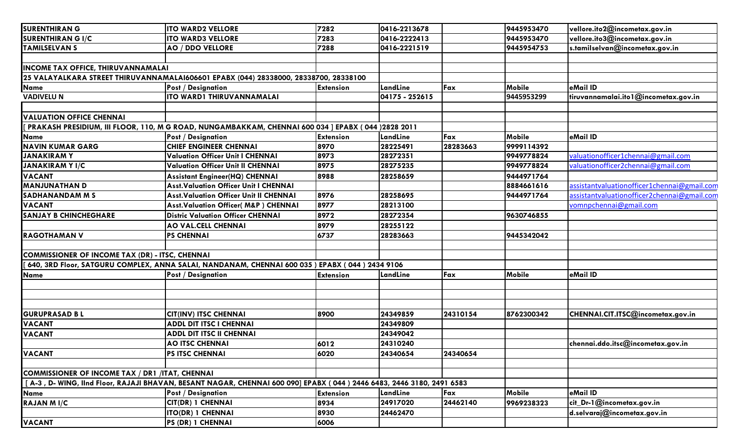| <b>SURENTHIRAN G</b>                                   | <b>ITO WARD2 VELLORE</b>                                                                                            | 7282             | 0416-2213678   |          | 9445953470    | vellore.ito2@incometax.gov.in               |
|--------------------------------------------------------|---------------------------------------------------------------------------------------------------------------------|------------------|----------------|----------|---------------|---------------------------------------------|
| <b>SURENTHIRAN G I/C</b>                               | <b>ITO WARD3 VELLORE</b>                                                                                            | 7283             | 0416-2222413   |          | 9445953470    | vellore.ito3@incometax.gov.in               |
| <b>TAMILSELVAN S</b>                                   | <b>AO / DDO VELLORE</b>                                                                                             | 7288             | 0416-2221519   |          | 9445954753    | s.tamilselvan@incometax.gov.in              |
|                                                        |                                                                                                                     |                  |                |          |               |                                             |
| <b>INCOME TAX OFFICE, THIRUVANNAMALAI</b>              |                                                                                                                     |                  |                |          |               |                                             |
|                                                        | 25 VALAYALKARA STREET THIRUVANNAMALAI606601 EPABX (044) 28338000, 28338700, 28338100                                |                  |                |          |               |                                             |
| <b>Name</b>                                            | <b>Post / Designation</b>                                                                                           | <b>Extension</b> | LandLine       | Fax      | Mobile        | eMail ID                                    |
| <b>VADIVELU N</b>                                      | ITO WARD1 THIRUVANNAMALAI                                                                                           |                  | 04175 - 252615 |          | 9445953299    | tiruvannamalai.ito1@incometax.gov.in        |
|                                                        |                                                                                                                     |                  |                |          |               |                                             |
| <b>VALUATION OFFICE CHENNAI</b>                        |                                                                                                                     |                  |                |          |               |                                             |
|                                                        | PRAKASH PRESIDIUM, III FLOOR, 110, M G ROAD, NUNGAMBAKKAM, CHENNAI 600 034   EPABX ( 044 )2828 2011                 |                  |                |          |               |                                             |
| <b>Name</b>                                            | <b>Post / Designation</b>                                                                                           | <b>Extension</b> | LandLine       | Fax      | Mobile        | eMail ID                                    |
| <b>NAVIN KUMAR GARG</b>                                | <b>CHIEF ENGINEER CHENNAI</b>                                                                                       | 8970             | 28225491       | 28283663 | 9999114392    |                                             |
| <b>JANAKIRAMY</b>                                      | <b>Valuation Officer Unit I CHENNAI</b>                                                                             | 8973             | 28272351       |          | 9949778824    | valuationofficer1chennai@gmail.com          |
| <b>JANAKIRAM Y I/C</b>                                 | <b>Valuation Officer Unit II CHENNAI</b>                                                                            | 8975             | 28275235       |          | 9949778824    | valuationofficer2chennai@gmail.com          |
| <b>VACANT</b>                                          | <b>Assistant Engineer(HQ) CHENNAI</b>                                                                               | 8988             | 28258659       |          | 9444971764    |                                             |
| <b>MANJUNATHAN D</b>                                   | <b>Asst. Valuation Officer Unit I CHENNAI</b>                                                                       |                  |                |          | 8884661616    | assistantvaluationofficer1chennai@gmail.com |
| SADHANANDAM M S                                        | <b>Asst. Valuation Officer Unit II CHENNAI</b>                                                                      | 8976             | 28258695       |          | 9444971764    | assistantvaluationofficer2chennai@gmail.com |
| <b>VACANT</b>                                          | <b>Asst.Valuation Officer(M&amp;P) CHENNAI</b>                                                                      | 8977             | 28213100       |          |               | vomnpchennai@gmail.com                      |
| <b>SANJAY B CHINCHEGHARE</b>                           | <b>Distric Valuation Officer CHENNAI</b>                                                                            | 8972             | 28272354       |          | 9630746855    |                                             |
|                                                        | <b>AO VAL.CELL CHENNAI</b>                                                                                          | 8979             | 28255122       |          |               |                                             |
| <b>RAGOTHAMAN V</b>                                    | <b>PS CHENNAI</b>                                                                                                   | 6737             | 28283663       |          | 9445342042    |                                             |
|                                                        |                                                                                                                     |                  |                |          |               |                                             |
| <b>COMMISSIONER OF INCOME TAX (DR) - ITSC, CHENNAI</b> |                                                                                                                     |                  |                |          |               |                                             |
|                                                        | 640, 3RD Floor, SATGURU COMPLEX, ANNA SALAI, NANDANAM, CHENNAI 600 035 ) EPABX (044 ) 2434 9106                     |                  |                |          |               |                                             |
| <b>Name</b>                                            | <b>Post / Designation</b>                                                                                           | <b>Extension</b> | LandLine       | Fax      | Mobile        | eMail ID                                    |
|                                                        |                                                                                                                     |                  |                |          |               |                                             |
|                                                        |                                                                                                                     |                  |                |          |               |                                             |
|                                                        |                                                                                                                     |                  |                |          |               |                                             |
| <b>GURUPRASAD BL</b>                                   | <b>CIT(INV) ITSC CHENNAI</b>                                                                                        | 8900             | 24349859       | 24310154 | 8762300342    | CHENNAI.CIT.ITSC@incometax.gov.in           |
| <b>VACANT</b>                                          | <b>ADDL DIT ITSC I CHENNAI</b>                                                                                      |                  | 24349809       |          |               |                                             |
| <b>VACANT</b>                                          | <b>ADDL DIT ITSC II CHENNAI</b>                                                                                     |                  | 24349042       |          |               |                                             |
|                                                        | <b>AO ITSC CHENNAI</b>                                                                                              | 6012             | 24310240       |          |               | chennai.ddo.itsc@incometax.gov.in           |
| <b>VACANT</b>                                          | <b>PS ITSC CHENNAI</b>                                                                                              | 6020             | 24340654       | 24340654 |               |                                             |
|                                                        |                                                                                                                     |                  |                |          |               |                                             |
| COMMISSIONER OF INCOME TAX / DR1 /ITAT, CHENNAI        |                                                                                                                     |                  |                |          |               |                                             |
|                                                        | [A-3, D-WING, IInd Floor, RAJAJI BHAVAN, BESANT NAGAR, CHENNAI 600 090] EPABX (044) 2446 6483, 2446 3180, 2491 6583 |                  |                |          |               |                                             |
| <b>Name</b>                                            | <b>Post / Designation</b>                                                                                           | <b>Extension</b> | LandLine       | Fax      | <b>Mobile</b> | eMail ID                                    |
| <b>RAJAN MI/C</b>                                      | <b>CIT(DR) 1 CHENNAI</b>                                                                                            | 8934             | 24917020       | 24462140 | 9969238323    | cit_Dr-1@incometax.gov.in                   |
|                                                        | <b>ITO(DR) 1 CHENNAI</b>                                                                                            | 8930             | 24462470       |          |               | d.selvaraj@incometax.gov.in                 |
| <b>VACANT</b>                                          | PS (DR) 1 CHENNAI                                                                                                   | 6006             |                |          |               |                                             |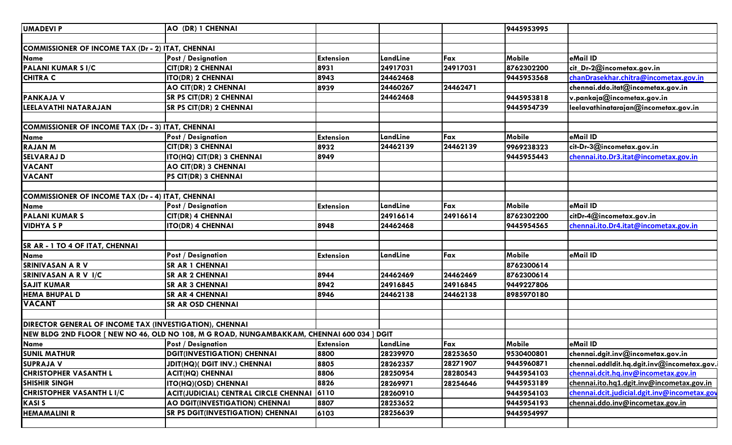| AO (DR) 1 CHENNAI                                       |                  |                                                                                                                                                                                                              |                                                                                            | 9445953995    |                                              |
|---------------------------------------------------------|------------------|--------------------------------------------------------------------------------------------------------------------------------------------------------------------------------------------------------------|--------------------------------------------------------------------------------------------|---------------|----------------------------------------------|
|                                                         |                  |                                                                                                                                                                                                              |                                                                                            |               |                                              |
| COMMISSIONER OF INCOME TAX (Dr - 2) ITAT, CHENNAI       |                  |                                                                                                                                                                                                              |                                                                                            |               |                                              |
| <b>Post / Designation</b>                               | <b>Extension</b> | LandLine                                                                                                                                                                                                     | Fax                                                                                        | Mobile        | eMail ID                                     |
| <b>CIT(DR) 2 CHENNAI</b>                                |                  | 24917031                                                                                                                                                                                                     | 24917031                                                                                   | 8762302200    | cit_Dr-2@incometax.gov.in                    |
| <b>ITO(DR) 2 CHENNAI</b>                                |                  | 24462468                                                                                                                                                                                                     |                                                                                            | 9445953568    | chanDrasekhar.chitra@incometax.gov.in        |
| AO CIT(DR) 2 CHENNAI                                    |                  | 24460267                                                                                                                                                                                                     | 24462471                                                                                   |               | chennai.ddo.itat@incometax.gov.in            |
| <b>SR PS CIT(DR) 2 CHENNAI</b>                          |                  | 24462468                                                                                                                                                                                                     |                                                                                            | 9445953818    | v.pankaja@incometax.gov.in                   |
| <b>SR PS CIT(DR) 2 CHENNAI</b>                          |                  |                                                                                                                                                                                                              |                                                                                            | 9445954739    | leelavathinatarajan@incometax.gov.in         |
|                                                         |                  |                                                                                                                                                                                                              |                                                                                            |               |                                              |
| COMMISSIONER OF INCOME TAX (Dr - 3) ITAT, CHENNAI       |                  |                                                                                                                                                                                                              |                                                                                            |               |                                              |
| <b>Post / Designation</b>                               |                  | LandLine                                                                                                                                                                                                     | Fax                                                                                        | <b>Mobile</b> | eMail ID                                     |
| <b>CIT(DR) 3 CHENNAI</b>                                |                  | 24462139                                                                                                                                                                                                     | 24462139                                                                                   | 9969238323    | cit-Dr-3@incometax.gov.in                    |
| ITO(HQ) CIT(DR) 3 CHENNAI                               |                  |                                                                                                                                                                                                              |                                                                                            | 9445955443    | chennai.ito.Dr3.itat@incometax.gov.in        |
| AO CIT(DR) 3 CHENNAI                                    |                  |                                                                                                                                                                                                              |                                                                                            |               |                                              |
| <b>PS CIT(DR) 3 CHENNAI</b>                             |                  |                                                                                                                                                                                                              |                                                                                            |               |                                              |
|                                                         |                  |                                                                                                                                                                                                              |                                                                                            |               |                                              |
| COMMISSIONER OF INCOME TAX (Dr - 4) ITAT, CHENNAI       |                  |                                                                                                                                                                                                              |                                                                                            |               |                                              |
| <b>Post / Designation</b>                               |                  | LandLine                                                                                                                                                                                                     | Fax                                                                                        | Mobile        | eMail ID                                     |
| <b>CIT(DR) 4 CHENNAI</b>                                |                  | 24916614                                                                                                                                                                                                     | 24916614                                                                                   | 8762302200    | citDr-4@incometax.gov.in                     |
| <b>ITO(DR) 4 CHENNAI</b>                                |                  | 24462468                                                                                                                                                                                                     |                                                                                            | 9445954565    | chennai.ito.Dr4.itat@incometax.gov.in        |
|                                                         |                  |                                                                                                                                                                                                              |                                                                                            |               |                                              |
|                                                         |                  |                                                                                                                                                                                                              |                                                                                            |               |                                              |
| <b>Post / Designation</b>                               |                  | LandLine                                                                                                                                                                                                     | Fax                                                                                        | <b>Mobile</b> | eMail ID                                     |
| <b>SR AR 1 CHENNAI</b>                                  |                  |                                                                                                                                                                                                              |                                                                                            | 8762300614    |                                              |
| <b>SR AR 2 CHENNAI</b>                                  |                  | 24462469                                                                                                                                                                                                     | 24462469                                                                                   | 8762300614    |                                              |
| <b>SR AR 3 CHENNAI</b>                                  |                  | 24916845                                                                                                                                                                                                     | 24916845                                                                                   | 9449227806    |                                              |
| <b>SR AR 4 CHENNAI</b>                                  |                  | 24462138                                                                                                                                                                                                     | 24462138                                                                                   | 8985970180    |                                              |
| <b>SR AR OSD CHENNAI</b>                                |                  |                                                                                                                                                                                                              |                                                                                            |               |                                              |
|                                                         |                  |                                                                                                                                                                                                              |                                                                                            |               |                                              |
| DIRECTOR GENERAL OF INCOME TAX (INVESTIGATION), CHENNAI |                  |                                                                                                                                                                                                              |                                                                                            |               |                                              |
|                                                         |                  |                                                                                                                                                                                                              |                                                                                            |               |                                              |
| <b>Post / Designation</b>                               |                  | LandLine                                                                                                                                                                                                     | Fax                                                                                        | <b>Mobile</b> | eMail ID                                     |
| <b>DGIT(INVESTIGATION) CHENNAI</b>                      |                  | 28239970                                                                                                                                                                                                     | 28253650                                                                                   | 9530400801    | chennai.dgit.inv@incometax.gov.in            |
| JDIT(HQ)( DGIT INV.) CHENNAI                            |                  | 28262357                                                                                                                                                                                                     | 28271907                                                                                   | 9445960871    | chennai.addldit.hq.dgit.inv@incometax.gov.i  |
| <b>ACIT(HQ) CHENNAI</b>                                 |                  | 28250954                                                                                                                                                                                                     | 28280543                                                                                   | 9445954103    | chennai.dcit.hq.inv@incometax.gov.in         |
| <b>ITO(HQ)(OSD) CHENNAI</b>                             |                  | 28269971                                                                                                                                                                                                     | 28254646                                                                                   | 9445953189    | chennai.ito.hq1.dgit.inv@incometax.gov.in    |
| ACIT(JUDICIAL) CENTRAL CIRCLE CHENNAI                   |                  | 28260910                                                                                                                                                                                                     |                                                                                            | 9445954103    | chennai.dcit.judicial.dgit.inv@incometax.gov |
| AO DGIT(INVESTIGATION) CHENNAI                          |                  | 28253652                                                                                                                                                                                                     |                                                                                            | 9445954193    | chennai.ddo.inv@incometax.gov.in             |
| <b>SR PS DGIT(INVESTIGATION) CHENNAI</b>                |                  | 28256639                                                                                                                                                                                                     |                                                                                            | 9445954997    |                                              |
|                                                         |                  |                                                                                                                                                                                                              |                                                                                            |               |                                              |
|                                                         |                  | 8931<br>8943<br>8939<br><b>Extension</b><br>8932<br>8949<br><b>Extension</b><br>8948<br><b>Extension</b><br>8944<br>8942<br>8946<br><b>Extension</b><br>8800<br>8805<br>8806<br>8826<br>6110<br>8807<br>6103 | NEW BLDG 2ND FLOOR [ NEW NO 46, OLD NO 108, M G ROAD, NUNGAMBAKKAM, CHENNAI 600 034 ] DGIT |               |                                              |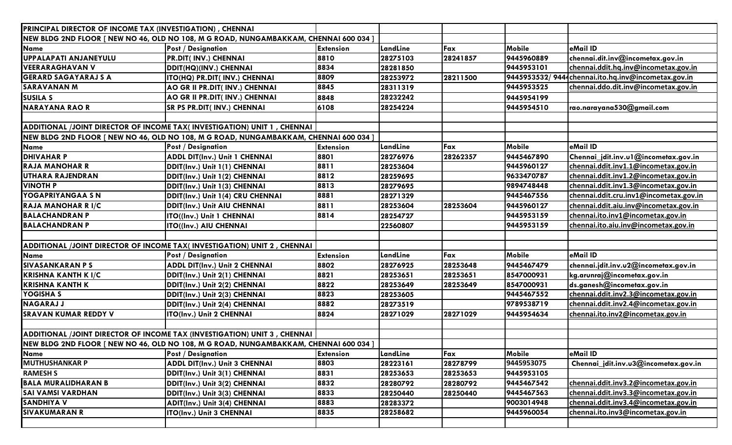|                             | PRINCIPAL DIRECTOR OF INCOME TAX (INVESTIGATION), CHENNAI                              |                  |          |          |               |                                                    |  |  |  |
|-----------------------------|----------------------------------------------------------------------------------------|------------------|----------|----------|---------------|----------------------------------------------------|--|--|--|
|                             | NEW BLDG 2ND FLOOR [ NEW NO 46, OLD NO 108, M G ROAD, NUNGAMBAKKAM, CHENNAI 600 034 ]  |                  |          |          |               |                                                    |  |  |  |
| <b>Name</b>                 | <b>Post / Designation</b>                                                              | <b>Extension</b> | LandLine | Fax      | <b>Mobile</b> | eMail ID                                           |  |  |  |
| UPPALAPATI ANJANEYULU       | PR.DIT( INV.) CHENNAI                                                                  | 8810             | 28275103 | 28241857 | 9445960889    | chennai.dit.inv@incometax.gov.in                   |  |  |  |
| <b>VEERARAGHAVAN V</b>      | DDIT(HQ)(INV.) CHENNAI                                                                 | 8834             | 28281850 |          | 9445953101    | chennai.ddit.hq.inv@incometax.gov.in               |  |  |  |
| <b>GERARD SAGAYARAJ S A</b> | ITO(HQ) PR.DIT( INV.) CHENNAI                                                          | 8809             | 28253972 | 28211500 |               | 9445953532/9444chennai.ito.hq.inv@incometax.gov.in |  |  |  |
| <b>SARAVANAN M</b>          | AO GR II PR.DIT( INV.) CHENNAI                                                         | 8845             | 28311319 |          | 9445953525    | chennai.ddo.dit.inv@incometax.gov.in               |  |  |  |
| <b>SUSILA S</b>             | AO GR II PR.DIT( INV.) CHENNAI                                                         | 8848             | 28232242 |          | 9445954199    |                                                    |  |  |  |
| <b>NARAYANA RAO R</b>       | SR PS PR.DIT( INV.) CHENNAI                                                            | 6108             | 28254224 |          | 9445954510    | rao.narayana530@gmail.com                          |  |  |  |
|                             |                                                                                        |                  |          |          |               |                                                    |  |  |  |
|                             | ADDITIONAL /JOINT DIRECTOR OF INCOME TAX(INVESTIGATION) UNIT 1, CHENNAI                |                  |          |          |               |                                                    |  |  |  |
|                             | [NEW BLDG 2ND FLOOR [ NEW NO 46, OLD NO 108, M G ROAD, NUNGAMBAKKAM, CHENNAI 600 034 ] |                  |          |          |               |                                                    |  |  |  |
| Name                        | <b>Post / Designation</b>                                                              | <b>Extension</b> | LandLine | Fax      | Mobile        | eMail ID                                           |  |  |  |
| <b>DHIVAHAR P</b>           | <b>ADDL DIT(Inv.) Unit 1 CHENNAI</b>                                                   | 8801             | 28276976 | 28262357 | 9445467890    | Chennai_jdit.inv.ul@incometax.gov.in               |  |  |  |
| <b>RAJA MANOHAR R</b>       | DDIT(Inv.) Unit 1(1) CHENNAI                                                           | 8811             | 28253604 |          | 9445960127    | chennai.ddit.inv1.1@incometax.gov.in               |  |  |  |
| UTHARA RAJENDRAN            | DDIT(Inv.) Unit 1(2) CHENNAI                                                           | 8812             | 28259695 |          | 9633470787    | chennai.ddit.inv1.2@incometax.gov.in               |  |  |  |
| <b>VINOTH P</b>             | DDIT(Inv.) Unit 1(3) CHENNAI                                                           | 8813             | 28279695 |          | 9894748448    | chennai.ddit.inv1.3@incometax.gov.in               |  |  |  |
| YOGAPRIYANGAA SN            | DDIT(Inv.) Unit 1(4) CRU CHENNAI                                                       | 8881             | 28271329 |          | 9445467556    | chennai.ddit.cru.inv1@incometax.gov.in             |  |  |  |
| <b>RAJA MANOHAR RI/C</b>    | <b>DDIT(Inv.) Unit AIU CHENNAI</b>                                                     | 8811             | 28253604 | 28253604 | 9445960127    | chennai.ddit.aiu.inv@incometax.gov.in              |  |  |  |
| <b>BALACHANDRAN P</b>       | ITO((Inv.) Unit 1 CHENNAI                                                              | 8814             | 28254727 |          | 9445953159    | chennai.ito.inv1@incometax.gov.in                  |  |  |  |
| <b>BALACHANDRAN P</b>       | <b>ITO((Inv.) AIU CHENNAI</b>                                                          |                  | 22560807 |          | 9445953159    | chennai.ito.aiu.inv@incometax.gov.in               |  |  |  |
|                             |                                                                                        |                  |          |          |               |                                                    |  |  |  |
|                             | ADDITIONAL /JOINT DIRECTOR OF INCOME TAX(INVESTIGATION) UNIT 2, CHENNAI                |                  |          |          |               |                                                    |  |  |  |
| <b>Name</b>                 | <b>Post / Designation</b>                                                              | <b>Extension</b> | LandLine | Fax      | <b>Mobile</b> | eMail ID                                           |  |  |  |
| <b>SIVASANKARAN PS</b>      | <b>ADDL DIT(Inv.) Unit 2 CHENNAI</b>                                                   | 8802             | 28276925 | 28253648 | 9445467479    | chennai.jdit.inv.u2@incometax.gov.in               |  |  |  |
| <b>KRISHNA KANTH K I/C</b>  | DDIT(Inv.) Unit 2(1) CHENNAI                                                           | 8821             | 28253651 | 28253651 | 8547000931    | kg.arunraj@incometax.gov.in                        |  |  |  |
| <b>KRISHNA KANTH K</b>      | DDIT(Inv.) Unit 2(2) CHENNAI                                                           | 8822             | 28253649 | 28253649 | 8547000931    | ds.ganesh@incometax.gov.in                         |  |  |  |
| YOGISHA S                   | DDIT(Inv.) Unit 2(3) CHENNAI                                                           | 8823             | 28253605 |          | 9445467552    | chennai.ddit.inv2.3@incometax.gov.in               |  |  |  |
| <b>NAGARAJ J</b>            | DDIT(Inv.) Unit 2(4) CHENNAI                                                           | 8882             | 28273519 |          | 9789538719    | chennai.ddit.inv2.4@incometax.gov.in               |  |  |  |
| <b>SRAVAN KUMAR REDDY V</b> | ITO(Inv.) Unit 2 CHENNAI                                                               | 8824             | 28271029 | 28271029 | 9445954634    | chennai.ito.inv2@incometax.gov.in                  |  |  |  |
|                             |                                                                                        |                  |          |          |               |                                                    |  |  |  |
|                             | ADDITIONAL /JOINT DIRECTOR OF INCOME TAX (INVESTIGATION) UNIT 3, CHENNAI               |                  |          |          |               |                                                    |  |  |  |
|                             | NEW BLDG 2ND FLOOR [ NEW NO 46, OLD NO 108, M G ROAD, NUNGAMBAKKAM, CHENNAI 600 034 ]  |                  |          |          |               |                                                    |  |  |  |
| Name                        | <b>Post / Designation</b>                                                              | <b>Extension</b> | LandLine | Fax      | Mobile        | eMail ID                                           |  |  |  |
| <b>MUTHUSHANKAR P</b>       | <b>ADDL DIT(Inv.) Unit 3 CHENNAI</b>                                                   | 8803             | 28223161 | 28278799 | 9445953075    | Chennai_jdit.inv.u3@incometax.gov.in               |  |  |  |
| <b>RAMESH S</b>             | DDIT(Inv.) Unit 3(1) CHENNAI                                                           | 8831             | 28253653 | 28253653 | 9445953105    |                                                    |  |  |  |
| <b>BALA MURALIDHARAN B</b>  | DDIT(Inv.) Unit 3(2) CHENNAI                                                           | 8832             | 28280792 | 28280792 | 9445467542    | chennai.ddit.inv3.2@incometax.gov.in               |  |  |  |
| <b>SAI VAMSI VARDHAN</b>    | DDIT(Inv.) Unit 3(3) CHENNAI                                                           | 8833             | 28250440 | 28250440 | 9445467563    | chennai.ddit.inv3.3@incometax.gov.in               |  |  |  |
| <b>SANDHIYA V</b>           | ADIT(Inv.) Unit 3(4) CHENNAI                                                           | 8883             | 28283372 |          | 9003014948    | chennai.ddit.inv3.4@incometax.gov.in               |  |  |  |
| <b>SIVAKUMARAN R</b>        | ITO(Inv.) Unit 3 CHENNAI                                                               | 8835             | 28258682 |          | 9445960054    | chennai.ito.inv3@incometax.gov.in                  |  |  |  |
|                             |                                                                                        |                  |          |          |               |                                                    |  |  |  |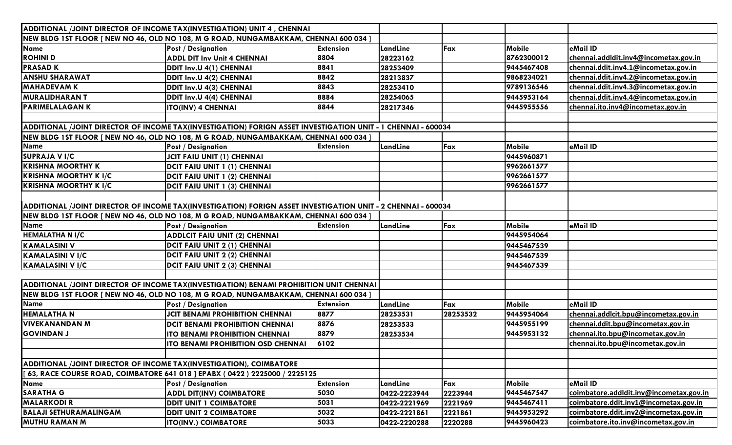|                                                                                                              | ADDITIONAL /JOINT DIRECTOR OF INCOME TAX(INVESTIGATION) UNIT 4, CHENNAI                                      |                  |              |          |            |                                         |  |  |
|--------------------------------------------------------------------------------------------------------------|--------------------------------------------------------------------------------------------------------------|------------------|--------------|----------|------------|-----------------------------------------|--|--|
|                                                                                                              | NEW BLDG 1ST FLOOR [ NEW NO 46, OLD NO 108, M G ROAD, NUNGAMBAKKAM, CHENNAI 600 034 ]                        |                  |              |          |            |                                         |  |  |
| <b>Name</b>                                                                                                  | <b>Post / Designation</b>                                                                                    | <b>Extension</b> | LandLine     | Fax      | Mobile     | eMail ID                                |  |  |
| <b>ROHINI D</b>                                                                                              | <b>ADDL DIT Inv Unit 4 CHENNAI</b>                                                                           | 8804             | 28223162     |          | 8762300012 | chennai.addldit.inv4@incometax.gov.in   |  |  |
| <b>PRASAD K</b>                                                                                              | DDIT Inv.U 4(1) CHENNAI                                                                                      | 8841             | 28253409     |          | 9445467408 | chennai.ddit.inv4.1@incometax.gov.in    |  |  |
| <b>ANSHU SHARAWAT</b>                                                                                        | DDIT Inv.U 4(2) CHENNAI                                                                                      | 8842             | 28213837     |          | 9868234021 | chennai.ddit.inv4.2@incometax.gov.in    |  |  |
| <b>MAHADEVAM K</b>                                                                                           | DDIT Inv.U 4(3) CHENNAI                                                                                      | 8843             | 28253410     |          | 9789136546 | chennai.ddit.inv4.3@incometax.gov.in    |  |  |
| <b>MURALIDHARAN T</b>                                                                                        | DDIT Inv.U 4(4) CHENNAI                                                                                      | 8884             | 28254065     |          | 9445953164 | chennai.ddit.inv4.4@incometax.gov.in    |  |  |
| <b>PARIMELALAGAN K</b>                                                                                       | <b>ITO(INV) 4 CHENNAI</b>                                                                                    | 8844             | 28217346     |          | 9445955556 | chennai.ito.inv4@incometax.gov.in       |  |  |
|                                                                                                              |                                                                                                              |                  |              |          |            |                                         |  |  |
|                                                                                                              | ADDITIONAL /JOINT DIRECTOR OF INCOME TAX(INVESTIGATION) FORIGN ASSET INVESTIGATION UNIT - 1 CHENNAI - 600034 |                  |              |          |            |                                         |  |  |
|                                                                                                              | NEW BLDG 1ST FLOOR [ NEW NO 46, OLD NO 108, M G ROAD, NUNGAMBAKKAM, CHENNAI 600 034 ]                        |                  |              |          |            |                                         |  |  |
| <b>Name</b>                                                                                                  | <b>Post / Designation</b>                                                                                    | <b>Extension</b> | LandLine     | Fax      | Mobile     | eMail ID                                |  |  |
| <b>SUPRAJA V I/C</b>                                                                                         | <b>JCIT FAIU UNIT (1) CHENNAI</b>                                                                            |                  |              |          | 9445960871 |                                         |  |  |
| <b>KRISHNA MOORTHY K</b>                                                                                     | <b>DCIT FAIU UNIT 1 (1) CHENNAI</b>                                                                          |                  |              |          | 9962661577 |                                         |  |  |
| <b>KRISHNA MOORTHY K I/C</b>                                                                                 | <b>DCIT FAIU UNIT 1 (2) CHENNAI</b>                                                                          |                  |              |          | 9962661577 |                                         |  |  |
| <b>KRISHNA MOORTHY K I/C</b>                                                                                 | <b>DCIT FAIU UNIT 1 (3) CHENNAI</b>                                                                          |                  |              |          | 9962661577 |                                         |  |  |
|                                                                                                              |                                                                                                              |                  |              |          |            |                                         |  |  |
| ADDITIONAL /JOINT DIRECTOR OF INCOME TAX(INVESTIGATION) FORIGN ASSET INVESTIGATION UNIT - 2 CHENNAI - 600034 |                                                                                                              |                  |              |          |            |                                         |  |  |
|                                                                                                              | NEW BLDG 1ST FLOOR [ NEW NO 46, OLD NO 108, M G ROAD, NUNGAMBAKKAM, CHENNAI 600 034 ]                        |                  |              |          |            |                                         |  |  |
| <b>Name</b>                                                                                                  | <b>Post / Designation</b>                                                                                    | <b>Extension</b> | LandLine     | Fax      | Mobile     | eMail ID                                |  |  |
| <b>HEMALATHA N I/C</b>                                                                                       | <b>ADDLCIT FAIU UNIT (2) CHENNAI</b>                                                                         |                  |              |          | 9445954064 |                                         |  |  |
| <b>KAMALASINI V</b>                                                                                          | <b>DCIT FAIU UNIT 2 (1) CHENNAI</b>                                                                          |                  |              |          | 9445467539 |                                         |  |  |
| KAMALASINI V I/C                                                                                             | <b>DCIT FAIU UNIT 2 (2) CHENNAI</b>                                                                          |                  |              |          | 9445467539 |                                         |  |  |
| <b>KAMALASINI V I/C</b>                                                                                      | <b>DCIT FAIU UNIT 2 (3) CHENNAI</b>                                                                          |                  |              |          | 9445467539 |                                         |  |  |
|                                                                                                              |                                                                                                              |                  |              |          |            |                                         |  |  |
|                                                                                                              | ADDITIONAL /JOINT DIRECTOR OF INCOME TAX(INVESTIGATION) BENAMI PROHIBITION UNIT CHENNAI                      |                  |              |          |            |                                         |  |  |
|                                                                                                              | NEW BLDG 1ST FLOOR [ NEW NO 46, OLD NO 108, M G ROAD, NUNGAMBAKKAM, CHENNAI 600 034 ]                        |                  |              |          |            |                                         |  |  |
| <b>Name</b>                                                                                                  | <b>Post / Designation</b>                                                                                    | <b>Extension</b> | LandLine     | Fax      | Mobile     | eMail ID                                |  |  |
| <b>HEMALATHAN</b>                                                                                            | <b>JCIT BENAMI PROHIBITION CHENNAI</b>                                                                       | 8877             | 28253531     | 28253532 | 9445954064 | chennai.addlcit.bpu@incometax.gov.in    |  |  |
| <b>VIVEKANANDAN M</b>                                                                                        | <b>DCIT BENAMI PROHIBITION CHENNAI</b>                                                                       | 8876             | 28253533     |          | 9445955199 | chennai.ddit.bpu@incometax.gov.in       |  |  |
| <b>GOVINDAN J</b>                                                                                            | <b>ITO BENAMI PROHIBITION CHENNAI</b>                                                                        | 8879             | 28253534     |          | 9445953132 | chennai.ito.bpu@incometax.gov.in        |  |  |
|                                                                                                              | <b>ITO BENAMI PROHIBITION OSD CHENNAI</b>                                                                    | 6102             |              |          |            | chennai.ito.bpu@incometax.gov.in        |  |  |
|                                                                                                              |                                                                                                              |                  |              |          |            |                                         |  |  |
| <b>ADDITIONAL /JOINT DIRECTOR OF INCOME TAX(INVESTIGATION), COIMBATORE</b>                                   |                                                                                                              |                  |              |          |            |                                         |  |  |
|                                                                                                              | 63, RACE COURSE ROAD, COIMBATORE 641 018   EPABX (0422) 2225000 / 2225125                                    |                  |              |          |            |                                         |  |  |
| Name                                                                                                         | <b>Post / Designation</b>                                                                                    | <b>Extension</b> | LandLine     | Fax      | Mobile     | eMail ID                                |  |  |
| <b>SARATHA G</b>                                                                                             | <b>ADDL DIT(INV) COIMBATORE</b>                                                                              | 5030             | 0422-2223944 | 2223944  | 9445467547 | coimbatore.addldit.inv@incometax.gov.in |  |  |
| <b>MALARKODIR</b>                                                                                            | <b>DDIT UNIT 1 COIMBATORE</b>                                                                                | 5031             | 0422-2221969 | 2221969  | 9445467411 | coimbatore.ddit.inv1@incometax.gov.in   |  |  |
| <b>BALAJI SETHURAMALINGAM</b>                                                                                | <b>DDIT UNIT 2 COIMBATORE</b>                                                                                | 5032             | 0422-2221861 | 2221861  | 9445953292 | coimbatore.ddit.inv2@incometax.gov.in   |  |  |
| <b>MUTHU RAMAN M</b>                                                                                         | <b>ITO(INV.) COIMBATORE</b>                                                                                  | 5033             | 0422-2220288 | 2220288  | 9445960423 | coimbatore.ito.inv@incometax.gov.in     |  |  |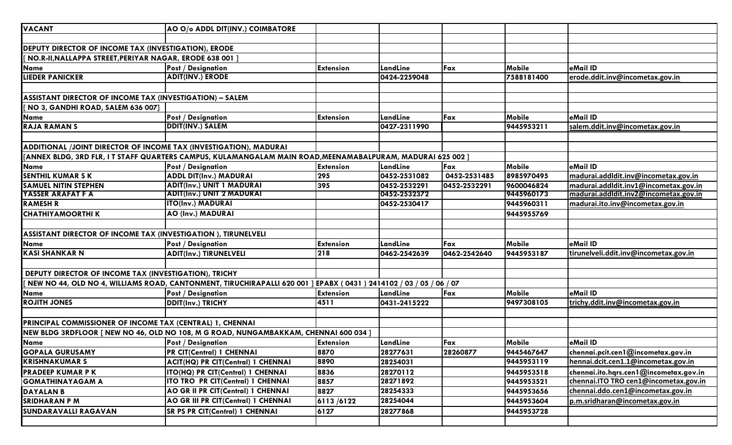| <b>VACANT</b>                                                     | AO O/o ADDL DIT(INV.) COIMBATORE                                                                                      |                  |              |              |               |                                        |
|-------------------------------------------------------------------|-----------------------------------------------------------------------------------------------------------------------|------------------|--------------|--------------|---------------|----------------------------------------|
|                                                                   |                                                                                                                       |                  |              |              |               |                                        |
| <b>DEPUTY DIRECTOR OF INCOME TAX (INVESTIGATION), ERODE</b>       |                                                                                                                       |                  |              |              |               |                                        |
| [ NO.R-II, NALLAPPA STREET, PERIYAR NAGAR, ERODE 638 001 ]        |                                                                                                                       |                  |              |              |               |                                        |
| Name                                                              | <b>Post / Designation</b>                                                                                             | <b>Extension</b> | LandLine     | Fax          | Mobile        | eMail ID                               |
| <b>LIEDER PANICKER</b>                                            | <b>ADIT(INV.) ERODE</b>                                                                                               |                  | 0424-2259048 |              | 7588181400    | erode.ddit.inv@incometax.gov.in        |
|                                                                   |                                                                                                                       |                  |              |              |               |                                        |
| ASSISTANT DIRECTOR OF INCOME TAX (INVESTIGATION) - SALEM          |                                                                                                                       |                  |              |              |               |                                        |
| [ NO 3, GANDHI ROAD, SALEM 636 007]                               |                                                                                                                       |                  |              |              |               |                                        |
| <b>Name</b>                                                       | <b>Post / Designation</b>                                                                                             | <b>Extension</b> | LandLine     | Fax          | Mobile        | eMail ID                               |
| RAJA RAMAN S                                                      | <b>DDIT(INV.) SALEM</b>                                                                                               |                  | 0427-2311990 |              | 9445953211    | salem.ddit.inv@incometax.gov.in        |
|                                                                   |                                                                                                                       |                  |              |              |               |                                        |
| ADDITIONAL /JOINT DIRECTOR OF INCOME TAX (INVESTIGATION), MADURAI |                                                                                                                       |                  |              |              |               |                                        |
|                                                                   | [ANNEX BLDG, 3RD FLR, I T STAFF QUARTERS CAMPUS, KULAMANGALAM MAIN ROAD, MEENAMABALPURAM, MADURAI 625 002 ]           |                  |              |              |               |                                        |
| Name                                                              | <b>Post / Designation</b>                                                                                             | <b>Extension</b> | LandLine     | Fax          | <b>Mobile</b> | eMail ID                               |
| <b>SENTHIL KUMAR S K</b>                                          | <b>ADDL DIT(Inv.) MADURAI</b>                                                                                         | 295              | 0452-2531082 | 0452-2531485 | 8985970495    | madurai.addldit.inv@incometax.gov.in   |
| <b>SAMUEL NITIN STEPHEN</b>                                       | <b>ADIT(Inv.) UNIT 1 MADURAI</b>                                                                                      | 395              | 0452-2532291 | 0452-2532291 | 9600046824    | madurai.addldit.inv1@incometax.gov.in  |
| <b>YASSER ARAFAT F A</b>                                          | <b>ADIT(Inv.) UNIT 2 MADURAI</b>                                                                                      |                  | 0452-2532372 |              | 9445960173    | madurai.addldit.inv2@incometax.gov.in  |
| <b>RAMESH R</b>                                                   | <b>ITO(Inv.) MADURAI</b>                                                                                              |                  | 0452-2530417 |              | 9445960311    | madurai.ito.inv@incometax.gov.in       |
| <b>CHATHIYAMOORTHI K</b>                                          | AO (Inv.) MADURAI                                                                                                     |                  |              |              | 9445955769    |                                        |
|                                                                   |                                                                                                                       |                  |              |              |               |                                        |
| ASSISTANT DIRECTOR OF INCOME TAX (INVESTIGATION), TIRUNELVELI     |                                                                                                                       |                  |              |              |               |                                        |
| Name                                                              | <b>Post / Designation</b>                                                                                             | <b>Extension</b> | LandLine     | Fax          | <b>Mobile</b> | eMail ID                               |
| <b>KASI SHANKAR N</b>                                             | <b>ADIT(Inv.) TIRUNELVELI</b>                                                                                         | 218              | 0462-2542639 | 0462-2542640 | 9445953187    | tirunelveli.ddit.inv@incometax.gov.in  |
|                                                                   |                                                                                                                       |                  |              |              |               |                                        |
| <b>DEPUTY DIRECTOR OF INCOME TAX (INVESTIGATION), TRICHY</b>      |                                                                                                                       |                  |              |              |               |                                        |
|                                                                   | [ NEW NO 44, OLD NO 4, WILLIAMS ROAD, CANTONMENT, TIRUCHIRAPALLI 620 001 ] EPABX ( 0431 ) 2414102 / 03 / 05 / 06 / 07 |                  |              |              |               |                                        |
| <b>Name</b>                                                       | <b>Post / Designation</b>                                                                                             | <b>Extension</b> | LandLine     | Fax          | <b>Mobile</b> | eMail ID                               |
| <b>ROJITH JONES</b>                                               | <b>DDIT(Inv.) TRICHY</b>                                                                                              | 4511             | 0431-2415222 |              | 9497308105    | trichy.ddit.inv@incometax.gov.in       |
|                                                                   |                                                                                                                       |                  |              |              |               |                                        |
| PRINCIPAL COMMISSIONER OF INCOME TAX (CENTRAL) 1, CHENNAI         |                                                                                                                       |                  |              |              |               |                                        |
|                                                                   | NEW BLDG 3RDFLOOR [ NEW NO 46, OLD NO 108, M G ROAD, NUNGAMBAKKAM, CHENNAI 600 034 ]                                  |                  |              |              |               |                                        |
| <b>Name</b>                                                       | <b>Post / Designation</b>                                                                                             | <b>Extension</b> | LandLine     | Fax          | Mobile        | eMail ID                               |
| <b>GOPALA GURUSAMY</b>                                            | <b>PR CIT(Central) 1 CHENNAI</b>                                                                                      | 8870             | 28277631     | 28260877     | 9445467647    | chennai.pcit.cen1@incometax.gov.in     |
| <b>KRISHNAKUMAR S</b>                                             | ACIT(HQ) PR CIT(Central) 1 CHENNAI                                                                                    | 8890             | 28254031     |              | 9445953119    | hennai.dcit.cen1.1@incometax.gov.in    |
| <b>PRADEEP KUMAR P K</b>                                          | <b>ITO(HQ) PR CIT(Central) 1 CHENNAI</b>                                                                              | 8836             | 28270112     |              | 9445953518    | chennai.ito.hqrs.cen1@incometax.gov.in |
| <b>GOMATHINAYAGAM A</b>                                           | <b>ITO TRO PR CIT(Central) 1 CHENNAI</b>                                                                              | 8857             | 28271892     |              | 9445953521    | chennai.ITO TRO cen1@incometax.gov.in  |
| <b>DAYALAN B</b>                                                  | AO GR II PR CIT(Central) 1 CHENNAI                                                                                    | 8827             | 28254333     |              | 9445953656    | chennai.ddo.cen1@incometax.gov.in      |
| <b>SRIDHARAN P M</b>                                              | AO GR III PR CIT(Central) 1 CHENNAI                                                                                   | 6113/6122        | 28254044     |              | 9445953604    | p.m.sridharan@incometax.gov.in         |
| <b>SUNDARAVALLI RAGAVAN</b>                                       | <b>SR PS PR CIT(Central) 1 CHENNAI</b>                                                                                | 6127             | 28277868     |              | 9445953728    |                                        |
|                                                                   |                                                                                                                       |                  |              |              |               |                                        |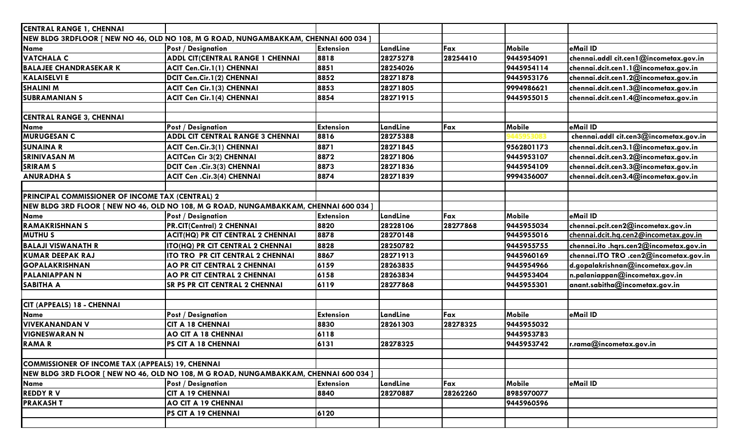| <b>CENTRAL RANGE 1, CHENNAI</b>                  |                                                                                       |                  |          |          |               |                                         |  |  |
|--------------------------------------------------|---------------------------------------------------------------------------------------|------------------|----------|----------|---------------|-----------------------------------------|--|--|
|                                                  | NEW BLDG 3RDFLOOR [ NEW NO 46, OLD NO 108, M G ROAD, NUNGAMBAKKAM, CHENNAI 600 034 ]  |                  |          |          |               |                                         |  |  |
| Name                                             | <b>Post / Designation</b>                                                             | <b>Extension</b> | LandLine | Fax      | <b>Mobile</b> | eMail ID                                |  |  |
| <b>VATCHALA C</b>                                | <b>ADDL CIT(CENTRAL RANGE 1 CHENNAI</b>                                               | 8818             | 28275278 | 28254410 | 9445954091    | chennai.addl cit.cen1@incometax.gov.in  |  |  |
| <b>BALAJEE CHANDRASEKAR K</b>                    | <b>ACIT Cen.Cir.1(1) CHENNAI</b>                                                      | 8851             | 28254026 |          | 9445954114    | chennai.dcit.cen1.1@incometax.gov.in    |  |  |
| <b>KALAISELVI E</b>                              | DCIT Cen.Cir.1(2) CHENNAI                                                             | 8852             | 28271878 |          | 9445953176    | chennai.dcit.cen1.2@incometax.gov.in    |  |  |
| <b>SHALINI M</b>                                 | <b>ACIT Cen Cir.1(3) CHENNAI</b>                                                      | 8853             | 28271805 |          | 9994986621    | chennai.dcit.cen1.3@incometax.gov.in    |  |  |
| <b>SUBRAMANIAN S</b>                             | <b>ACIT Cen Cir.1(4) CHENNAI</b>                                                      | 8854             | 28271915 |          | 9445955015    | chennai.dcit.cen1.4@incometax.gov.in    |  |  |
|                                                  |                                                                                       |                  |          |          |               |                                         |  |  |
| <b>CENTRAL RANGE 3, CHENNAI</b>                  |                                                                                       |                  |          |          |               |                                         |  |  |
| Name                                             | <b>Post / Designation</b>                                                             | <b>Extension</b> | LandLine | Fax      | Mobile        | eMail ID                                |  |  |
| <b>MURUGESAN C</b>                               | <b>ADDL CIT CENTRAL RANGE 3 CHENNAI</b>                                               | 8816             | 28275388 |          |               | chennai.addl cit.cen3@incometax.gov.in  |  |  |
| <b>SUNAINA R</b>                                 | <b>ACIT Cen.Cir.3(1) CHENNAI</b>                                                      | 8871             | 28271845 |          | 9562801173    | chennai.dcit.cen3.1@incometax.gov.in    |  |  |
| <b>SRINIVASAN M</b>                              | <b>ACITCen Cir 3(2) CHENNAI</b>                                                       | 8872             | 28271806 |          | 9445953107    | chennai.dcit.cen3.2@incometax.gov.in    |  |  |
| <b>SRIRAM S</b>                                  | DCIT Cen . Cir. 3(3) CHENNAI                                                          | 8873             | 28271836 |          | 9445954109    | chennai.dcit.cen3.3@incometax.gov.in    |  |  |
| <b>ANURADHA S</b>                                | <b>ACIT Cen .Cir.3(4) CHENNAI</b>                                                     | 8874             | 28271839 |          | 9994356007    | chennai.dcit.cen3.4@incometax.gov.in    |  |  |
|                                                  |                                                                                       |                  |          |          |               |                                         |  |  |
| PRINCIPAL COMMISSIONER OF INCOME TAX (CENTRAL) 2 |                                                                                       |                  |          |          |               |                                         |  |  |
|                                                  | NEW BLDG 3RD FLOOR [ NEW NO 46, OLD NO 108, M G ROAD, NUNGAMBAKKAM, CHENNAI 600 034 ] |                  |          |          |               |                                         |  |  |
| Name                                             | <b>Post / Designation</b>                                                             | <b>Extension</b> | LandLine | Fax      | Mobile        | eMail ID                                |  |  |
| <b>RAMAKRISHNAN S</b>                            | <b>PR.CIT(Central) 2 CHENNAI</b>                                                      | 8820             | 28228106 | 28277868 | 9445955034    | chennai.pcit.cen2@incometax.gov.in      |  |  |
| <b>MUTHUS</b>                                    | ACIT(HQ) PR CIT CENTRAL 2 CHENNAI                                                     | 8878             | 28270148 |          | 9445955016    | chennai.dcit.hq.cen2@incometax.gov.in   |  |  |
| <b>BALAJI VISWANATH R</b>                        | ITO(HQ) PR CIT CENTRAL 2 CHENNAI                                                      | 8828             | 28250782 |          | 9445955755    | chennai.ito .hqrs.cen2@incometax.gov.in |  |  |
| <b>KUMAR DEEPAK RAJ</b>                          | ITO TRO PR CIT CENTRAL 2 CHENNAI                                                      | 8867             | 28271913 |          | 9445960169    | chennai.ITO TRO .cen2@incometax.gov.in  |  |  |
| <b>GOPALAKRISHNAN</b>                            | <b>AO PR CIT CENTRAL 2 CHENNAI</b>                                                    | 6159             | 28263835 |          | 9445954966    | d.gopalakrishnan@incometax.gov.in       |  |  |
| <b>PALANIAPPAN N</b>                             | AO PR CIT CENTRAL 2 CHENNAI                                                           | 6158             | 28263834 |          | 9445953404    | n.palaniappan@incometax.gov.in          |  |  |
| <b>SABITHA A</b>                                 | SR PS PR CIT CENTRAL 2 CHENNAI                                                        | 6119             | 28277868 |          | 9445955301    | anant.sabitha@incometax.gov.in          |  |  |
|                                                  |                                                                                       |                  |          |          |               |                                         |  |  |
| CIT (APPEALS) 18 - CHENNAI                       |                                                                                       |                  |          |          |               |                                         |  |  |
| <b>Name</b>                                      | <b>Post / Designation</b>                                                             | <b>Extension</b> | LandLine | Fax      | Mobile        | eMail ID                                |  |  |
| <b>VIVEKANANDAN V</b>                            | <b>CIT A 18 CHENNAI</b>                                                               | 8830             | 28261303 | 28278325 | 9445955032    |                                         |  |  |
| <b>VIGNESWARAN N</b>                             | <b>AO CIT A 18 CHENNAI</b>                                                            | 6118             |          |          | 9445953783    |                                         |  |  |
| <b>RAMAR</b>                                     | PS CIT A 18 CHENNAI                                                                   | 6131             | 28278325 |          | 9445953742    | r.rama@incometax.gov.in                 |  |  |
|                                                  |                                                                                       |                  |          |          |               |                                         |  |  |
| COMMISSIONER OF INCOME TAX (APPEALS) 19, CHENNAI |                                                                                       |                  |          |          |               |                                         |  |  |
|                                                  | NEW BLDG 3RD FLOOR [ NEW NO 46, OLD NO 108, M G ROAD, NUNGAMBAKKAM, CHENNAI 600 034 ] |                  |          |          |               |                                         |  |  |
| <b>Name</b>                                      | <b>Post / Designation</b>                                                             | <b>Extension</b> | LandLine | Fax      | <b>Mobile</b> | eMail ID                                |  |  |
| <b>REDDY RV</b>                                  | <b>CIT A 19 CHENNAI</b>                                                               | 8840             | 28270887 | 28262260 | 8985970077    |                                         |  |  |
| <b>PRAKASHT</b>                                  | <b>AO CIT A 19 CHENNAI</b>                                                            |                  |          |          | 9445960596    |                                         |  |  |
|                                                  | PS CIT A 19 CHENNAI                                                                   | 6120             |          |          |               |                                         |  |  |
|                                                  |                                                                                       |                  |          |          |               |                                         |  |  |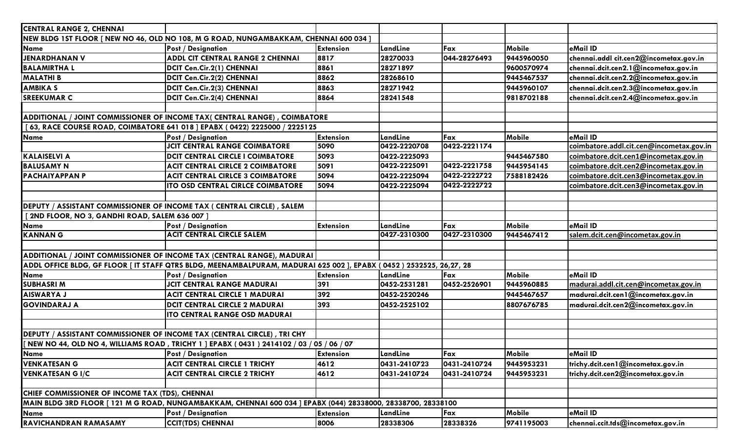| <b>CENTRAL RANGE 2, CHENNAI</b>                                                |                                                                                                                     |                  |              |              |               |                                          |
|--------------------------------------------------------------------------------|---------------------------------------------------------------------------------------------------------------------|------------------|--------------|--------------|---------------|------------------------------------------|
|                                                                                | NEW BLDG 1ST FLOOR [ NEW NO 46, OLD NO 108, M G ROAD, NUNGAMBAKKAM, CHENNAI 600 034 ]                               |                  |              |              |               |                                          |
| <b>Name</b>                                                                    | <b>Post / Designation</b>                                                                                           | <b>Extension</b> | LandLine     | Fax          | <b>Mobile</b> | eMail ID                                 |
| <b>JENARDHANAN V</b>                                                           | ADDL CIT CENTRAL RANGE 2 CHENNAI                                                                                    | 8817             | 28270033     | 044-28276493 | 9445960050    | chennai.addl cit.cen2@incometax.gov.in   |
| <b>BALAMIRTHAL</b>                                                             | DCIT Cen.Cir.2(1) CHENNAI                                                                                           | 8861             | 28271897     |              | 9600570974    | chennai.dcit.cen2.1@incometax.gov.in     |
| <b>MALATHI B</b>                                                               | DCIT Cen.Cir.2(2) CHENNAI                                                                                           | 8862             | 28268610     |              | 9445467537    | chennai.dcit.cen2.2@incometax.gov.in     |
| <b>AMBIKA S</b>                                                                | DCIT Cen.Cir.2(3) CHENNAI                                                                                           | 8863             | 28271942     |              | 9445960107    | chennai.dcit.cen2.3@incometax.gov.in     |
| <b>SREEKUMAR C</b>                                                             | DCIT Cen.Cir.2(4) CHENNAI                                                                                           | 8864             | 28241548     |              | 9818702188    | chennai.dcit.cen2.4@incometax.gov.in     |
|                                                                                |                                                                                                                     |                  |              |              |               |                                          |
|                                                                                | ADDITIONAL / JOINT COMMISSIONER OF INCOME TAX( CENTRAL RANGE), COIMBATORE                                           |                  |              |              |               |                                          |
|                                                                                | [63, RACE COURSE ROAD, COIMBATORE 641 018 ] EPABX (0422) 2225000 / 2225125                                          |                  |              |              |               |                                          |
| Name                                                                           | <b>Post / Designation</b>                                                                                           | <b>Extension</b> | LandLine     | Fax          | Mobile        | eMail ID                                 |
|                                                                                | <b>JCIT CENTRAL RANGE COIMBATORE</b>                                                                                | 5090             | 0422-2220708 | 0422-2221174 |               | coimbatore.addl.cit.cen@incometax.gov.in |
| <b>KALAISELVI A</b>                                                            | <b>DCIT CENTRAL CIRCLE I COIMBATORE</b>                                                                             | 5093             | 0422-2225093 |              | 9445467580    | coimbatore.dcit.cen1@incometax.gov.in    |
| <b>BALUSAMY N</b>                                                              | <b>ACIT CENTRAL CIRLCE 2 COIMBATORE</b>                                                                             | 5091             | 0422-2225091 | 0422-2221758 | 9445954145    | coimbatore.dcit.cen2@incometax.gov.in    |
| <b>PACHAIYAPPAN P</b>                                                          | <b>ACIT CENTRAL CIRLCE 3 COIMBATORE</b>                                                                             | 5094             | 0422-2225094 | 0422-2222722 | 7588182426    | coimbatore.dcit.cen3@incometax.gov.in    |
|                                                                                | ITO OSD CENTRAL CIRLCE COIMBATORE                                                                                   | 5094             | 0422-2225094 | 0422-2222722 |               | coimbatore.dcit.cen3@incometax.gov.in    |
|                                                                                |                                                                                                                     |                  |              |              |               |                                          |
| <b>DEPUTY / ASSISTANT COMMISSIONER OF INCOME TAX ( CENTRAL CIRCLE) , SALEM</b> |                                                                                                                     |                  |              |              |               |                                          |
| [2ND FLOOR, NO 3, GANDHI ROAD, SALEM 636 007]                                  |                                                                                                                     |                  |              |              |               |                                          |
| Name                                                                           | <b>Post / Designation</b>                                                                                           | <b>Extension</b> | LandLine     | Fax          | Mobile        | eMail ID                                 |
| <b>KANNAN G</b>                                                                | <b>ACIT CENTRAL CIRCLE SALEM</b>                                                                                    |                  | 0427-2310300 | 0427-2310300 | 9445467412    | salem.dcit.cen@incometax.gov.in          |
|                                                                                |                                                                                                                     |                  |              |              |               |                                          |
|                                                                                | ADDITIONAL / JOINT COMMISSIONER OF INCOME TAX (CENTRAL RANGE), MADURAI                                              |                  |              |              |               |                                          |
|                                                                                | ADDL OFFICE BLDG, GF FLOOR [ IT STAFF QTRS BLDG, MEENAMBALPURAM, MADURAI 625 002 ], EPABX (0452) 2532525, 26,27, 28 |                  |              |              |               |                                          |
| Name                                                                           | <b>Post / Designation</b>                                                                                           | <b>Extension</b> | LandLine     | Fax          | <b>Mobile</b> | eMail ID                                 |
| <b>SUBHASRIM</b>                                                               | <b>JCIT CENTRAL RANGE MADURAI</b>                                                                                   | 391              | 0452-2531281 | 0452-2526901 | 9445960885    | madurai.addl.cit.cen@incometax.gov.in    |
| <b>AISWARYA J</b>                                                              | <b>ACIT CENTRAL CIRCLE 1 MADURAI</b>                                                                                | 392              | 0452-2520246 |              | 9445467657    | madurai.dcit.cen1@incometax.gov.in       |
| <b>GOVINDARAJ A</b>                                                            | <b>DCIT CENTRAL CIRCLE 2 MADURAI</b>                                                                                | 393              | 0452-2525102 |              | 8807676785    | madurai.dcit.cen2@incometax.gov.in       |
|                                                                                | <b>ITO CENTRAL RANGE OSD MADURAI</b>                                                                                |                  |              |              |               |                                          |
|                                                                                |                                                                                                                     |                  |              |              |               |                                          |
|                                                                                | DEPUTY / ASSISTANT COMMISSIONER OF INCOME TAX (CENTRAL CIRCLE), TRI CHY                                             |                  |              |              |               |                                          |
|                                                                                | [[ NEW NO 44, OLD NO 4, WILLIAMS ROAD , TRICHY 1 ] EPABX ( 0431 ) 2414102 / 03 / 05 / 06 / 07                       |                  |              |              |               |                                          |
| <b>Name</b>                                                                    | <b>Post / Designation</b>                                                                                           | <b>Extension</b> | LandLine     | Fax          | <b>Mobile</b> | eMail ID                                 |
| <b>VENKATESAN G</b>                                                            | <b>ACIT CENTRAL CIRCLE 1 TRICHY</b>                                                                                 | 4612             | 0431-2410723 | 0431-2410724 | 9445953231    | trichy.dcit.cen1@incometax.gov.in        |
| <b>VENKATESAN G I/C</b>                                                        | <b>ACIT CENTRAL CIRCLE 2 TRICHY</b>                                                                                 | 4612             | 0431-2410724 | 0431-2410724 | 9445953231    | trichy.dcit.cen2@incometax.gov.in        |
|                                                                                |                                                                                                                     |                  |              |              |               |                                          |
| CHIEF COMMISSIONER OF INCOME TAX (TDS), CHENNAI                                |                                                                                                                     |                  |              |              |               |                                          |
|                                                                                | MAIN BLDG 3RD FLOOR [ 121 M G ROAD, NUNGAMBAKKAM, CHENNAI 600 034 ] EPABX (044) 28338000, 28338700, 28338100        |                  |              |              |               |                                          |
| Name                                                                           | <b>Post / Designation</b>                                                                                           | <b>Extension</b> | LandLine     | Fax          | <b>Mobile</b> | eMail ID                                 |
| RAVICHANDRAN RAMASAMY                                                          | <b>CCIT(TDS) CHENNAI</b>                                                                                            | 8006             | 28338306     | 28338326     | 9741195003    | chennai.ccit.tds@incometax.gov.in        |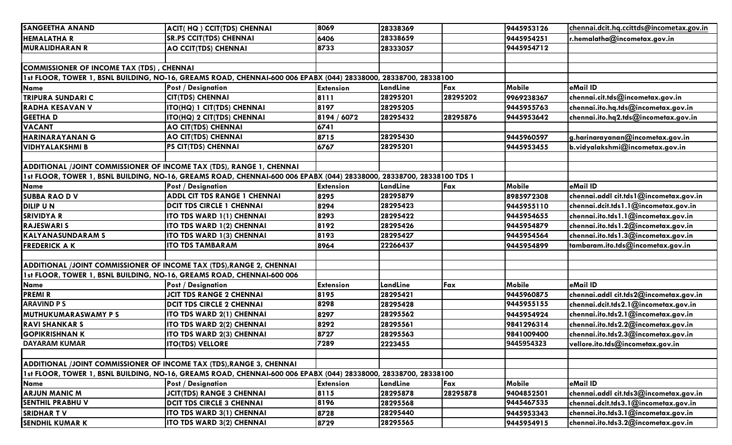| <b>SANGEETHA ANAND</b>                                                 | ACIT(HQ) CCIT(TDS) CHENNAI                                                                                            | 8069             | 28338369 |          | 9445953126 | chennai.dcit.hq.ccittds@incometax.gov.in |
|------------------------------------------------------------------------|-----------------------------------------------------------------------------------------------------------------------|------------------|----------|----------|------------|------------------------------------------|
| <b>HEMALATHA R</b>                                                     | <b>SR.PS CCIT(TDS) CHENNAI</b>                                                                                        | 6406             | 28338659 |          | 9445954251 | r.hemalatha@incometax.gov.in             |
| <b>MURALIDHARAN R</b>                                                  | <b>AO CCIT(TDS) CHENNAI</b>                                                                                           | 8733             | 28333057 |          | 9445954712 |                                          |
|                                                                        |                                                                                                                       |                  |          |          |            |                                          |
| <b>COMMISSIONER OF INCOME TAX (TDS), CHENNAI</b>                       |                                                                                                                       |                  |          |          |            |                                          |
|                                                                        | 1st FLOOR, TOWER 1, BSNL BUILDING, NO-16, GREAMS ROAD, CHENNAI-600 006 EPABX (044) 28338000, 28338700, 28338100       |                  |          |          |            |                                          |
| Name                                                                   | <b>Post / Designation</b>                                                                                             | <b>Extension</b> | LandLine | Fax      | Mobile     | eMail ID                                 |
| <b>TRIPURA SUNDARI C</b>                                               | <b>CIT(TDS) CHENNAI</b>                                                                                               | 8111             | 28295201 | 28295202 | 9969238367 | chennai.cit.tds@incometax.gov.in         |
| <b>RADHA KESAVAN V</b>                                                 | ITO(HQ) 1 CIT(TDS) CHENNAI                                                                                            | 8197             | 28295205 |          | 9445955763 | chennai.ito.hq.tds@incometax.gov.in      |
| <b>GEETHAD</b>                                                         | ITO(HQ) 2 CIT(TDS) CHENNAI                                                                                            | 8194 / 6072      | 28295432 | 28295876 | 9445953642 | chennai.ito.hq2.tds@incometax.gov.in     |
| <b>VACANT</b>                                                          | AO CIT(TDS) CHENNAI                                                                                                   | 6741             |          |          |            |                                          |
| <b>HARINARAYANAN G</b>                                                 | <b>AO CIT(TDS) CHENNAI</b>                                                                                            | 8715             | 28295430 |          | 9445960597 | g.harinarayanan@incometax.gov.in         |
| <b>VIDHYALAKSHMI B</b>                                                 | PS CIT(TDS) CHENNAI                                                                                                   | 6767             | 28295201 |          | 9445953455 | b.vidyalakshmi@incometax.gov.in          |
|                                                                        |                                                                                                                       |                  |          |          |            |                                          |
| ADDITIONAL /JOINT COMMISSIONER OF INCOME TAX (TDS), RANGE 1, CHENNAI   |                                                                                                                       |                  |          |          |            |                                          |
|                                                                        | 1st FLOOR, TOWER 1, BSNL BUILDING, NO-16, GREAMS ROAD, CHENNAI-600 006 EPABX (044) 28338000, 28338700, 28338100 TDS 1 |                  |          |          |            |                                          |
| <b>Name</b>                                                            | <b>Post / Designation</b>                                                                                             | <b>Extension</b> | LandLine | Fax      | Mobile     | eMail ID                                 |
| <b>SUBBA RAO DV</b>                                                    | ADDL CIT TDS RANGE 1 CHENNAI                                                                                          | 8295             | 28295879 |          | 8985972308 | chennai.addl cit.tds1@incometax.gov.in   |
| <b>DILIP UN</b>                                                        | <b>DCIT TDS CIRCLE 1 CHENNAI</b>                                                                                      | 8294             | 28295423 |          | 9445955110 | chennai.dcit.tds1.1@incometax.gov.in     |
| <b>SRIVIDYA R</b>                                                      | ITO TDS WARD 1(1) CHENNAI                                                                                             | 8293             | 28295422 |          | 9445954655 | chennai.ito.tds1.1@incometax.gov.in      |
| <b>RAJESWARI S</b>                                                     | ITO TDS WARD 1(2) CHENNAI                                                                                             | 8192             | 28295426 |          | 9445954879 | chennai.ito.tds1.2@incometax.gov.in      |
| <b>KALYANASUNDARAM S</b>                                               | ITO TDS WARD 1(3) CHENNAI                                                                                             | 8193             | 28295427 |          | 9445954564 | chennai.ito.tds1.3@incometax.gov.in      |
| <b>FREDERICK A K</b>                                                   | <b>ITO TDS TAMBARAM</b>                                                                                               | 8964             | 22266437 |          | 9445954899 | tambaram.ito.tds@incometax.gov.in        |
|                                                                        |                                                                                                                       |                  |          |          |            |                                          |
| ADDITIONAL /JOINT COMMISSIONER OF INCOME TAX (TDS), RANGE 2, CHENNAI   |                                                                                                                       |                  |          |          |            |                                          |
| 1st FLOOR, TOWER 1, BSNL BUILDING, NO-16, GREAMS ROAD, CHENNAI-600 006 |                                                                                                                       |                  |          |          |            |                                          |
| Name                                                                   | <b>Post / Designation</b>                                                                                             | <b>Extension</b> | LandLine | Fax      | Mobile     | eMail ID                                 |
| <b>PREMIR</b>                                                          | <b>JCIT TDS RANGE 2 CHENNAI</b>                                                                                       | 8195             | 28295421 |          | 9445960875 | chennai.addl cit.tds2@incometax.gov.in   |
| <b>ARAVIND PS</b>                                                      | <b>DCIT TDS CIRCLE 2 CHENNAI</b>                                                                                      | 8298             | 28295428 |          | 9445955155 | chennai.dcit.tds2.1@incometax.gov.in     |
| MUTHUKUMARASWAMY P S                                                   | ITO TDS WARD 2(1) CHENNAI                                                                                             | 8297             | 28295562 |          | 9445954924 | chennai.ito.tds2.1@incometax.gov.in      |
| <b>RAVI SHANKAR S</b>                                                  | ITO TDS WARD 2(2) CHENNAI                                                                                             | 8292             | 28295561 |          | 9841296314 | chennai.ito.tds2.2@incometax.gov.in      |
| <b>GOPIKRISHNAN K</b>                                                  | ITO TDS WARD 2(3) CHENNAI                                                                                             | 8727             | 28295563 |          | 9841009400 | chennai.ito.tds2.3@incometax.gov.in      |
| <b>DAYARAM KUMAR</b>                                                   | <b>ITO(TDS) VELLORE</b>                                                                                               | 7289             | 2223455  |          | 9445954323 | vellore.ito.tds@incometax.gov.in         |
|                                                                        |                                                                                                                       |                  |          |          |            |                                          |
| ADDITIONAL /JOINT COMMISSIONER OF INCOME TAX (TDS), RANGE 3, CHENNAI   |                                                                                                                       |                  |          |          |            |                                          |
|                                                                        | 1st FLOOR, TOWER 1, BSNL BUILDING, NO-16, GREAMS ROAD, CHENNAI-600 006 EPABX (044) 28338000, 28338700, 28338100       |                  |          |          |            |                                          |
| Name                                                                   | <b>Post / Designation</b>                                                                                             | <b>Extension</b> | LandLine | Fax      | Mobile     | eMail ID                                 |
| <b>ARJUN MANIC M</b>                                                   | <b>JCIT(TDS) RANGE 3 CHENNAI</b>                                                                                      | 8115             | 28295878 | 28295878 | 9404852501 | chennai.addl cit.tds3@incometax.gov.in   |
| <b>SENTHIL PRABHU V</b>                                                | <b>DCIT TDS CIRCLE 3 CHENNAI</b>                                                                                      | 8196             | 28295568 |          | 9445467535 | chennai.dcit.tds3.1@incometax.gov.in     |
| <b>SRIDHAR TV</b>                                                      | ITO TDS WARD 3(1) CHENNAI                                                                                             | 8728             | 28295440 |          | 9445953343 | chennai.ito.tds3.1@incometax.gov.in      |
| <b>SENDHIL KUMAR K</b>                                                 | <b>ITO TDS WARD 3(2) CHENNAI</b>                                                                                      | 8729             | 28295565 |          | 9445954915 | chennai.ito.tds3.2@incometax.gov.in      |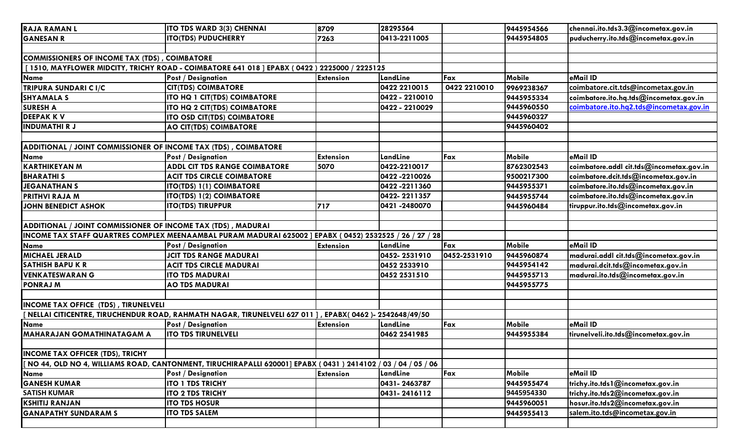| <b>RAJA RAMAN L</b>                                             | ITO TDS WARD 3(3) CHENNAI                                                                                       | 8709             | 28295564       |              | 9445954566 | chennai.ito.tds3.3@incometax.gov.in      |  |  |  |
|-----------------------------------------------------------------|-----------------------------------------------------------------------------------------------------------------|------------------|----------------|--------------|------------|------------------------------------------|--|--|--|
| <b>GANESAN R</b>                                                | <b>ITO(TDS) PUDUCHERRY</b>                                                                                      | 7263             | 0413-2211005   |              | 9445954805 | puducherry.ito.tds@incometax.gov.in      |  |  |  |
|                                                                 |                                                                                                                 |                  |                |              |            |                                          |  |  |  |
| COMMISSIONERS OF INCOME TAX (TDS), COIMBATORE                   |                                                                                                                 |                  |                |              |            |                                          |  |  |  |
|                                                                 | [1510, MAYFLOWER MIDCITY, TRICHY ROAD - COIMBATORE 641 018 ] EPABX (0422) 2225000 / 2225125                     |                  |                |              |            |                                          |  |  |  |
| <b>Name</b>                                                     | <b>Post / Designation</b>                                                                                       | <b>Extension</b> | LandLine       | Fax          | Mobile     | eMail ID                                 |  |  |  |
| <b>TRIPURA SUNDARI C I/C</b>                                    | <b>CIT(TDS) COIMBATORE</b>                                                                                      |                  | 0422 2210015   | 0422 2210010 | 9969238367 | coimbatore.cit.tds@incometax.gov.in      |  |  |  |
| <b>SHYAMALA S</b>                                               | ITO HQ 1 CIT(TDS) COIMBATORE                                                                                    |                  | 0422 - 2210010 |              | 9445955334 | coimbatore.ito.hq.tds@incometax.gov.in   |  |  |  |
| <b>SURESH A</b>                                                 | ITO HQ 2 CIT(TDS) COIMBATORE                                                                                    |                  | 0422 - 2210029 |              | 9445960550 | coimbatore.ito.hq2.tds@incometax.gov.in  |  |  |  |
| <b>DEEPAKKV</b>                                                 | ITO OSD CIT(TDS) COIMBATORE                                                                                     |                  |                |              | 9445960327 |                                          |  |  |  |
| <b>INDUMATHIRJ</b>                                              | <b>AO CIT(TDS) COIMBATORE</b>                                                                                   |                  |                |              | 9445960402 |                                          |  |  |  |
|                                                                 |                                                                                                                 |                  |                |              |            |                                          |  |  |  |
| ADDITIONAL / JOINT COMMISSIONER OF INCOME TAX (TDS), COIMBATORE |                                                                                                                 |                  |                |              |            |                                          |  |  |  |
| Name                                                            | <b>Post / Designation</b>                                                                                       | <b>Extension</b> | LandLine       | Fax          | Mobile     | eMail ID                                 |  |  |  |
| <b>KARTHIKEYAN M</b>                                            | <b>ADDL CIT TDS RANGE COIMBATORE</b>                                                                            | 5070             | 0422-2210017   |              | 8762302543 | coimbatore.addl cit.tds@incometax.gov.in |  |  |  |
| <b>BHARATHIS</b>                                                | <b>ACIT TDS CIRCLE COIMBATORE</b>                                                                               |                  | 0422-2210026   |              | 9500217300 | coimbatore.dcit.tds@incometax.gov.in     |  |  |  |
| <b>JEGANATHAN S</b>                                             | ITO(TDS) 1(1) COIMBATORE                                                                                        |                  | 0422 -2211360  |              | 9445955371 | coimbatore.ito.tds@incometax.gov.in      |  |  |  |
| <b>PRITHVI RAJA M</b>                                           | ITO(TDS) 1(2) COIMBATORE                                                                                        |                  | 0422-2211357   |              | 9445955744 | coimbatore.ito.tds@incometax.gov.in      |  |  |  |
| <b>JOHN BENEDICT ASHOK</b>                                      | <b>ITO(TDS) TIRUPPUR</b>                                                                                        | 717              | 0421-2480070   |              | 9445960484 | tiruppur.ito.tds@incometax.gov.in        |  |  |  |
|                                                                 |                                                                                                                 |                  |                |              |            |                                          |  |  |  |
|                                                                 | ADDITIONAL / JOINT COMMISSIONER OF INCOME TAX (TDS), MADURAI                                                    |                  |                |              |            |                                          |  |  |  |
|                                                                 | INCOME TAX STAFF QUARTRES COMPLEX MEENAAMBAL PURAM MADURAI 625002 ] EPABX (0452) 2532525 / 26 / 27 / 28         |                  |                |              |            |                                          |  |  |  |
| <b>Name</b>                                                     | <b>Post / Designation</b>                                                                                       | <b>Extension</b> | LandLine       | Fax          | Mobile     | eMail ID                                 |  |  |  |
| <b>MICHAEL JERALD</b>                                           | <b>JCIT TDS RANGE MADURAI</b>                                                                                   |                  | 0452-2531910   | 0452-2531910 | 9445960874 | madurai.addl cit.tds@incometax.gov.in    |  |  |  |
| <b>SATHISH BAPU K R</b>                                         | <b>ACIT TDS CIRCLE MADURAI</b>                                                                                  |                  | 0452 2533910   |              | 9445954142 | madurai.dcit.tds@incometax.gov.in        |  |  |  |
| <b>VENKATESWARAN G</b>                                          | <b>ITO TDS MADURAI</b>                                                                                          |                  | 0452 2531510   |              | 9445955713 | madurai.ito.tds@incometax.gov.in         |  |  |  |
| <b>PONRAJ M</b>                                                 | <b>AO TDS MADURAI</b>                                                                                           |                  |                |              | 9445955775 |                                          |  |  |  |
|                                                                 |                                                                                                                 |                  |                |              |            |                                          |  |  |  |
| <b>INCOME TAX OFFICE (TDS), TIRUNELVELI</b>                     |                                                                                                                 |                  |                |              |            |                                          |  |  |  |
|                                                                 | [ NELLAI CITICENTRE, TIRUCHENDUR ROAD, RAHMATH NAGAR, TIRUNELVELI 627 011 ], EPABX( 0462 )- 2542648/49/50       |                  |                |              |            |                                          |  |  |  |
| Name                                                            | <b>Post / Designation</b>                                                                                       | <b>Extension</b> | LandLine       | Fax          | Mobile     | eMail ID                                 |  |  |  |
| <b>MAHARAJAN GOMATHINATAGAM A</b>                               | <b>ITO TDS TIRUNELVELI</b>                                                                                      |                  | 0462 2541985   |              | 9445955384 | tirunelveli.ito.tds@incometax.gov.in     |  |  |  |
|                                                                 |                                                                                                                 |                  |                |              |            |                                          |  |  |  |
| <b>INCOME TAX OFFICER (TDS), TRICHY</b>                         |                                                                                                                 |                  |                |              |            |                                          |  |  |  |
|                                                                 | NO 44, OLD NO 4, WILLIAMS ROAD, CANTONMENT, TIRUCHIRAPALLI 620001] EPABX ( 0431 ) 2414102 / 03 / 04 / 05 / 06 [ |                  |                |              |            |                                          |  |  |  |
| <b>Name</b>                                                     | <b>Post / Designation</b>                                                                                       | <b>Extension</b> | LandLine       | Fax          | Mobile     | eMail ID                                 |  |  |  |
| <b>GANESH KUMAR</b>                                             | <b>ITO 1 TDS TRICHY</b>                                                                                         |                  | 0431-2463787   |              | 9445955474 | trichy.ito.tds1@incometax.gov.in         |  |  |  |
| <b>SATISH KUMAR</b>                                             | <b>ITO 2 TDS TRICHY</b>                                                                                         |                  | 0431-2416112   |              | 9445954330 | trichy.ito.tds2@incometax.gov.in         |  |  |  |
| <b>KSHITIJ RANJAN</b>                                           | <b>ITO TDS HOSUR</b>                                                                                            |                  |                |              | 9445960051 | hosur.ito.tds2@incometax.gov.in          |  |  |  |
| <b>GANAPATHY SUNDARAM S</b>                                     | <b>ITO TDS SALEM</b>                                                                                            |                  |                |              | 9445955413 | salem.ito.tds@incometax.gov.in           |  |  |  |
|                                                                 |                                                                                                                 |                  |                |              |            |                                          |  |  |  |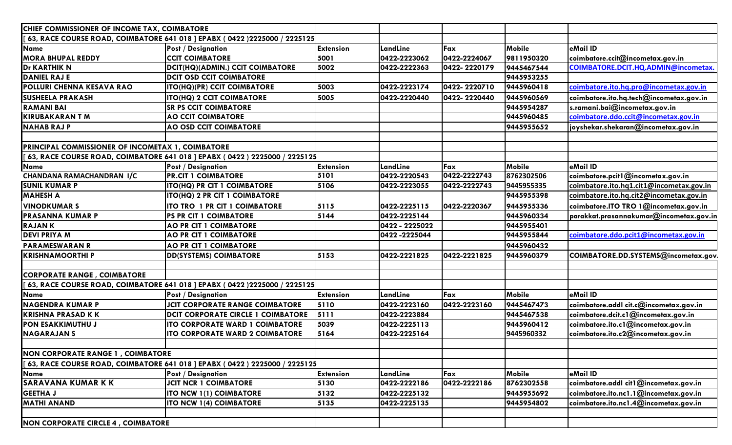| CHIEF COMMISSIONER OF INCOME TAX, COIMBATORE      |                                                                              |                  |                |              |            |                                          |
|---------------------------------------------------|------------------------------------------------------------------------------|------------------|----------------|--------------|------------|------------------------------------------|
|                                                   | 63, RACE COURSE ROAD, COIMBATORE 641 018 ] EPABX (0422 )2225000 / 2225125    |                  |                |              |            |                                          |
| <b>Name</b>                                       | <b>Post / Designation</b>                                                    | <b>Extension</b> | LandLine       | Fax          | Mobile     | eMail ID                                 |
| <b>MORA BHUPAL REDDY</b>                          | <b>CCIT COIMBATORE</b>                                                       | 5001             | 0422-2223062   | 0422-2224067 | 9811950320 | coimbatore.ccit@incometax.gov.in         |
| <b>Dr KARTHIK N</b>                               | DCIT(HQ)(ADMIN.) CCIT COIMBATORE                                             | 5002             | 0422-2222363   | 0422-2220179 | 9445467544 | COIMBATORE.DCIT.HQ.ADMIN@incometax.      |
| <b>DANIEL RAJ E</b>                               | <b>DCIT OSD CCIT COIMBATORE</b>                                              |                  |                |              | 9445953255 |                                          |
| POLLURI CHENNA KESAVA RAO                         | ITO(HQ)(PR) CCIT COIMBATORE                                                  | 5003             | 0422-2223174   | 0422-2220710 | 9445960418 | coimbatore.ito.hq.pro@incometax.gov.in   |
| <b>SUSHEELA PRAKASH</b>                           | ITO(HQ) 2 CCIT COIMBATORE                                                    | 5005             | 0422-2220440   | 0422-2220440 | 9445960569 | coimbatore.ito.hq.tech@incometax.gov.in  |
| <b>RAMANI BAI</b>                                 | <b>SR PS CCIT COIMBATORE</b>                                                 |                  |                |              | 9445954287 | s.ramani.bai@incometax.gov.in            |
| <b>KIRUBAKARAN T M</b>                            | <b>AO CCIT COIMBATORE</b>                                                    |                  |                |              | 9445960485 | coimbatore.ddo.ccit@incometax.gov.in     |
| <b>NAHABRAJP</b>                                  | AO OSD CCIT COIMBATORE                                                       |                  |                |              | 9445955652 | joyshekar.shekaran@incometax.gov.in      |
| PRINCIPAL COMMISSIONER OF INCOMETAX 1, COIMBATORE |                                                                              |                  |                |              |            |                                          |
|                                                   | [63, RACE COURSE ROAD, COIMBATORE 641 018 ] EPABX ( 0422 ) 2225000 / 2225125 |                  |                |              |            |                                          |
| Name                                              | <b>Post / Designation</b>                                                    | <b>Extension</b> | LandLine       | Fax          | Mobile     | eMail ID                                 |
| <b>CHANDANA RAMACHANDRAN I/C</b>                  | <b>PR.CIT 1 COIMBATORE</b>                                                   | 5101             | 0422-2220543   | 0422-2222743 | 8762302506 | coimbatore.pcit1@incometax.gov.in        |
| <b>SUNIL KUMAR P</b>                              | ITO(HQ) PR CIT 1 COIMBATORE                                                  | 5106             | 0422-2223055   | 0422-2222743 | 9445955335 | coimbatore.ito.hq1.cit1@incometax.gov.in |
| <b>MAHESH A</b>                                   | ITO(HQ) 2 PR CIT 1 COIMBATORE                                                |                  |                |              | 9445955398 | coimbatore.ito.hq.cit2@incometax.gov.in  |
| <b>VINODKUMAR S</b>                               | ITO TRO 1 PR CIT 1 COIMBATORE                                                | 5115             | 0422-2225115   | 0422-2220367 | 9445955336 | coimbatore.ITO TRO 1@incometax.gov.in    |
| <b>PRASANNA KUMAR P</b>                           | <b>PS PR CIT 1 COIMBATORE</b>                                                | 5144             | 0422-2225144   |              | 9445960334 | parakkat.prasannakumar@incometax.gov.in  |
| <b>RAJANK</b>                                     | <b>AO PR CIT 1 COIMBATORE</b>                                                |                  | 0422 - 2225022 |              | 9445955401 |                                          |
| <b>DEVI PRIYA M</b>                               | <b>AO PR CIT 1 COIMBATORE</b>                                                |                  | 0422 - 2225044 |              | 9445955844 | coimbatore.ddo.pcit1@incometax.gov.in    |
| <b>PARAMESWARAN R</b>                             | <b>AO PR CIT 1 COIMBATORE</b>                                                |                  |                |              | 9445960432 |                                          |
| <b>KRISHNAMOORTHI P</b>                           | <b>DD(SYSTEMS) COIMBATORE</b>                                                | 5153             | 0422-2221825   | 0422-2221825 | 9445960379 | COIMBATORE.DD.SYSTEMS@incometax.gov.     |
| <b>CORPORATE RANGE, COIMBATORE</b>                |                                                                              |                  |                |              |            |                                          |
|                                                   | 63, RACE COURSE ROAD, COIMBATORE 641 018 ] EPABX (0422 )2225000 / 2225125    |                  |                |              |            |                                          |
| <b>Name</b>                                       | <b>Post / Designation</b>                                                    | <b>Extension</b> | LandLine       | Fax          | Mobile     | eMail ID                                 |
| <b>NAGENDRA KUMAR P</b>                           | <b>JCIT CORPORATE RANGE COIMBATORE</b>                                       | 5110             | 0422-2223160   | 0422-2223160 | 9445467473 | coimbatore.addl cit.c@incometax.gov.in   |
| <b>KRISHNA PRASAD K K</b>                         | <b>DCIT CORPORATE CIRCLE 1 COIMBATORE</b>                                    | 5111             | 0422-2223884   |              | 9445467538 | coimbatore.dcit.c1@incometax.gov.in      |
| <b>PON ESAKKIMUTHU J</b>                          | ITO CORPORATE WARD 1 COIMBATORE                                              | 5039             | 0422-2225113   |              | 9445960412 | coimbatore.ito.cl@incometax.gov.in       |
| <b>NAGARAJAN S</b>                                | <b>ITO CORPORATE WARD 2 COIMBATORE</b>                                       | 5164             | 0422-2225164   |              | 9445960332 | coimbatore.ito.c2@incometax.gov.in       |
| <b>NON CORPORATE RANGE 1, COIMBATORE</b>          |                                                                              |                  |                |              |            |                                          |
|                                                   | [63, RACE COURSE ROAD, COIMBATORE 641 018 ] EPABX (0422 ) 2225000 / 2225125  |                  |                |              |            |                                          |
| <b>Name</b>                                       | <b>Post / Designation</b>                                                    | <b>Extension</b> | LandLine       | Fax          | Mobile     | eMail ID                                 |
| <b>SARAVANA KUMAR K K</b>                         | <b>JCIT NCR 1 COIMBATORE</b>                                                 | 5130             | 0422-2222186   | 0422-2222186 | 8762302558 | coimbatore.addl cit1@incometax.gov.in    |
| <b>GEETHA J</b>                                   | ITO NCW 1(1) COIMBATORE                                                      | 5132             | 0422-2225132   |              | 9445955692 | coimbatore.ito.nc1.1@incometax.gov.in    |
| <b>MATHI ANAND</b>                                | <b>ITO NCW 1(4) COIMBATORE</b>                                               | 5135             | 0422-2225135   |              | 9445954802 | coimbatore.ito.nc1.4@incometax.gov.in    |
| <b>NON CORPORATE CIRCLE 4, COIMBATORE</b>         |                                                                              |                  |                |              |            |                                          |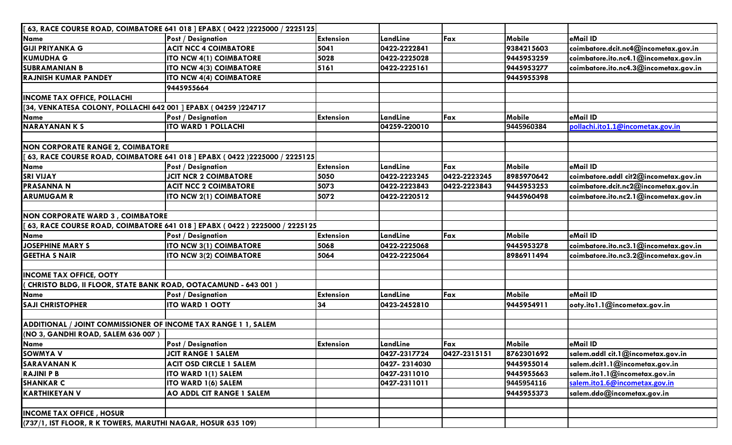|                                                                | 63, RACE COURSE ROAD, COIMBATORE 641 018 ] EPABX ( 0422 )2225000 / 2225125 |                  |              |              |               |                                       |
|----------------------------------------------------------------|----------------------------------------------------------------------------|------------------|--------------|--------------|---------------|---------------------------------------|
| Name                                                           | <b>Post / Designation</b>                                                  | <b>Extension</b> | LandLine     | Fax          | <b>Mobile</b> | eMail ID                              |
| <b>GIJI PRIYANKA G</b>                                         | <b>ACIT NCC 4 COIMBATORE</b>                                               | 5041             | 0422-2222841 |              | 9384215603    | coimbatore.dcit.nc4@incometax.gov.in  |
| <b>KUMUDHA G</b>                                               | ITO NCW 4(1) COIMBATORE                                                    | 5028             | 0422-2225028 |              | 9445953259    | coimbatore.ito.nc4.1@incometax.gov.in |
| <b>SUBRAMANIAN B</b>                                           | ITO NCW 4(3) COIMBATORE                                                    | 5161             | 0422-2225161 |              | 9445953277    | coimbatore.ito.nc4.3@incometax.gov.in |
| <b>RAJNISH KUMAR PANDEY</b>                                    | <b>ITO NCW 4(4) COIMBATORE</b>                                             |                  |              |              | 9445955398    |                                       |
|                                                                | 9445955664                                                                 |                  |              |              |               |                                       |
| <b>INCOME TAX OFFICE, POLLACHI</b>                             |                                                                            |                  |              |              |               |                                       |
| [34, VENKATESA COLONY, POLLACHI 642 001 ] EPABX (04259 )224717 |                                                                            |                  |              |              |               |                                       |
| Name                                                           | Post / Designation                                                         | <b>Extension</b> | LandLine     | Fax          | Mobile        | eMail ID                              |
| <b>NARAYANANKS</b>                                             | <b>ITO WARD 1 POLLACHI</b>                                                 |                  | 04259-220010 |              | 9445960384    | pollachi.ito1.1@incometax.gov.in      |
|                                                                |                                                                            |                  |              |              |               |                                       |
| <b>NON CORPORATE RANGE 2, COIMBATORE</b>                       |                                                                            |                  |              |              |               |                                       |
|                                                                | 63, RACE COURSE ROAD, COIMBATORE 641 018 ] EPABX (0422 )2225000 / 2225125  |                  |              |              |               |                                       |
| Name                                                           | <b>Post / Designation</b>                                                  | <b>Extension</b> | LandLine     | Fax          | <b>Mobile</b> | eMail ID                              |
| <b>SRI VIJAY</b>                                               | <b>JCIT NCR 2 COIMBATORE</b>                                               | 5050             | 0422-2223245 | 0422-2223245 | 8985970642    | coimbatore.addl cit2@incometax.gov.in |
| <b>PRASANNA N</b>                                              | <b>ACIT NCC 2 COIMBATORE</b>                                               | 5073             | 0422-2223843 | 0422-2223843 | 9445953253    | coimbatore.dcit.nc2@incometax.gov.in  |
| <b>ARUMUGAM R</b>                                              | ITO NCW 2(1) COIMBATORE                                                    | 5072             | 0422-2220512 |              | 9445960498    | coimbatore.ito.nc2.1@incometax.gov.in |
|                                                                |                                                                            |                  |              |              |               |                                       |
| <b>NON CORPORATE WARD 3, COIMBATORE</b>                        |                                                                            |                  |              |              |               |                                       |
|                                                                | 63, RACE COURSE ROAD, COIMBATORE 641 018 ] EPABX (0422) 2225000 / 2225125  |                  |              |              |               |                                       |
| Name                                                           | <b>Post / Designation</b>                                                  | <b>Extension</b> | LandLine     | Fax          | Mobile        | eMail ID                              |
| <b>JOSEPHINE MARY S</b>                                        | ITO NCW 3(1) COIMBATORE                                                    | 5068             | 0422-2225068 |              | 9445953278    | coimbatore.ito.nc3.1@incometax.gov.in |
| <b>GEETHA S NAIR</b>                                           | <b>ITO NCW 3(2) COIMBATORE</b>                                             | 5064             | 0422-2225064 |              | 8986911494    | coimbatore.ito.nc3.2@incometax.gov.in |
|                                                                |                                                                            |                  |              |              |               |                                       |
| <b>INCOME TAX OFFICE, OOTY</b>                                 |                                                                            |                  |              |              |               |                                       |
| CHRISTO BLDG, II FLOOR, STATE BANK ROAD, OOTACAMUND - 643 001) |                                                                            |                  |              |              |               |                                       |
| <b>Name</b>                                                    | <b>Post / Designation</b>                                                  | <b>Extension</b> | LandLine     | Fax          | Mobile        | eMail ID                              |
| <b>SAJI CHRISTOPHER</b>                                        | <b>ITO WARD 1 OOTY</b>                                                     | 34               | 0423-2452810 |              | 9445954911    | ooty.ito1.1@incometax.gov.in          |
|                                                                |                                                                            |                  |              |              |               |                                       |
| ADDITIONAL / JOINT COMMISSIONER OF INCOME TAX RANGE 1 1, SALEM |                                                                            |                  |              |              |               |                                       |
| (NO 3, GANDHI ROAD, SALEM 636 007)                             |                                                                            |                  |              |              |               |                                       |
| Name                                                           | <b>Post / Designation</b>                                                  | <b>Extension</b> | LandLine     | Fax          | Mobile        | eMail ID                              |
| <b>SOWMYA V</b>                                                | <b>JCIT RANGE 1 SALEM</b>                                                  |                  | 0427-2317724 | 0427-2315151 | 8762301692    | salem.addl cit.1@incometax.gov.in     |
| <b>SARAVANANK</b>                                              | <b>ACIT OSD CIRCLE 1 SALEM</b>                                             |                  | 0427-2314030 |              | 9445955014    | salem.dcit1.1@incometax.gov.in        |
| <b>RAJINI P B</b>                                              | ITO WARD 1(1) SALEM                                                        |                  | 0427-2311010 |              | 9445955663    | salem.ito1.1@incometax.gov.in         |
| <b>SHANKAR C</b>                                               | ITO WARD 1(6) SALEM                                                        |                  | 0427-2311011 |              | 9445954116    | salem.ito1.6@incometax.gov.in         |
| <b>KARTHIKEYAN V</b>                                           | AO ADDL CIT RANGE 1 SALEM                                                  |                  |              |              | 9445955373    | salem.ddo@incometax.gov.in            |
|                                                                |                                                                            |                  |              |              |               |                                       |
| <b>INCOME TAX OFFICE, HOSUR</b>                                |                                                                            |                  |              |              |               |                                       |
| (737/1, IST FLOOR, R K TOWERS, MARUTHI NAGAR, HOSUR 635 109)   |                                                                            |                  |              |              |               |                                       |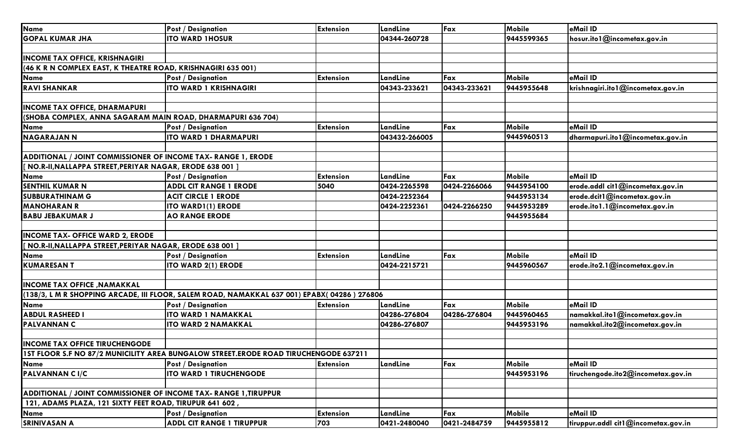| <b>Name</b>                                                      | <b>Post / Designation</b>                                                                   | <b>Extension</b> | LandLine      | Fax          | <b>Mobile</b> | eMail ID                            |
|------------------------------------------------------------------|---------------------------------------------------------------------------------------------|------------------|---------------|--------------|---------------|-------------------------------------|
| <b>GOPAL KUMAR JHA</b>                                           | <b>ITO WARD IHOSUR</b>                                                                      |                  | 04344-260728  |              | 9445599365    | hosur.ito1@incometax.gov.in         |
|                                                                  |                                                                                             |                  |               |              |               |                                     |
| <b>INCOME TAX OFFICE, KRISHNAGIRI</b>                            |                                                                                             |                  |               |              |               |                                     |
| (46 K R N COMPLEX EAST, K THEATRE ROAD, KRISHNAGIRI 635 001)     |                                                                                             |                  |               |              |               |                                     |
| <b>Name</b>                                                      | <b>Post / Designation</b>                                                                   | <b>Extension</b> | LandLine      | Fax          | Mobile        | eMail ID                            |
| <b>RAVI SHANKAR</b>                                              | <b>ITO WARD 1 KRISHNAGIRI</b>                                                               |                  | 04343-233621  | 04343-233621 | 9445955648    | krishnagiri.ito1@incometax.gov.in   |
|                                                                  |                                                                                             |                  |               |              |               |                                     |
| <b>INCOME TAX OFFICE, DHARMAPURI</b>                             |                                                                                             |                  |               |              |               |                                     |
| (SHOBA COMPLEX, ANNA SAGARAM MAIN ROAD, DHARMAPURI 636 704)      |                                                                                             |                  |               |              |               |                                     |
| <b>Name</b>                                                      | <b>Post / Designation</b>                                                                   | <b>Extension</b> | LandLine      | Fax          | Mobile        | eMail ID                            |
| <b>NAGARAJAN N</b>                                               | <b>ITO WARD 1 DHARMAPURI</b>                                                                |                  | 043432-266005 |              | 9445960513    | dharmapuri.ito 1@incometax.gov.in   |
|                                                                  |                                                                                             |                  |               |              |               |                                     |
| ADDITIONAL / JOINT COMMISSIONER OF INCOME TAX- RANGE 1, ERODE    |                                                                                             |                  |               |              |               |                                     |
| NO.R-II, NALLAPPA STREET, PERIYAR NAGAR, ERODE 638 001]          |                                                                                             |                  |               |              |               |                                     |
| <b>Name</b>                                                      | <b>Post / Designation</b>                                                                   | <b>Extension</b> | LandLine      | Fax          | Mobile        | eMail ID                            |
| <b>SENTHIL KUMAR N</b>                                           | <b>ADDL CIT RANGE 1 ERODE</b>                                                               | 5040             | 0424-2265598  | 0424-2266066 | 9445954100    | erode.addl cit1@incometax.gov.in    |
| <b>SUBBURATHINAM G</b>                                           | <b>ACIT CIRCLE 1 ERODE</b>                                                                  |                  | 0424-2252364  |              | 9445953134    | erode.dcit1@incometax.gov.in        |
| <b>MANOHARAN R</b>                                               | <b>ITO WARD1(1) ERODE</b>                                                                   |                  | 0424-2252361  | 0424-2266250 | 9445953289    | erode.ito1.1@incometax.gov.in       |
| <b>BABU JEBAKUMAR J</b>                                          | <b>AO RANGE ERODE</b>                                                                       |                  |               |              | 9445955684    |                                     |
|                                                                  |                                                                                             |                  |               |              |               |                                     |
| <b>INCOME TAX- OFFICE WARD 2, ERODE</b>                          |                                                                                             |                  |               |              |               |                                     |
| NO.R-II, NALLAPPA STREET, PERIYAR NAGAR, ERODE 638 001           |                                                                                             |                  |               |              |               |                                     |
| <b>Name</b>                                                      | <b>Post / Designation</b>                                                                   | <b>Extension</b> | LandLine      | Fax          | Mobile        | eMail ID                            |
| <b>KUMARESANT</b>                                                | ITO WARD 2(1) ERODE                                                                         |                  | 0424-2215721  |              | 9445960567    | erode.ito2.1@incometax.gov.in       |
|                                                                  |                                                                                             |                  |               |              |               |                                     |
| <b>INCOME TAX OFFICE, NAMAKKAL</b>                               |                                                                                             |                  |               |              |               |                                     |
|                                                                  | (138/3, L M R SHOPPING ARCADE, III FLOOR, SALEM ROAD, NAMAKKAL 637 001) EPABX(04286) 276806 |                  |               |              |               |                                     |
| <b>Name</b>                                                      | <b>Post / Designation</b>                                                                   | <b>Extension</b> | LandLine      | Fax          | Mobile        | eMail ID                            |
| <b>ABDUL RASHEED I</b>                                           | <b>ITO WARD 1 NAMAKKAL</b>                                                                  |                  | 04286-276804  | 04286-276804 | 9445960465    | namakkal.ito1@incometax.gov.in      |
| <b>PALVANNAN C</b>                                               | <b>ITO WARD 2 NAMAKKAL</b>                                                                  |                  | 04286-276807  |              | 9445953196    | namakkal.ito2@incometax.gov.in      |
|                                                                  |                                                                                             |                  |               |              |               |                                     |
| <b>INCOME TAX OFFICE TIRUCHENGODE</b>                            |                                                                                             |                  |               |              |               |                                     |
|                                                                  | 15T FLOOR S.F NO 87/2 MUNICILITY AREA BUNGALOW STREET.ERODE ROAD TIRUCHENGODE 637211        |                  |               |              |               |                                     |
| <b>Name</b>                                                      | <b>Post / Designation</b>                                                                   | <b>Extension</b> | LandLine      | Fax          | Mobile        | eMail ID                            |
| <b>PALVANNAN CI/C</b>                                            | <b>ITO WARD 1 TIRUCHENGODE</b>                                                              |                  |               |              | 9445953196    | tiruchengode.ito2@incometax.gov.in  |
|                                                                  |                                                                                             |                  |               |              |               |                                     |
| ADDITIONAL / JOINT COMMISSIONER OF INCOME TAX- RANGE 1, TIRUPPUR |                                                                                             |                  |               |              |               |                                     |
| 121, ADAMS PLAZA, 121 SIXTY FEET ROAD, TIRUPUR 641 602,          |                                                                                             |                  |               |              |               |                                     |
| <b>Name</b>                                                      | <b>Post / Designation</b>                                                                   | <b>Extension</b> | LandLine      | Fax          | <b>Mobile</b> | eMail ID                            |
| <b>SRINIVASAN A</b>                                              | <b>ADDL CIT RANGE 1 TIRUPPUR</b>                                                            | 703              | 0421-2480040  | 0421-2484759 | 9445955812    | tiruppur.addl cit1@incometax.gov.in |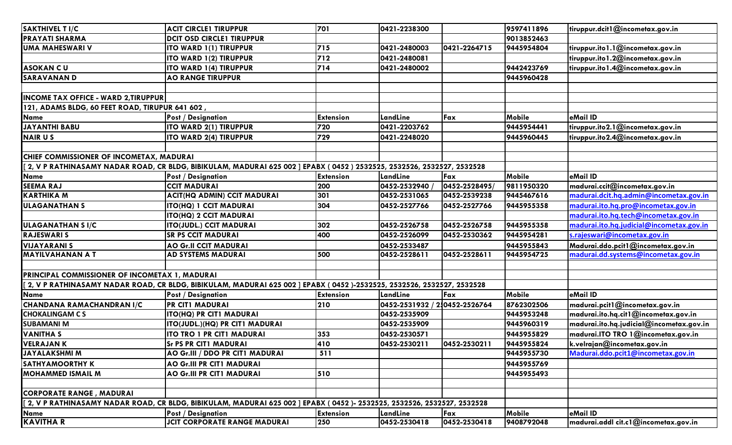| <b>SAKTHIVEL T I/C</b>                          | <b>ACIT CIRCLE1 TIRUPPUR</b>                                                                                               | 701              | 0421-2238300                  |               | 9597411896    | tiruppur.dcit1@incometax.gov.in          |
|-------------------------------------------------|----------------------------------------------------------------------------------------------------------------------------|------------------|-------------------------------|---------------|---------------|------------------------------------------|
| <b>PRAYATI SHARMA</b>                           | <b>DCIT OSD CIRCLE1 TIRUPPUR</b>                                                                                           |                  |                               |               | 9013852463    |                                          |
| <b>UMA MAHESWARI V</b>                          | ITO WARD 1(1) TIRUPPUR                                                                                                     | 715              | 0421-2480003                  | 0421-2264715  | 9445954804    | tiruppur.ito1.1@incometax.gov.in         |
|                                                 | <b>ITO WARD 1(2) TIRUPPUR</b>                                                                                              | 712              | 0421-2480081                  |               |               | tiruppur.ito1.2@incometax.gov.in         |
| <b>ASOKAN CU</b>                                | <b>ITO WARD 1(4) TIRUPPUR</b>                                                                                              | 714              | 0421-2480002                  |               | 9442423769    | tiruppur.ito1.4@incometax.gov.in         |
| <b>SARAVANAND</b>                               | <b>AO RANGE TIRUPPUR</b>                                                                                                   |                  |                               |               | 9445960428    |                                          |
|                                                 |                                                                                                                            |                  |                               |               |               |                                          |
| <b>INCOME TAX OFFICE - WARD 2, TIRUPPUR</b>     |                                                                                                                            |                  |                               |               |               |                                          |
| 121, ADAMS BLDG, 60 FEET ROAD, TIRUPUR 641 602, |                                                                                                                            |                  |                               |               |               |                                          |
| Name                                            | <b>Post / Designation</b>                                                                                                  | <b>Extension</b> | LandLine                      | Fax           | <b>Mobile</b> | eMail ID                                 |
| <b>JAYANTHI BABU</b>                            | ITO WARD 2(1) TIRUPPUR                                                                                                     | 720              | 0421-2203762                  |               | 9445954441    | tiruppur.ito2.1@incometax.gov.in         |
| <b>NAIRUS</b>                                   | ITO WARD 2(4) TIRUPPUR                                                                                                     | 729              | 0421-2248020                  |               | 9445960445    | tiruppur.ito2.4@incometax.gov.in         |
|                                                 |                                                                                                                            |                  |                               |               |               |                                          |
| CHIEF COMMISSIONER OF INCOMETAX, MADURAI        |                                                                                                                            |                  |                               |               |               |                                          |
|                                                 | [ 2, V P RATHINASAMY NADAR ROAD, CR BLDG, BIBIKULAM, MADURAI 625 002 ] EPABX ( 0452 ) 2532525, 2532526, 2532527, 2532528   |                  |                               |               |               |                                          |
| Name                                            | <b>Post / Designation</b>                                                                                                  | <b>Extension</b> | LandLine                      | Fax           | <b>Mobile</b> | eMail ID                                 |
| <b>SEEMA RAJ</b>                                | <b>CCIT MADURAI</b>                                                                                                        | 200              | 0452-2532940                  | 0452-2528495/ | 9811950320    | madurai.ccit@incometax.gov.in            |
| <b>KARTHIKA M</b>                               | <b>ACIT(HQ ADMIN) CCIT MADURAI</b>                                                                                         | 301              | 0452-2531065                  | 0452-2539238  | 9445467616    | madurai.dcit.hq.admin@incometax.gov.in   |
| <b>ULAGANATHANS</b>                             | ITO(HQ) 1 CCIT MADURAI                                                                                                     | 304              | 0452-2527766                  | 0452-2527766  | 9445955358    | madurai.ito.hq.pro@incometax.gov.in      |
|                                                 | <b>ITO(HQ) 2 CCIT MADURAI</b>                                                                                              |                  |                               |               |               | madurai.ito.hq.tech@incometax.gov.in     |
| <b>ULAGANATHAN S I/C</b>                        | <b>ITO(JUDL.) CCIT MADURAI</b>                                                                                             | 302              | 0452-2526758                  | 0452-2526758  | 9445955358    | madurai.ito.hq.judicial@incometax.gov.in |
| <b>RAJESWARI S</b>                              | <b>SR PS CCIT MADURAI</b>                                                                                                  | 400              | 0452-2526099                  | 0452-2530362  | 9445954281    | s.rajeswari@incometax.gov.in             |
| <b>VIJAYARANI S</b>                             | <b>AO Gr.II CCIT MADURAI</b>                                                                                               |                  | 0452-2533487                  |               | 9445955843    | Madurai.ddo.pcit1@incometax.gov.in       |
| <b>MAYILVAHANAN A T</b>                         | AD SYSTEMS MADURAI                                                                                                         | 500              | 0452-2528611                  | 0452-2528611  | 9445954725    | madurai.dd.systems@incometax.gov.in      |
|                                                 |                                                                                                                            |                  |                               |               |               |                                          |
| PRINCIPAL COMMISSIONER OF INCOMETAX 1, MADURAI  |                                                                                                                            |                  |                               |               |               |                                          |
|                                                 | 2, V P RATHINASAMY NADAR ROAD, CR BLDG, BIBIKULAM, MADURAI 625 002 ] EPABX ( 0452 )-2532525, 2532526, 2532527, 2532528 [   |                  |                               |               |               |                                          |
| <b>Name</b>                                     | <b>Post / Designation</b>                                                                                                  | <b>Extension</b> | LandLine                      | Fax           | <b>Mobile</b> | eMail ID                                 |
| CHANDANA RAMACHANDRAN I/C                       | <b>PR CIT1 MADURAI</b>                                                                                                     | 210              | 0452-2531932 / 2:0452-2526764 |               | 8762302506    | madurai.pcit1@incometax.gov.in           |
| <b>CHOKALINGAM CS</b>                           | ITO(HQ) PR CIT1 MADURAI                                                                                                    |                  | 0452-2535909                  |               | 9445953248    | madurai.ito.hq.cit1@incometax.gov.in     |
| <b>SUBAMANI M</b>                               | ITO(JUDL.)(HQ) PR CIT1 MADURAI                                                                                             |                  | 0452-2535909                  |               | 9445960319    | madurai.ito.hq.judicial@incometax.gov.in |
| <b>VANITHA S</b>                                | ITO TRO 1 PR CIT1 MADURAI                                                                                                  | 353              | 0452-2530571                  |               | 9445955829    | madurai.ITO TRO 1@incometax.gov.in       |
| <b>VELRAJANK</b>                                | <b>Sr PS PR CIT1 MADURAI</b>                                                                                               | 410              | 0452-2530211                  | 0452-2530211  | 9445955824    | k.velrajan@incometax.gov.in              |
| <b>JAYALAKSHMI M</b>                            | AO Gr.III / DDO PR CIT1 MADURAI                                                                                            | 511              |                               |               | 9445955730    | Madurai.ddo.pcit1@incometax.gov.in       |
| <b>SATHYAMOORTHY K</b>                          | <b>AO Gr.III PR CIT1 MADURAI</b>                                                                                           |                  |                               |               | 9445955769    |                                          |
| <b>MOHAMMED ISMAIL M</b>                        | AO Gr.III PR CIT1 MADURAI                                                                                                  | 510              |                               |               | 9445955493    |                                          |
|                                                 |                                                                                                                            |                  |                               |               |               |                                          |
| <b>CORPORATE RANGE, MADURAI</b>                 |                                                                                                                            |                  |                               |               |               |                                          |
|                                                 | [[ 2, V P RATHINASAMY NADAR ROAD, CR BLDG, BIBIKULAM, MADURAI 625 002 ] EPABX ( 0452 )- 2532525, 2532526, 2532527, 2532528 |                  |                               |               |               |                                          |
| <b>Name</b>                                     | <b>Post / Designation</b>                                                                                                  | <b>Extension</b> | LandLine                      | Fax           | Mobile        | eMail ID                                 |
| <b>KAVITHA R</b>                                | <b>JCIT CORPORATE RANGE MADURAI</b>                                                                                        | 250              | 0452-2530418                  | 0452-2530418  | 9408792048    | madurai.addl cit.c1@incometax.gov.in     |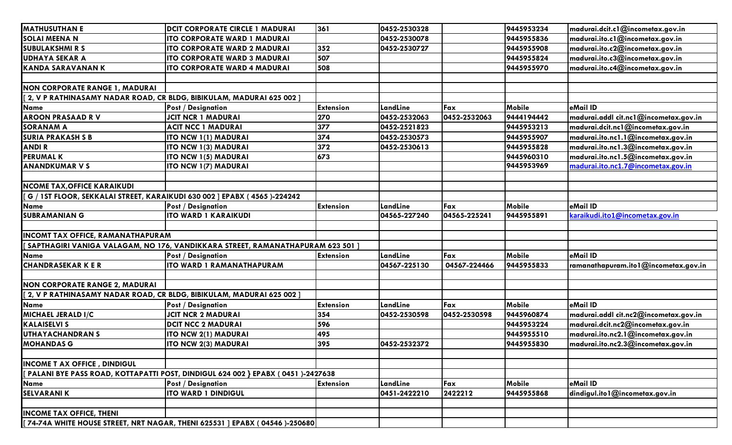| <b>MATHUSUTHAN E</b>                                                      | <b>IDCIT CORPORATE CIRCLE 1 MADURAI</b>                                           | 361              | 0452-2530328 |              | 9445953234    | madurai.dcit.c1@incometax.gov.in      |
|---------------------------------------------------------------------------|-----------------------------------------------------------------------------------|------------------|--------------|--------------|---------------|---------------------------------------|
| <b>SOLAI MEENA N</b>                                                      | <b>ITO CORPORATE WARD 1 MADURAI</b>                                               |                  | 0452-2530078 |              | 9445955836    | madurai.ito.c1@incometax.gov.in       |
| <b>SUBULAKSHMI R S</b>                                                    | <b>ITO CORPORATE WARD 2 MADURAI</b>                                               | 352              | 0452-2530727 |              | 9445955908    | madurai.ito.c2@incometax.gov.in       |
| <b>UDHAYA SEKAR A</b>                                                     | <b>ITO CORPORATE WARD 3 MADURAI</b>                                               | 507              |              |              | 9445955824    | madurai.ito.c3@incometax.gov.in       |
| <b>KANDA SARAVANAN K</b>                                                  | <b>ITO CORPORATE WARD 4 MADURAI</b>                                               | 508              |              |              | 9445955970    | madurai.ito.c4@incometax.gov.in       |
|                                                                           |                                                                                   |                  |              |              |               |                                       |
| <b>NON CORPORATE RANGE 1, MADURAI</b>                                     |                                                                                   |                  |              |              |               |                                       |
| [[ 2, V P RATHINASAMY NADAR ROAD, CR BLDG, BIBIKULAM, MADURAI 625 002 ]   |                                                                                   |                  |              |              |               |                                       |
| <b>Name</b>                                                               | <b>Post / Designation</b>                                                         | <b>Extension</b> | LandLine     | Fax          | <b>Mobile</b> | eMail ID                              |
| <b>AROON PRASAAD RV</b>                                                   | <b>JCIT NCR 1 MADURAI</b>                                                         | 270              | 0452-2532063 | 0452-2532063 | 9444194442    | madurai.addl cit.ncl@incometax.gov.in |
| <b>SORANAM A</b>                                                          | <b>ACIT NCC 1 MADURAI</b>                                                         | 377              | 0452-2521823 |              | 9445953213    | madurai.dcit.nc1@incometax.gov.in     |
| <b>SURIA PRAKASH S B</b>                                                  | ITO NCW 1(1) MADURAI                                                              | 374              | 0452-2530573 |              | 9445955907    | madurai.ito.nc1.1@incometax.gov.in    |
| <b>ANDIR</b>                                                              | <b>ITO NCW 1(3) MADURAI</b>                                                       | 372              | 0452-2530613 |              | 9445955828    | madurai.ito.nc1.3@incometax.gov.in    |
| <b>PERUMAL K</b>                                                          | <b>ITO NCW 1(5) MADURAI</b>                                                       | 673              |              |              | 9445960310    | madurai.ito.nc1.5@incometax.gov.in    |
| <b>ANANDKUMAR V S</b>                                                     | <b>ITO NCW 1(7) MADURAI</b>                                                       |                  |              |              | 9445953969    | madurai.ito.nc1.7@incometax.gov.in    |
|                                                                           |                                                                                   |                  |              |              |               |                                       |
| <b>NCOME TAX, OFFICE KARAIKUDI</b>                                        |                                                                                   |                  |              |              |               |                                       |
| [G / IST FLOOR, SEKKALAI STREET, KARAIKUDI 630 002 ] EPABX (4565 )-224242 |                                                                                   |                  |              |              |               |                                       |
| Name                                                                      | <b>Post / Designation</b>                                                         | <b>Extension</b> | LandLine     | Fax          | <b>Mobile</b> | eMail ID                              |
| <b>SUBRAMANIAN G</b>                                                      | <b>ITO WARD 1 KARAIKUDI</b>                                                       |                  | 04565-227240 | 04565-225241 | 9445955891    | karaikudi.ito1@incometax.gov.in       |
|                                                                           |                                                                                   |                  |              |              |               |                                       |
| <b>INCOMT TAX OFFICE, RAMANATHAPURAM</b>                                  |                                                                                   |                  |              |              |               |                                       |
|                                                                           | SAPTHAGIRI VANIGA VALAGAM, NO 176, VANDIKKARA STREET, RAMANATHAPURAM 623 501 ]    |                  |              |              |               |                                       |
| <b>Name</b>                                                               | <b>Post / Designation</b>                                                         | <b>Extension</b> | LandLine     | Fax          | Mobile        | eMail ID                              |
| <b>CHANDRASEKAR K E R</b>                                                 | <b>ITO WARD 1 RAMANATHAPURAM</b>                                                  |                  | 04567-225130 | 04567-224466 | 9445955833    | ramanathapuram.itol@incometax.gov.in  |
|                                                                           |                                                                                   |                  |              |              |               |                                       |
| <b>NON CORPORATE RANGE 2, MADURAI</b>                                     |                                                                                   |                  |              |              |               |                                       |
| [2, V P RATHINASAMY NADAR ROAD, CR BLDG, BIBIKULAM, MADURAI 625 002 ]     |                                                                                   |                  |              |              |               |                                       |
| <b>Name</b>                                                               | <b>Post / Designation</b>                                                         | <b>Extension</b> | LandLine     | Fax          | Mobile        | eMail ID                              |
| MICHAEL JERALD I/C                                                        | <b>JCIT NCR 2 MADURAI</b>                                                         | 354              | 0452-2530598 | 0452-2530598 | 9445960874    | madurai.addl cit.nc2@incometax.gov.in |
| <b>KALAISELVI S</b>                                                       | <b>DCIT NCC 2 MADURAI</b>                                                         | 596              |              |              | 9445953224    | madurai.dcit.nc2@incometax.gov.in     |
| UTHAYACHANDRAN S                                                          | <b>ITO NCW 2(1) MADURAI</b>                                                       | 495              |              |              | 9445955510    | madurai.ito.nc2.1@incometax.gov.in    |
| <b>MOHANDAS G</b>                                                         | <b>ITO NCW 2(3) MADURAI</b>                                                       | 395              | 0452-2532372 |              | 9445955830    | madurai.ito.nc2.3@incometax.gov.in    |
|                                                                           |                                                                                   |                  |              |              |               |                                       |
| <b>INCOME T AX OFFICE, DINDIGUL</b>                                       |                                                                                   |                  |              |              |               |                                       |
|                                                                           | [ PALANI BYE PASS ROAD, KOTTAPATTI POST, DINDIGUL 624 002 } EPABX (0451 )-2427638 |                  |              |              |               |                                       |
| <b>Name</b>                                                               | <b>Post / Designation</b>                                                         | <b>Extension</b> | LandLine     | Fax          | <b>Mobile</b> | eMail ID                              |
| <b>SELVARANIK</b>                                                         | <b>ITO WARD 1 DINDIGUL</b>                                                        |                  | 0451-2422210 | 2422212      | 9445955868    | dindigul.ito1@incometax.gov.in        |
|                                                                           |                                                                                   |                  |              |              |               |                                       |
| <b>INCOME TAX OFFICE, THENI</b>                                           |                                                                                   |                  |              |              |               |                                       |
|                                                                           | [74-74A WHITE HOUSE STREET, NRT NAGAR, THENI 625531 ] EPABX (04546)-250680        |                  |              |              |               |                                       |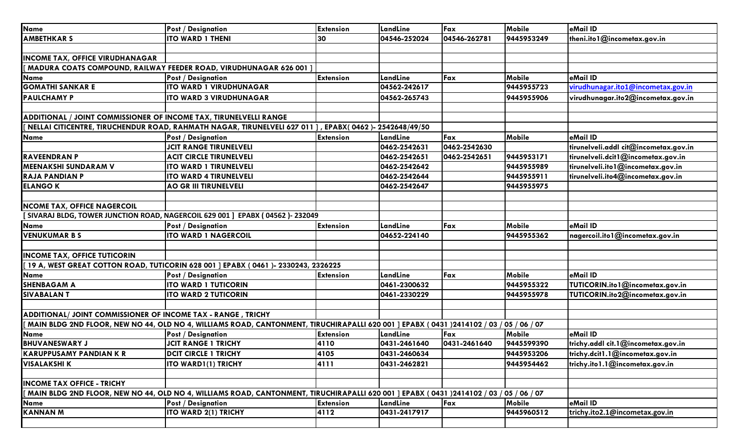| <b>Name</b>                                                       | <b>Post / Designation</b>                                                                                                               | <b>Extension</b> | LandLine     | Fax          | Mobile        | eMail ID                              |
|-------------------------------------------------------------------|-----------------------------------------------------------------------------------------------------------------------------------------|------------------|--------------|--------------|---------------|---------------------------------------|
| <b>AMBETHKAR S</b>                                                | <b>ITO WARD 1 THENI</b>                                                                                                                 | 30               | 04546-252024 | 04546-262781 | 9445953249    | theni.ito1@incometax.gov.in           |
|                                                                   |                                                                                                                                         |                  |              |              |               |                                       |
| <b>INCOME TAX, OFFICE VIRUDHANAGAR</b>                            |                                                                                                                                         |                  |              |              |               |                                       |
|                                                                   | MADURA COATS COMPOUND, RAILWAY FEEDER ROAD, VIRUDHUNAGAR 626 001                                                                        |                  |              |              |               |                                       |
| <b>Name</b>                                                       | Post / Designation                                                                                                                      | <b>Extension</b> | LandLine     | Fax          | Mobile        | eMail ID                              |
| <b>GOMATHI SANKAR E</b>                                           | <b>ITO WARD 1 VIRUDHUNAGAR</b>                                                                                                          |                  | 04562-242617 |              | 9445955723    | virudhunagar.ito1@incometax.gov.in    |
| <b>PAULCHAMY P</b>                                                | <b>ITO WARD 3 VIRUDHUNAGAR</b>                                                                                                          |                  | 04562-265743 |              | 9445955906    | virudhunagar.ito2@incometax.gov.in    |
|                                                                   |                                                                                                                                         |                  |              |              |               |                                       |
| ADDITIONAL / JOINT COMMISSIONER OF INCOME TAX, TIRUNELVELLI RANGE |                                                                                                                                         |                  |              |              |               |                                       |
|                                                                   | NELLAI CITICENTRE, TIRUCHENDUR ROAD, RAHMATH NAGAR, TIRUNELVELI 627 011 ] , EPABX( 0462 )- 2542648/49/50                                |                  |              |              |               |                                       |
| <b>Name</b>                                                       | <b>Post / Designation</b>                                                                                                               | <b>Extension</b> | LandLine     | Fax          | Mobile        | eMail ID                              |
|                                                                   | <b>JCIT RANGE TIRUNELVELI</b>                                                                                                           |                  | 0462-2542631 | 0462-2542630 |               | tirunelveli.addl cit@incometax.gov.in |
| <b>RAVEENDRAN P</b>                                               | <b>ACIT CIRCLE TIRUNELVELI</b>                                                                                                          |                  | 0462-2542651 | 0462-2542651 | 9445953171    | tirunelveli.dcit1@incometax.gov.in    |
| <b>MEENAKSHI SUNDARAM V</b>                                       | <b>ITO WARD 1 TIRUNELVELI</b>                                                                                                           |                  | 0462-2542642 |              | 9445955989    | tirunelveli.ito1@incometax.gov.in     |
| <b>RAJA PANDIAN P</b>                                             | <b>ITO WARD 4 TIRUNELVELI</b>                                                                                                           |                  | 0462-2542644 |              | 9445955911    | tirunelveli.ito4@incometax.gov.in     |
| <b>ELANGO K</b>                                                   | <b>AO GR III TIRUNELVELI</b>                                                                                                            |                  | 0462-2542647 |              | 9445955975    |                                       |
|                                                                   |                                                                                                                                         |                  |              |              |               |                                       |
| <b>NCOME TAX, OFFICE NAGERCOIL</b>                                |                                                                                                                                         |                  |              |              |               |                                       |
|                                                                   | [ SIVARAJ BLDG, TOWER JUNCTION ROAD, NAGERCOIL 629 001 ] EPABX ( 04562 )- 232049                                                        |                  |              |              |               |                                       |
| Name                                                              | <b>Post / Designation</b>                                                                                                               | <b>Extension</b> | LandLine     | Fax          | <b>Mobile</b> | eMail ID                              |
| <b>VENUKUMAR B S</b>                                              | <b>ITO WARD 1 NAGERCOIL</b>                                                                                                             |                  | 04652-224140 |              | 9445955362    | nagercoil.itol@incometax.gov.in       |
|                                                                   |                                                                                                                                         |                  |              |              |               |                                       |
| <b>INCOME TAX, OFFICE TUTICORIN</b>                               |                                                                                                                                         |                  |              |              |               |                                       |
|                                                                   | 19 A, WEST GREAT COTTON ROAD, TUTICORIN 628 001 ] EPABX (0461 )- 2330243, 2326225                                                       |                  |              |              |               |                                       |
| <b>Name</b>                                                       | <b>Post / Designation</b>                                                                                                               | <b>Extension</b> | LandLine     | Fax          | <b>Mobile</b> | eMail ID                              |
| <b>SHENBAGAM A</b>                                                | <b>ITO WARD 1 TUTICORIN</b>                                                                                                             |                  | 0461-2300632 |              | 9445955322    | TUTICORIN.ito1@incometax.gov.in       |
| <b>SIVABALANT</b>                                                 | <b>ITO WARD 2 TUTICORIN</b>                                                                                                             |                  | 0461-2330229 |              | 9445955978    | TUTICORIN.ito2@incometax.gov.in       |
|                                                                   |                                                                                                                                         |                  |              |              |               |                                       |
| ADDITIONAL/JOINT COMMISSIONER OF INCOME TAX - RANGE, TRICHY       |                                                                                                                                         |                  |              |              |               |                                       |
|                                                                   | MAIN BLDG 2ND FLOOR, NEW NO 44, OLD NO 4, WILLIAMS ROAD, CANTONMENT, TIRUCHIRAPALLI 620 001 ] EPABX ( 0431 )2414102 / 03 / 05 / 06 / 07 |                  |              |              |               |                                       |
| <b>Name</b>                                                       | <b>Post / Designation</b>                                                                                                               | <b>Extension</b> | LandLine     | Fax          | Mobile        | eMail ID                              |
| <b>BHUVANESWARY J</b>                                             | <b>JCIT RANGE 1 TRICHY</b>                                                                                                              | 4110             | 0431-2461640 | 0431-2461640 | 9445599390    | trichy.addl cit.1@incometax.gov.in    |
| <b>KARUPPUSAMY PANDIAN K R</b>                                    | <b>DCIT CIRCLE 1 TRICHY</b>                                                                                                             | 4105             | 0431-2460634 |              | 9445953206    | trichy.dcit1.1@incometax.gov.in       |
| <b>VISALAKSHI K</b>                                               | <b>ITO WARD1(1) TRICHY</b>                                                                                                              | 4111             | 0431-2462821 |              | 9445954462    | trichy.ito1.1@incometax.gov.in        |
|                                                                   |                                                                                                                                         |                  |              |              |               |                                       |
| <b>INCOME TAX OFFICE - TRICHY</b>                                 |                                                                                                                                         |                  |              |              |               |                                       |
|                                                                   | MAIN BLDG 2ND FLOOR, NEW NO 44, OLD NO 4, WILLIAMS ROAD, CANTONMENT, TIRUCHIRAPALLI 620 001 ] EPABX ( 0431 )2414102 / 03 / 05 / 06 / 07 |                  |              |              |               |                                       |
| Name                                                              | <b>Post / Designation</b>                                                                                                               | <b>Extension</b> | LandLine     | Fax          | Mobile        | eMail ID                              |
| <b>KANNAN M</b>                                                   | ITO WARD 2(1) TRICHY                                                                                                                    | 4112             | 0431-2417917 |              | 9445960512    | trichy.ito2.1@incometax.gov.in        |
|                                                                   |                                                                                                                                         |                  |              |              |               |                                       |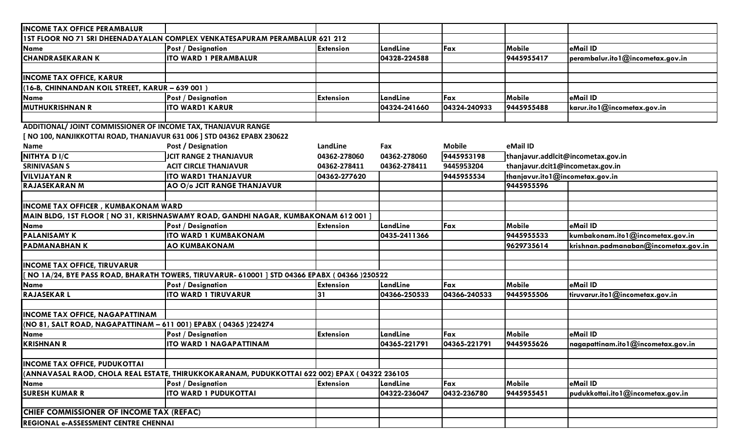| <b>INCOME TAX OFFICE PERAMBALUR</b>                                     |                                                                                               |                  |              |               |                                    |                                      |
|-------------------------------------------------------------------------|-----------------------------------------------------------------------------------------------|------------------|--------------|---------------|------------------------------------|--------------------------------------|
|                                                                         | 15T FLOOR NO 71 SRI DHEENADAYALAN COMPLEX VENKATESAPURAM PERAMBALUR 621 212                   |                  |              |               |                                    |                                      |
| <b>Name</b>                                                             | <b>Post / Designation</b>                                                                     | <b>Extension</b> | LandLine     | Fax           | Mobile                             | eMail ID                             |
| <b>CHANDRASEKARAN K</b>                                                 | <b>ITO WARD 1 PERAMBALUR</b>                                                                  |                  | 04328-224588 |               | 9445955417                         | perambalur.ito1@incometax.gov.in     |
|                                                                         |                                                                                               |                  |              |               |                                    |                                      |
| <b>INCOME TAX OFFICE, KARUR</b>                                         |                                                                                               |                  |              |               |                                    |                                      |
| (16-B, CHINNANDAN KOIL STREET, KARUR - 639 001)                         |                                                                                               |                  |              |               |                                    |                                      |
| <b>Name</b>                                                             | <b>Post / Designation</b>                                                                     | <b>Extension</b> | LandLine     | Fax           | Mobile                             | eMail ID                             |
| <b>MUTHUKRISHNAN R</b>                                                  | <b>ITO WARD1 KARUR</b>                                                                        |                  | 04324-241660 | 04324-240933  | 9445955488                         | karur.ito1@incometax.gov.in          |
|                                                                         |                                                                                               |                  |              |               |                                    |                                      |
| ADDITIONAL/ JOINT COMMISSIONER OF INCOME TAX, THANJAVUR RANGE           |                                                                                               |                  |              |               |                                    |                                      |
| [ NO 100, NANJIKKOTTAI ROAD, THANJAVUR 631 006 ] STD 04362 EPABX 230622 |                                                                                               |                  |              |               |                                    |                                      |
| <b>Name</b>                                                             | Post / Designation                                                                            | LandLine         | Fax          | <b>Mobile</b> | eMail ID                           |                                      |
| NITHYA DI/C                                                             | <b>JCIT RANGE 2 THANJAVUR</b>                                                                 | 04362-278060     | 04362-278060 | 9445953198    | thanjavur.addlcit@incometax.gov.in |                                      |
| <b>SRINIVASAN S</b>                                                     | <b>ACIT CIRCLE THANJAVUR</b>                                                                  | 04362-278411     | 04362-278411 | 9445953204    | thanjavur.dcit1@incometax.gov.in   |                                      |
| <b>VILVIJAYAN R</b>                                                     | <b>ITO WARD1 THANJAVUR</b>                                                                    | 04362-277620     |              | 9445955534    | thanjavur.ito1@incometax.gov.in    |                                      |
| <b>RAJASEKARAN M</b>                                                    | AO O/o JCIT RANGE THANJAVUR                                                                   |                  |              |               | 9445955596                         |                                      |
|                                                                         |                                                                                               |                  |              |               |                                    |                                      |
| <b>INCOME TAX OFFICER, KUMBAKONAM WARD</b>                              |                                                                                               |                  |              |               |                                    |                                      |
|                                                                         | MAIN BLDG, 1ST FLOOR   NO 31, KRISHNASWAMY ROAD, GANDHI NAGAR, KUMBAKONAM 612 001             |                  |              |               |                                    |                                      |
| <b>Name</b>                                                             | Post / Designation                                                                            | <b>Extension</b> | LandLine     | Fax           | Mobile                             | eMail ID                             |
| <b>PALANISAMY K</b>                                                     | <b>ITO WARD 1 KUMBAKONAM</b>                                                                  |                  | 0435-2411366 |               | 9445955533                         | kumbakonam.ito1@incometax.gov.in     |
| <b>PADMANABHANK</b>                                                     | <b>AO KUMBAKONAM</b>                                                                          |                  |              |               | 9629735614                         | krishnan.padmanaban@incometax.gov.in |
|                                                                         |                                                                                               |                  |              |               |                                    |                                      |
| <b>INCOME TAX OFFICE, TIRUVARUR</b>                                     |                                                                                               |                  |              |               |                                    |                                      |
|                                                                         | NO 1A/24, BYE PASS ROAD, BHARATH TOWERS, TIRUVARUR- 610001 ] STD 04366 EPABX (04366 )250522   |                  |              |               |                                    |                                      |
| <b>Name</b>                                                             | <b>Post / Designation</b>                                                                     | <b>Extension</b> | LandLine     | Fax           | Mobile                             | eMail ID                             |
| <b>RAJASEKARL</b>                                                       | <b>ITO WARD 1 TIRUVARUR</b>                                                                   | 31               | 04366-250533 | 04366-240533  | 9445955506                         | tiruvarur.ito1@incometax.gov.in      |
|                                                                         |                                                                                               |                  |              |               |                                    |                                      |
| <b>INCOME TAX OFFICE, NAGAPATTINAM</b>                                  |                                                                                               |                  |              |               |                                    |                                      |
| (NO 81, SALT ROAD, NAGAPATTINAM - 611 001) EPABX (04365)224274          |                                                                                               |                  |              |               |                                    |                                      |
| <b>Name</b>                                                             | <b>Post / Designation</b>                                                                     | <b>Extension</b> | LandLine     | Fax           | Mobile                             | eMail ID                             |
| <b>KRISHNAN R</b>                                                       | <b>ITO WARD 1 NAGAPATTINAM</b>                                                                |                  | 04365-221791 | 04365-221791  | 9445955626                         | nagapattinam.ito1@incometax.gov.in   |
|                                                                         |                                                                                               |                  |              |               |                                    |                                      |
| <b>INCOME TAX OFFICE, PUDUKOTTAI</b>                                    |                                                                                               |                  |              |               |                                    |                                      |
|                                                                         | (ANNAVASAL RAOD, CHOLA REAL ESTATE, THIRUKKOKARANAM, PUDUKKOTTAI 622 002) EPAX ( 04322 236105 |                  |              |               |                                    |                                      |
| <b>Name</b>                                                             | <b>Post / Designation</b>                                                                     | <b>Extension</b> | LandLine     | Fax           | Mobile                             | eMail ID                             |
| <b>SURESH KUMAR R</b>                                                   | <b>ITO WARD 1 PUDUKOTTAI</b>                                                                  |                  | 04322-236047 | 0432-236780   | 9445955451                         | pudukkottai.ito1@incometax.gov.in    |
|                                                                         |                                                                                               |                  |              |               |                                    |                                      |
| CHIEF COMMISSIONER OF INCOME TAX (REFAC)                                |                                                                                               |                  |              |               |                                    |                                      |
| REGIONAL e-ASSESSMENT CENTRE CHENNAI                                    |                                                                                               |                  |              |               |                                    |                                      |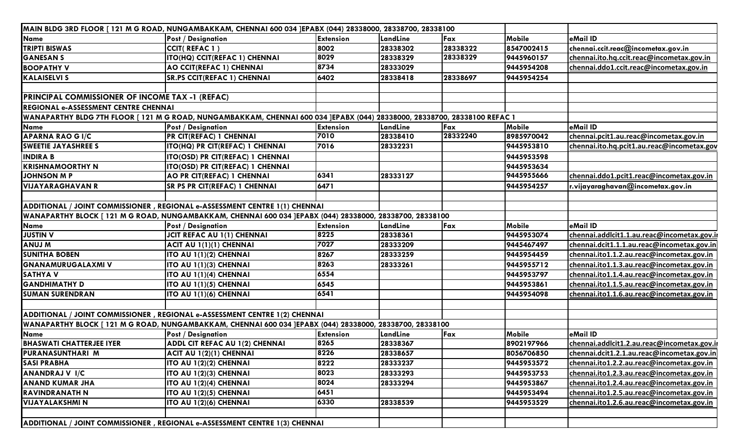| MAIN BLDG 3RD FLOOR [121 M G ROAD, NUNGAMBAKKAM, CHENNAI 600 034 ]EPABX (044) 28338000, 28338700, 28338100 |                                                                                                                          |                  |          |          |               |                                             |
|------------------------------------------------------------------------------------------------------------|--------------------------------------------------------------------------------------------------------------------------|------------------|----------|----------|---------------|---------------------------------------------|
| <b>Name</b>                                                                                                | <b>Post / Designation</b>                                                                                                | <b>Extension</b> | LandLine | Fax      | <b>Mobile</b> | eMail ID                                    |
| <b>TRIPTI BISWAS</b>                                                                                       | CCIT(REFAC 1)                                                                                                            | 8002             | 28338302 | 28338322 | 8547002415    | chennai.ccit.reac@incometax.gov.in          |
| <b>GANESAN S</b>                                                                                           | ITO(HQ) CCIT(REFAC 1) CHENNAI                                                                                            | 8029             | 28338329 | 28338329 | 9445960157    | chennai.ito.hq.ccit.reac@incometax.gov.in   |
| <b>BOOPATHY V</b>                                                                                          | <b>AO CCIT(REFAC 1) CHENNAI</b>                                                                                          | 8734             | 28333029 |          | 9445954208    | chennai.ddo1.ccit.reac@incometax.gov.in     |
| <b>KALAISELVI S</b>                                                                                        | <b>SR.PS CCIT(REFAC 1) CHENNAI</b>                                                                                       | 6402             | 28338418 | 28338697 | 9445954254    |                                             |
|                                                                                                            |                                                                                                                          |                  |          |          |               |                                             |
| <b>PRINCIPAL COMMISSIONER OF INCOME TAX -1 (REFAC)</b>                                                     |                                                                                                                          |                  |          |          |               |                                             |
| <b>REGIONAL e-ASSESSMENT CENTRE CHENNAI</b>                                                                |                                                                                                                          |                  |          |          |               |                                             |
|                                                                                                            | WANAPARTHY BLDG 7TH FLOOR [121 M G ROAD, NUNGAMBAKKAM, CHENNAI 600 034 ]EPABX (044) 28338000, 28338700, 28338100 REFAC 1 |                  |          |          |               |                                             |
| Name                                                                                                       | <b>Post / Designation</b>                                                                                                | <b>Extension</b> | LandLine | Fax      | Mobile        | eMail ID                                    |
| <b>APARNA RAO GI/C</b>                                                                                     | PR CIT(REFAC) 1 CHENNAI                                                                                                  | 7010             | 28338410 | 28332240 | 8985970042    | chennai.pcit1.au.reac@incometax.gov.in      |
| <b>SWEETIE JAYASHREE S</b>                                                                                 | ITO(HQ) PR CIT(REFAC) 1 CHENNAI                                                                                          | 7016             | 28332231 |          | 9445953810    | chennai.ito.hq.pcit1.au.reac@incometax.gov  |
| <b>INDIRA B</b>                                                                                            | ITO(OSD) PR CIT(REFAC) 1 CHENNAI                                                                                         |                  |          |          | 9445953598    |                                             |
| <b>KRISHNAMOORTHY N</b>                                                                                    | ITO(OSD) PR CIT(REFAC) 1 CHENNAI                                                                                         |                  |          |          | 9445953634    |                                             |
| <b>JOHNSON M P</b>                                                                                         | AO PR CIT(REFAC) 1 CHENNAI                                                                                               | 6341             | 28333127 |          | 9445955666    | chennai.ddo1.pcit1.reac@incometax.gov.in    |
| <b>VIJAYARAGHAVAN R</b>                                                                                    | <b>SR PS PR CIT(REFAC) 1 CHENNAI</b>                                                                                     | 6471             |          |          | 9445954257    | r.vijayaraghavan@incometax.gov.in           |
|                                                                                                            |                                                                                                                          |                  |          |          |               |                                             |
| ADDITIONAL / JOINT COMMISSIONER , REGIONAL e-ASSESSMENT CENTRE 1(1) CHENNAI                                |                                                                                                                          |                  |          |          |               |                                             |
|                                                                                                            | WANAPARTHY BLOCK [ 121 M G ROAD, NUNGAMBAKKAM, CHENNAI 600 034 ]EPABX (044) 28338000, 28338700, 28338100                 |                  |          |          |               |                                             |
| <b>Name</b>                                                                                                | <b>Post / Designation</b>                                                                                                | <b>Extension</b> | LandLine | Fax      | <b>Mobile</b> | eMail ID                                    |
| <b>JUSTIN V</b>                                                                                            | <b>JCIT REFAC AU 1(1) CHENNAI</b>                                                                                        | 8225             | 28338361 |          | 9445953074    | chennai.addlcit1.1.au.reac@incometax.gov.ir |
| <b>ANUJM</b>                                                                                               | ACIT AU 1(1)(1) CHENNAI                                                                                                  | 7027             | 28333209 |          | 9445467497    | chennai.dcit1.1.1.au.reac@incometax.gov.in  |
| <b>SUNITHA BOBEN</b>                                                                                       | ITO AU 1(1)(2) CHENNAI                                                                                                   | 8267             | 28333259 |          | 9445954459    | chennai.ito1.1.2.au.reac@incometax.gov.in   |
| <b>GNANAMURUGALAXMI V</b>                                                                                  | ITO AU 1(1)(3) CHENNAI                                                                                                   | 8263             | 28333261 |          | 9445955712    | chennai.ito1.1.3.au.reac@incometax.gov.in   |
| <b>SATHYAV</b>                                                                                             | ITO AU 1(1)(4) CHENNAI                                                                                                   | 6554             |          |          | 9445953797    | chennai.ito1.1.4.au.reac@incometax.gov.in   |
| <b>GANDHIMATHY D</b>                                                                                       | ITO AU 1(1)(5) CHENNAI                                                                                                   | 6545             |          |          | 9445953861    | chennai.ito1.1.5.au.reac@incometax.gov.in   |
| <b>SUMAN SURENDRAN</b>                                                                                     | ITO AU 1(1)(6) CHENNAI                                                                                                   | 6541             |          |          | 9445954098    | chennai.ito1.1.6.au.reac@incometax.gov.in   |
|                                                                                                            |                                                                                                                          |                  |          |          |               |                                             |
|                                                                                                            | ADDITIONAL / JOINT COMMISSIONER, REGIONAL e-ASSESSMENT CENTRE 1(2) CHENNAI                                               |                  |          |          |               |                                             |
|                                                                                                            | WANAPARTHY BLOCK [ 121 M G ROAD, NUNGAMBAKKAM, CHENNAI 600 034 ]EPABX (044) 28338000, 28338700, 28338100                 |                  |          |          |               |                                             |
| Name                                                                                                       | <b>Post / Designation</b>                                                                                                | <b>Extension</b> | LandLine | Fax      | Mobile        | eMail ID                                    |
| <b>BHASWATI CHATTERJEE IYER</b>                                                                            | ADDL CIT REFAC AU 1(2) CHENNAI                                                                                           | 8265             | 28338367 |          | 8902197966    | chennai.addlcit1.2.au.reac@incometax.gov.ir |
| PURANASUNTHARI M                                                                                           | ACIT AU 1(2)(1) CHENNAI                                                                                                  | 8226             | 28338657 |          | 8056706850    | chennai.dcit1.2.1.au.reac@incometax.gov.in  |
| <b>SASI PRABHA</b>                                                                                         | ITO AU 1(2)(2) CHENNAI                                                                                                   | 8222             | 28333237 |          | 9445953572    | chennai.ito1.2.2.au.reac@incometax.gov.in   |
| <b>ANANDRAJ V I/C</b>                                                                                      | ITO AU 1(2)(3) CHENNAI                                                                                                   | 8023             | 28333293 |          | 9445953753    | chennai.ito1.2.3.au.reac@incometax.gov.in   |
| <b>ANAND KUMAR JHA</b>                                                                                     | ITO AU 1(2)(4) CHENNAI                                                                                                   | 8024             | 28333294 |          | 9445953867    | chennai.ito1.2.4.au.reac@incometax.gov.in   |
| <b>RAVINDRANATH N</b>                                                                                      | ITO AU 1(2)(5) CHENNAI                                                                                                   | 6451             |          |          | 9445953494    | chennai.ito1.2.5.au.reac@incometax.gov.in   |
| <b>VIJAYALAKSHMI N</b>                                                                                     | ITO AU 1(2)(6) CHENNAI                                                                                                   | 6330             | 28338539 |          | 9445953529    | chennai.ito1.2.6.au.reac@incometax.gov.in   |
|                                                                                                            |                                                                                                                          |                  |          |          |               |                                             |
|                                                                                                            | ADDITIONAL / JOINT COMMISSIONER, REGIONAL e-ASSESSMENT CENTRE 1(3) CHENNAI                                               |                  |          |          |               |                                             |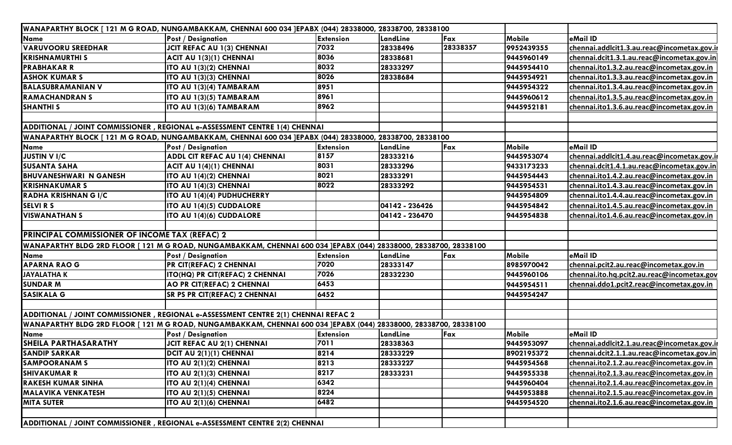|                                                       | WANAPARTHY BLOCK [ 121 M G ROAD, NUNGAMBAKKAM, CHENNAI 600 034 JEPABX (044) 28338000, 28338700, 28338100          |                  |                |          |            |                                             |
|-------------------------------------------------------|-------------------------------------------------------------------------------------------------------------------|------------------|----------------|----------|------------|---------------------------------------------|
| <b>Name</b>                                           | <b>Post / Designation</b>                                                                                         | <b>Extension</b> | LandLine       | Fax      | Mobile     | eMail ID                                    |
| <b>VARUVOORU SREEDHAR</b>                             | <b>JCIT REFAC AU 1(3) CHENNAI</b>                                                                                 | 7032             | 28338496       | 28338357 | 9952439355 | chennai.addlcit1.3.au.reac@incometax.gov.ii |
| <b>KRISHNAMURTHI S</b>                                | ACIT AU 1(3)(1) CHENNAI                                                                                           | 8036             | 28338681       |          | 9445960149 | chennai.dcit1.3.1.au.reac@incometax.gov.in  |
| <b>PRABHAKAR R</b>                                    | ITO AU 1(3)(2) CHENNAI                                                                                            | 8032             | 28333297       |          | 9445954410 | chennai.ito1.3.2.au.reac@incometax.gov.in   |
| <b>ASHOK KUMAR S</b>                                  | ITO AU 1(3)(3) CHENNAI                                                                                            | 8026             | 28338684       |          | 9445954921 | chennai.ito1.3.3.au.reac@incometax.gov.in   |
| <b>BALASUBRAMANIAN V</b>                              | ITO AU 1(3)(4) TAMBARAM                                                                                           | 8951             |                |          | 9445954322 | chennai.ito1.3.4.au.reac@incometax.gov.in   |
| <b>RAMACHANDRAN S</b>                                 | ITO AU 1(3)(5) TAMBARAM                                                                                           | 8961             |                |          | 9445960612 | chennai.ito1.3.5.au.reac@incometax.gov.in   |
| <b>SHANTHI S</b>                                      | ITO AU 1(3)(6) TAMBARAM                                                                                           | 8962             |                |          | 9445952181 | chennai.ito1.3.6.au.reac@incometax.gov.in   |
|                                                       |                                                                                                                   |                  |                |          |            |                                             |
|                                                       | ADDITIONAL / JOINT COMMISSIONER, REGIONAL e-ASSESSMENT CENTRE 1(4) CHENNAI                                        |                  |                |          |            |                                             |
|                                                       | WANAPARTHY BLOCK [ 121 M G ROAD, NUNGAMBAKKAM, CHENNAI 600 034 ]EPABX (044) 28338000, 28338700, 28338100          |                  |                |          |            |                                             |
| <b>Name</b>                                           | <b>Post / Designation</b>                                                                                         | <b>Extension</b> | LandLine       | Fax      | Mobile     | eMail ID                                    |
| <b>JUSTIN V I/C</b>                                   | <b>ADDL CIT REFAC AU 1(4) CHENNAI</b>                                                                             | 8157             | 28333216       |          | 9445953074 | chennai.addlcit1.4.au.reac@incometax.gov.ir |
| <b>SUSANTA SAHA</b>                                   | ACIT AU 1(4)(1) CHENNAI                                                                                           | 8031             | 28333296       |          | 9433173233 | chennai.dcit1.4.1.au.reac@incometax.gov.in  |
| <b>BHUVANESHWARI N GANESH</b>                         | ITO AU 1(4)(2) CHENNAI                                                                                            | 8021             | 28333291       |          | 9445954443 | chennai.ito1.4.2.au.reac@incometax.gov.in   |
| <b>IKRISHNAKUMAR S</b>                                | ITO AU 1(4)(3) CHENNAI                                                                                            | 8022             | 28333292       |          | 9445954531 | chennai.ito1.4.3.au.reac@incometax.gov.in   |
| RADHA KRISHNAN G I/C                                  | ITO AU 1(4)(4) PUDHUCHERRY                                                                                        |                  |                |          | 9445954809 | chennai.ito1.4.4.au.reac@incometax.gov.in   |
| <b>SELVIRS</b>                                        | ITO AU 1(4)(5) CUDDALORE                                                                                          |                  | 04142 - 236426 |          | 9445954842 | chennai.ito1.4.5.au.reac@incometax.gov.in   |
| <b>VISWANATHAN S</b>                                  | ITO AU 1(4)(6) CUDDALORE                                                                                          |                  | 04142 - 236470 |          | 9445954838 | chennai.ito1.4.6.au.reac@incometax.gov.in   |
|                                                       |                                                                                                                   |                  |                |          |            |                                             |
| <b>PRINCIPAL COMMISSIONER OF INCOME TAX (REFAC) 2</b> |                                                                                                                   |                  |                |          |            |                                             |
|                                                       | WANAPARTHY BLDG 2RD FLOOR [ 121 M G ROAD, NUNGAMBAKKAM, CHENNAI 600 034 ]EPABX (044) 28338000, 28338700, 28338100 |                  |                |          |            |                                             |
| <b>Name</b>                                           | <b>Post / Designation</b>                                                                                         | <b>Extension</b> | LandLine       | Fax      | Mobile     | eMail ID                                    |
| <b>APARNA RAO G</b>                                   | PR CIT(REFAC) 2 CHENNAI                                                                                           | 7020             | 28333147       |          | 8985970042 | chennai.pcit2.au.reac@incometax.gov.in      |
| <b>JAYALATHAK</b>                                     | ITO(HQ) PR CIT(REFAC) 2 CHENNAI                                                                                   | 7026             | 28332230       |          | 9445960106 | chennai.ito.hq.pcit2.au.reac@incometax.gov  |
| <b>SUNDAR M</b>                                       | AO PR CIT(REFAC) 2 CHENNAI                                                                                        | 6453             |                |          | 9445954511 | chennai.ddo1.pcit2.reac@incometax.gov.in    |
| <b>SASIKALA G</b>                                     | SR PS PR CIT(REFAC) 2 CHENNAI                                                                                     | 6452             |                |          | 9445954247 |                                             |
|                                                       |                                                                                                                   |                  |                |          |            |                                             |
|                                                       | ADDITIONAL / JOINT COMMISSIONER, REGIONAL e-ASSESSMENT CENTRE 2(1) CHENNAI REFAC 2                                |                  |                |          |            |                                             |
|                                                       | WANAPARTHY BLDG 2RD FLOOR [ 121 M G ROAD, NUNGAMBAKKAM, CHENNAI 600 034 ]EPABX (044) 28338000, 28338700, 28338100 |                  |                |          |            |                                             |
| <b>Name</b>                                           | <b>Post / Designation</b>                                                                                         | <b>Extension</b> | LandLine       | Fax      | Mobile     | eMail ID                                    |
| <b>SHEILA PARTHASARATHY</b>                           | <b>JCIT REFAC AU 2(1) CHENNAI</b>                                                                                 | 7011             | 28338363       |          | 9445953097 | chennai.addlcit2.1.au.reac@incometax.gov.ii |
| <b>SANDIP SARKAR</b>                                  | DCIT AU 2(1)(1) CHENNAI                                                                                           | 8214             | 28333229       |          | 8902195372 | chennai.dcit2.1.1.au.reac@incometax.gov.in  |
| <b>SAMPOORANAM S</b>                                  | ITO AU 2(1)(2) CHENNAI                                                                                            | 8213             | 28333227       |          | 9445954568 | chennai.ito2.1.2.au.reac@incometax.gov.in   |
| <b>SHIVAKUMAR R</b>                                   | ITO AU 2(1)(3) CHENNAI                                                                                            | 8217             | 28333231       |          | 9445955338 | chennai.ito2.1.3.au.reac@incometax.gov.in   |
| <b>RAKESH KUMAR SINHA</b>                             | ITO AU 2(1)(4) CHENNAI                                                                                            | 6342             |                |          | 9445960404 | chennai.ito2.1.4.au.reac@incometax.gov.in   |
| <b>MALAVIKA VENKATESH</b>                             | ITO AU 2(1)(5) CHENNAI                                                                                            | 8224             |                |          | 9445953888 | chennai.ito2.1.5.au.reac@incometax.gov.in   |
| <b>MITA SUTER</b>                                     | ITO AU 2(1)(6) CHENNAI                                                                                            | 6482             |                |          | 9445954520 | chennai.ito2.1.6.au.reac@incometax.gov.in   |
|                                                       |                                                                                                                   |                  |                |          |            |                                             |
|                                                       | ADDITIONAL / JOINT COMMISSIONER, REGIONAL e-ASSESSMENT CENTRE 2(2) CHENNAI                                        |                  |                |          |            |                                             |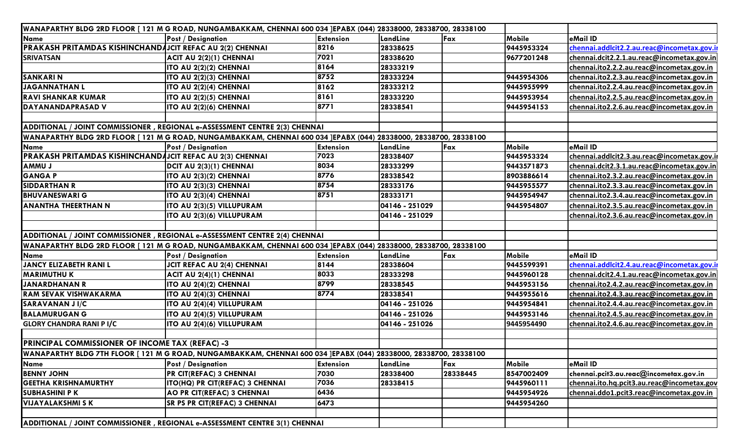| WANAPARTHY BLDG 2RD FLOOR [ 121 M G ROAD, NUNGAMBAKKAM, CHENNAI 600 034 ]EPABX (044) 28338000, 28338700, 28338100 |                                                                                                                   |                  |                              |          |               |                                             |  |  |
|-------------------------------------------------------------------------------------------------------------------|-------------------------------------------------------------------------------------------------------------------|------------------|------------------------------|----------|---------------|---------------------------------------------|--|--|
| <b>Name</b>                                                                                                       | <b>Post / Designation</b>                                                                                         | <b>Extension</b> | LandLine                     | Fax      | Mobile        | eMail ID                                    |  |  |
| PRAKASH PRITAMDAS KISHINCHANDAJCIT REFAC AU 2(2) CHENNAI                                                          |                                                                                                                   | 8216             | 28338625                     |          | 9445953324    | chennai.addlcit2.2.au.reac@incometax.gov.ii |  |  |
| <b>SRIVATSAN</b>                                                                                                  | ACIT AU 2(2)(1) CHENNAI                                                                                           | 7021             | 28338620                     |          | 9677201248    | chennai.dcit2.2.1.au.reac@incometax.gov.in  |  |  |
|                                                                                                                   | <b>ITO AU 2(2)(2) CHENNAI</b>                                                                                     | 8164             | 28333219                     |          |               | chennai.ito2.2.2.au.reac@incometax.gov.in   |  |  |
| <b>SANKARIN</b>                                                                                                   | <b>ITO AU 2(2)(3) CHENNAI</b>                                                                                     | 8752             | 28333224                     |          | 9445954306    | chennai.ito2.2.3.au.reac@incometax.gov.in   |  |  |
| <b>JAGANNATHAN L</b>                                                                                              | ITO AU 2(2)(4) CHENNAI                                                                                            | 8162             | 28333212                     |          | 9445955999    | chennai.ito2.2.4.au.reac@incometax.gov.in   |  |  |
| <b>RAVI SHANKAR KUMAR</b>                                                                                         | <b>ITO AU 2(2)(5) CHENNAI</b>                                                                                     | 8161             | 28333220                     |          | 9445953954    | chennai.ito2.2.5.au.reac@incometax.gov.in   |  |  |
| DAYANANDAPRASAD V                                                                                                 | <b>ITO AU 2(2)(6) CHENNAI</b>                                                                                     | 8771             | 28338541                     |          | 9445954153    | chennai.ito2.2.6.au.reac@incometax.gov.in   |  |  |
|                                                                                                                   |                                                                                                                   |                  |                              |          |               |                                             |  |  |
|                                                                                                                   | ADDITIONAL / JOINT COMMISSIONER, REGIONAL e-ASSESSMENT CENTRE 2(3) CHENNAI                                        |                  |                              |          |               |                                             |  |  |
|                                                                                                                   | WANAPARTHY BLDG 2RD FLOOR [ 121 M G ROAD, NUNGAMBAKKAM, CHENNAI 600 034 ]EPABX (044) 28338000, 28338700, 28338100 |                  |                              |          |               |                                             |  |  |
| Name                                                                                                              | <b>Post / Designation</b>                                                                                         | <b>Extension</b> | LandLine                     | Fax      | <b>Mobile</b> | eMail ID                                    |  |  |
| PRAKASH PRITAMDAS KISHINCHANDAJCIT REFAC AU 2(3) CHENNAI                                                          |                                                                                                                   | 7023             | 28338407                     |          | 9445953324    | chennai.addlcit2.3.au.reac@incometax.gov.ir |  |  |
| <b>L UMMA</b>                                                                                                     | DCIT AU 2(3)(1) CHENNAI                                                                                           | 8034             | 28333299                     |          | 9443571873    | chennai.dcit2.3.1.au.reac@incometax.gov.in  |  |  |
| <b>GANGAP</b>                                                                                                     | <b>ITO AU 2(3)(2) CHENNAI</b>                                                                                     | 8776             | 28338542                     |          | 8903886614    | chennai.ito2.3.2.au.reac@incometax.gov.in   |  |  |
| <b>SIDDARTHAN R</b>                                                                                               | <b>ITO AU 2(3)(3) CHENNAI</b>                                                                                     | 8754             | 28333176                     |          | 9445955577    | chennai.ito2.3.3.au.reac@incometax.gov.in   |  |  |
| <b>BHUVANESWARI G</b>                                                                                             | <b>ITO AU 2(3)(4) CHENNAI</b>                                                                                     | 8751             | 28333171                     |          | 9445954947    | chennai.ito2.3.4.au.reac@incometax.gov.in   |  |  |
| <b>ANANTHA THEERTHAN N</b>                                                                                        | <b>ITO AU 2(3)(5) VILLUPURAM</b>                                                                                  |                  | 04146 - 251029               |          | 9445954807    | chennai.ito2.3.5.au.reac@incometax.gov.in   |  |  |
|                                                                                                                   | ITO AU 2(3)(6) VILLUPURAM                                                                                         |                  | 04146 - 251029               |          |               | chennai.ito2.3.6.au.reac@incometax.gov.in   |  |  |
|                                                                                                                   |                                                                                                                   |                  |                              |          |               |                                             |  |  |
|                                                                                                                   | ADDITIONAL / JOINT COMMISSIONER, REGIONAL e-ASSESSMENT CENTRE 2(4) CHENNAI                                        |                  |                              |          |               |                                             |  |  |
|                                                                                                                   | WANAPARTHY BLDG 2RD FLOOR [ 121 M G ROAD, NUNGAMBAKKAM, CHENNAI 600 034 ]EPABX (044) 28338000, 28338700, 28338100 |                  |                              |          |               |                                             |  |  |
| Name                                                                                                              | <b>Post / Designation</b>                                                                                         | <b>Extension</b> | LandLine                     | Fax      | Mobile        | eMail ID                                    |  |  |
| JANCY ELIZABETH RANI L                                                                                            | JCIT REFAC AU 2(4) CHENNAI                                                                                        | 8144             | 28338604                     |          | 9445599391    | chennai.addlcit2.4.au.reac@incometax.gov.ir |  |  |
| <b>MARIMUTHU K</b>                                                                                                | ACIT AU 2(4)(1) CHENNAI                                                                                           | 8033             | 28333298                     |          | 9445960128    | chennai.dcit2.4.1.au.reac@incometax.gov.in  |  |  |
| <b>JANARDHANAN R</b>                                                                                              | <b>ITO AU 2(4)(2) CHENNAI</b>                                                                                     | 8799             | 28338545                     |          | 9445953156    | chennai.ito2.4.2.au.reac@incometax.gov.in   |  |  |
| <b>RAM SEVAK VISHWAKARMA</b>                                                                                      | <b>ITO AU 2(4)(3) CHENNAI</b>                                                                                     | 8774             | 28338541                     |          | 9445955616    | chennai.ito2.4.3.au.reac@incometax.gov.in   |  |  |
| SARAVANAN JI/C                                                                                                    | <b>ITO AU 2(4)(4) VILLUPURAM</b>                                                                                  |                  | $\overline{04}$ 146 - 251026 |          | 9445954841    | chennai.ito2.4.4.au.reac@incometax.gov.in   |  |  |
| <b>BALAMURUGAN G</b>                                                                                              | <b>ITO AU 2(4)(5) VILLUPURAM</b>                                                                                  |                  | 04146 - 251026               |          | 9445953146    | chennai.ito2.4.5.au.reac@incometax.gov.in   |  |  |
| <b>GLORY CHANDRA RANI P I/C</b>                                                                                   | ITO AU 2(4)(6) VILLUPURAM                                                                                         |                  | 04146 - 251026               |          | 9445954490    | chennai.ito2.4.6.au.reac@incometax.gov.in   |  |  |
|                                                                                                                   |                                                                                                                   |                  |                              |          |               |                                             |  |  |
| PRINCIPAL COMMISSIONER OF INCOME TAX (REFAC) -3                                                                   |                                                                                                                   |                  |                              |          |               |                                             |  |  |
|                                                                                                                   | WANAPARTHY BLDG 7TH FLOOR [ 121 M G ROAD, NUNGAMBAKKAM, CHENNAI 600 034 ]EPABX (044) 28338000, 28338700, 28338100 |                  |                              |          |               |                                             |  |  |
| Name                                                                                                              | <b>Post / Designation</b>                                                                                         | Extension        | LandLine                     | Fax      | Mobile        | eMail ID                                    |  |  |
| <b>BENNY JOHN</b>                                                                                                 | <b>PR CIT(REFAC) 3 CHENNAI</b>                                                                                    | 7030             | 28338400                     | 28338445 | 8547002409    | chennai.pcit3.au.reac@incometax.gov.in      |  |  |
| <b>GEETHA KRISHNAMURTHY</b>                                                                                       | <b>ITO(HQ) PR CIT(REFAC) 3 CHENNAI</b>                                                                            | 7036             | 28338415                     |          | 9445960111    | chennai.ito.hq.pcit3.au.reac@incometax.gov  |  |  |
| <b>SUBHASHINI PK</b>                                                                                              | AO PR CIT(REFAC) 3 CHENNAI                                                                                        | 6436             |                              |          | 9445954926    | chennai.ddo1.pcit3.reac@incometax.gov.in    |  |  |
| <b>VIJAYALAKSHMI S K</b>                                                                                          | <b>SR PS PR CIT(REFAC) 3 CHENNAI</b>                                                                              | 6473             |                              |          | 9445954260    |                                             |  |  |
|                                                                                                                   |                                                                                                                   |                  |                              |          |               |                                             |  |  |
| ADDITIONAL / JOINT COMMISSIONER, REGIONAL e-ASSESSMENT CENTRE 3(1) CHENNAI                                        |                                                                                                                   |                  |                              |          |               |                                             |  |  |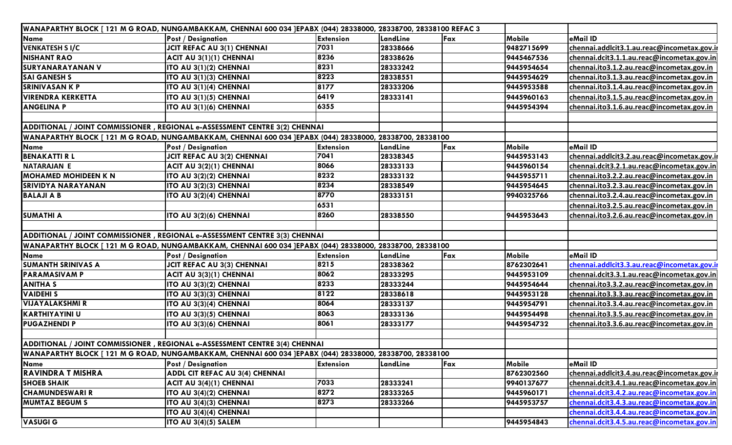|                             | WANAPARTHY BLOCK [121 M G ROAD, NUNGAMBAKKAM, CHENNAI 600 034 ]EPABX (044) 28338000, 28338700, 28338100 REFAC 3 |                  |          |     |               |                                             |
|-----------------------------|-----------------------------------------------------------------------------------------------------------------|------------------|----------|-----|---------------|---------------------------------------------|
| <b>Name</b>                 | <b>Post / Designation</b>                                                                                       | <b>Extension</b> | LandLine | Fax | <b>Mobile</b> | eMail ID                                    |
| <b>VENKATESH S I/C</b>      | <b>JCIT REFAC AU 3(1) CHENNAI</b>                                                                               | 7031             | 28338666 |     | 9482715699    | chennai.addlcit3.1.au.reac@incometax.gov.il |
| <b>NISHANT RAO</b>          | ACIT AU 3(1)(1) CHENNAI                                                                                         | 8236             | 28338626 |     | 9445467536    | chennai.dcit3.1.1.au.reac@incometax.gov.in  |
| <b>SURYANARAYANAN V</b>     | ITO AU 3(1)(2) CHENNAI                                                                                          | 8231             | 28333242 |     | 9445954654    | chennai.ito3.1.2.au.reac@incometax.gov.in   |
| <b>SAI GANESH S</b>         | ITO AU 3(1)(3) CHENNAI                                                                                          | 8223             | 28338551 |     | 9445954629    | chennai.ito3.1.3.au.reac@incometax.gov.in   |
| <b>SRINIVASAN K P</b>       | ITO AU 3(1)(4) CHENNAI                                                                                          | 8177             | 28333206 |     | 9445953588    | chennai.ito3.1.4.au.reac@incometax.gov.in   |
| <b>VIRENDRA KERKETTA</b>    | ITO AU 3(1)(5) CHENNAI                                                                                          | 6419             | 28333141 |     | 9445960163    | chennai.ito3.1.5.au.reac@incometax.gov.in   |
| <b>ANGELINA P</b>           | ITO AU 3(1)(6) CHENNAI                                                                                          | 6355             |          |     | 9445954394    | chennai.ito3.1.6.au.reac@incometax.gov.in   |
|                             |                                                                                                                 |                  |          |     |               |                                             |
|                             | ADDITIONAL / JOINT COMMISSIONER, REGIONAL e-ASSESSMENT CENTRE 3(2) CHENNAI                                      |                  |          |     |               |                                             |
|                             | WANAPARTHY BLOCK [ 121 M G ROAD, NUNGAMBAKKAM, CHENNAI 600 034 ]EPABX (044) 28338000, 28338700, 28338100        |                  |          |     |               |                                             |
| <b>Name</b>                 | <b>Post / Designation</b>                                                                                       | <b>Extension</b> | LandLine | Fax | Mobile        | eMail ID                                    |
| <b>BENAKATTI R L</b>        | <b>JCIT REFAC AU 3(2) CHENNAI</b>                                                                               | 7041             | 28338345 |     | 9445953143    | chennai.addlcit3.2.au.reac@incometax.gov.ir |
| <b>NATARAJAN E</b>          | ACIT AU 3(2)(1) CHENNAI                                                                                         | 8066             | 28333133 |     | 9445960154    | chennai.dcit3.2.1.au.reac@incometax.gov.in  |
| <b>MOHAMED MOHIDEEN K N</b> | ITO AU 3(2)(2) CHENNAI                                                                                          | 8232             | 28333132 |     | 9445955711    | chennai.ito3.2.2.au.reac@incometax.gov.in   |
| <b>SRIVIDYA NARAYANAN</b>   | ITO AU 3(2)(3) CHENNAI                                                                                          | 8234             | 28338549 |     | 9445954645    | chennai.ito3.2.3.au.reac@incometax.gov.in   |
| <b>BALAJI A B</b>           | ITO AU 3(2)(4) CHENNAI                                                                                          | 8770             | 28333151 |     | 9940325766    | chennai.ito3.2.4.au.reac@incometax.gov.in   |
|                             |                                                                                                                 | 6531             |          |     |               | chennai.ito3.2.5.au.reac@incometax.gov.in   |
| <b>SUMATHI A</b>            | ITO AU 3(2)(6) CHENNAI                                                                                          | 8260             | 28338550 |     | 9445953643    | chennai.ito3.2.6.au.reac@incometax.gov.in   |
|                             |                                                                                                                 |                  |          |     |               |                                             |
|                             | ADDITIONAL / JOINT COMMISSIONER, REGIONAL e-ASSESSMENT CENTRE 3(3) CHENNAI                                      |                  |          |     |               |                                             |
|                             | WANAPARTHY BLOCK [ 121 M G ROAD, NUNGAMBAKKAM, CHENNAI 600 034 JEPABX (044) 28338000, 28338700, 28338100        |                  |          |     |               |                                             |
| <b>Name</b>                 | <b>Post / Designation</b>                                                                                       | <b>Extension</b> | LandLine | Fax | <b>Mobile</b> | eMail ID                                    |
| <b>SUMANTH SRINIVAS A</b>   | <b>JCIT REFAC AU 3(3) CHENNAI</b>                                                                               | 8215             | 28338362 |     | 8762302641    | chennai.addlcit3.3.au.reac@incometax.gov.ir |
| <b>PARAMASIVAM P</b>        | ACIT AU 3(3)(1) CHENNAI                                                                                         | 8062             | 28333295 |     | 9445953109    | chennai.dcit3.3.1.au.reac@incometax.gov.in  |
| <b>ANITHA S</b>             | ITO AU 3(3)(2) CHENNAI                                                                                          | 8233             | 28333244 |     | 9445954644    | chennai.ito3.3.2.au.reac@incometax.gov.in   |
| <b>VAIDEHIS</b>             | ITO AU 3(3)(3) CHENNAI                                                                                          | 8122             | 28338618 |     | 9445953128    | chennai.ito3.3.3.au.reac@incometax.gov.in   |
| <b>VIJAYALAKSHMI R</b>      | ITO AU 3(3)(4) CHENNAI                                                                                          | 8064             | 28333137 |     | 9445954791    | chennai.ito3.3.4.au.reac@incometax.gov.in   |
| KARTHIYAYINI U              | ITO AU 3(3)(5) CHENNAI                                                                                          | 8063             | 28333136 |     | 9445954498    | chennai.ito3.3.5.au.reac@incometax.gov.in   |
| <b>PUGAZHENDI P</b>         | ITO AU 3(3)(6) CHENNAI                                                                                          | 8061             | 28333177 |     | 9445954732    | chennai.ito3.3.6.au.reac@incometax.gov.in   |
|                             |                                                                                                                 |                  |          |     |               |                                             |
|                             | ADDITIONAL / JOINT COMMISSIONER, REGIONAL e-ASSESSMENT CENTRE 3(4) CHENNAI                                      |                  |          |     |               |                                             |
|                             | WANAPARTHY BLOCK [ 121 M G ROAD, NUNGAMBAKKAM, CHENNAI 600 034 ]EPABX (044) 28338000, 28338700, 28338100        |                  |          |     |               |                                             |
| <b>Name</b>                 | <b>Post / Designation</b>                                                                                       | <b>Extension</b> | LandLine | Fax | Mobile        | eMail ID                                    |
| <b>RAVINDRA T MISHRA</b>    | ADDL CIT REFAC AU 3(4) CHENNAI                                                                                  |                  |          |     | 8762302560    | chennai.addlcit3.4.au.reac@incometax.gov.ir |
| <b>SHOEB SHAIK</b>          | ACIT AU 3(4)(1) CHENNAI                                                                                         | 7033             | 28333241 |     | 9940137677    | chennai.dcit3.4.1.au.reac@incometax.gov.in  |
| <b>CHAMUNDESWARI R</b>      | ITO AU 3(4)(2) CHENNAI                                                                                          | 8272             | 28333265 |     | 9445960171    | chennai.dcit3.4.2.au.reac@incometax.gov.in  |
| <b>MUMTAZ BEGUM S</b>       | ITO AU 3(4)(3) CHENNAI                                                                                          | 8273             | 28333266 |     | 9445953757    | chennai.dcit3.4.3.au.reac@incometax.gov.in  |
|                             | ITO AU 3(4)(4) CHENNAI                                                                                          |                  |          |     |               | chennai.dcit3.4.4.au.reac@incometax.gov.in  |
| <b>VASUGI G</b>             | ITO AU 3(4)(5) SALEM                                                                                            |                  |          |     | 9445954843    | chennai.dcit3.4.5.au.reac@incometax.gov.in  |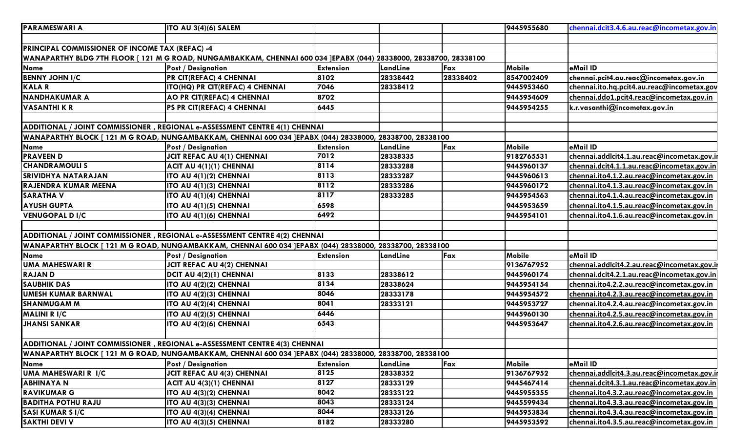| <b>PARAMESWARI A</b>                            | ITO AU 3(4)(6) SALEM                                                                                              |                  |          |          | 9445955680 | chennai.dcit3.4.6.au.reac@incometax.gov.in  |
|-------------------------------------------------|-------------------------------------------------------------------------------------------------------------------|------------------|----------|----------|------------|---------------------------------------------|
|                                                 |                                                                                                                   |                  |          |          |            |                                             |
| PRINCIPAL COMMISSIONER OF INCOME TAX (REFAC) -4 |                                                                                                                   |                  |          |          |            |                                             |
|                                                 | WANAPARTHY BLDG 7TH FLOOR [ 121 M G ROAD, NUNGAMBAKKAM, CHENNAI 600 034 ]EPABX (044) 28338000, 28338700, 28338100 |                  |          |          |            |                                             |
| Name                                            | <b>Post / Designation</b>                                                                                         | <b>Extension</b> | LandLine | Fax      | Mobile     | eMail ID                                    |
| <b>BENNY JOHN I/C</b>                           | <b>PR CIT(REFAC) 4 CHENNAI</b>                                                                                    | 8102             | 28338442 | 28338402 | 8547002409 | chennai.pcit4.au.reac@incometax.gov.in      |
| <b>KALAR</b>                                    | <b>ITO(HQ) PR CIT(REFAC) 4 CHENNAI</b>                                                                            | 7046             | 28338412 |          | 9445953460 | chennai.ito.hq.pcit4.au.reac@incometax.gov  |
| <b>NANDHAKUMAR A</b>                            | <b>AO PR CIT(REFAC) 4 CHENNAI</b>                                                                                 | 8702             |          |          | 9445954609 | chennai.ddo1.pcit4.reac@incometax.gov.in    |
| <b>VASANTHI K R</b>                             | PS PR CIT(REFAC) 4 CHENNAI                                                                                        | 6445             |          |          | 9445954255 | k.r.vasanthi@incometax.gov.in               |
|                                                 |                                                                                                                   |                  |          |          |            |                                             |
|                                                 | ADDITIONAL / JOINT COMMISSIONER, REGIONAL e-ASSESSMENT CENTRE 4(1) CHENNAI                                        |                  |          |          |            |                                             |
|                                                 | WANAPARTHY BLOCK [ 121 M G ROAD, NUNGAMBAKKAM, CHENNAI 600 034 ]EPABX (044) 28338000, 28338700, 28338100          |                  |          |          |            |                                             |
| Name                                            | <b>Post / Designation</b>                                                                                         | <b>Extension</b> | LandLine | Fax      | Mobile     | eMail ID                                    |
| <b>PRAVEEN D</b>                                | JCIT REFAC AU 4(1) CHENNAI                                                                                        | 7012             | 28338335 |          | 9182765531 | chennai.addlcit4.1.au.reac@incometax.gov.ir |
| <b>CHANDRAMOULIS</b>                            | ACIT AU 4(1)(1) CHENNAI                                                                                           | 8114             | 28333288 |          | 9445960137 | chennai.dcit4.1.1.au.reac@incometax.gov.in  |
| <b>SRIVIDHYA NATARAJAN</b>                      | <b>ITO AU 4(1)(2) CHENNAI</b>                                                                                     | 8113             | 28333287 |          | 9445960613 | chennai.ito4.1.2.au.reac@incometax.gov.in   |
| RAJENDRA KUMAR MEENA                            | <b>ITO AU 4(1)(3) CHENNAI</b>                                                                                     | 8112             | 28333286 |          | 9445960172 | chennai.ito4.1.3.au.reac@incometax.gov.in   |
| <b>SARATHA V</b>                                | <b>ITO AU 4(1)(4) CHENNAI</b>                                                                                     | 8117             | 28333285 |          | 9445954563 | chennai.ito4.1.4.au.reac@incometax.gov.in   |
| <b>AYUSH GUPTA</b>                              | <b>ITO AU 4(1)(5) CHENNAI</b>                                                                                     | 6598             |          |          | 9445953659 | chennai.ito4.1.5.au.reac@incometax.gov.in   |
| <b>VENUGOPAL DI/C</b>                           | <b>ITO AU 4(1)(6) CHENNAI</b>                                                                                     | 6492             |          |          | 9445954101 | chennai.ito4.1.6.au.reac@incometax.gov.in   |
|                                                 |                                                                                                                   |                  |          |          |            |                                             |
|                                                 | ADDITIONAL / JOINT COMMISSIONER, REGIONAL e-ASSESSMENT CENTRE 4(2) CHENNAI                                        |                  |          |          |            |                                             |
|                                                 | WANAPARTHY BLOCK [ 121 M G ROAD, NUNGAMBAKKAM, CHENNAI 600 034 ]EPABX (044) 28338000, 28338700, 28338100          |                  |          |          |            |                                             |
| Name                                            | <b>Post / Designation</b>                                                                                         | <b>Extension</b> | LandLine | Fax      | Mobile     | eMail ID                                    |
| UMA MAHESWARI R                                 | JCIT REFAC AU 4(2) CHENNAI                                                                                        |                  |          |          | 9136767952 | chennai.addlcit4.2.au.reac@incometax.gov.ir |
| <b>RAJAND</b>                                   | DCIT AU 4(2)(1) CHENNAI                                                                                           | 8133             | 28338612 |          | 9445960174 | chennai.dcit4.2.1.au.reac@incometax.gov.in  |
| <b>SAUBHIK DAS</b>                              | <b>ITO AU 4(2)(2) CHENNAI</b>                                                                                     | 8134             | 28338624 |          | 9445954154 | chennai.ito4.2.2.au.reac@incometax.gov.in   |
| UMESH KUMAR BARNWAL                             | <b>ITO AU 4(2)(3) CHENNAI</b>                                                                                     | 8046             | 28333178 |          | 9445954572 | chennai.ito4.2.3.au.reac@incometax.gov.in   |
| <b>SHANMUGAM M</b>                              | <b>ITO AU 4(2)(4) CHENNAI</b>                                                                                     | 8041             | 28333121 |          | 9445953727 | chennai.ito4.2.4.au.reac@incometax.gov.in   |
| <b>MALINI R I/C</b>                             | <b>ITO AU 4(2)(5) CHENNAI</b>                                                                                     | 6446             |          |          | 9445960130 | chennai.ito4.2.5.au.reac@incometax.gov.in   |
| <b>JHANSI SANKAR</b>                            | <b>ITO AU 4(2)(6) CHENNAI</b>                                                                                     | 6543             |          |          | 9445953647 | chennai.ito4.2.6.au.reac@incometax.gov.in   |
|                                                 |                                                                                                                   |                  |          |          |            |                                             |
|                                                 | ADDITIONAL / JOINT COMMISSIONER, REGIONAL e-ASSESSMENT CENTRE 4(3) CHENNAI                                        |                  |          |          |            |                                             |
|                                                 | WANAPARTHY BLOCK [ 121 M G ROAD, NUNGAMBAKKAM, CHENNAI 600 034 ]EPABX (044) 28338000, 28338700, 28338100          |                  |          |          |            |                                             |
| Name                                            | <b>Post / Designation</b>                                                                                         | <b>Extension</b> | LandLine | Fax      | Mobile     | eMail ID                                    |
| UMA MAHESWARI R I/C                             | JCIT REFAC AU 4(3) CHENNAI                                                                                        | 8125             | 28338352 |          | 9136767952 | chennai.addlcit4.3.au.reac@incometax.gov.iı |
| <b>ABHINAYA N</b>                               | ACIT AU 4(3)(1) CHENNAI                                                                                           | 8127             | 28333129 |          | 9445467414 | chennai.dcit4.3.1.au.reac@incometax.gov.in  |
| <b>RAVIKUMAR G</b>                              | <b>ITO AU 4(3)(2) CHENNAI</b>                                                                                     | 8042             | 28333122 |          | 9445955355 | chennai.ito4.3.2.au.reac@incometax.gov.in   |
| <b>BADITHA POTHU RAJU</b>                       | <b>ITO AU 4(3)(3) CHENNAI</b>                                                                                     | 8043             | 28333124 |          | 9445599434 | chennai.ito4.3.3.au.reac@incometax.gov.in   |
| <b>SASI KUMAR S I/C</b>                         | <b>ITO AU 4(3)(4) CHENNAI</b>                                                                                     | 8044             | 28333126 |          | 9445953834 | chennai.ito4.3.4.au.reac@incometax.gov.in   |
| <b>SAKTHI DEVI V</b>                            | <b>ITO AU 4(3)(5) CHENNAI</b>                                                                                     | 8182             | 28333280 |          | 9445953592 | chennai.ito4.3.5.au.reac@incometax.gov.in   |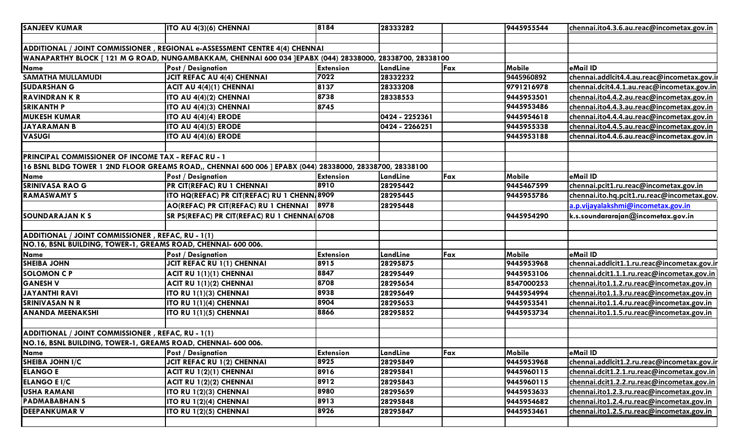| <b>SANJEEV KUMAR</b>                                                                                               | <b>ITO AU 4(3)(6) CHENNAI</b>                                                                            | 8184             | 28333282       |     | 9445955544 | chennai.ito4.3.6.au.reac@incometax.gov.in   |
|--------------------------------------------------------------------------------------------------------------------|----------------------------------------------------------------------------------------------------------|------------------|----------------|-----|------------|---------------------------------------------|
|                                                                                                                    |                                                                                                          |                  |                |     |            |                                             |
|                                                                                                                    | ADDITIONAL / JOINT COMMISSIONER, REGIONAL e-ASSESSMENT CENTRE 4(4) CHENNAI                               |                  |                |     |            |                                             |
|                                                                                                                    | WANAPARTHY BLOCK [ 121 M G ROAD, NUNGAMBAKKAM, CHENNAI 600 034 ]EPABX (044) 28338000, 28338700, 28338100 |                  |                |     |            |                                             |
| <b>Name</b>                                                                                                        | <b>Post / Designation</b>                                                                                | <b>Extension</b> | LandLine       | Fax | Mobile     | eMail ID                                    |
| <b>SAMATHA MULLAMUDI</b>                                                                                           | <b>JCIT REFAC AU 4(4) CHENNAI</b>                                                                        | 7022             | 28332232       |     | 9445960892 | chennai.addlcit4.4.au.reac@incometax.gov.ii |
| <b>SUDARSHAN G</b>                                                                                                 | ACIT AU 4(4)(1) CHENNAI                                                                                  | 8137             | 28333208       |     | 9791216978 | chennai.dcit4.4.1.au.reac@incometax.gov.in  |
| <b>RAVINDRANKR</b>                                                                                                 | ITO AU 4(4)(2) CHENNAI                                                                                   | 8738             | 28338553       |     | 9445953501 | chennai.ito4.4.2.au.reac@incometax.gov.in   |
| <b>SRIKANTH P</b>                                                                                                  | ITO AU 4(4)(3) CHENNAI                                                                                   | 8745             |                |     | 9445953486 | chennai.ito4.4.3.au.reac@incometax.gov.in   |
| <b>MUKESH KUMAR</b>                                                                                                | <b>ITO AU 4(4)(4) ERODE</b>                                                                              |                  | 0424 - 2252361 |     | 9445954618 | chennai.ito4.4.4.au.reac@incometax.gov.in   |
| <b>JAYARAMAN B</b>                                                                                                 | <b>ITO AU 4(4)(5) ERODE</b>                                                                              |                  | 0424 - 2266251 |     | 9445955338 | chennai.ito4.4.5.au.reac@incometax.gov.in   |
| <b>VASUGI</b>                                                                                                      | <b>ITO AU 4(4)(6) ERODE</b>                                                                              |                  |                |     | 9445953188 | chennai.ito4.4.6.au.reac@incometax.gov.in   |
|                                                                                                                    |                                                                                                          |                  |                |     |            |                                             |
| PRINCIPAL COMMISSIONER OF INCOME TAX - REFAC RU - 1                                                                |                                                                                                          |                  |                |     |            |                                             |
|                                                                                                                    | 16 BSNL BLDG TOWER 1 2ND FLOOR GREAMS ROAD,, CHENNAI 600 006 ] EPABX (044) 28338000, 28338700, 28338100  |                  |                |     |            |                                             |
| <b>Name</b>                                                                                                        | <b>Post / Designation</b>                                                                                | <b>Extension</b> | LandLine       | Fax | Mobile     | eMail ID                                    |
| <b>SRINIVASA RAO G</b>                                                                                             | PR CIT(REFAC) RU 1 CHENNAI                                                                               | 8910             | 28295442       |     | 9445467599 | chennai.pcit1.ru.reac@incometax.gov.in      |
| <b>RAMASWAMY S</b>                                                                                                 | ITO HQ(REFAC) PR CIT(REFAC) RU 1 CHENN 8909                                                              |                  | 28295445       |     | 9445955786 | chennai.ito.hq.pcit1.ru.reac@incometax.gov. |
|                                                                                                                    | AO(REFAC) PR CIT(REFAC) RU 1 CHENNAI                                                                     | 8978             | 28295448       |     |            | a.p. vija yalakshmi@incometax.gov.in        |
| <b>SOUNDARAJAN K S</b>                                                                                             | SR PS(REFAC) PR CIT(REFAC) RU 1 CHENNAI 6708                                                             |                  |                |     | 9445954290 | k.s.soundararajan@incometax.gov.in          |
|                                                                                                                    |                                                                                                          |                  |                |     |            |                                             |
| ADDITIONAL / JOINT COMMISSIONER, REFAC, RU - 1(1)                                                                  |                                                                                                          |                  |                |     |            |                                             |
| NO.16, BSNL BUILDING, TOWER-1, GREAMS ROAD, CHENNAI- 600 006.                                                      |                                                                                                          |                  |                |     |            |                                             |
| <b>Name</b>                                                                                                        | <b>Post / Designation</b>                                                                                | <b>Extension</b> | LandLine       | Fax | Mobile     | eMail ID                                    |
| <b>SHEIBA JOHN</b>                                                                                                 | JCIT REFAC RU 1(1) CHENNAI                                                                               | 8915             | 28295875       |     | 9445953968 | chennai.addlcit1.1.ru.reac@incometax.gov.ir |
| <b>SOLOMON C P</b>                                                                                                 | ACIT RU 1(1)(1) CHENNAI                                                                                  | 8847             | 28295449       |     | 9445953106 | chennai.dcit1.1.1.ru.reac@incometax.gov.in  |
| <b>GANESH V</b>                                                                                                    | ACIT RU 1(1)(2) CHENNAI                                                                                  | 8708             | 28295654       |     | 8547000253 | chennai.ito1.1.2.ru.reac@incometax.gov.in   |
| <b>JAYANTHI RAVI</b>                                                                                               | <b>ITO RU 1(1)(3) CHENNAI</b>                                                                            | 8938             | 28295649       |     | 9445954994 | chennai.ito1.1.3.ru.reac@incometax.gov.in   |
| <b>SRINIVASAN N R</b>                                                                                              | <b>ITO RU 1(1)(4) CHENNAI</b>                                                                            | 8904             | 28295653       |     | 9445953541 | chennai.ito1.1.4.ru.reac@incometax.gov.in   |
| <b>ANANDA MEENAKSHI</b>                                                                                            | <b>ITO RU 1(1)(5) CHENNAI</b>                                                                            | 8866             | 28295852       |     | 9445953734 | chennai.ito1.1.5.ru.reac@incometax.gov.in   |
|                                                                                                                    |                                                                                                          |                  |                |     |            |                                             |
| ADDITIONAL / JOINT COMMISSIONER, REFAC, RU - 1(1)<br>NO.16, BSNL BUILDING, TOWER-1, GREAMS ROAD, CHENNAI- 600 006. |                                                                                                          |                  |                |     |            |                                             |
| Name                                                                                                               | <b>Post / Designation</b>                                                                                | <b>Extension</b> | LandLine       | Fax | Mobile     | eMail ID                                    |
| <b>SHEIBA JOHN I/C</b>                                                                                             | JCIT REFAC RU 1(2) CHENNAI                                                                               | 8925             | 28295849       |     | 9445953968 | chennai.addlcit1.2.ru.reac@incometax.gov.ir |
| <b>ELANGO E</b>                                                                                                    | ACIT RU 1(2)(1) CHENNAI                                                                                  | 8916             | 28295841       |     | 9445960115 | chennai.dcit1.2.1.ru.reac@incometax.gov.in  |
| <b>ELANGO E I/C</b>                                                                                                | ACIT RU 1(2)(2) CHENNAI                                                                                  | 8912             | 28295843       |     | 9445960115 | chennai.dcit1.2.2.ru.reac@incometax.gov.in  |
| <b>USHA RAMANI</b>                                                                                                 | <b>ITO RU 1(2)(3) CHENNAI</b>                                                                            | 8980             | 28295659       |     | 9445953633 | chennai.ito1.2.3.ru.reac@incometax.gov.in   |
| <b>PADMABABHANS</b>                                                                                                | <b>ITO RU 1(2)(4) CHENNAI</b>                                                                            | 8913             | 28295848       |     | 9445954682 | chennai.ito1.2.4.ru.reac@incometax.gov.in   |
| <b>DEEPANKUMAR V</b>                                                                                               | <b>ITO RU 1(2)(5) CHENNAI</b>                                                                            | 8926             | 28295847       |     | 9445953461 | chennai.ito1.2.5.ru.reac@incometax.gov.in   |
|                                                                                                                    |                                                                                                          |                  |                |     |            |                                             |
|                                                                                                                    |                                                                                                          |                  |                |     |            |                                             |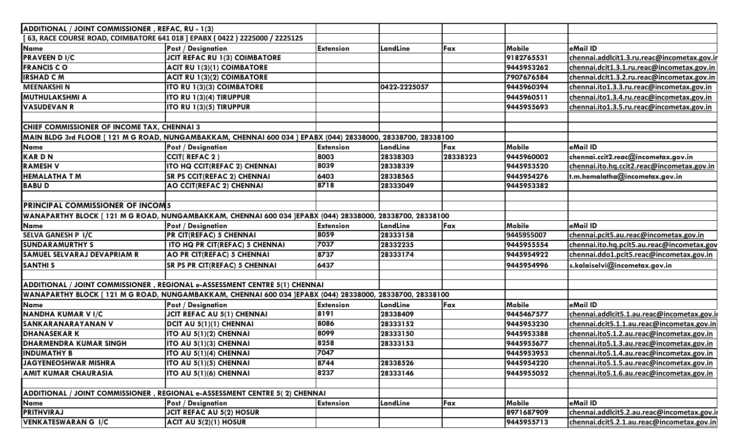| ADDITIONAL / JOINT COMMISSIONER, REFAC, RU - 1(3)                          |                                                                                                              |                          |                      |          |                          |                                                                                        |
|----------------------------------------------------------------------------|--------------------------------------------------------------------------------------------------------------|--------------------------|----------------------|----------|--------------------------|----------------------------------------------------------------------------------------|
| [63, RACE COURSE ROAD, COIMBATORE 641 018 ] EPABX (0422) 2225000 / 2225125 |                                                                                                              |                          |                      |          |                          |                                                                                        |
| <b>Name</b>                                                                | <b>Post / Designation</b>                                                                                    | Extension                | LandLine             | Fax      | <b>Mobile</b>            | eMail ID                                                                               |
| <b>PRAVEEN D I/C</b>                                                       | <b>JCIT REFAC RU 1(3) COIMBATORE</b>                                                                         |                          |                      |          | 9182765531               | chennai.addlcit1.3.ru.reac@incometax.gov.ir                                            |
| <b>FRANCIS CO</b>                                                          | ACIT RU 1(3)(1) COIMBATORE                                                                                   |                          |                      |          | 9445953262               | chennai.dcit1.3.1.ru.reac@incometax.gov.in                                             |
| <b>IRSHAD C M</b>                                                          | ACIT RU 1(3)(2) COIMBATORE                                                                                   |                          |                      |          | 7907676584               | chennai.dcit1.3.2.ru.reac@incometax.gov.in                                             |
| <b>MEENAKSHIN</b>                                                          | <b>ITO RU 1(3)(3) COIMBATORE</b>                                                                             |                          | 0422-2225057         |          | 9445960394               | chennai.ito1.3.3.ru.reac@incometax.gov.in                                              |
| <b>MUTHULAKSHMI A</b>                                                      | <b>ITO RU 1(3)(4) TIRUPPUR</b>                                                                               |                          |                      |          | 9445960511               | chennai.ito1.3.4.ru.reac@incometax.gov.in                                              |
| <b>VASUDEVAN R</b>                                                         | <b>ITO RU 1(3)(5) TIRUPPUR</b>                                                                               |                          |                      |          | 9445955693               | chennai.ito1.3.5.ru.reac@incometax.gov.in                                              |
|                                                                            |                                                                                                              |                          |                      |          |                          |                                                                                        |
| CHIEF COMMISSIONER OF INCOME TAX, CHENNAI 3                                |                                                                                                              |                          |                      |          |                          |                                                                                        |
|                                                                            | MAIN BLDG 3rd FLOOR [ 121 M G ROAD, NUNGAMBAKKAM, CHENNAI 600 034 ] EPABX (044) 28338000, 28338700, 28338100 |                          |                      |          |                          |                                                                                        |
| Name                                                                       | <b>Post / Designation</b>                                                                                    | <b>Extension</b>         | LandLine             | Fax      | <b>Mobile</b>            | eMail ID                                                                               |
| KARDN                                                                      | CCIT(REFAC 2)                                                                                                | 8003                     | 28338303             | 28338323 | 9445960002               | chennai.ccit2.reac@incometax.gov.in                                                    |
| <b>RAMESH V</b>                                                            | <b>ITO HQ CCIT(REFAC 2) CHENNAI</b>                                                                          | 8039                     | 28338339             |          | 9445953520               | chennai.ito.hq.ccit2.reac@incometax.gov.in                                             |
| <b>HEMALATHA T M</b>                                                       | <b>SR PS CCIT(REFAC 2) CHENNAI</b>                                                                           | 6403                     | 28338565             |          | 9445954276               | t.m.hemalatha@incometax.gov.in                                                         |
| <b>BABUD</b>                                                               | <b>AO CCIT(REFAC 2) CHENNAI</b>                                                                              | 8718                     | 28333049             |          | 9445953382               |                                                                                        |
|                                                                            |                                                                                                              |                          |                      |          |                          |                                                                                        |
| <b>PRINCIPAL COMMISSIONER OF INCOM5</b>                                    |                                                                                                              |                          |                      |          |                          |                                                                                        |
|                                                                            | WANAPARTHY BLOCK [ 121 M G ROAD, NUNGAMBAKKAM, CHENNAI 600 034 ]EPABX (044) 28338000, 28338700, 28338100     |                          |                      |          |                          |                                                                                        |
| Name                                                                       | <b>Post / Designation</b>                                                                                    | <b>Extension</b>         | LandLine             | Fax      | Mobile                   | eMail ID                                                                               |
| <b>SELVA GANESH P I/C</b>                                                  | <b>PR CIT(REFAC) 5 CHENNAI</b>                                                                               | 8059                     | 28333158             |          | 9445955007               | chennai.pcit5.au.reac@incometax.gov.in                                                 |
| <b>SUNDARAMURTHY S</b>                                                     | ITO HQ PR CIT(REFAC) 5 CHENNAI                                                                               | 7037                     | 28332235             |          | 9445955554               | chennai.ito.hq.pcit5.au.reac@incometax.gov                                             |
| SAMUEL SELVARAJ DEVAPRIAM R                                                | <b>AO PR CIT(REFAC) 5 CHENNAI</b>                                                                            | 8737                     | 28333174             |          | 9445954922               | chennai.ddo1.pcit5.reac@incometax.gov.in                                               |
| <b>SANTHIS</b>                                                             | <b>SR PS PR CIT(REFAC) 5 CHENNAI</b>                                                                         | 6437                     |                      |          | 9445954996               | s.kalaiselvi@incometax.gov.in                                                          |
|                                                                            |                                                                                                              |                          |                      |          |                          |                                                                                        |
|                                                                            | ADDITIONAL / JOINT COMMISSIONER, REGIONAL e-ASSESSMENT CENTRE 5(1) CHENNAI                                   |                          |                      |          |                          |                                                                                        |
|                                                                            | WANAPARTHY BLOCK [ 121 M G ROAD, NUNGAMBAKKAM, CHENNAI 600 034 ]EPABX (044) 28338000, 28338700, 28338100     |                          |                      |          |                          | eMail ID                                                                               |
| Name<br><b>NANDHA KUMAR V I/C</b>                                          | <b>Post / Designation</b><br>JCIT REFAC AU 5(1) CHENNAI                                                      | <b>Extension</b><br>8191 | LandLine<br>28338409 | Fax      | Mobile<br>9445467577     | chennai.addlcit5.1.au.reac@incometax.gov.ir                                            |
| SANKARANARAYANAN V                                                         | DCIT AU 5(1)(1) CHENNAI                                                                                      | 8086                     | 28333152             |          | 9445953230               |                                                                                        |
|                                                                            |                                                                                                              | 8099                     |                      |          |                          | chennai.dcit5.1.1.au.reac@incometax.gov.in                                             |
| <b>DHANASEKARK</b><br><b>DHARMENDRA KUMAR SINGH</b>                        | <b>ITO AU 5(1)(2) CHENNAI</b><br>ITO AU 5(1)(3) CHENNAI                                                      | 8258                     | 28333150<br>28333153 |          | 9445953388<br>9445955677 | chennai.ito5.1.2.au.reac@incometax.gov.in<br>chennai.ito5.1.3.au.reac@incometax.gov.in |
| <b>INDUMATHY B</b>                                                         |                                                                                                              | 7047                     |                      |          | 9445953953               | chennai.ito5.1.4.au.reac@incometax.gov.in                                              |
| JAGYENEOSHWAR MISHRA                                                       | <b>ITO AU 5(1)(4) CHENNAI</b>                                                                                | 8744                     | 28338526             |          | 9445954220               |                                                                                        |
|                                                                            | <b>ITO AU 5(1)(5) CHENNAI</b>                                                                                |                          |                      |          |                          | chennai.ito5.1.5.au.reac@incometax.gov.in                                              |
| <b>AMIT KUMAR CHAURASIA</b>                                                | <b>ITO AU 5(1)(6) CHENNAI</b>                                                                                | 8237                     | 28333146             |          | 9445955052               | chennai.ito5.1.6.au.reac@incometax.gov.in                                              |
|                                                                            | ADDITIONAL / JOINT COMMISSIONER, REGIONAL e-ASSESSMENT CENTRE 5(2) CHENNAI                                   |                          |                      |          |                          |                                                                                        |
| Name                                                                       | <b>Post / Designation</b>                                                                                    | <b>Extension</b>         | LandLine             | Fax      | Mobile                   | eMail ID                                                                               |
| <b>PRITHVIRAJ</b>                                                          | JCIT REFAC AU 5(2) HOSUR                                                                                     |                          |                      |          | 8971687909               | chennai.addlcit5.2.au.reac@incometax.gov.ir                                            |
| <b>VENKATESWARAN G I/C</b>                                                 | ACIT AU 5(2)(1) HOSUR                                                                                        |                          |                      |          | 9445955713               | chennai.dcit5.2.1.au.reac@incometax.gov.in                                             |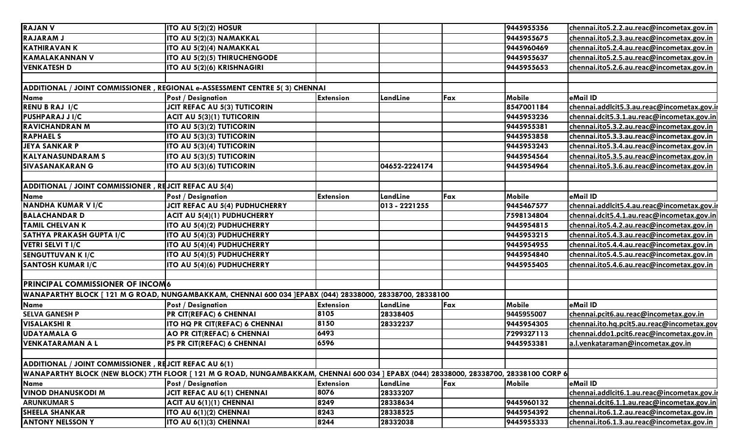| <b>RAJAN V</b>                                        | ITO AU 5(2)(2) HOSUR                                                                                                                  |                  |               |     | 9445955356    | chennai.ito5.2.2.au.reac@incometax.gov.in   |
|-------------------------------------------------------|---------------------------------------------------------------------------------------------------------------------------------------|------------------|---------------|-----|---------------|---------------------------------------------|
| <b>RAJARAM J</b>                                      | ITO AU 5(2)(3) NAMAKKAL                                                                                                               |                  |               |     | 9445955675    | chennai.ito5.2.3.au.reac@incometax.gov.in   |
| <b>KATHIRAVAN K</b>                                   | ITO AU 5(2)(4) NAMAKKAL                                                                                                               |                  |               |     | 9445960469    | chennai.ito5.2.4.au.reac@incometax.gov.in   |
| <b>KAMALAKANNAN V</b>                                 | <b>ITO AU 5(2)(5) THIRUCHENGODE</b>                                                                                                   |                  |               |     | 9445955637    | chennai.ito5.2.5.au.reac@incometax.gov.in   |
| <b>VENKATESH D</b>                                    | ITO AU 5(2)(6) KRISHNAGIRI                                                                                                            |                  |               |     | 9445955653    | chennai.ito5.2.6.au.reac@incometax.gov.in   |
|                                                       |                                                                                                                                       |                  |               |     |               |                                             |
|                                                       | ADDITIONAL / JOINT COMMISSIONER, REGIONAL e-ASSESSMENT CENTRE 5(3) CHENNAI                                                            |                  |               |     |               |                                             |
| <b>Name</b>                                           | <b>Post / Designation</b>                                                                                                             | <b>Extension</b> | LandLine      | Fax | Mobile        | eMail ID                                    |
| <b>RENU B RAJ I/C</b>                                 | <b>JCIT REFAC AU 5(3) TUTICORIN</b>                                                                                                   |                  |               |     | 8547001184    | chennai.addlcit5.3.au.reac@incometax.gov.ir |
| PUSHPARAJ J I/C                                       | ACIT AU 5(3)(1) TUTICORIN                                                                                                             |                  |               |     | 9445953236    | chennai.dcit5.3.1.au.reac@incometax.gov.in  |
| <b>RAVICHANDRAN M</b>                                 | <b>ITO AU 5(3)(2) TUTICORIN</b>                                                                                                       |                  |               |     | 9445955381    | chennai.ito5.3.2.au.reac@incometax.gov.in   |
| <b>RAPHAEL S</b>                                      | <b>ITO AU 5(3)(3) TUTICORIN</b>                                                                                                       |                  |               |     | 9445953858    | chennai.ito5.3.3.au.reac@incometax.gov.in   |
| <b>JEYA SANKAR P</b>                                  | <b>ITO AU 5(3)(4) TUTICORIN</b>                                                                                                       |                  |               |     | 9445953243    | chennai.ito5.3.4.au.reac@incometax.gov.in   |
| <b>KALYANASUNDARAM S</b>                              | <b>ITO AU 5(3)(5) TUTICORIN</b>                                                                                                       |                  |               |     | 9445954564    | chennai.ito5.3.5.au.reac@incometax.gov.in   |
| <b>SIVASANAKARAN G</b>                                | ITO AU 5(3)(6) TUTICORIN                                                                                                              |                  | 04652-2224174 |     | 9445954964    | chennai.ito5.3.6.au.reac@incometax.gov.in   |
|                                                       |                                                                                                                                       |                  |               |     |               |                                             |
| ADDITIONAL / JOINT COMMISSIONER, REJCIT REFAC AU 5(4) |                                                                                                                                       |                  |               |     |               |                                             |
| Name                                                  | <b>Post / Designation</b>                                                                                                             | <b>Extension</b> | LandLine      | Fax | Mobile        | eMail ID                                    |
| NANDHA KUMAR V I/C                                    | JCIT REFAC AU 5(4) PUDHUCHERRY                                                                                                        |                  | 013 - 2221255 |     | 9445467577    | chennai.addlcit5.4.au.reac@incometax.gov.ir |
| <b>BALACHANDAR D</b>                                  | ACIT AU 5(4)(1) PUDHUCHERRY                                                                                                           |                  |               |     | 7598134804    | chennai.dcit5.4.1.au.reac@incometax.gov.in  |
| <b>TAMIL CHELVAN K</b>                                | <b>ITO AU 5(4)(2) PUDHUCHERRY</b>                                                                                                     |                  |               |     | 9445954815    | chennai.ito5.4.2.au.reac@incometax.gov.in   |
| SATHYA PRAKASH GUPTA I/C                              | <b>ITO AU 5(4)(3) PUDHUCHERRY</b>                                                                                                     |                  |               |     | 9445953215    | chennai.ito5.4.3.au.reac@incometax.gov.in   |
| <b>VETRI SELVI T I/C</b>                              | ITO AU 5(4)(4) PUDHUCHERRY                                                                                                            |                  |               |     | 9445954955    | chennai.ito5.4.4.au.reac@incometax.gov.in   |
| <b>SENGUTTUVAN K I/C</b>                              | ITO AU 5(4)(5) PUDHUCHERRY                                                                                                            |                  |               |     | 9445954840    | chennai.ito5.4.5.au.reac@incometax.gov.in   |
| <b>SANTOSH KUMAR I/C</b>                              | ITO AU 5(4)(6) PUDHUCHERRY                                                                                                            |                  |               |     | 9445955405    | chennai.ito5.4.6.au.reac@incometax.gov.in   |
|                                                       |                                                                                                                                       |                  |               |     |               |                                             |
| PRINCIPAL COMMISSIONER OF INCOM6                      |                                                                                                                                       |                  |               |     |               |                                             |
|                                                       | WANAPARTHY BLOCK [ 121 M G ROAD, NUNGAMBAKKAM, CHENNAI 600 034 ]EPABX (044) 28338000, 28338700, 28338100                              |                  |               |     |               |                                             |
| <b>Name</b>                                           | <b>Post / Designation</b>                                                                                                             | <b>Extension</b> | LandLine      | Fax | <b>Mobile</b> | eMail ID                                    |
| <b>SELVA GANESH P</b>                                 | PR CIT(REFAC) 6 CHENNAI                                                                                                               | 8105             | 28338405      |     | 9445955007    | chennai.pcit6.au.reac@incometax.gov.in      |
| <b>VISALAKSHI R</b>                                   | <b>ITO HQ PR CIT(REFAC) 6 CHENNAI</b>                                                                                                 | 8150             | 28332237      |     | 9445954305    | chennai.ito.hq.pcit5.au.reac@incometax.gov  |
| <b>UDAYAMALA G</b>                                    | AO PR CIT(REFAC) 6 CHENNAI                                                                                                            | 6493             |               |     | 7299327113    | chennai.ddo1.pcit6.reac@incometax.gov.in    |
| <b>VENKATARAMAN A L</b>                               | PS PR CIT(REFAC) 6 CHENNAI                                                                                                            | 6596             |               |     | 9445953381    | a.l.venkataraman@incometax.gov.in           |
|                                                       |                                                                                                                                       |                  |               |     |               |                                             |
| ADDITIONAL / JOINT COMMISSIONER, REJCIT REFAC AU 6(1) |                                                                                                                                       |                  |               |     |               |                                             |
|                                                       | WANAPARTHY BLOCK (NEW BLOCK) 7TH FLOOR [121 M G ROAD, NUNGAMBAKKAM, CHENNAI 600 034 ] EPABX (044) 28338000, 28338700, 28338100 CORP 6 |                  |               |     |               |                                             |
| <b>Name</b>                                           | <b>Post / Designation</b>                                                                                                             | <b>Extension</b> | LandLine      | Fax | <b>Mobile</b> | eMail ID                                    |
| <b>VINOD DHANUSKODI M</b>                             | JCIT REFAC AU 6(1) CHENNAI                                                                                                            | 8076             | 28333207      |     |               | chennai.addlcit6.1.au.reac@incometax.gov.ir |
| <b>ARUNKUMAR S</b>                                    | ACIT AU 6(1)(1) CHENNAI                                                                                                               | 8249             | 28338634      |     | 9445960132    | chennai.dcit6.1.1.au.reac@incometax.gov.in  |
| <b>SHEELA SHANKAR</b>                                 | ITO AU 6(1)(2) CHENNAI                                                                                                                | 8243             | 28338525      |     | 9445954392    | chennai.ito6.1.2.au.reac@incometax.gov.in   |
| <b>ANTONY NELSSON Y</b>                               | ITO AU 6(1)(3) CHENNAI                                                                                                                | 8244             | 28332038      |     | 9445955333    |                                             |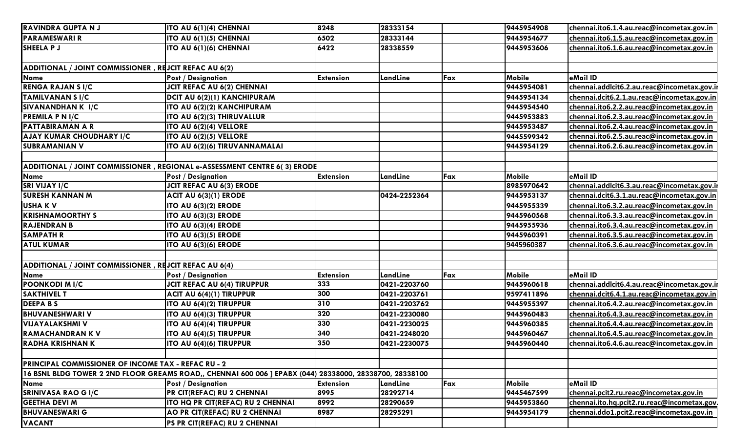| <b>RAVINDRA GUPTA NJ</b>                                   | ITO AU 6(1)(4) CHENNAI                                                                                    | 8248             | 28333154     |     | 9445954908    | chennai.ito6.1.4.au.reac@incometax.gov.in   |
|------------------------------------------------------------|-----------------------------------------------------------------------------------------------------------|------------------|--------------|-----|---------------|---------------------------------------------|
| <b>PARAMESWARI R</b>                                       | ITO AU 6(1)(5) CHENNAI                                                                                    | 6502             | 28333144     |     | 9445954677    | chennai.ito6.1.5.au.reac@incometax.gov.in   |
| SHEELA P J                                                 | ITO AU 6(1)(6) CHENNAI                                                                                    | 6422             | 28338559     |     | 9445953606    | chennai.ito6.1.6.au.reac@incometax.gov.in   |
|                                                            |                                                                                                           |                  |              |     |               |                                             |
| ADDITIONAL / JOINT COMMISSIONER, REJCIT REFAC AU 6(2)      |                                                                                                           |                  |              |     |               |                                             |
| Name                                                       | Post / Designation                                                                                        | <b>Extension</b> | LandLine     | Fax | <b>Mobile</b> | eMail ID                                    |
| <b>RENGA RAJAN S I/C</b>                                   | JCIT REFAC AU 6(2) CHENNAI                                                                                |                  |              |     | 9445954081    | chennai.addlcit6.2.au.reac@incometax.gov.ir |
| <b>TAMILVANAN S I/C</b>                                    | DCIT AU 6(2)(1) KANCHIPURAM                                                                               |                  |              |     | 9445954134    | chennai.dcit6.2.1.au.reac@incometax.gov.in  |
| SIVANANDHAN K I/C                                          | ITO AU 6(2)(2) KANCHIPURAM                                                                                |                  |              |     | 9445954540    | chennai.ito6.2.2.au.reac@incometax.gov.in   |
| <b>PREMILA P N I/C</b>                                     | ITO AU 6(2)(3) THIRUVALLUR                                                                                |                  |              |     | 9445953883    | chennai.ito6.2.3.au.reac@incometax.gov.in   |
| <b>PATTABIRAMAN A R</b>                                    | ITO AU 6(2)(4) VELLORE                                                                                    |                  |              |     | 9445953487    | chennai.ito6.2.4.au.reac@incometax.gov.in   |
| AJAY KUMAR CHOUDHARY I/C                                   | ITO AU 6(2)(5) VELLORE                                                                                    |                  |              |     | 9445599342    | chennai.ito6.2.5.au.reac@incometax.gov.in   |
| <b>SUBRAMANIAN V</b>                                       | ITO AU 6(2)(6) TIRUVANNAMALAI                                                                             |                  |              |     | 9445954129    | chennai.ito6.2.6.au.reac@incometax.gov.in   |
|                                                            |                                                                                                           |                  |              |     |               |                                             |
|                                                            | ADDITIONAL / JOINT COMMISSIONER, REGIONAL e-ASSESSMENT CENTRE 6(3) ERODE                                  |                  |              |     |               |                                             |
| Name                                                       | Post / Designation                                                                                        | <b>Extension</b> | LandLine     | Fax | <b>Mobile</b> | eMail ID                                    |
| <b>SRI VIJAY I/C</b>                                       | <b>JCIT REFAC AU 6(3) ERODE</b>                                                                           |                  |              |     | 8985970642    | chennai.addlcit6.3.au.reac@incometax.gov.ir |
| <b>SURESH KANNAN M</b>                                     | <b>ACIT AU 6(3)(1) ERODE</b>                                                                              |                  | 0424-2252364 |     | 9445953137    | chennai.dcit6.3.1.au.reac@incometax.gov.in  |
| <b>USHAKV</b>                                              | ITO AU 6(3)(2) ERODE                                                                                      |                  |              |     | 9445955339    | chennai.ito6.3.2.au.reac@incometax.gov.in   |
| <b>KRISHNAMOORTHY S</b>                                    | <b>ITO AU 6(3)(3) ERODE</b>                                                                               |                  |              |     | 9445960568    | chennai.ito6.3.3.au.reac@incometax.gov.in   |
| <b>RAJENDRAN B</b>                                         | ITO AU 6(3)(4) ERODE                                                                                      |                  |              |     | 9445955936    | chennai.ito6.3.4.au.reac@incometax.gov.in   |
| <b>SAMPATH R</b>                                           | <b>ITO AU 6(3)(5) ERODE</b>                                                                               |                  |              |     | 9445960391    | chennai.ito6.3.5.au.reac@incometax.gov.in   |
| <b>ATUL KUMAR</b>                                          | ITO AU 6(3)(6) ERODE                                                                                      |                  |              |     | 9445960387    | chennai.ito6.3.6.au.reac@incometax.gov.in   |
|                                                            |                                                                                                           |                  |              |     |               |                                             |
| ADDITIONAL / JOINT COMMISSIONER, REJCIT REFAC AU 6(4)      |                                                                                                           |                  |              |     |               |                                             |
| Name                                                       | Post / Designation                                                                                        | <b>Extension</b> | LandLine     | Fax | <b>Mobile</b> | eMail ID                                    |
| <b>POONKODI MI/C</b>                                       | <b>JCIT REFAC AU 6(4) TIRUPPUR</b>                                                                        | 333              | 0421-2203760 |     | 9445960618    | chennai.addlcit6.4.au.reac@incometax.gov.ir |
| <b>SAKTHIVEL T</b>                                         | ACIT AU 6(4)(1) TIRUPPUR                                                                                  | 300              | 0421-2203761 |     | 9597411896    | chennai.dcit6.4.1.au.reac@incometax.gov.in  |
| <b>DEEPABS</b>                                             | ITO AU 6(4)(2) TIRUPPUR                                                                                   | 310              | 0421-2203762 |     | 9445955397    | chennai.ito6.4.2.au.reac@incometax.gov.in   |
| <b>BHUVANESHWARI V</b>                                     | ITO AU 6(4)(3) TIRUPPUR                                                                                   | 320              | 0421-2230080 |     | 9445960483    | chennai.ito6.4.3.au.reac@incometax.gov.in   |
| <b>VIJAYALAKSHMI V</b>                                     | ITO AU 6(4)(4) TIRUPPUR                                                                                   | 330              | 0421-2230025 |     | 9445960385    | chennai.ito6.4.4.au.reac@incometax.gov.in   |
| <b>RAMACHANDRAN K V</b>                                    | ITO AU 6(4)(5) TIRUPPUR                                                                                   | 340              | 0421-2248020 |     | 9445960467    | chennai.ito6.4.5.au.reac@incometax.gov.in   |
| RADHA KRISHNAN K                                           | ITO AU 6(4)(6) TIRUPPUR                                                                                   | 350              | 0421-2230075 |     | 9445960440    | chennai.ito6.4.6.au.reac@incometax.gov.in   |
|                                                            |                                                                                                           |                  |              |     |               |                                             |
| <b>PRINCIPAL COMMISSIONER OF INCOME TAX - REFAC RU - 2</b> |                                                                                                           |                  |              |     |               |                                             |
|                                                            | 16 BSNL BLDG TOWER 2 2ND FLOOR GREAMS ROAD,, CHENNAI 600 006 ] EPABX (044) 28338000, 28338700, 28338100 [ |                  |              |     |               |                                             |
| Name                                                       | Post / Designation                                                                                        | <b>Extension</b> | LandLine     | Fax | Mobile        | eMail ID                                    |
| <b>SRINIVASA RAO G I/C</b>                                 | <b>PR CIT(REFAC) RU 2 CHENNAI</b>                                                                         | 8995             | 28292714     |     | 9445467599    | chennai.pcit2.ru.reac@incometax.gov.in      |
| <b>GEETHA DEVI M</b>                                       | ITO HQ PR CIT(REFAC) RU 2 CHENNAI                                                                         | 8992             | 28290659     |     | 9445953860    | chennai.ito.hq.pcit2.ru.reac@incometax.gov. |
| <b>BHUVANESWARI G</b>                                      | AO PR CIT(REFAC) RU 2 CHENNAI                                                                             | 8987             | 28295291     |     | 9445954179    | chennai.ddo1.pcit2.reac@incometax.gov.in    |
| <b>VACANT</b>                                              | PS PR CIT(REFAC) RU 2 CHENNAI                                                                             |                  |              |     |               |                                             |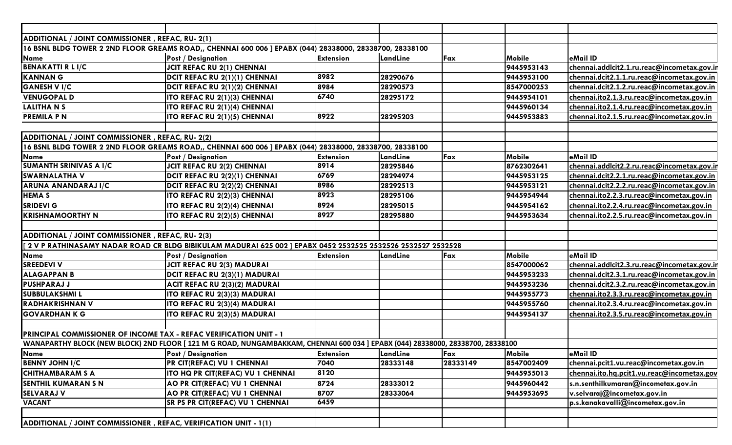| ADDITIONAL / JOINT COMMISSIONER, REFAC, RU- 2(1)                   |                                                                                                                                 |                  |          |          |               |                                             |
|--------------------------------------------------------------------|---------------------------------------------------------------------------------------------------------------------------------|------------------|----------|----------|---------------|---------------------------------------------|
|                                                                    | 16 BSNL BLDG TOWER 2 2ND FLOOR GREAMS ROAD,, CHENNAI 600 006 ] EPABX (044) 28338000, 28338700, 28338100                         |                  |          |          |               |                                             |
| Name                                                               | <b>Post / Designation</b>                                                                                                       | <b>Extension</b> | LandLine | Fax      | Mobile        | eMail ID                                    |
| <b>BENAKATTI R L I/C</b>                                           | JCIT REFAC RU 2(1) CHENNAI                                                                                                      |                  |          |          | 9445953143    | chennai.addlcit2.1.ru.reac@incometax.gov.ir |
| <b>KANNAN G</b>                                                    | DCIT REFAC RU 2(1)(1) CHENNAI                                                                                                   | 8982             | 28290676 |          | 9445953100    | chennai.dcit2.1.1.ru.reac@incometax.gov.in  |
| <b>GANESH V I/C</b>                                                | DCIT REFAC RU 2(1)(2) CHENNAI                                                                                                   | 8984             | 28290573 |          | 8547000253    | chennai.dcit2.1.2.ru.reac@incometax.gov.in  |
| <b>VENUGOPAL D</b>                                                 | <b>ITO REFAC RU 2(1)(3) CHENNAI</b>                                                                                             | 6740             | 28295172 |          | 9445954101    | chennai.ito2.1.3.ru.reac@incometax.gov.in   |
| <b>LALITHANS</b>                                                   | ITO REFAC RU 2(1)(4) CHENNAI                                                                                                    |                  |          |          | 9445960134    | chennai.ito2.1.4.ru.reac@incometax.gov.in   |
| <b>PREMILA P N</b>                                                 | <b>ITO REFAC RU 2(1)(5) CHENNAI</b>                                                                                             | 8922             | 28295203 |          | 9445953883    | chennai.ito2.1.5.ru.reac@incometax.gov.in   |
|                                                                    |                                                                                                                                 |                  |          |          |               |                                             |
| ADDITIONAL / JOINT COMMISSIONER, REFAC, RU- 2(2)                   |                                                                                                                                 |                  |          |          |               |                                             |
|                                                                    | 16 BSNL BLDG TOWER 2 2ND FLOOR GREAMS ROAD,, CHENNAI 600 006 ] EPABX (044) 28338000, 28338700, 28338100                         |                  |          |          |               |                                             |
| Name                                                               | <b>Post / Designation</b>                                                                                                       | <b>Extension</b> | LandLine | Fax      | <b>Mobile</b> | eMail ID                                    |
| <b>SUMANTH SRINIVAS A I/C</b>                                      | <b>JCIT REFAC RU 2(2) CHENNAI</b>                                                                                               | 8914             | 28295846 |          | 8762302641    | chennai.addlcit2.2.ru.reac@incometax.gov.ir |
| <b>SWARNALATHA V</b>                                               | DCIT REFAC RU 2(2)(1) CHENNAI                                                                                                   | 6769             | 28294974 |          | 9445953125    | chennai.dcit2.2.1.ru.reac@incometax.gov.in  |
| ARUNA ANANDARAJ I/C                                                | DCIT REFAC RU 2(2)(2) CHENNAI                                                                                                   | 8986             | 28292513 |          | 9445953121    | chennai.dcit2.2.2.ru.reac@incometax.gov.in  |
| <b>HEMA S</b>                                                      | <b>ITO REFAC RU 2(2)(3) CHENNAI</b>                                                                                             | 8923             | 28295106 |          | 9445954944    | chennai.ito2.2.3.ru.reac@incometax.gov.in   |
| <b>SRIDEVI G</b>                                                   | <b>ITO REFAC RU 2(2)(4) CHENNAI</b>                                                                                             | 8924             | 28295015 |          | 9445954162    | chennai.ito2.2.4.ru.reac@incometax.gov.in   |
| <b>IKRISHNAMOORTHY N</b>                                           | <b>ITO REFAC RU 2(2)(5) CHENNAI</b>                                                                                             | 8927             | 28295880 |          | 9445953634    | chennai.ito2.2.5.ru.reac@incometax.gov.in   |
|                                                                    |                                                                                                                                 |                  |          |          |               |                                             |
| ADDITIONAL / JOINT COMMISSIONER, REFAC, RU- 2(3)                   |                                                                                                                                 |                  |          |          |               |                                             |
|                                                                    | 2 V P RATHINASAMY NADAR ROAD CR BLDG BIBIKULAM MADURAI 625 002 ] EPABX 0452 2532525 2532526 2532527 2532528 [                   |                  |          |          |               |                                             |
| Name                                                               | <b>Post / Designation</b>                                                                                                       | <b>Extension</b> | LandLine | Fax      | <b>Mobile</b> | eMail ID                                    |
| <b>SREEDEVI V</b>                                                  | <b>JCIT REFAC RU 2(3) MADURAI</b>                                                                                               |                  |          |          | 8547000062    | chennai.addlcit2.3.ru.reac@incometax.gov.ir |
| <b>ALAGAPPAN B</b>                                                 | DCIT REFAC RU 2(3)(1) MADURAI                                                                                                   |                  |          |          | 9445953233    | chennai.dcit2.3.1.ru.reac@incometax.gov.in  |
| <b>PUSHPARAJ J</b>                                                 | ACIT REFAC RU 2(3)(2) MADURAI                                                                                                   |                  |          |          | 9445953236    | chennai.dcit2.3.2.ru.reac@incometax.gov.in  |
| <b>SUBBULAKSHMIL</b>                                               | ITO REFAC RU 2(3)(3) MADURAI                                                                                                    |                  |          |          | 9445955773    | chennai.ito2.3.3.ru.reac@incometax.gov.in   |
| <b>RADHAKRISHNAN V</b>                                             | ITO REFAC RU 2(3)(4) MADURAI                                                                                                    |                  |          |          | 9445955760    | chennai.ito2.3.4.ru.reac@incometax.gov.in   |
| <b>GOVARDHANKG</b>                                                 | <b>ITO REFAC RU 2(3)(5) MADURAI</b>                                                                                             |                  |          |          | 9445954137    | chennai.ito2.3.5.ru.reac@incometax.gov.in   |
|                                                                    |                                                                                                                                 |                  |          |          |               |                                             |
| PRINCIPAL COMMISSIONER OF INCOME TAX - REFAC VERIFICATION UNIT - 1 |                                                                                                                                 |                  |          |          |               |                                             |
|                                                                    | WANAPARTHY BLOCK (NEW BLOCK) 2ND FLOOR [ 121 M G ROAD, NUNGAMBAKKAM, CHENNAI 600 034 ] EPABX (044) 28338000, 28338700, 28338100 |                  |          |          |               |                                             |
| Name                                                               | <b>Post / Designation</b>                                                                                                       | <b>Extension</b> | LandLine | Fax      | Mobile        | eMail ID                                    |
| <b>BENNY JOHN I/C</b>                                              | PR CIT(REFAC) VU 1 CHENNAI                                                                                                      | 7040             | 28333148 | 28333149 | 8547002409    | chennai.pcit1.vu.reac@incometax.gov.in      |
| <b>CHITHAMBARAM S A</b>                                            | ITO HQ PR CIT(REFAC) VU 1 CHENNAI                                                                                               | 8120             |          |          | 9445955013    | chennai.ito.hq.pcit1.vu.reac@incometax.gov  |
| <b>SENTHIL KUMARAN S N</b>                                         | AO PR CIT(REFAC) VU 1 CHENNAI                                                                                                   | 8724             | 28333012 |          | 9445960442    | s.n.senthilkumaran@incometax.gov.in         |
| <b>SELVARAJ V</b>                                                  | AO PR CIT(REFAC) VU 1 CHENNAI                                                                                                   | 8707             | 28333064 |          | 9445953695    | v.selvaraj@incometax.gov.in                 |
| <b>VACANT</b>                                                      | <b>SR PS PR CIT(REFAC) VU 1 CHENNAI</b>                                                                                         | 6459             |          |          |               | p.s.kanakavalli@incometax.gov.in            |
|                                                                    |                                                                                                                                 |                  |          |          |               |                                             |
| ADDITIONAL / JOINT COMMISSIONER, REFAC, VERIFICATION UNIT - 1(1)   |                                                                                                                                 |                  |          |          |               |                                             |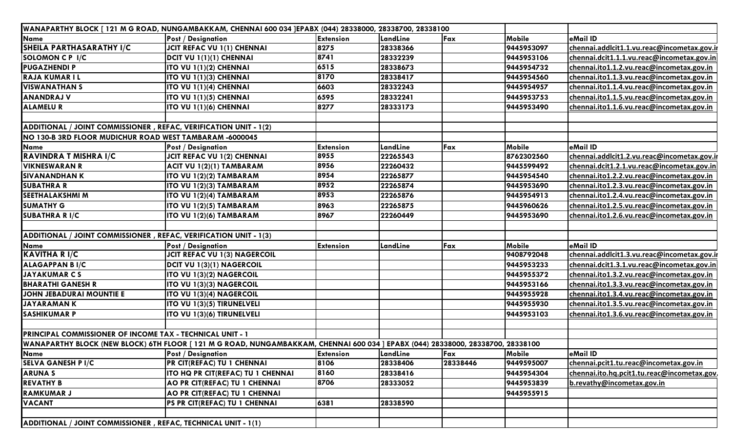| WANAPARTHY BLOCK [ 121 M G ROAD, NUNGAMBAKKAM, CHENNAI 600 034 JEPABX (044) 28338000, 28338700, 28338100 |                                                                                                                                |                  |          |          |               |                                             |
|----------------------------------------------------------------------------------------------------------|--------------------------------------------------------------------------------------------------------------------------------|------------------|----------|----------|---------------|---------------------------------------------|
| Name                                                                                                     | <b>Post / Designation</b>                                                                                                      | <b>Extension</b> | LandLine | Fax      | Mobile        | eMail ID                                    |
| SHEILA PARTHASARATHY I/C                                                                                 | <b>JCIT REFAC VU 1(1) CHENNAI</b>                                                                                              | 8275             | 28338366 |          | 9445953097    | chennai.addlcit1.1.vu.reac@incometax.gov.ir |
| SOLOMON C P I/C                                                                                          | DCIT VU 1(1)(1) CHENNAI                                                                                                        | 8741             | 28332239 |          | 9445953106    | chennai.dcit1.1.1.vu.reac@incometax.gov.in  |
| <b>PUGAZHENDI P</b>                                                                                      | ITO VU 1(1)(2) CHENNAI                                                                                                         | 6515             | 28338673 |          | 9445954732    | chennai.ito1.1.2.vu.reac@incometax.gov.in   |
| <b>RAJA KUMAR I L</b>                                                                                    | ITO VU 1(1)(3) CHENNAI                                                                                                         | 8170             | 28338417 |          | 9445954560    | chennai.ito1.1.3.vu.reac@incometax.gov.in   |
| <b>VISWANATHAN S</b>                                                                                     | <b>ITO VU 1(1)(4) CHENNAI</b>                                                                                                  | 6603             | 28332243 |          | 9445954957    | chennai.ito1.1.4.vu.reac@incometax.gov.in   |
| <b>ANANDRAJ V</b>                                                                                        | <b>ITO VU 1(1)(5) CHENNAI</b>                                                                                                  | 6595             | 28332241 |          | 9445953753    | chennai.ito1.1.5.vu.reac@incometax.gov.in   |
| <b>ALAMELUR</b>                                                                                          | ITO VU 1(1)(6) CHENNAI                                                                                                         | 8277             | 28333173 |          | 9445953490    | chennai.ito1.1.6.vu.reac@incometax.gov.in   |
|                                                                                                          |                                                                                                                                |                  |          |          |               |                                             |
| ADDITIONAL / JOINT COMMISSIONER, REFAC, VERIFICATION UNIT - 1(2)                                         |                                                                                                                                |                  |          |          |               |                                             |
| NO 130-B 3RD FLOOR MUDICHUR ROAD WEST TAMBARAM -6000045                                                  |                                                                                                                                |                  |          |          |               |                                             |
| Name                                                                                                     | <b>Post / Designation</b>                                                                                                      | <b>Extension</b> | LandLine | Fax      | <b>Mobile</b> | eMail ID                                    |
| RAVINDRA T MISHRA I/C                                                                                    | JCIT REFAC VU 1(2) CHENNAI                                                                                                     | 8955             | 22265543 |          | 8762302560    | chennai.addlcit1.2.vu.reac@incometax.gov.ir |
| <b>VIKNESWARAN R</b>                                                                                     | ACIT VU 1(2)(1) TAMBARAM                                                                                                       | 8956             | 22260432 |          | 9445599492    | chennai.dcit1.2.1.vu.reac@incometax.gov.in  |
| <b>SIVANANDHAN K</b>                                                                                     | ITO VU 1(2)(2) TAMBARAM                                                                                                        | 8954             | 22265877 |          | 9445954540    | chennai.ito1.2.2.vu.reac@incometax.gov.in   |
| <b>SUBATHRA R</b>                                                                                        | ITO VU 1(2)(3) TAMBARAM                                                                                                        | 8952             | 22265874 |          | 9445953690    | chennai.ito1.2.3.vu.reac@incometax.gov.in   |
| <b>SEETHALAKSHMI M</b>                                                                                   | ITO VU 1(2)(4) TAMBARAM                                                                                                        | 8953             | 22265876 |          | 9445954913    | chennai.ito1.2.4.vu.reac@incometax.gov.in   |
| <b>SUMATHY G</b>                                                                                         | ITO VU 1(2)(5) TAMBARAM                                                                                                        | 8963             | 22265875 |          | 9445960626    | chennai.ito1.2.5.vu.reac@incometax.gov.in   |
| <b>SUBATHRA RI/C</b>                                                                                     | ITO VU 1(2)(6) TAMBARAM                                                                                                        | 8967             | 22260449 |          | 9445953690    | chennai.ito1.2.6.vu.reac@incometax.gov.in   |
|                                                                                                          |                                                                                                                                |                  |          |          |               |                                             |
| ADDITIONAL / JOINT COMMISSIONER, REFAC, VERIFICATION UNIT - 1(3)                                         |                                                                                                                                |                  |          |          |               |                                             |
| Name                                                                                                     | <b>Post / Designation</b>                                                                                                      | <b>Extension</b> | LandLine | Fax      | <b>Mobile</b> | eMail ID                                    |
| <b>KAVITHA R I/C</b>                                                                                     | JCIT REFAC VU 1(3) NAGERCOIL                                                                                                   |                  |          |          | 9408792048    | chennai.addlcit1.3.vu.reac@incometax.gov.ir |
| <b>ALAGAPPAN BI/C</b>                                                                                    | DCIT VU 1(3)(1) NAGERCOIL                                                                                                      |                  |          |          | 9445953233    | chennai.dcit1.3.1.vu.reac@incometax.gov.in  |
| <b>JAYAKUMAR CS</b>                                                                                      | ITO VU 1(3)(2) NAGERCOIL                                                                                                       |                  |          |          | 9445955372    | chennai.ito1.3.2.vu.reac@incometax.gov.in   |
| <b>BHARATHI GANESH R</b>                                                                                 | <b>ITO VU 1(3)(3) NAGERCOIL</b>                                                                                                |                  |          |          | 9445953166    | chennai.ito1.3.3.vu.reac@incometax.gov.in   |
| JOHN JEBADURAI MOUNTIE E                                                                                 | ITO VU 1(3)(4) NAGERCOIL                                                                                                       |                  |          |          | 9445955928    | chennai.ito1.3.4.vu.reac@incometax.gov.in   |
| <b>JAYARAMANK</b>                                                                                        | ITO VU 1(3)(5) TIRUNELVELI                                                                                                     |                  |          |          | 9445955930    | chennai.ito1.3.5.vu.reac@incometax.gov.in   |
| <b>SASHIKUMAR P</b>                                                                                      | ITO VU 1(3)(6) TIRUNELVELI                                                                                                     |                  |          |          | 9445953103    | chennai.ito1.3.6.vu.reac@incometax.gov.in   |
|                                                                                                          |                                                                                                                                |                  |          |          |               |                                             |
| <b>PRINCIPAL COMMISSIONER OF INCOME TAX - TECHNICAL UNIT - 1</b>                                         |                                                                                                                                |                  |          |          |               |                                             |
|                                                                                                          | WANAPARTHY BLOCK (NEW BLOCK) 6TH FLOOR [121 M G ROAD, NUNGAMBAKKAM, CHENNAI 600 034 ] EPABX (044) 28338000, 28338700, 28338100 |                  |          |          |               |                                             |
| Name                                                                                                     | <b>Post / Designation</b>                                                                                                      | <b>Extension</b> | LandLine | Fax      | Mobile        | eMail ID                                    |
| <b>SELVA GANESH P I/C</b>                                                                                | PR CIT(REFAC) TU 1 CHENNAI                                                                                                     | 8106             | 28338406 | 28338446 | 9449595007    | chennai.pcit1.tu.reac@incometax.gov.in      |
| <b>ARUNAS</b>                                                                                            | ITO HQ PR CIT(REFAC) TU 1 CHENNAI                                                                                              | 8160             | 28338416 |          | 9445954304    | chennai.ito.hq.pcit1.tu.reac@incometax.gov. |
| <b>REVATHY B</b>                                                                                         | AO PR CIT(REFAC) TU 1 CHENNAI                                                                                                  | 8706             | 28333052 |          | 9445953839    | b.revathy@incometax.gov.in                  |
| <b>RAMKUMAR J</b>                                                                                        | AO PR CIT(REFAC) TU 1 CHENNAI                                                                                                  |                  |          |          | 9445955915    |                                             |
| <b>VACANT</b>                                                                                            | PS PR CIT(REFAC) TU 1 CHENNAI                                                                                                  | 6381             | 28338590 |          |               |                                             |
|                                                                                                          |                                                                                                                                |                  |          |          |               |                                             |
| ADDITIONAL / JOINT COMMISSIONER, REFAC, TECHNICAL UNIT - 1(1)                                            |                                                                                                                                |                  |          |          |               |                                             |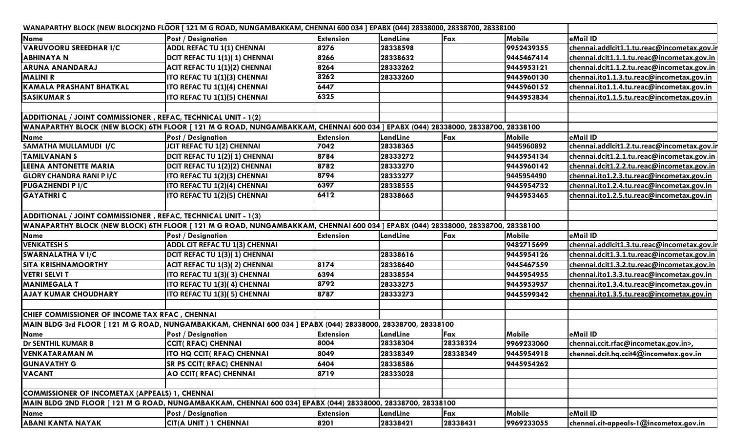| <b>Post / Designation</b><br><b>Extension</b><br><b>Mobile</b><br>eMail ID<br>LandLine<br>Fax<br><b>ADDL REFAC TU 1(1) CHENNAI</b><br>9952439355<br>chennai.addlcit1.1.tu.reac@incometax.gov.ir<br>28338598<br>8276<br>8266<br>9445467414<br>DCIT REFAC TU 1(1)(1) CHENNAI<br>28338632<br>chennai.dcit1.1.1.tu.reac@incometax.gov.in<br>28333262<br>9445953121<br>ACIT REFAC TU 1(1)(2) CHENNAI<br>8264<br>chennai.dcit1.1.2.tu.reac@incometax.gov.in<br>8262<br>9445960130<br>chennai.ito1.1.3.tu.reac@incometax.gov.in<br>ITO REFAC TU 1(1)(3) CHENNAI<br>28333260<br>6447<br>ITO REFAC TU 1(1)(4) CHENNAI<br>9445960152<br>chennai.ito1.1.4.tu.reac@incometax.gov.in<br>6325<br>9445953834<br>ITO REFAC TU 1(1)(5) CHENNAI<br>chennai.ito1.1.5.tu.reac@incometax.gov.in<br>ADDITIONAL / JOINT COMMISSIONER, REFAC, TECHNICAL UNIT - 1(2)<br>WANAPARTHY BLOCK (NEW BLOCK) 6TH FLOOR [ 121 M G ROAD, NUNGAMBAKKAM, CHENNAI 600 034 ] EPABX (044) 28338000, 28338700, 28338100<br><b>Mobile</b><br><b>Post / Designation</b><br><b>Extension</b><br>LandLine<br>eMail ID<br>Fax<br>7042<br>9445960892<br>JCIT REFAC TU 1(2) CHENNAI<br>28338365<br>chennai.addlcit1.2.tu.reac@incometax.gov.ir<br>DCIT REFAC TU 1(2)(1) CHENNAI<br>8784<br>9445954134<br>28333272<br>chennai.dcit1.2.1.tu.reac@incometax.gov.in<br>8782<br>28333270<br>9445960142<br>chennai.dcit1.2.2.tu.reac@incometax.gov.in<br>DCIT REFAC TU 1(2)(2) CHENNAI<br>8794<br>ITO REFAC TU 1(2)(3) CHENNAI<br>28333277<br>9445954490<br>chennai.ito1.2.3.tu.reac@incometax.gov.in<br>6397<br>ITO REFAC TU 1(2)(4) CHENNAI<br>9445954732<br>chennai.ito1.2.4.tu.reac@incometax.gov.in<br>28338555<br>6412<br>ITO REFAC TU 1(2)(5) CHENNAI<br>28338665<br>9445953465<br>chennai.ito1.2.5.tu.reac@incometax.gov.in<br>ADDITIONAL / JOINT COMMISSIONER, REFAC, TECHNICAL UNIT - 1(3)<br>WANAPARTHY BLOCK (NEW BLOCK) 6TH FLOOR [121 M G ROAD, NUNGAMBAKKAM, CHENNAI 600 034 ] EPABX (044) 28338000, 28338700, 28338100<br>eMail ID<br><b>Mobile</b><br><b>Post / Designation</b><br>LandLine<br><b>Extension</b><br>Fax<br>ADDL CIT REFAC TU 1(3) CHENNAI<br>9482715699<br>chennai.addlcit1.3.tu.reac@incometax.gov.ir<br>9445954126<br>DCIT REFAC TU 1(3)(1) CHENNAI<br>28338616<br>chennai.dcit1.3.1.tu.reac@incometax.gov.in<br>8174<br><b>ACIT REFAC TU 1(3)(2) CHENNAI</b><br>28338640<br>9445467559<br>chennai.dcit1.3.2.tu.reac@incometax.gov.in<br>ITO REFAC TU 1(3)(3) CHENNAI<br>6394<br>28338554<br>9445954955<br>chennai.ito1.3.3.tu.reac@incometax.gov.in<br>8792<br><b>ITO REFAC TU 1(3)(4) CHENNAI</b><br>9445953957<br>chennai.ito1.3.4.tu.reac@incometax.gov.in<br>28333275<br>28333273<br>chennai.ito1.3.5.tu.reac@incometax.gov.in<br>ITO REFAC TU 1(3)(5) CHENNAI<br>8787<br>9445599342<br>CHIEF COMMISSIONER OF INCOME TAX RFAC, CHENNAI<br>MAIN BLDG 3rd FLOOR [ 121 M G ROAD, NUNGAMBAKKAM, CHENNAI 600 034 ] EPABX (044) 28338000, 28338700, 28338100<br><b>Mobile</b><br><b>Post / Designation</b><br>LandLine<br>eMail ID<br><b>Extension</b><br>Fax<br>28338324<br>8004<br>28338304<br><b>CCIT( RFAC) CHENNAI</b><br>9969233060<br>chennai.ccit.rfac@incometax.gov.in><br>8049<br>28338349<br>9445954918<br>ITO HQ CCIT( RFAC) CHENNAI<br>28338349<br>chennai.dcit.hg.ccit4@incometax.gov.in<br>6404<br>28338586<br>9445954262<br><b>SR PS CCIT( RFAC) CHENNAI</b><br>AO CCIT( RFAC) CHENNAI<br>8719<br>28333028<br>COMMISSIONER OF INCOMETAX (APPEALS) 1, CHENNAI<br>MAIN BLDG 2ND FLOOR [ 121 M G ROAD, NUNGAMBAKKAM, CHENNAI 600 034] EPABX (044) 28338000, 28338700, 28338100<br><b>Post / Designation</b><br>Fax<br><b>Mobile</b><br>eMail ID<br><b>Extension</b><br>LandLine<br>CIT(A UNIT) 1 CHENNAI<br>28338431<br>9969233055<br>8201<br>28338421<br>chennai.cit-appeals-1@incometax.gov.in | WANAPARTHY BLOCK (NEW BLOCK)2ND FLOOR [121 M G ROAD, NUNGAMBAKKAM, CHENNAI 600 034 ] EPABX (044) 28338000, 28338700, 28338100 |  |  |  |
|------------------------------------------------------------------------------------------------------------------------------------------------------------------------------------------------------------------------------------------------------------------------------------------------------------------------------------------------------------------------------------------------------------------------------------------------------------------------------------------------------------------------------------------------------------------------------------------------------------------------------------------------------------------------------------------------------------------------------------------------------------------------------------------------------------------------------------------------------------------------------------------------------------------------------------------------------------------------------------------------------------------------------------------------------------------------------------------------------------------------------------------------------------------------------------------------------------------------------------------------------------------------------------------------------------------------------------------------------------------------------------------------------------------------------------------------------------------------------------------------------------------------------------------------------------------------------------------------------------------------------------------------------------------------------------------------------------------------------------------------------------------------------------------------------------------------------------------------------------------------------------------------------------------------------------------------------------------------------------------------------------------------------------------------------------------------------------------------------------------------------------------------------------------------------------------------------------------------------------------------------------------------------------------------------------------------------------------------------------------------------------------------------------------------------------------------------------------------------------------------------------------------------------------------------------------------------------------------------------------------------------------------------------------------------------------------------------------------------------------------------------------------------------------------------------------------------------------------------------------------------------------------------------------------------------------------------------------------------------------------------------------------------------------------------------------------------------------------------------------------------------------------------------------------------------------------------------------------------------------------------------------------------------------------------------------------------------------------------------------------------------------------------------------------------------------------------------------------------------------------------------------------------------------------------------------------------------------------------------------------------------------------------------------------------------------------------------------------------------------------------------------------------------------|-------------------------------------------------------------------------------------------------------------------------------|--|--|--|
|                                                                                                                                                                                                                                                                                                                                                                                                                                                                                                                                                                                                                                                                                                                                                                                                                                                                                                                                                                                                                                                                                                                                                                                                                                                                                                                                                                                                                                                                                                                                                                                                                                                                                                                                                                                                                                                                                                                                                                                                                                                                                                                                                                                                                                                                                                                                                                                                                                                                                                                                                                                                                                                                                                                                                                                                                                                                                                                                                                                                                                                                                                                                                                                                                                                                                                                                                                                                                                                                                                                                                                                                                                                                                                                                                                                          | <b>Name</b>                                                                                                                   |  |  |  |
|                                                                                                                                                                                                                                                                                                                                                                                                                                                                                                                                                                                                                                                                                                                                                                                                                                                                                                                                                                                                                                                                                                                                                                                                                                                                                                                                                                                                                                                                                                                                                                                                                                                                                                                                                                                                                                                                                                                                                                                                                                                                                                                                                                                                                                                                                                                                                                                                                                                                                                                                                                                                                                                                                                                                                                                                                                                                                                                                                                                                                                                                                                                                                                                                                                                                                                                                                                                                                                                                                                                                                                                                                                                                                                                                                                                          | <b>VARUVOORU SREEDHAR I/C</b>                                                                                                 |  |  |  |
|                                                                                                                                                                                                                                                                                                                                                                                                                                                                                                                                                                                                                                                                                                                                                                                                                                                                                                                                                                                                                                                                                                                                                                                                                                                                                                                                                                                                                                                                                                                                                                                                                                                                                                                                                                                                                                                                                                                                                                                                                                                                                                                                                                                                                                                                                                                                                                                                                                                                                                                                                                                                                                                                                                                                                                                                                                                                                                                                                                                                                                                                                                                                                                                                                                                                                                                                                                                                                                                                                                                                                                                                                                                                                                                                                                                          | <b>ABHINAYA N</b>                                                                                                             |  |  |  |
|                                                                                                                                                                                                                                                                                                                                                                                                                                                                                                                                                                                                                                                                                                                                                                                                                                                                                                                                                                                                                                                                                                                                                                                                                                                                                                                                                                                                                                                                                                                                                                                                                                                                                                                                                                                                                                                                                                                                                                                                                                                                                                                                                                                                                                                                                                                                                                                                                                                                                                                                                                                                                                                                                                                                                                                                                                                                                                                                                                                                                                                                                                                                                                                                                                                                                                                                                                                                                                                                                                                                                                                                                                                                                                                                                                                          | <b>ARUNA ANANDARAJ</b>                                                                                                        |  |  |  |
|                                                                                                                                                                                                                                                                                                                                                                                                                                                                                                                                                                                                                                                                                                                                                                                                                                                                                                                                                                                                                                                                                                                                                                                                                                                                                                                                                                                                                                                                                                                                                                                                                                                                                                                                                                                                                                                                                                                                                                                                                                                                                                                                                                                                                                                                                                                                                                                                                                                                                                                                                                                                                                                                                                                                                                                                                                                                                                                                                                                                                                                                                                                                                                                                                                                                                                                                                                                                                                                                                                                                                                                                                                                                                                                                                                                          | <b>MALINI R</b>                                                                                                               |  |  |  |
|                                                                                                                                                                                                                                                                                                                                                                                                                                                                                                                                                                                                                                                                                                                                                                                                                                                                                                                                                                                                                                                                                                                                                                                                                                                                                                                                                                                                                                                                                                                                                                                                                                                                                                                                                                                                                                                                                                                                                                                                                                                                                                                                                                                                                                                                                                                                                                                                                                                                                                                                                                                                                                                                                                                                                                                                                                                                                                                                                                                                                                                                                                                                                                                                                                                                                                                                                                                                                                                                                                                                                                                                                                                                                                                                                                                          | <b>KAMALA PRASHANT BHATKAL</b>                                                                                                |  |  |  |
|                                                                                                                                                                                                                                                                                                                                                                                                                                                                                                                                                                                                                                                                                                                                                                                                                                                                                                                                                                                                                                                                                                                                                                                                                                                                                                                                                                                                                                                                                                                                                                                                                                                                                                                                                                                                                                                                                                                                                                                                                                                                                                                                                                                                                                                                                                                                                                                                                                                                                                                                                                                                                                                                                                                                                                                                                                                                                                                                                                                                                                                                                                                                                                                                                                                                                                                                                                                                                                                                                                                                                                                                                                                                                                                                                                                          | <b>SASIKUMAR S</b>                                                                                                            |  |  |  |
|                                                                                                                                                                                                                                                                                                                                                                                                                                                                                                                                                                                                                                                                                                                                                                                                                                                                                                                                                                                                                                                                                                                                                                                                                                                                                                                                                                                                                                                                                                                                                                                                                                                                                                                                                                                                                                                                                                                                                                                                                                                                                                                                                                                                                                                                                                                                                                                                                                                                                                                                                                                                                                                                                                                                                                                                                                                                                                                                                                                                                                                                                                                                                                                                                                                                                                                                                                                                                                                                                                                                                                                                                                                                                                                                                                                          |                                                                                                                               |  |  |  |
|                                                                                                                                                                                                                                                                                                                                                                                                                                                                                                                                                                                                                                                                                                                                                                                                                                                                                                                                                                                                                                                                                                                                                                                                                                                                                                                                                                                                                                                                                                                                                                                                                                                                                                                                                                                                                                                                                                                                                                                                                                                                                                                                                                                                                                                                                                                                                                                                                                                                                                                                                                                                                                                                                                                                                                                                                                                                                                                                                                                                                                                                                                                                                                                                                                                                                                                                                                                                                                                                                                                                                                                                                                                                                                                                                                                          |                                                                                                                               |  |  |  |
|                                                                                                                                                                                                                                                                                                                                                                                                                                                                                                                                                                                                                                                                                                                                                                                                                                                                                                                                                                                                                                                                                                                                                                                                                                                                                                                                                                                                                                                                                                                                                                                                                                                                                                                                                                                                                                                                                                                                                                                                                                                                                                                                                                                                                                                                                                                                                                                                                                                                                                                                                                                                                                                                                                                                                                                                                                                                                                                                                                                                                                                                                                                                                                                                                                                                                                                                                                                                                                                                                                                                                                                                                                                                                                                                                                                          |                                                                                                                               |  |  |  |
|                                                                                                                                                                                                                                                                                                                                                                                                                                                                                                                                                                                                                                                                                                                                                                                                                                                                                                                                                                                                                                                                                                                                                                                                                                                                                                                                                                                                                                                                                                                                                                                                                                                                                                                                                                                                                                                                                                                                                                                                                                                                                                                                                                                                                                                                                                                                                                                                                                                                                                                                                                                                                                                                                                                                                                                                                                                                                                                                                                                                                                                                                                                                                                                                                                                                                                                                                                                                                                                                                                                                                                                                                                                                                                                                                                                          | Name                                                                                                                          |  |  |  |
|                                                                                                                                                                                                                                                                                                                                                                                                                                                                                                                                                                                                                                                                                                                                                                                                                                                                                                                                                                                                                                                                                                                                                                                                                                                                                                                                                                                                                                                                                                                                                                                                                                                                                                                                                                                                                                                                                                                                                                                                                                                                                                                                                                                                                                                                                                                                                                                                                                                                                                                                                                                                                                                                                                                                                                                                                                                                                                                                                                                                                                                                                                                                                                                                                                                                                                                                                                                                                                                                                                                                                                                                                                                                                                                                                                                          | SAMATHA MULLAMUDI I/C                                                                                                         |  |  |  |
|                                                                                                                                                                                                                                                                                                                                                                                                                                                                                                                                                                                                                                                                                                                                                                                                                                                                                                                                                                                                                                                                                                                                                                                                                                                                                                                                                                                                                                                                                                                                                                                                                                                                                                                                                                                                                                                                                                                                                                                                                                                                                                                                                                                                                                                                                                                                                                                                                                                                                                                                                                                                                                                                                                                                                                                                                                                                                                                                                                                                                                                                                                                                                                                                                                                                                                                                                                                                                                                                                                                                                                                                                                                                                                                                                                                          | <b>TAMILVANAN S</b>                                                                                                           |  |  |  |
|                                                                                                                                                                                                                                                                                                                                                                                                                                                                                                                                                                                                                                                                                                                                                                                                                                                                                                                                                                                                                                                                                                                                                                                                                                                                                                                                                                                                                                                                                                                                                                                                                                                                                                                                                                                                                                                                                                                                                                                                                                                                                                                                                                                                                                                                                                                                                                                                                                                                                                                                                                                                                                                                                                                                                                                                                                                                                                                                                                                                                                                                                                                                                                                                                                                                                                                                                                                                                                                                                                                                                                                                                                                                                                                                                                                          | <b>LEENA ANTONETTE MARIA</b>                                                                                                  |  |  |  |
|                                                                                                                                                                                                                                                                                                                                                                                                                                                                                                                                                                                                                                                                                                                                                                                                                                                                                                                                                                                                                                                                                                                                                                                                                                                                                                                                                                                                                                                                                                                                                                                                                                                                                                                                                                                                                                                                                                                                                                                                                                                                                                                                                                                                                                                                                                                                                                                                                                                                                                                                                                                                                                                                                                                                                                                                                                                                                                                                                                                                                                                                                                                                                                                                                                                                                                                                                                                                                                                                                                                                                                                                                                                                                                                                                                                          | <b>GLORY CHANDRA RANI P I/C</b>                                                                                               |  |  |  |
|                                                                                                                                                                                                                                                                                                                                                                                                                                                                                                                                                                                                                                                                                                                                                                                                                                                                                                                                                                                                                                                                                                                                                                                                                                                                                                                                                                                                                                                                                                                                                                                                                                                                                                                                                                                                                                                                                                                                                                                                                                                                                                                                                                                                                                                                                                                                                                                                                                                                                                                                                                                                                                                                                                                                                                                                                                                                                                                                                                                                                                                                                                                                                                                                                                                                                                                                                                                                                                                                                                                                                                                                                                                                                                                                                                                          | <b>PUGAZHENDI P I/C</b>                                                                                                       |  |  |  |
|                                                                                                                                                                                                                                                                                                                                                                                                                                                                                                                                                                                                                                                                                                                                                                                                                                                                                                                                                                                                                                                                                                                                                                                                                                                                                                                                                                                                                                                                                                                                                                                                                                                                                                                                                                                                                                                                                                                                                                                                                                                                                                                                                                                                                                                                                                                                                                                                                                                                                                                                                                                                                                                                                                                                                                                                                                                                                                                                                                                                                                                                                                                                                                                                                                                                                                                                                                                                                                                                                                                                                                                                                                                                                                                                                                                          | <b>GAYATHRI C</b>                                                                                                             |  |  |  |
|                                                                                                                                                                                                                                                                                                                                                                                                                                                                                                                                                                                                                                                                                                                                                                                                                                                                                                                                                                                                                                                                                                                                                                                                                                                                                                                                                                                                                                                                                                                                                                                                                                                                                                                                                                                                                                                                                                                                                                                                                                                                                                                                                                                                                                                                                                                                                                                                                                                                                                                                                                                                                                                                                                                                                                                                                                                                                                                                                                                                                                                                                                                                                                                                                                                                                                                                                                                                                                                                                                                                                                                                                                                                                                                                                                                          |                                                                                                                               |  |  |  |
|                                                                                                                                                                                                                                                                                                                                                                                                                                                                                                                                                                                                                                                                                                                                                                                                                                                                                                                                                                                                                                                                                                                                                                                                                                                                                                                                                                                                                                                                                                                                                                                                                                                                                                                                                                                                                                                                                                                                                                                                                                                                                                                                                                                                                                                                                                                                                                                                                                                                                                                                                                                                                                                                                                                                                                                                                                                                                                                                                                                                                                                                                                                                                                                                                                                                                                                                                                                                                                                                                                                                                                                                                                                                                                                                                                                          |                                                                                                                               |  |  |  |
|                                                                                                                                                                                                                                                                                                                                                                                                                                                                                                                                                                                                                                                                                                                                                                                                                                                                                                                                                                                                                                                                                                                                                                                                                                                                                                                                                                                                                                                                                                                                                                                                                                                                                                                                                                                                                                                                                                                                                                                                                                                                                                                                                                                                                                                                                                                                                                                                                                                                                                                                                                                                                                                                                                                                                                                                                                                                                                                                                                                                                                                                                                                                                                                                                                                                                                                                                                                                                                                                                                                                                                                                                                                                                                                                                                                          |                                                                                                                               |  |  |  |
|                                                                                                                                                                                                                                                                                                                                                                                                                                                                                                                                                                                                                                                                                                                                                                                                                                                                                                                                                                                                                                                                                                                                                                                                                                                                                                                                                                                                                                                                                                                                                                                                                                                                                                                                                                                                                                                                                                                                                                                                                                                                                                                                                                                                                                                                                                                                                                                                                                                                                                                                                                                                                                                                                                                                                                                                                                                                                                                                                                                                                                                                                                                                                                                                                                                                                                                                                                                                                                                                                                                                                                                                                                                                                                                                                                                          | Name                                                                                                                          |  |  |  |
|                                                                                                                                                                                                                                                                                                                                                                                                                                                                                                                                                                                                                                                                                                                                                                                                                                                                                                                                                                                                                                                                                                                                                                                                                                                                                                                                                                                                                                                                                                                                                                                                                                                                                                                                                                                                                                                                                                                                                                                                                                                                                                                                                                                                                                                                                                                                                                                                                                                                                                                                                                                                                                                                                                                                                                                                                                                                                                                                                                                                                                                                                                                                                                                                                                                                                                                                                                                                                                                                                                                                                                                                                                                                                                                                                                                          | <b>VENKATESH S</b>                                                                                                            |  |  |  |
|                                                                                                                                                                                                                                                                                                                                                                                                                                                                                                                                                                                                                                                                                                                                                                                                                                                                                                                                                                                                                                                                                                                                                                                                                                                                                                                                                                                                                                                                                                                                                                                                                                                                                                                                                                                                                                                                                                                                                                                                                                                                                                                                                                                                                                                                                                                                                                                                                                                                                                                                                                                                                                                                                                                                                                                                                                                                                                                                                                                                                                                                                                                                                                                                                                                                                                                                                                                                                                                                                                                                                                                                                                                                                                                                                                                          | <b>SWARNALATHA V I/C</b>                                                                                                      |  |  |  |
|                                                                                                                                                                                                                                                                                                                                                                                                                                                                                                                                                                                                                                                                                                                                                                                                                                                                                                                                                                                                                                                                                                                                                                                                                                                                                                                                                                                                                                                                                                                                                                                                                                                                                                                                                                                                                                                                                                                                                                                                                                                                                                                                                                                                                                                                                                                                                                                                                                                                                                                                                                                                                                                                                                                                                                                                                                                                                                                                                                                                                                                                                                                                                                                                                                                                                                                                                                                                                                                                                                                                                                                                                                                                                                                                                                                          | <b>SITA KRISHNAMOORTHY</b>                                                                                                    |  |  |  |
|                                                                                                                                                                                                                                                                                                                                                                                                                                                                                                                                                                                                                                                                                                                                                                                                                                                                                                                                                                                                                                                                                                                                                                                                                                                                                                                                                                                                                                                                                                                                                                                                                                                                                                                                                                                                                                                                                                                                                                                                                                                                                                                                                                                                                                                                                                                                                                                                                                                                                                                                                                                                                                                                                                                                                                                                                                                                                                                                                                                                                                                                                                                                                                                                                                                                                                                                                                                                                                                                                                                                                                                                                                                                                                                                                                                          | <b>VETRI SELVI T</b>                                                                                                          |  |  |  |
|                                                                                                                                                                                                                                                                                                                                                                                                                                                                                                                                                                                                                                                                                                                                                                                                                                                                                                                                                                                                                                                                                                                                                                                                                                                                                                                                                                                                                                                                                                                                                                                                                                                                                                                                                                                                                                                                                                                                                                                                                                                                                                                                                                                                                                                                                                                                                                                                                                                                                                                                                                                                                                                                                                                                                                                                                                                                                                                                                                                                                                                                                                                                                                                                                                                                                                                                                                                                                                                                                                                                                                                                                                                                                                                                                                                          | <b>MANIMEGALA T</b>                                                                                                           |  |  |  |
|                                                                                                                                                                                                                                                                                                                                                                                                                                                                                                                                                                                                                                                                                                                                                                                                                                                                                                                                                                                                                                                                                                                                                                                                                                                                                                                                                                                                                                                                                                                                                                                                                                                                                                                                                                                                                                                                                                                                                                                                                                                                                                                                                                                                                                                                                                                                                                                                                                                                                                                                                                                                                                                                                                                                                                                                                                                                                                                                                                                                                                                                                                                                                                                                                                                                                                                                                                                                                                                                                                                                                                                                                                                                                                                                                                                          | <b>AJAY KUMAR CHOUDHARY</b>                                                                                                   |  |  |  |
|                                                                                                                                                                                                                                                                                                                                                                                                                                                                                                                                                                                                                                                                                                                                                                                                                                                                                                                                                                                                                                                                                                                                                                                                                                                                                                                                                                                                                                                                                                                                                                                                                                                                                                                                                                                                                                                                                                                                                                                                                                                                                                                                                                                                                                                                                                                                                                                                                                                                                                                                                                                                                                                                                                                                                                                                                                                                                                                                                                                                                                                                                                                                                                                                                                                                                                                                                                                                                                                                                                                                                                                                                                                                                                                                                                                          |                                                                                                                               |  |  |  |
|                                                                                                                                                                                                                                                                                                                                                                                                                                                                                                                                                                                                                                                                                                                                                                                                                                                                                                                                                                                                                                                                                                                                                                                                                                                                                                                                                                                                                                                                                                                                                                                                                                                                                                                                                                                                                                                                                                                                                                                                                                                                                                                                                                                                                                                                                                                                                                                                                                                                                                                                                                                                                                                                                                                                                                                                                                                                                                                                                                                                                                                                                                                                                                                                                                                                                                                                                                                                                                                                                                                                                                                                                                                                                                                                                                                          |                                                                                                                               |  |  |  |
|                                                                                                                                                                                                                                                                                                                                                                                                                                                                                                                                                                                                                                                                                                                                                                                                                                                                                                                                                                                                                                                                                                                                                                                                                                                                                                                                                                                                                                                                                                                                                                                                                                                                                                                                                                                                                                                                                                                                                                                                                                                                                                                                                                                                                                                                                                                                                                                                                                                                                                                                                                                                                                                                                                                                                                                                                                                                                                                                                                                                                                                                                                                                                                                                                                                                                                                                                                                                                                                                                                                                                                                                                                                                                                                                                                                          |                                                                                                                               |  |  |  |
|                                                                                                                                                                                                                                                                                                                                                                                                                                                                                                                                                                                                                                                                                                                                                                                                                                                                                                                                                                                                                                                                                                                                                                                                                                                                                                                                                                                                                                                                                                                                                                                                                                                                                                                                                                                                                                                                                                                                                                                                                                                                                                                                                                                                                                                                                                                                                                                                                                                                                                                                                                                                                                                                                                                                                                                                                                                                                                                                                                                                                                                                                                                                                                                                                                                                                                                                                                                                                                                                                                                                                                                                                                                                                                                                                                                          | Name                                                                                                                          |  |  |  |
|                                                                                                                                                                                                                                                                                                                                                                                                                                                                                                                                                                                                                                                                                                                                                                                                                                                                                                                                                                                                                                                                                                                                                                                                                                                                                                                                                                                                                                                                                                                                                                                                                                                                                                                                                                                                                                                                                                                                                                                                                                                                                                                                                                                                                                                                                                                                                                                                                                                                                                                                                                                                                                                                                                                                                                                                                                                                                                                                                                                                                                                                                                                                                                                                                                                                                                                                                                                                                                                                                                                                                                                                                                                                                                                                                                                          | <b>Dr SENTHIL KUMAR B</b>                                                                                                     |  |  |  |
|                                                                                                                                                                                                                                                                                                                                                                                                                                                                                                                                                                                                                                                                                                                                                                                                                                                                                                                                                                                                                                                                                                                                                                                                                                                                                                                                                                                                                                                                                                                                                                                                                                                                                                                                                                                                                                                                                                                                                                                                                                                                                                                                                                                                                                                                                                                                                                                                                                                                                                                                                                                                                                                                                                                                                                                                                                                                                                                                                                                                                                                                                                                                                                                                                                                                                                                                                                                                                                                                                                                                                                                                                                                                                                                                                                                          | <b>VENKATARAMAN M</b>                                                                                                         |  |  |  |
|                                                                                                                                                                                                                                                                                                                                                                                                                                                                                                                                                                                                                                                                                                                                                                                                                                                                                                                                                                                                                                                                                                                                                                                                                                                                                                                                                                                                                                                                                                                                                                                                                                                                                                                                                                                                                                                                                                                                                                                                                                                                                                                                                                                                                                                                                                                                                                                                                                                                                                                                                                                                                                                                                                                                                                                                                                                                                                                                                                                                                                                                                                                                                                                                                                                                                                                                                                                                                                                                                                                                                                                                                                                                                                                                                                                          | <b>GUNAVATHY G</b>                                                                                                            |  |  |  |
|                                                                                                                                                                                                                                                                                                                                                                                                                                                                                                                                                                                                                                                                                                                                                                                                                                                                                                                                                                                                                                                                                                                                                                                                                                                                                                                                                                                                                                                                                                                                                                                                                                                                                                                                                                                                                                                                                                                                                                                                                                                                                                                                                                                                                                                                                                                                                                                                                                                                                                                                                                                                                                                                                                                                                                                                                                                                                                                                                                                                                                                                                                                                                                                                                                                                                                                                                                                                                                                                                                                                                                                                                                                                                                                                                                                          | <b>VACANT</b>                                                                                                                 |  |  |  |
|                                                                                                                                                                                                                                                                                                                                                                                                                                                                                                                                                                                                                                                                                                                                                                                                                                                                                                                                                                                                                                                                                                                                                                                                                                                                                                                                                                                                                                                                                                                                                                                                                                                                                                                                                                                                                                                                                                                                                                                                                                                                                                                                                                                                                                                                                                                                                                                                                                                                                                                                                                                                                                                                                                                                                                                                                                                                                                                                                                                                                                                                                                                                                                                                                                                                                                                                                                                                                                                                                                                                                                                                                                                                                                                                                                                          |                                                                                                                               |  |  |  |
|                                                                                                                                                                                                                                                                                                                                                                                                                                                                                                                                                                                                                                                                                                                                                                                                                                                                                                                                                                                                                                                                                                                                                                                                                                                                                                                                                                                                                                                                                                                                                                                                                                                                                                                                                                                                                                                                                                                                                                                                                                                                                                                                                                                                                                                                                                                                                                                                                                                                                                                                                                                                                                                                                                                                                                                                                                                                                                                                                                                                                                                                                                                                                                                                                                                                                                                                                                                                                                                                                                                                                                                                                                                                                                                                                                                          |                                                                                                                               |  |  |  |
|                                                                                                                                                                                                                                                                                                                                                                                                                                                                                                                                                                                                                                                                                                                                                                                                                                                                                                                                                                                                                                                                                                                                                                                                                                                                                                                                                                                                                                                                                                                                                                                                                                                                                                                                                                                                                                                                                                                                                                                                                                                                                                                                                                                                                                                                                                                                                                                                                                                                                                                                                                                                                                                                                                                                                                                                                                                                                                                                                                                                                                                                                                                                                                                                                                                                                                                                                                                                                                                                                                                                                                                                                                                                                                                                                                                          |                                                                                                                               |  |  |  |
|                                                                                                                                                                                                                                                                                                                                                                                                                                                                                                                                                                                                                                                                                                                                                                                                                                                                                                                                                                                                                                                                                                                                                                                                                                                                                                                                                                                                                                                                                                                                                                                                                                                                                                                                                                                                                                                                                                                                                                                                                                                                                                                                                                                                                                                                                                                                                                                                                                                                                                                                                                                                                                                                                                                                                                                                                                                                                                                                                                                                                                                                                                                                                                                                                                                                                                                                                                                                                                                                                                                                                                                                                                                                                                                                                                                          | <b>Name</b>                                                                                                                   |  |  |  |
|                                                                                                                                                                                                                                                                                                                                                                                                                                                                                                                                                                                                                                                                                                                                                                                                                                                                                                                                                                                                                                                                                                                                                                                                                                                                                                                                                                                                                                                                                                                                                                                                                                                                                                                                                                                                                                                                                                                                                                                                                                                                                                                                                                                                                                                                                                                                                                                                                                                                                                                                                                                                                                                                                                                                                                                                                                                                                                                                                                                                                                                                                                                                                                                                                                                                                                                                                                                                                                                                                                                                                                                                                                                                                                                                                                                          | <b>ABANI KANTA NAYAK</b>                                                                                                      |  |  |  |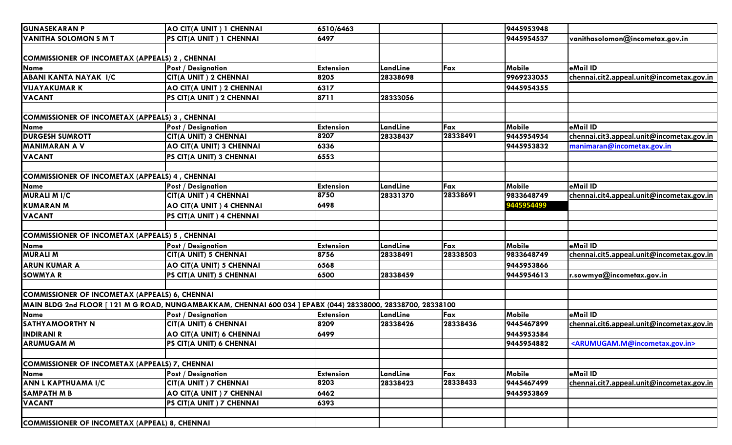| <b>GUNASEKARAN P</b>                                  | AO CIT(A UNIT) 1 CHENNAI                                                                                    | 6510/6463        |          |          | 9445953948    |                                                             |
|-------------------------------------------------------|-------------------------------------------------------------------------------------------------------------|------------------|----------|----------|---------------|-------------------------------------------------------------|
| <b>VANITHA SOLOMON S M T</b>                          | PS CIT(A UNIT) 1 CHENNAI                                                                                    | 6497             |          |          | 9445954537    | vanithasolomon@incometax.gov.in                             |
|                                                       |                                                                                                             |                  |          |          |               |                                                             |
| <b>COMMISSIONER OF INCOMETAX (APPEALS) 2, CHENNAI</b> |                                                                                                             |                  |          |          |               |                                                             |
| <b>Name</b>                                           | <b>Post / Designation</b>                                                                                   | <b>Extension</b> | LandLine | Fax      | Mobile        | eMail ID                                                    |
| ABANI KANTA NAYAK I/C                                 | CIT(A UNIT) 2 CHENNAI                                                                                       | 8205             | 28338698 |          | 9969233055    | chennai.cit2.appeal.unit@incometax.gov.in                   |
| <b>VIJAYAKUMAR K</b>                                  | AO CIT(A UNIT) 2 CHENNAI                                                                                    | 6317             |          |          | 9445954355    |                                                             |
| <b>VACANT</b>                                         | PS CIT(A UNIT) 2 CHENNAI                                                                                    | 8711             | 28333056 |          |               |                                                             |
|                                                       |                                                                                                             |                  |          |          |               |                                                             |
| <b>COMMISSIONER OF INCOMETAX (APPEALS) 3, CHENNAI</b> |                                                                                                             |                  |          |          |               |                                                             |
| <b>Name</b>                                           | <b>Post / Designation</b>                                                                                   | <b>Extension</b> | LandLine | Fax      | <b>Mobile</b> | eMail ID                                                    |
| <b>DURGESH SUMROTT</b>                                | CIT(A UNIT) 3 CHENNAI                                                                                       | 8207             | 28338437 | 28338491 | 9445954954    | chennai.cit3.appeal.unit@incometax.gov.in                   |
| <b>MANIMARAN A V</b>                                  | AO CIT(A UNIT) 3 CHENNAI                                                                                    | 6336             |          |          | 9445953832    | manimaran@incometax.gov.in                                  |
| <b>VACANT</b>                                         | PS CIT(A UNIT) 3 CHENNAI                                                                                    | 6553             |          |          |               |                                                             |
|                                                       |                                                                                                             |                  |          |          |               |                                                             |
| <b>COMMISSIONER OF INCOMETAX (APPEALS) 4, CHENNAI</b> |                                                                                                             |                  |          |          |               |                                                             |
| <b>Name</b>                                           | <b>Post / Designation</b>                                                                                   | <b>Extension</b> | LandLine | Fax      | Mobile        | eMail ID                                                    |
| <b>MURALI M I/C</b>                                   | CIT(A UNIT) 4 CHENNAI                                                                                       | 8750             | 28331370 | 28338691 | 9833648749    | chennai.cit4.appeal.unit@incometax.gov.in                   |
| <b>KUMARAN M</b>                                      | AO CIT(A UNIT) 4 CHENNAI                                                                                    | 6498             |          |          | 9445954499    |                                                             |
| <b>VACANT</b>                                         | PS CIT(A UNIT) 4 CHENNAI                                                                                    |                  |          |          |               |                                                             |
|                                                       |                                                                                                             |                  |          |          |               |                                                             |
| COMMISSIONER OF INCOMETAX (APPEALS) 5, CHENNAI        |                                                                                                             |                  |          |          |               |                                                             |
| Name                                                  | <b>Post / Designation</b>                                                                                   | <b>Extension</b> | LandLine | Fax      | Mobile        | eMail ID                                                    |
| <b>MURALIM</b>                                        | <b>CIT(A UNIT) 5 CHENNAI</b>                                                                                | 8756             | 28338491 | 28338503 | 9833648749    | chennai.cit5.appeal.unit@incometax.gov.in                   |
| <b>ARUN KUMAR A</b>                                   | AO CIT(A UNIT) 5 CHENNAI                                                                                    | 6568             |          |          | 9445953866    |                                                             |
| <b>SOWMYAR</b>                                        | PS CIT(A UNIT) 5 CHENNAI                                                                                    | 6500             | 28338459 |          | 9445954613    | r.sowmya@incometax.gov.in                                   |
|                                                       |                                                                                                             |                  |          |          |               |                                                             |
| <b>COMMISSIONER OF INCOMETAX (APPEALS) 6, CHENNAI</b> |                                                                                                             |                  |          |          |               |                                                             |
|                                                       | MAIN BLDG 2nd FLOOR [121 M G ROAD, NUNGAMBAKKAM, CHENNAI 600 034 ] EPABX (044) 28338000, 28338700, 28338100 |                  |          |          |               |                                                             |
| <b>Name</b>                                           | <b>Post / Designation</b>                                                                                   | <b>Extension</b> | LandLine | Fax      | Mobile        | eMail ID                                                    |
| <b>SATHYAMOORTHY N</b>                                | <b>CIT(A UNIT) 6 CHENNAI</b>                                                                                | 8209             | 28338426 | 28338436 | 9445467899    | chennai.cit6.appeal.unit@incometax.gov.in                   |
| <b>INDIRANI R</b>                                     | AO CIT(A UNIT) 6 CHENNAI                                                                                    | 6499             |          |          | 9445953584    |                                                             |
| <b>ARUMUGAM M</b>                                     | PS CIT(A UNIT) 6 CHENNAI                                                                                    |                  |          |          | 9445954882    | <arumugam.m@incometax.gov.in></arumugam.m@incometax.gov.in> |
|                                                       |                                                                                                             |                  |          |          |               |                                                             |
| <b>COMMISSIONER OF INCOMETAX (APPEALS) 7, CHENNAI</b> |                                                                                                             |                  |          |          |               |                                                             |
| <b>Name</b>                                           | <b>Post / Designation</b>                                                                                   | <b>Extension</b> | LandLine | Fax      | Mobile        | eMail ID                                                    |
| <b>ANN L KAPTHUAMA I/C</b>                            | CIT(A UNIT) 7 CHENNAI                                                                                       | 8203             | 28338423 | 28338433 | 9445467499    | chennai.cit7.appeal.unit@incometax.gov.in                   |
| <b>SAMPATH M B</b>                                    | AO CIT(A UNIT) 7 CHENNAI                                                                                    | 6462             |          |          | 9445953869    |                                                             |
| <b>VACANT</b>                                         | PS CIT(A UNIT) 7 CHENNAI                                                                                    | 6393             |          |          |               |                                                             |
|                                                       |                                                                                                             |                  |          |          |               |                                                             |
| <b>COMMISSIONER OF INCOMETAX (APPEAL) 8, CHENNAI</b>  |                                                                                                             |                  |          |          |               |                                                             |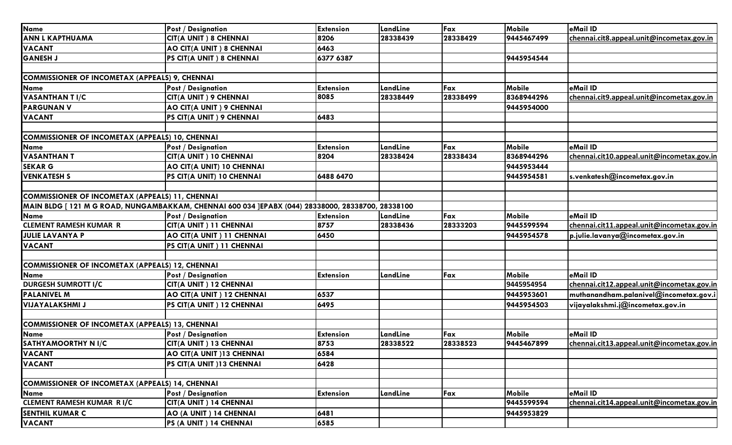| <b>Name</b>                                            | <b>Post / Designation</b>                                                                         | <b>Extension</b> | LandLine | Fax      | Mobile     | eMail ID                                   |
|--------------------------------------------------------|---------------------------------------------------------------------------------------------------|------------------|----------|----------|------------|--------------------------------------------|
| <b>ANN L KAPTHUAMA</b>                                 | <b>CIT(A UNIT) 8 CHENNAI</b>                                                                      | 8206             | 28338439 | 28338429 | 9445467499 | chennai.cit8.appeal.unit@incometax.gov.in  |
| <b>VACANT</b>                                          | AO CIT(A UNIT) 8 CHENNAI                                                                          | 6463             |          |          |            |                                            |
| <b>GANESH J</b>                                        | PS CIT(A UNIT) 8 CHENNAI                                                                          | 6377 6387        |          |          | 9445954544 |                                            |
|                                                        |                                                                                                   |                  |          |          |            |                                            |
| <b>COMMISSIONER OF INCOMETAX (APPEALS) 9, CHENNAI</b>  |                                                                                                   |                  |          |          |            |                                            |
| <b>Name</b>                                            | <b>Post / Designation</b>                                                                         | <b>Extension</b> | LandLine | Fax      | Mobile     | eMail ID                                   |
| <b>VASANTHAN TI/C</b>                                  | CIT(A UNIT) 9 CHENNAI                                                                             | 8085             | 28338449 | 28338499 | 8368944296 | chennai.cit9.appeal.unit@incometax.gov.in  |
| <b>PARGUNAN V</b>                                      | AO CIT(A UNIT) 9 CHENNAI                                                                          |                  |          |          | 9445954000 |                                            |
| <b>VACANT</b>                                          | PS CIT(A UNIT) 9 CHENNAI                                                                          | 6483             |          |          |            |                                            |
|                                                        |                                                                                                   |                  |          |          |            |                                            |
| COMMISSIONER OF INCOMETAX (APPEALS) 10, CHENNAI        |                                                                                                   |                  |          |          |            |                                            |
| <b>Name</b>                                            | <b>Post / Designation</b>                                                                         | <b>Extension</b> | LandLine | Fax      | Mobile     | eMail ID                                   |
| <b>VASANTHAN T</b>                                     | CIT(A UNIT) 10 CHENNAI                                                                            | 8204             | 28338424 | 28338434 | 8368944296 | chennai.cit10.appeal.unit@incometax.gov.in |
| <b>SEKAR G</b>                                         | AO CIT(A UNIT) 10 CHENNAI                                                                         |                  |          |          | 9445953444 |                                            |
| <b>VENKATESH S</b>                                     | PS CIT(A UNIT) 10 CHENNAI                                                                         | 6488 6470        |          |          | 9445954581 | s.venkatesh@incometax.gov.in               |
|                                                        |                                                                                                   |                  |          |          |            |                                            |
| <b>COMMISSIONER OF INCOMETAX (APPEALS) 11, CHENNAI</b> |                                                                                                   |                  |          |          |            |                                            |
|                                                        | MAIN BLDG [ 121 M G ROAD, NUNGAMBAKKAM, CHENNAI 600 034 ]EPABX (044) 28338000, 28338700, 28338100 |                  |          |          |            |                                            |
| <b>Name</b>                                            | <b>Post / Designation</b>                                                                         | <b>Extension</b> | LandLine | Fax      | Mobile     | eMail ID                                   |
| <b>CLEMENT RAMESH KUMAR R</b>                          | CIT(A UNIT) 11 CHENNAI                                                                            | 8757             | 28338436 | 28333203 | 9445599594 | chennai.cit11.appeal.unit@incometax.gov.in |
| <b>JULIE LAVANYA P</b>                                 | AO CIT(A UNIT) 11 CHENNAI                                                                         | 6450             |          |          | 9445954578 | p.julie.lavanya@incometax.gov.in           |
| <b>VACANT</b>                                          | PS CIT(A UNIT) 11 CHENNAI                                                                         |                  |          |          |            |                                            |
|                                                        |                                                                                                   |                  |          |          |            |                                            |
| COMMISSIONER OF INCOMETAX (APPEALS) 12, CHENNAI        |                                                                                                   |                  |          |          |            |                                            |
| <b>Name</b>                                            | <b>Post / Designation</b>                                                                         | <b>Extension</b> | LandLine | Fax      | Mobile     | eMail ID                                   |
| <b>DURGESH SUMROTT I/C</b>                             | CIT(A UNIT) 12 CHENNAI                                                                            |                  |          |          | 9445954954 | chennai.cit12.appeal.unit@incometax.gov.in |
| <b>PALANIVEL M</b>                                     | AO CIT(A UNIT) 12 CHENNAI                                                                         | 6537             |          |          | 9445953601 | muthanandham.palanivel@incometax.gov.i     |
| <b>VIJAYALAKSHMI J</b>                                 | PS CIT(A UNIT) 12 CHENNAI                                                                         | 6495             |          |          | 9445954503 | vijayalakshmi.j@incometax.gov.in           |
|                                                        |                                                                                                   |                  |          |          |            |                                            |
| COMMISSIONER OF INCOMETAX (APPEALS) 13, CHENNAI        |                                                                                                   |                  |          |          |            |                                            |
| <b>Name</b>                                            | <b>Post / Designation</b>                                                                         | <b>Extension</b> | LandLine | Fax      | Mobile     | eMail ID                                   |
| <b>SATHYAMOORTHY N I/C</b>                             | CIT(A UNIT) 13 CHENNAI                                                                            | 8753             | 28338522 | 28338523 | 9445467899 | chennai.cit13.appeal.unit@incometax.gov.in |
| <b>VACANT</b>                                          | AO CIT(A UNIT)13 CHENNAI                                                                          | 6584             |          |          |            |                                            |
| <b>VACANT</b>                                          | PS CIT(A UNIT)13 CHENNAI                                                                          | 6428             |          |          |            |                                            |
|                                                        |                                                                                                   |                  |          |          |            |                                            |
| <b>COMMISSIONER OF INCOMETAX (APPEALS) 14, CHENNAI</b> |                                                                                                   |                  |          |          |            |                                            |
| <b>Name</b>                                            | <b>Post / Designation</b>                                                                         | <b>Extension</b> | LandLine | Fax      | Mobile     | eMail ID                                   |
| <b>CLEMENT RAMESH KUMAR RI/C</b>                       | CIT(A UNIT) 14 CHENNAI                                                                            |                  |          |          | 9445599594 | chennai.cit14.appeal.unit@incometax.gov.in |
| <b>SENTHIL KUMAR C</b>                                 | AO (A UNIT) 14 CHENNAI                                                                            | 6481             |          |          | 9445953829 |                                            |
| <b>VACANT</b>                                          | PS (A UNIT) 14 CHENNAI                                                                            | 6585             |          |          |            |                                            |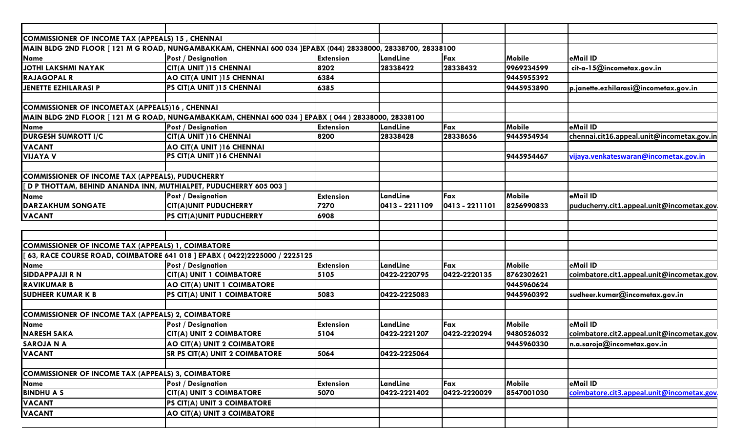| COMMISSIONER OF INCOME TAX (APPEALS) 15, CHENNAI          |                                                                                                             |                  |                |                |               |                                            |
|-----------------------------------------------------------|-------------------------------------------------------------------------------------------------------------|------------------|----------------|----------------|---------------|--------------------------------------------|
|                                                           | MAIN BLDG 2ND FLOOR [ 121 M G ROAD, NUNGAMBAKKAM, CHENNAI 600 034 ]EPABX (044) 28338000, 28338700, 28338100 |                  |                |                |               |                                            |
| <b>Name</b>                                               | <b>Post / Designation</b>                                                                                   | Extension        | LandLine       | Fax            | Mobile        | eMail ID                                   |
| JOTHI LAKSHMI NAYAK                                       | CIT(A UNIT)15 CHENNAI                                                                                       | 8202             | 28338422       | 28338432       | 9969234599    | cit-a-15@incometax.gov.in                  |
| <b>RAJAGOPAL R</b>                                        | AO CIT(A UNIT)15 CHENNAI                                                                                    | 6384             |                |                | 9445955392    |                                            |
| JENETTE EZHILARASI P                                      | PS CIT(A UNIT)15 CHENNAI                                                                                    | 6385             |                |                | 9445953890    | p.janette.ezhilarasi@incometax.gov.in      |
|                                                           |                                                                                                             |                  |                |                |               |                                            |
| COMMISSIONER OF INCOMETAX (APPEALS)16, CHENNAI            |                                                                                                             |                  |                |                |               |                                            |
|                                                           | MAIN BLDG 2ND FLOOR [ 121 M G ROAD, NUNGAMBAKKAM, CHENNAI 600 034 ] EPABX ( 044 ) 28338000, 28338100        |                  |                |                |               |                                            |
| Name                                                      | <b>Post / Designation</b>                                                                                   | <b>Extension</b> | LandLine       | Fax            | Mobile        | eMail ID                                   |
| <b>DURGESH SUMROTT I/C</b>                                | CIT(A UNIT)16 CHENNAI                                                                                       | 8200             | 28338428       | 28338656       | 9445954954    | chennai.cit16.appeal.unit@incometax.gov.in |
| <b>VACANT</b>                                             | AO CIT(A UNIT) 16 CHENNAI                                                                                   |                  |                |                |               |                                            |
| <b>VIJAYA V</b>                                           | PS CIT(A UNIT)16 CHENNAI                                                                                    |                  |                |                | 9445954467    | vijaya.venkateswaran@incometax.gov.in      |
|                                                           |                                                                                                             |                  |                |                |               |                                            |
| COMMISSIONER OF INCOME TAX (APPEALS), PUDUCHERRY          |                                                                                                             |                  |                |                |               |                                            |
|                                                           | [ D P THOTTAM, BEHIND ANANDA INN, MUTHIALPET, PUDUCHERRY 605 003 ]                                          |                  |                |                |               |                                            |
| <b>Name</b>                                               | <b>Post / Designation</b>                                                                                   | <b>Extension</b> | LandLine       | Fax            | <b>Mobile</b> | eMail ID                                   |
| <b>DARZAKHUM SONGATE</b>                                  | <b>CIT(A)UNIT PUDUCHERRY</b>                                                                                | 7270             | 0413 - 2211109 | 0413 - 2211101 | 8256990833    | puducherry.cit1.appeal.unit@incometax.gov  |
| <b>VACANT</b>                                             | PS CIT(A)UNIT PUDUCHERRY                                                                                    | 6908             |                |                |               |                                            |
|                                                           |                                                                                                             |                  |                |                |               |                                            |
|                                                           |                                                                                                             |                  |                |                |               |                                            |
| COMMISSIONER OF INCOME TAX (APPEALS) 1, COIMBATORE        |                                                                                                             |                  |                |                |               |                                            |
|                                                           | 63, RACE COURSE ROAD, COIMBATORE 641 018 ] EPABX (0422)2225000 / 2225125                                    |                  |                |                |               |                                            |
| <b>Name</b>                                               | <b>Post / Designation</b>                                                                                   | Extension        | LandLine       | Fax            | Mobile        | eMail ID                                   |
| <b>SIDDAPPAJJI R N</b>                                    | CIT(A) UNIT I COIMBATORE                                                                                    | 5105             | 0422-2220795   | 0422-2220135   | 8762302621    | coimbatore.cit1.appeal.unit@incometax.gov  |
| <b>RAVIKUMAR B</b>                                        | AO CIT(A) UNIT 1 COIMBATORE                                                                                 |                  |                |                | 9445960624    |                                            |
| <b>SUDHEER KUMAR K B</b>                                  | PS CIT(A) UNIT 1 COIMBATORE                                                                                 | 5083             | 0422-2225083   |                | 9445960392    | sudheer.kumar@incometax.gov.in             |
|                                                           |                                                                                                             |                  |                |                |               |                                            |
| <b>COMMISSIONER OF INCOME TAX (APPEALS) 2, COIMBATORE</b> |                                                                                                             |                  |                |                |               |                                            |
| <b>Name</b>                                               | <b>Post / Designation</b>                                                                                   | <b>Extension</b> | LandLine       | Fax            | Mobile        | eMail ID                                   |
| <b>NARESH SAKA</b>                                        | <b>CIT(A) UNIT 2 COIMBATORE</b>                                                                             | 5104             | 0422-2221207   | 0422-2220294   | 9480526032    | coimbatore.cit2.appeal.unit@incometax.gov  |
| <b>SAROJA N A</b>                                         | AO CIT(A) UNIT 2 COIMBATORE                                                                                 |                  |                |                | 9445960330    | n.a.saroja@incometax.gov.in                |
| <b>VACANT</b>                                             | <b>SR PS CIT(A) UNIT 2 COIMBATORE</b>                                                                       | 5064             | 0422-2225064   |                |               |                                            |
|                                                           |                                                                                                             |                  |                |                |               |                                            |
| <b>COMMISSIONER OF INCOME TAX (APPEALS) 3, COIMBATORE</b> |                                                                                                             |                  |                |                |               |                                            |
| <b>Name</b>                                               | <b>Post / Designation</b>                                                                                   | <b>Extension</b> | LandLine       | Fax            | <b>Mobile</b> | eMail ID                                   |
| <b>BINDHU A S</b>                                         | <b>CIT(A) UNIT 3 COIMBATORE</b>                                                                             | 5070             | 0422-2221402   | 0422-2220029   | 8547001030    | coimbatore.cit3.appeal.unit@incometax.gov  |
| <b>VACANT</b>                                             | PS CIT(A) UNIT 3 COIMBATORE                                                                                 |                  |                |                |               |                                            |
| <b>VACANT</b>                                             | AO CIT(A) UNIT 3 COIMBATORE                                                                                 |                  |                |                |               |                                            |
|                                                           |                                                                                                             |                  |                |                |               |                                            |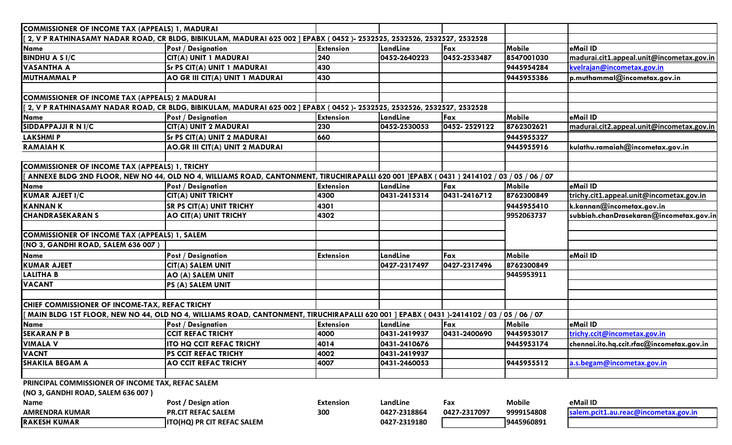| <b>COMMISSIONER OF INCOME TAX (APPEALS) 1, MADURAI</b> |                                                                                                                                          |                  |              |              |               |                                           |
|--------------------------------------------------------|------------------------------------------------------------------------------------------------------------------------------------------|------------------|--------------|--------------|---------------|-------------------------------------------|
|                                                        | [ 2, V P RATHINASAMY NADAR ROAD, CR BLDG, BIBIKULAM, MADURAI 625 002 ] EPABX ( 0452 )- 2532525, 2532526, 2532527, 2532528                |                  |              |              |               |                                           |
| Name                                                   | <b>Post / Designation</b>                                                                                                                | <b>Extension</b> | LandLine     | Fax          | Mobile        | eMail ID                                  |
| <b>BINDHU A S I/C</b>                                  | CIT(A) UNIT 1 MADURAI                                                                                                                    | 240              | 0452-2640223 | 0452-2533487 | 8547001030    | madurai.cit1.appeal.unit@incometax.gov.in |
| <b>VASANTHA A</b>                                      | Sr PS CIT(A) UNIT 1 MADURAI                                                                                                              | 430              |              |              | 9445954284    | kvelrajan@incometax.gov.in                |
| <b>MUTHAMMAL P</b>                                     | AO GR III CIT(A) UNIT 1 MADURAI                                                                                                          | 430              |              |              | 9445955386    | $ $ p.muthammal@incometax.gov.in          |
|                                                        |                                                                                                                                          |                  |              |              |               |                                           |
| <b>COMMISSIONER OF INCOME TAX (APPEALS) 2 MADURAI</b>  |                                                                                                                                          |                  |              |              |               |                                           |
|                                                        | [[ 2, V P RATHINASAMY NADAR ROAD, CR BLDG, BIBIKULAM, MADURAI 625 002 ] EPABX ( 0452 )- 2532525, 2532526, 2532527, 2532528               |                  |              |              |               |                                           |
| Name                                                   | <b>Post / Designation</b>                                                                                                                | <b>Extension</b> | LandLine     | Fax          | Mobile        | eMail ID                                  |
| SIDDAPPAJJI R N I/C                                    | CIT(A) UNIT 2 MADURAI                                                                                                                    | 230              | 0452-2530053 | 0452-2529122 | 8762302621    | madurai.cit2.appeal.unit@incometax.gov.in |
| <b>LAKSHMIP</b>                                        | <b>Sr PS CIT(A) UNIT 2 MADURAI</b>                                                                                                       | 660              |              |              | 9445955327    |                                           |
| <b>RAMAIAHK</b>                                        | AO.GR III CIT(A) UNIT 2 MADURAI                                                                                                          |                  |              |              | 9445955916    | kulathu.ramaiah@incometax.gov.in          |
| COMMISSIONER OF INCOME TAX (APPEALS) 1, TRICHY         |                                                                                                                                          |                  |              |              |               |                                           |
|                                                        | ANNEXE BLDG 2ND FLOOR, NEW NO 44, OLD NO 4, WILLIAMS ROAD, CANTONMENT, TIRUCHIRAPALLI 620 001 JEPABX (0431) 2414102 / 03 / 05 / 06 / 07  |                  |              |              |               |                                           |
| <b>Name</b>                                            | <b>Post / Designation</b>                                                                                                                | <b>Extension</b> | LandLine     | Fax          | Mobile        | eMail ID                                  |
| <b>KUMAR AJEET I/C</b>                                 | <b>CIT(A) UNIT TRICHY</b>                                                                                                                | 4300             | 0431-2415314 | 0431-2416712 | 8762300849    | trichy.cit1.appeal.unit@incometax.gov.in  |
| <b>KANNANK</b>                                         | <b>SR PS CIT(A) UNIT TRICHY</b>                                                                                                          | 4301             |              |              | 9445955410    | k.kannan@incometax.gov.in                 |
| <b>CHANDRASEKARANS</b>                                 | AO CIT(A) UNIT TRICHY                                                                                                                    | 4302             |              |              | 9952063737    | subbiah.chanDrasekaran@incometax.gov.in   |
|                                                        |                                                                                                                                          |                  |              |              |               |                                           |
| COMMISSIONER OF INCOME TAX (APPEALS) 1, SALEM          |                                                                                                                                          |                  |              |              |               |                                           |
| (NO 3, GANDHI ROAD, SALEM 636 007)                     |                                                                                                                                          |                  |              |              |               |                                           |
| Name                                                   | <b>Post / Designation</b>                                                                                                                | <b>Extension</b> | LandLine     | Fax          | Mobile        | eMail ID                                  |
| <b>KUMAR AJEET</b>                                     | CIT(A) SALEM UNIT                                                                                                                        |                  | 0427-2317497 | 0427-2317496 | 8762300849    |                                           |
| <b>LALITHA B</b>                                       | AO (A) SALEM UNIT                                                                                                                        |                  |              |              | 9445953911    |                                           |
| <b>VACANT</b>                                          | PS (A) SALEM UNIT                                                                                                                        |                  |              |              |               |                                           |
| CHIEF COMMISSIONER OF INCOME-TAX, REFAC TRICHY         |                                                                                                                                          |                  |              |              |               |                                           |
|                                                        | MAIN BLDG 1ST FLOOR, NEW NO 44, OLD NO 4, WILLIAMS ROAD, CANTONMENT, TIRUCHIRAPALLI 620 001 ] EPABX ( 0431 )-2414102 / 03 / 05 / 06 / 07 |                  |              |              |               |                                           |
| <b>Name</b>                                            | <b>Post / Designation</b>                                                                                                                | <b>Extension</b> | LandLine     | Fax          | Mobile        | eMail ID                                  |
| <b>SEKARAN P B</b>                                     | <b>CCIT REFAC TRICHY</b>                                                                                                                 | 4000             | 0431-2419937 | 0431-2400690 | 9445953017    | trichy.ccit@incometax.gov.in              |
| <b>VIMALA V</b>                                        | <b>ITO HQ CCIT REFAC TRICHY</b>                                                                                                          | 4014             | 0431-2410676 |              | 9445953174    | chennai.ito.hq.ccit.rfac@incometax.gov.in |
| <b>VACNT</b>                                           | PS CCIT REFAC TRICHY                                                                                                                     | 4002             | 0431-2419937 |              |               |                                           |
| <b>SHAKILA BEGAM A</b>                                 | <b>AO CCIT REFAC TRICHY</b>                                                                                                              | 4007             | 0431-2460053 |              | 9445955512    | a.s.begam@incometax.gov.in                |
|                                                        |                                                                                                                                          |                  |              |              |               |                                           |
| PRINCIPAL COMMISSIONER OF INCOME TAX, REFAC SALEM      |                                                                                                                                          |                  |              |              |               |                                           |
| (NO 3, GANDHI ROAD, SALEM 636 007)                     |                                                                                                                                          |                  |              |              |               |                                           |
| <b>Name</b>                                            | Post / Design ation                                                                                                                      | <b>Extension</b> | LandLine     | Fax          | <b>Mobile</b> | eMail ID                                  |
| <b>AMRENDRA KUMAR</b>                                  | <b>PR.CIT REFAC SALEM</b>                                                                                                                | 300              | 0427-2318864 | 0427-2317097 | 9999154808    | salem.pcit1.au.reac@incometax.gov.in      |
| <b>RAKESH KUMAR</b>                                    | ITO(HQ) PR CIT REFAC SALEM                                                                                                               |                  | 0427-2319180 |              | 9445960891    |                                           |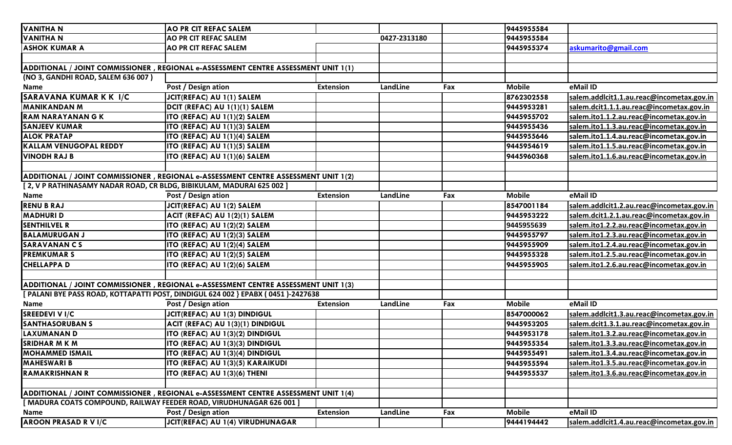| <b>VANITHA N</b>                                                     | <b>AO PR CIT REFAC SALEM</b>                                                        |                  |              |     | 9445955584    |                                           |
|----------------------------------------------------------------------|-------------------------------------------------------------------------------------|------------------|--------------|-----|---------------|-------------------------------------------|
| <b>VANITHA N</b>                                                     | <b>AO PR CIT REFAC SALEM</b>                                                        |                  | 0427-2313180 |     | 9445955584    |                                           |
| <b>ASHOK KUMAR A</b>                                                 | <b>AO PR CIT REFAC SALEM</b>                                                        |                  |              |     | 9445955374    | askumarito@gmail.com                      |
|                                                                      |                                                                                     |                  |              |     |               |                                           |
|                                                                      | ADDITIONAL / JOINT COMMISSIONER , REGIONAL e-ASSESSMENT CENTRE ASSESSMENT UNIT 1(1) |                  |              |     |               |                                           |
| (NO 3, GANDHI ROAD, SALEM 636 007)                                   |                                                                                     |                  |              |     |               |                                           |
| Name                                                                 | Post / Design ation                                                                 | <b>Extension</b> | LandLine     | Fax | <b>Mobile</b> | eMail ID                                  |
| <b>SARAVANA KUMAR K K I/C</b>                                        | JCIT(REFAC) AU 1(1) SALEM                                                           |                  |              |     | 8762302558    | salem.addlcit1.1.au.reac@incometax.gov.in |
| <b>MANIKANDAN M</b>                                                  | DCIT (REFAC) AU 1(1)(1) SALEM                                                       |                  |              |     | 9445953281    | salem.dcit1.1.1.au.reac@incometax.gov.in  |
| <b>RAM NARAYANAN G K</b>                                             | ITO (REFAC) AU 1(1)(2) SALEM                                                        |                  |              |     | 9445955702    | salem.ito1.1.2.au.reac@incometax.gov.in   |
| <b>SANJEEV KUMAR</b>                                                 | ITO (REFAC) AU 1(1)(3) SALEM                                                        |                  |              |     | 9445955436    | salem.ito1.1.3.au.reac@incometax.gov.in   |
| <b>ALOK PRATAP</b>                                                   | ITO (REFAC) AU 1(1)(4) SALEM                                                        |                  |              |     | 9445955646    | salem.ito1.1.4.au.reac@incometax.gov.in   |
| <b>KALLAM VENUGOPAL REDDY</b>                                        | ITO (REFAC) AU 1(1)(5) SALEM                                                        |                  |              |     | 9445954619    | salem.ito1.1.5.au.reac@incometax.gov.in   |
| <b>VINODH RAJ B</b>                                                  | ITO (REFAC) AU 1(1)(6) SALEM                                                        |                  |              |     | 9445960368    | salem.ito1.1.6.au.reac@incometax.gov.in   |
|                                                                      |                                                                                     |                  |              |     |               |                                           |
|                                                                      | ADDITIONAL / JOINT COMMISSIONER, REGIONAL e-ASSESSMENT CENTRE ASSESSMENT UNIT 1(2)  |                  |              |     |               |                                           |
| [2, V P RATHINASAMY NADAR ROAD, CR BLDG, BIBIKULAM, MADURAI 625 002] |                                                                                     |                  |              |     |               |                                           |
| <b>Name</b>                                                          | Post / Design ation                                                                 | <b>Extension</b> | LandLine     | Fax | <b>Mobile</b> | eMail ID                                  |
| <b>RENU B RAJ</b>                                                    | JCIT(REFAC) AU 1(2) SALEM                                                           |                  |              |     | 8547001184    | salem.addlcit1.2.au.reac@incometax.gov.in |
| <b>MADHURI D</b>                                                     | ACIT (REFAC) AU 1(2)(1) SALEM                                                       |                  |              |     | 9445953222    | salem.dcit1.2.1.au.reac@incometax.gov.in  |
| <b>SENTHILVEL R</b>                                                  | ITO (REFAC) AU 1(2)(2) SALEM                                                        |                  |              |     | 9445955639    | salem.ito1.2.2.au.reac@incometax.gov.in   |
| <b>BALAMURUGAN J</b>                                                 | ITO (REFAC) AU 1(2)(3) SALEM                                                        |                  |              |     | 9445955797    | salem.ito1.2.3.au.reac@incometax.gov.in   |
| <b>SARAVANANCS</b>                                                   | ITO (REFAC) AU 1(2)(4) SALEM                                                        |                  |              |     | 9445955909    | salem.ito1.2.4.au.reac@incometax.gov.in   |
| <b>PREMKUMAR S</b>                                                   | ITO (REFAC) AU 1(2)(5) SALEM                                                        |                  |              |     | 9445955328    | salem.ito1.2.5.au.reac@incometax.gov.in   |
| <b>CHELLAPPA D</b>                                                   | ITO (REFAC) AU 1(2)(6) SALEM                                                        |                  |              |     | 9445955905    | salem.ito1.2.6.au.reac@incometax.gov.in   |
|                                                                      |                                                                                     |                  |              |     |               |                                           |
|                                                                      | ADDITIONAL / JOINT COMMISSIONER, REGIONAL e-ASSESSMENT CENTRE ASSESSMENT UNIT 1(3)  |                  |              |     |               |                                           |
|                                                                      | [ PALANI BYE PASS ROAD, KOTTAPATTI POST, DINDIGUL 624 002 } EPABX (0451)-2427638    |                  |              |     |               |                                           |
| <b>Name</b>                                                          | Post / Design ation                                                                 | <b>Extension</b> | LandLine     | Fax | <b>Mobile</b> | eMail ID                                  |
| <b>SREEDEVI V I/C</b>                                                | JCIT(REFAC) AU 1(3) DINDIGUL                                                        |                  |              |     | 8547000062    | salem.addlcit1.3.au.reac@incometax.gov.in |
| <b>SANTHASORUBAN S</b>                                               | ACIT (REFAC) AU 1(3)(1) DINDIGUL                                                    |                  |              |     | 9445953205    | salem.dcit1.3.1.au.reac@incometax.gov.in  |
| LAXUMANAN D                                                          | ITO (REFAC) AU 1(3)(2) DINDIGUL                                                     |                  |              |     | 9445953178    | salem.ito1.3.2.au.reac@incometax.gov.in   |
| <b>SRIDHAR M K M</b>                                                 | ITO (REFAC) AU 1(3)(3) DINDIGUL                                                     |                  |              |     | 9445955354    | salem.ito1.3.3.au.reac@incometax.gov.in   |
| <b>MOHAMMED ISMAIL</b>                                               | <b>ITO (REFAC) AU 1(3)(4) DINDIGUL</b>                                              |                  |              |     | 9445955491    | salem.ito1.3.4.au.reac@incometax.gov.in   |
| <b>MAHESWARI B</b>                                                   | ITO (REFAC) AU 1(3)(5) KARAIKUDI                                                    |                  |              |     | 9445955594    | salem.ito1.3.5.au.reac@incometax.gov.in   |
| <b>RAMAKRISHNAN R</b>                                                | ITO (REFAC) AU 1(3)(6) THENI                                                        |                  |              |     | 9445955537    | salem.ito1.3.6.au.reac@incometax.gov.in   |
|                                                                      |                                                                                     |                  |              |     |               |                                           |
|                                                                      | ADDITIONAL / JOINT COMMISSIONER, REGIONAL e-ASSESSMENT CENTRE ASSESSMENT UNIT 1(4)  |                  |              |     |               |                                           |
| [ MADURA COATS COMPOUND, RAILWAY FEEDER ROAD, VIRUDHUNAGAR 626 001 ] |                                                                                     |                  |              |     |               |                                           |
| Name                                                                 | Post / Design ation                                                                 | Extension        | LandLine     | Fax | <b>Mobile</b> | eMail ID                                  |
| <b>AROON PRASAD R V I/C</b>                                          | <b>JCIT(REFAC) AU 1(4) VIRUDHUNAGAR</b>                                             |                  |              |     | 9444194442    | salem.addlcit1.4.au.reac@incometax.gov.in |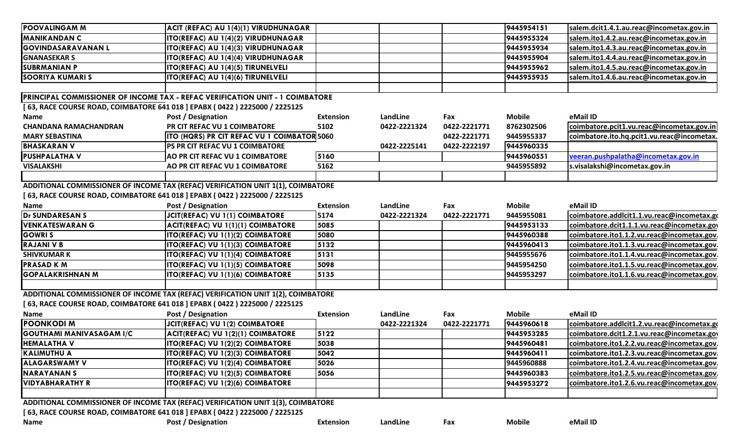| <b>POOVALINGAM M</b>                                                          | ACIT (REFAC) AU 1(4)(1) VIRUDHUNAGAR                                             |                  |              |              | 9445954151    | salem.dcit1.4.1.au.reac@incometax.gov.in   |  |  |  |
|-------------------------------------------------------------------------------|----------------------------------------------------------------------------------|------------------|--------------|--------------|---------------|--------------------------------------------|--|--|--|
| <b>MANIKANDAN C</b>                                                           | ITO(REFAC) AU 1(4)(2) VIRUDHUNAGAR                                               |                  |              |              | 9445955324    | salem.ito1.4.2.au.reac@incometax.gov.in    |  |  |  |
| <b>GOVINDASARAVANAN L</b>                                                     | ITO(REFAC) AU 1(4)(3) VIRUDHUNAGAR                                               |                  |              |              | 9445955934    | salem.ito1.4.3.au.reac@incometax.gov.in    |  |  |  |
| <b>GNANASEKAR S</b>                                                           | ITO(REFAC) AU 1(4)(4) VIRUDHUNAGAR                                               |                  |              |              | 9445955904    | salem.ito1.4.4.au.reac@incometax.gov.in    |  |  |  |
| <b>SUBRMANIAN P</b>                                                           | ITO(REFAC) AU 1(4)(5) TIRUNELVELI                                                |                  |              |              | 9445955962    | salem.ito1.4.5.au.reac@incometax.gov.in    |  |  |  |
| <b>SOORIYA KUMARI S</b>                                                       | ITO(REFAC) AU 1(4)(6) TIRUNELVELI                                                |                  |              |              | 9445955935    | salem.ito1.4.6.au.reac@incometax.gov.in    |  |  |  |
|                                                                               |                                                                                  |                  |              |              |               |                                            |  |  |  |
|                                                                               | PRINCIPAL COMMISSIONER OF INCOME TAX - REFAC VERIFICATION UNIT - 1 COIMBATORE    |                  |              |              |               |                                            |  |  |  |
| [ 63, RACE COURSE ROAD, COIMBATORE 641 018 ] EPABX ( 0422 ) 2225000 / 2225125 |                                                                                  |                  |              |              |               |                                            |  |  |  |
| <b>Name</b>                                                                   | Post / Designation                                                               | <b>Extension</b> | LandLine     | Fax          | <b>Mobile</b> | eMail ID                                   |  |  |  |
| <b>CHANDANA RAMACHANDRAN</b>                                                  | PR CIT REFAC VU 1 COIMBATORE                                                     | 5102             | 0422-2221324 | 0422-2221771 | 8762302506    | coimbatore.pcit1.vu.reac@incometax.gov.in  |  |  |  |
| <b>MARY SEBASTINA</b>                                                         | <b>ITO (HQRS) PR CIT REFAC VU 1 COIMBATOR 5060</b>                               |                  |              | 0422-2221771 | 9445955337    | coimbatore.ito.hq.pcit1.vu.reac@incometax. |  |  |  |
| <b>BHASKARAN V</b>                                                            | PS PR CIT REFAC VU 1 COIMBATORE                                                  |                  | 0422-2225141 | 0422-2222197 | 9445960335    |                                            |  |  |  |
| <b>PUSHPALATHAV</b>                                                           | AO PR CIT REFAC VU 1 COIMBATORE                                                  | 5160             |              |              | 9445960551    | veeran.pushpalatha@incometax.gov.in        |  |  |  |
| <b>VISALAKSHI</b>                                                             | AO PR CIT REFAC VU 1 COIMBATORE                                                  | 5162             |              |              | 9445955892    | s.visalakshi@incometax.gov.in              |  |  |  |
|                                                                               |                                                                                  |                  |              |              |               |                                            |  |  |  |
|                                                                               | ADDITIONAL COMMISSIONER OF INCOME TAX (REFAC) VERIFICATION UNIT 1(1), COIMBATORE |                  |              |              |               |                                            |  |  |  |
|                                                                               | [63, RACE COURSE ROAD, COIMBATORE 641 018 ] EPABX (0422 ) 2225000 / 2225125      |                  |              |              |               |                                            |  |  |  |
| <b>Name</b>                                                                   | Post / Designation                                                               | <b>Extension</b> | LandLine     | Fax          | <b>Mobile</b> | eMail ID                                   |  |  |  |
| <b>Dr SUNDARESAN S</b>                                                        | JCIT(REFAC) VU 1(1) COIMBATORE                                                   | 5174             | 0422-2221324 | 0422-2221771 | 9445955081    | coimbatore.addlcit1.1.vu.reac@incometax.go |  |  |  |
| <b>VENKATESWARAN G</b>                                                        | ACIT(REFAC) VU 1(1)(1) COIMBATORE                                                | 5085             |              |              | 9445953133    | coimbatore.dcit1.1.1.vu.reac@incometax.gov |  |  |  |
| <b>GOWRIS</b>                                                                 | ITO(REFAC) VU 1(1)(2) COIMBATORE                                                 | 5080             |              |              | 9445960388    | coimbatore.ito1.1.2.vu.reac@incometax.gov. |  |  |  |
| <b>RAJANI V B</b>                                                             | ITO(REFAC) VU 1(1)(3) COIMBATORE                                                 | 5132             |              |              | 9445960413    | coimbatore.ito1.1.3.vu.reac@incometax.gov. |  |  |  |
| <b>SHIVKUMAR K</b>                                                            | ITO(REFAC) VU 1(1)(4) COIMBATORE                                                 | 5131             |              |              | 9445955676    | coimbatore.ito1.1.4.vu.reac@incometax.gov. |  |  |  |
| <b>PRASAD K M</b>                                                             | ITO(REFAC) VU 1(1)(5) COIMBATORE                                                 | 5098             |              |              | 9445954250    | coimbatore.ito1.1.5.vu.reac@incometax.gov. |  |  |  |
| <b>GOPALAKRISHNAN M</b>                                                       | ITO(REFAC) VU 1(1)(6) COIMBATORE                                                 | 5135             |              |              | 9445953297    | coimbatore.ito1.1.6.vu.reac@incometax.gov. |  |  |  |
|                                                                               |                                                                                  |                  |              |              |               |                                            |  |  |  |
|                                                                               | ADDITIONAL COMMISSIONER OF INCOME TAX (REFAC) VERIFICATION UNIT 1(2), COIMBATORE |                  |              |              |               |                                            |  |  |  |
|                                                                               | [63, RACE COURSE ROAD, COIMBATORE 641 018 ] EPABX (0422 ) 2225000 / 2225125      |                  |              |              |               |                                            |  |  |  |
| <b>Name</b>                                                                   | Post / Designation                                                               | <b>Extension</b> | LandLine     | Fax          | <b>Mobile</b> | eMail ID                                   |  |  |  |
| <b>POONKODI M</b>                                                             | JCIT(REFAC) VU 1(2) COIMBATORE                                                   |                  | 0422-2221324 | 0422-2221771 | 9445960618    | coimbatore.addlcit1.2.vu.reac@incometax.go |  |  |  |
| <b>GOUTHAMI MANIVASAGAM I/C</b>                                               | ACIT(REFAC) VU 1(2)(1) COIMBATORE                                                | 5122             |              |              | 9445953285    | coimbatore.dcit1.2.1.vu.reac@incometax.gov |  |  |  |
| <b>HEMALATHA V</b>                                                            | <b>ITO(REFAC) VU 1(2)(2) COIMBATORE</b>                                          | 5038             |              |              | 9445960481    | coimbatore.ito1.2.2.vu.reac@incometax.gov. |  |  |  |
| <b>KALIMUTHU A</b>                                                            | <b>ITO(REFAC) VU 1(2)(3) COIMBATORE</b>                                          | 5042             |              |              | 9445960411    | coimbatore.ito1.2.3.vu.reac@incometax.gov. |  |  |  |
| <b>ALAGARSWAMY V</b>                                                          | ITO(REFAC) VU 1(2)(4) COIMBATORE                                                 | 5026             |              |              | 9445960888    | coimbatore.ito1.2.4.vu.reac@incometax.gov. |  |  |  |
| <b>NARAYANANS</b>                                                             | ITO(REFAC) VU 1(2)(5) COIMBATORE                                                 | 5056             |              |              | 9445960383    | coimbatore.ito1.2.5.vu.reac@incometax.gov. |  |  |  |
| <b>VIDYABHARATHY R</b>                                                        | ITO(REFAC) VU 1(2)(6) COIMBATORE                                                 |                  |              |              | 9445953272    | coimbatore.ito1.2.6.vu.reac@incometax.gov. |  |  |  |
|                                                                               |                                                                                  |                  |              |              |               |                                            |  |  |  |
|                                                                               | ADDITIONAL COMMISSIONER OF INCOME TAX (REFAC) VERIFICATION UNIT 1(3), COIMBATORE |                  |              |              |               |                                            |  |  |  |
|                                                                               | [63, RACE COURSE ROAD, COIMBATORE 641 018 ] EPABX (0422 ) 2225000 / 2225125      |                  |              |              |               |                                            |  |  |  |
| Name                                                                          | Post / Designation                                                               | <b>Extension</b> | LandLine     | Fax          | <b>Mobile</b> | eMail ID                                   |  |  |  |
|                                                                               |                                                                                  |                  |              |              |               |                                            |  |  |  |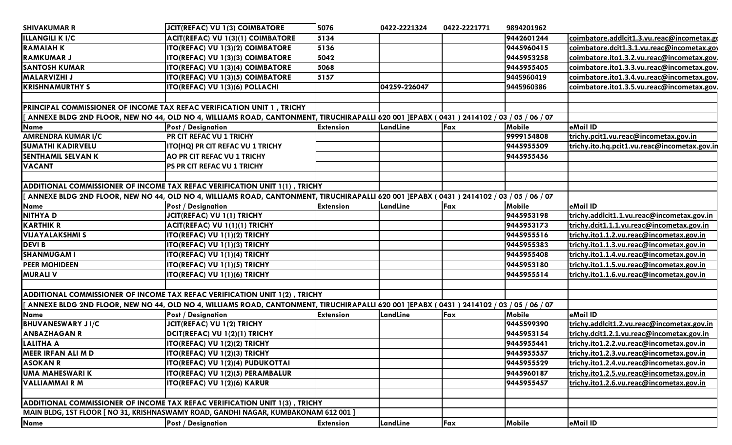| <b>SHIVAKUMAR R</b>                                                    | <b>JCIT(REFAC) VU 1(3) COIMBATORE</b>                                                                                                   | 5076             | 0422-2221324 | 0422-2221771 | 9894201962    |                                              |
|------------------------------------------------------------------------|-----------------------------------------------------------------------------------------------------------------------------------------|------------------|--------------|--------------|---------------|----------------------------------------------|
| <b>ILLANGILI K I/C</b>                                                 | ACIT(REFAC) VU 1(3)(1) COIMBATORE                                                                                                       | 5134             |              |              | 9442601244    | coimbatore.addlcit1.3.vu.reac@incometax.go   |
| <b>RAMAIAH K</b>                                                       | ITO(REFAC) VU 1(3)(2) COIMBATORE                                                                                                        | 5136             |              |              | 9445960415    | coimbatore.dcit1.3.1.vu.reac@incometax.gov   |
| <b>RAMKUMAR J</b>                                                      | ITO(REFAC) VU 1(3)(3) COIMBATORE                                                                                                        | 5042             |              |              | 9445953258    | coimbatore.ito1.3.2.vu.reac@incometax.gov.   |
| <b>SANTOSH KUMAR</b>                                                   | ITO(REFAC) VU 1(3)(4) COIMBATORE                                                                                                        | 5068             |              |              | 9445955405    | coimbatore.ito1.3.3.vu.reac@incometax.gov.   |
| <b>MALARVIZHI J</b>                                                    | ITO(REFAC) VU 1(3)(5) COIMBATORE                                                                                                        | 5157             |              |              | 9445960419    | coimbatore.ito1.3.4.vu.reac@incometax.gov.   |
| <b>KRISHNAMURTHY S</b>                                                 | ITO(REFAC) VU 1(3)(6) POLLACHI                                                                                                          |                  | 04259-226047 |              | 9445960386    | coimbatore.ito1.3.5.vu.reac@incometax.gov.   |
|                                                                        |                                                                                                                                         |                  |              |              |               |                                              |
| PRINCIPAL COMMISSIONER OF INCOME TAX REFAC VERIFICATION UNIT 1, TRICHY |                                                                                                                                         |                  |              |              |               |                                              |
|                                                                        | ANNEXE BLDG 2ND FLOOR, NEW NO 44, OLD NO 4, WILLIAMS ROAD, CANTONMENT, TIRUCHIRAPALLI 620 001 JEPABX (0431) 2414102 / 03 / 05 / 06 / 07 |                  |              |              |               |                                              |
| <b>Name</b>                                                            | Post / Designation                                                                                                                      | <b>Extension</b> | LandLine     | Fax          | <b>Mobile</b> | eMail ID                                     |
| AMRENDRA KUMAR I/C                                                     | PR CIT REFAC VU 1 TRICHY                                                                                                                |                  |              |              | 9999154808    | trichy.pcit1.vu.reac@incometax.gov.in        |
| <b>SUMATHI KADIRVELU</b>                                               | ITO(HQ) PR CIT REFAC VU 1 TRICHY                                                                                                        |                  |              |              | 9445955509    | trichy.ito.hq.pcit1.vu.reac@incometax.gov.in |
| <b>SENTHAMIL SELVAN K</b>                                              | AO PR CIT REFAC VU 1 TRICHY                                                                                                             |                  |              |              | 9445955456    |                                              |
| <b>VACANT</b>                                                          | PS PR CIT REFAC VU 1 TRICHY                                                                                                             |                  |              |              |               |                                              |
|                                                                        |                                                                                                                                         |                  |              |              |               |                                              |
|                                                                        | ADDITIONAL COMMISSIONER OF INCOME TAX REFAC VERIFICATION UNIT 1(1), TRICHY                                                              |                  |              |              |               |                                              |
|                                                                        | ANNEXE BLDG 2ND FLOOR, NEW NO 44, OLD NO 4, WILLIAMS ROAD, CANTONMENT, TIRUCHIRAPALLI 620 001 JEPABX (0431) 2414102 / 03 / 05 / 06 / 07 |                  |              |              |               |                                              |
| <b>Name</b>                                                            | Post / Designation                                                                                                                      | <b>Extension</b> | LandLine     | Fax          | <b>Mobile</b> | eMail ID                                     |
| <b>NITHYAD</b>                                                         | JCIT(REFAC) VU 1(1) TRICHY                                                                                                              |                  |              |              | 9445953198    | trichy.addlcit1.1.vu.reac@incometax.gov.in   |
| <b>KARTHIK R</b>                                                       | ACIT(REFAC) VU 1(1)(1) TRICHY                                                                                                           |                  |              |              | 9445953173    | trichy.dcit1.1.1.vu.reac@incometax.gov.in    |
| <b>VIJAYALAKSHMI S</b>                                                 | ITO(REFAC) VU 1(1)(2) TRICHY                                                                                                            |                  |              |              | 9445955516    | trichy.ito1.1.2.vu.reac@incometax.gov.in     |
| <b>DEVI B</b>                                                          | ITO(REFAC) VU 1(1)(3) TRICHY                                                                                                            |                  |              |              | 9445955383    | trichy.ito1.1.3.vu.reac@incometax.gov.in     |
| <b>SHANMUGAM I</b>                                                     | ITO(REFAC) VU 1(1)(4) TRICHY                                                                                                            |                  |              |              | 9445955408    | trichy.ito1.1.4.vu.reac@incometax.gov.in     |
| <b>PEER MOHIDEEN</b>                                                   | ITO(REFAC) VU 1(1)(5) TRICHY                                                                                                            |                  |              |              | 9445953180    | trichy.ito1.1.5.vu.reac@incometax.gov.in     |
| <b>MURALI V</b>                                                        | ITO(REFAC) VU 1(1)(6) TRICHY                                                                                                            |                  |              |              | 9445955514    | trichy.ito1.1.6.vu.reac@incometax.gov.in     |
|                                                                        |                                                                                                                                         |                  |              |              |               |                                              |
|                                                                        | ADDITIONAL COMMISSIONER OF INCOME TAX REFAC VERIFICATION UNIT 1(2), TRICHY                                                              |                  |              |              |               |                                              |
|                                                                        | ANNEXE BLDG 2ND FLOOR, NEW NO 44, OLD NO 4, WILLIAMS ROAD, CANTONMENT, TIRUCHIRAPALLI 620 001 JEPABX (0431) 2414102 / 03 / 05 / 06 / 07 |                  |              |              |               |                                              |
| <b>Name</b>                                                            | <b>Post / Designation</b>                                                                                                               | <b>Extension</b> | LandLine     | Fax          | <b>Mobile</b> | eMail ID                                     |
| <b>BHUVANESWARY JI/C</b>                                               | JCIT(REFAC) VU 1(2) TRICHY                                                                                                              |                  |              |              | 9445599390    | trichy.addlcit1.2.vu.reac@incometax.gov.in   |
| <b>ANBAZHAGAN R</b>                                                    | DCIT(REFAC) VU 1(2)(1) TRICHY                                                                                                           |                  |              |              | 9445953154    | trichy.dcit1.2.1.vu.reac@incometax.gov.in    |
| <b>LALITHA A</b>                                                       | ITO(REFAC) VU 1(2)(2) TRICHY                                                                                                            |                  |              |              | 9445955441    | trichy.ito1.2.2.vu.reac@incometax.gov.in     |
| MEER IRFAN ALI M D                                                     | ITO(REFAC) VU 1(2)(3) TRICHY                                                                                                            |                  |              |              | 9445955557    | trichy.ito1.2.3.vu.reac@incometax.gov.in     |
| <b>ASOKAN R</b>                                                        | ITO(REFAC) VU 1(2)(4) PUDUKOTTAI                                                                                                        |                  |              |              | 9445955529    | trichy.ito1.2.4.vu.reac@incometax.gov.in     |
| <b>UMA MAHESWARI K</b>                                                 | ITO(REFAC) VU 1(2)(5) PERAMBALUR                                                                                                        |                  |              |              | 9445960187    | trichy.ito1.2.5.vu.reac@incometax.gov.in     |
| <b>VALLIAMMAIRM</b>                                                    | ITO(REFAC) VU 1(2)(6) KARUR                                                                                                             |                  |              |              | 9445955457    | trichy.ito1.2.6.vu.reac@incometax.gov.in     |
|                                                                        |                                                                                                                                         |                  |              |              |               |                                              |
|                                                                        | ADDITIONAL COMMISSIONER OF INCOME TAX REFAC VERIFICATION UNIT 1(3), TRICHY                                                              |                  |              |              |               |                                              |
|                                                                        | MAIN BLDG, 1ST FLOOR [ NO 31, KRISHNASWAMY ROAD, GANDHI NAGAR, KUMBAKONAM 612 001 ]                                                     |                  |              |              |               |                                              |
| <b>Name</b>                                                            | <b>Post / Designation</b>                                                                                                               | <b>Extension</b> | LandLine     | Fax          | Mobile        | eMail ID                                     |
|                                                                        |                                                                                                                                         |                  |              |              |               |                                              |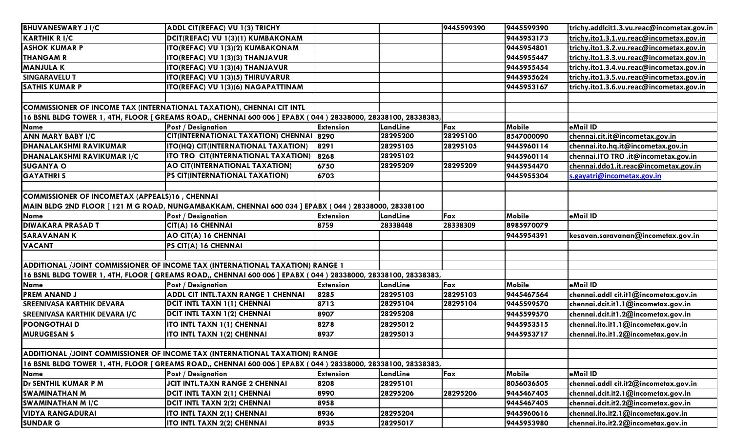| <b>BHUVANESWARY JI/C</b>                       | ADDL CIT(REFAC) VU 1(3) TRICHY                                                                                 |                  |          | 9445599390 | 9445599390    | trichy.addlcit1.3.vu.reac@incometax.gov.in |  |  |  |
|------------------------------------------------|----------------------------------------------------------------------------------------------------------------|------------------|----------|------------|---------------|--------------------------------------------|--|--|--|
| <b>KARTHIK R I/C</b>                           | DCIT(REFAC) VU 1(3)(1) KUMBAKONAM                                                                              |                  |          |            | 9445953173    | trichy.ito1.3.1.vu.reac@incometax.gov.in   |  |  |  |
| <b>ASHOK KUMAR P</b>                           | ITO(REFAC) VU 1(3)(2) KUMBAKONAM                                                                               |                  |          |            | 9445954801    | trichy.ito1.3.2.vu.reac@incometax.gov.in   |  |  |  |
| <b>THANGAM R</b>                               | <b>ITO(REFAC) VU 1(3)(3) THANJAVUR</b>                                                                         |                  |          |            | 9445955447    | trichy.ito1.3.3.vu.reac@incometax.gov.in   |  |  |  |
| <b>MANJULA K</b>                               | <b>ITO(REFAC) VU 1(3)(4) THANJAVUR</b>                                                                         |                  |          |            | 9445955454    | trichy.ito1.3.4.vu.reac@incometax.gov.in   |  |  |  |
| <b>SINGARAVELU T</b>                           | <b>ITO(REFAC) VU 1(3)(5) THIRUVARUR</b>                                                                        |                  |          |            | 9445955624    | trichy.ito1.3.5.vu.reac@incometax.gov.in   |  |  |  |
| <b>SATHIS KUMAR P</b>                          | ITO(REFAC) VU 1(3)(6) NAGAPATTINAM                                                                             |                  |          |            | 9445953167    | trichy.ito1.3.6.vu.reac@incometax.gov.in   |  |  |  |
|                                                |                                                                                                                |                  |          |            |               |                                            |  |  |  |
|                                                | COMMISSIONER OF INCOME TAX (INTERNATIONAL TAXATION), CHENNAI CIT INTL                                          |                  |          |            |               |                                            |  |  |  |
|                                                | 16 BSNL BLDG TOWER 1, 4TH, FLOOR [ GREAMS ROAD,, CHENNAI 600 006 ] EPABX ( 044 ) 28338000, 28338100, 28338383, |                  |          |            |               |                                            |  |  |  |
| <b>Name</b>                                    | <b>Post / Designation</b>                                                                                      | <b>Extension</b> | LandLine | Fax        | Mobile        | eMail ID                                   |  |  |  |
| <b>ANN MARY BABY I/C</b>                       | CIT(INTERNATIONAL TAXATION) CHENNAI 8290                                                                       |                  | 28295200 | 28295100   | 8547000090    | chennai.cit.it@incometax.gov.in            |  |  |  |
| <b>DHANALAKSHMI RAVIKUMAR</b>                  | <b>ITO(HQ) CIT(INTERNATIONAL TAXATION)</b>                                                                     | 8291             | 28295105 | 28295105   | 9445960114    | chennai.ito.hq.it@incometax.gov.in         |  |  |  |
| <b>DHANALAKSHMI RAVIKUMAR I/C</b>              | ITO TRO CIT(INTERNATIONAL TAXATION)                                                                            | 8268             | 28295102 |            | 9445960114    | chennai.ITO TRO .it@incometax.gov.in       |  |  |  |
| <b>SUGANYA O</b>                               | AO CIT(INTERNATIONAL TAXATION)                                                                                 | 6750             | 28295209 | 28295209   | 9445954470    | chennai.ddo1.it.reac@incometax.gov.in      |  |  |  |
| <b>GAYATHRIS</b>                               | <b>PS CIT(INTERNATIONAL TAXATION)</b>                                                                          | 6703             |          |            | 9445955304    | s.gayatri@incometax.gov.in                 |  |  |  |
|                                                |                                                                                                                |                  |          |            |               |                                            |  |  |  |
| COMMISSIONER OF INCOMETAX (APPEALS)16, CHENNAI |                                                                                                                |                  |          |            |               |                                            |  |  |  |
|                                                | MAIN BLDG 2ND FLOOR [ 121 M G ROAD, NUNGAMBAKKAM, CHENNAI 600 034 ] EPABX ( 044 ) 28338000, 28338100           |                  |          |            |               |                                            |  |  |  |
| <b>Name</b>                                    | <b>Post / Designation</b>                                                                                      | <b>Extension</b> | LandLine | Fax        | <b>Mobile</b> | eMail ID                                   |  |  |  |
| <b>DIWAKARA PRASAD T</b>                       | CIT(A) 16 CHENNAI                                                                                              | 8759             | 28338448 | 28338309   | 8985970079    |                                            |  |  |  |
| <b>SARAVANANK</b>                              | AO CIT(A) 16 CHENNAI                                                                                           |                  |          |            | 9445954391    | kesavan.saravanan@incometax.gov.in         |  |  |  |
| <b>VACANT</b>                                  | PS CIT(A) 16 CHENNAI                                                                                           |                  |          |            |               |                                            |  |  |  |
|                                                |                                                                                                                |                  |          |            |               |                                            |  |  |  |
|                                                | ADDITIONAL /JOINT COMMISSIONER OF INCOME TAX (INTERNATIONAL TAXATION) RANGE 1                                  |                  |          |            |               |                                            |  |  |  |
|                                                | 16 BSNL BLDG TOWER 1, 4TH, FLOOR [ GREAMS ROAD,, CHENNAI 600 006 ] EPABX ( 044 ) 28338000, 28338100, 28338383, |                  |          |            |               |                                            |  |  |  |
| Name                                           | <b>Post / Designation</b>                                                                                      | <b>Extension</b> | LandLine | Fax        | Mobile        | eMail ID                                   |  |  |  |
| <b>PREM ANAND J</b>                            | <b>ADDL CIT INTL.TAXN RANGE 1 CHENNAI</b>                                                                      | 8285             | 28295103 | 28295103   | 9445467564    | chennai.addl cit.it1@incometax.gov.in      |  |  |  |
| <b>SREENIVASA KARTHIK DEVARA</b>               | DCIT INTL TAXN 1(1) CHENNAI                                                                                    | 8713             | 28295104 | 28295104   | 9445599570    | chennai.dcit.it1.1@incometax.gov.in        |  |  |  |
| SREENIVASA KARTHIK DEVARA I/C                  | DCIT INTL TAXN 1(2) CHENNAI                                                                                    | 8907             | 28295208 |            | 9445599570    | chennai.dcit.it1.2@incometax.gov.in        |  |  |  |
| <b>POONGOTHAID</b>                             | <b>ITO INTL TAXN 1(1) CHENNAI</b>                                                                              | 8278             | 28295012 |            | 9445953515    | chennai.ito.it1.1@incometax.gov.in         |  |  |  |
| <b>MURUGESAN S</b>                             | <b>ITO INTL TAXN 1(2) CHENNAI</b>                                                                              | 8937             | 28295013 |            | 9445953717    | chennai.ito.it1.2@incometax.gov.in         |  |  |  |
|                                                |                                                                                                                |                  |          |            |               |                                            |  |  |  |
|                                                | ADDITIONAL /JOINT COMMISSIONER OF INCOME TAX (INTERNATIONAL TAXATION) RANGE                                    |                  |          |            |               |                                            |  |  |  |
|                                                | 16 BSNL BLDG TOWER 1, 4TH, FLOOR [ GREAMS ROAD,, CHENNAI 600 006 ] EPABX ( 044 ) 28338000, 28338100, 28338383, |                  |          |            |               |                                            |  |  |  |
| <b>Name</b>                                    | <b>Post / Designation</b>                                                                                      | <b>Extension</b> | LandLine | Fax        | <b>Mobile</b> | eMail ID                                   |  |  |  |
| Dr SENTHIL KUMAR P M                           | <b>JCIT INTL.TAXN RANGE 2 CHENNAI</b>                                                                          | 8208             | 28295101 |            | 8056036505    | chennai.addl cit.it2@incometax.gov.in      |  |  |  |
| <b>SWAMINATHAN M</b>                           | DCIT INTL TAXN 2(1) CHENNAI                                                                                    | 8990             | 28295206 | 28295206   | 9445467405    | chennai.dcit.it2.1@incometax.gov.in        |  |  |  |
| <b>SWAMINATHAN MI/C</b>                        | <b>DCIT INTL TAXN 2(2) CHENNAI</b>                                                                             | 8958             |          |            | 9445467405    | chennai.dcit.it2.2@incometax.gov.in        |  |  |  |
| <b>VIDYA RANGADURAI</b>                        | <b>ITO INTL TAXN 2(1) CHENNAI</b>                                                                              | 8936             | 28295204 |            | 9445960616    | chennai.ito.it2.1@incometax.gov.in         |  |  |  |
| <b>SUNDAR G</b>                                | <b>ITO INTL TAXN 2(2) CHENNAI</b>                                                                              | 8935             | 28295017 |            | 9445953980    | chennai.ito.it2.2@incometax.gov.in         |  |  |  |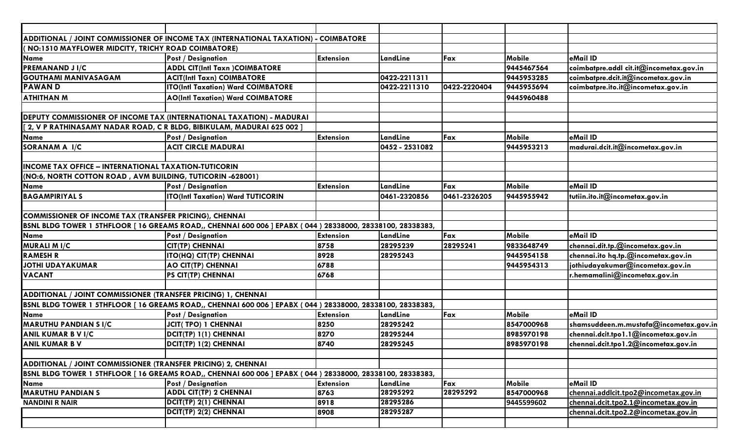|                                                                       | ADDITIONAL / JOINT COMMISSIONER OF INCOME TAX (INTERNATIONAL TAXATION) - COIMBATORE                         |                  |                |              |               |                                         |
|-----------------------------------------------------------------------|-------------------------------------------------------------------------------------------------------------|------------------|----------------|--------------|---------------|-----------------------------------------|
| (NO:1510 MAYFLOWER MIDCITY, TRICHY ROAD COIMBATORE)                   |                                                                                                             |                  |                |              |               |                                         |
| <b>Name</b>                                                           | <b>Post / Designation</b>                                                                                   | <b>Extension</b> | LandLine       | Fax          | <b>Mobile</b> | eMail ID                                |
| <b>PREMANAND JI/C</b>                                                 | <b>ADDL CIT(Intl Taxn )COIMBATORE</b>                                                                       |                  |                |              | 9445467564    | coimbatpre.addl cit.it@incometax.gov.in |
| <b>GOUTHAMI MANIVASAGAM</b>                                           | <b>ACIT(Intl Taxn) COIMBATORE</b>                                                                           |                  | 0422-2211311   |              | 9445953285    | coimbatpre.dcit.it@incometax.gov.in     |
| <b>PAWAND</b>                                                         | <b>ITO(Intl Taxation) Ward COIMBATORE</b>                                                                   |                  | 0422-2211310   | 0422-2220404 | 9445955694    | coimbatpre.ito.it@incometax.gov.in      |
| <b>ATHITHAN M</b>                                                     | <b>AO(Intl Taxation) Ward COIMBATORE</b>                                                                    |                  |                |              | 9445960488    |                                         |
|                                                                       |                                                                                                             |                  |                |              |               |                                         |
|                                                                       | <b>DEPUTY COMMISSIONER OF INCOME TAX (INTERNATIONAL TAXATION) - MADURAI</b>                                 |                  |                |              |               |                                         |
| 2, V P RATHINASAMY NADAR ROAD, C R BLDG, BIBIKULAM, MADURAI 625 002 ] |                                                                                                             |                  |                |              |               |                                         |
| <b>Name</b>                                                           | <b>Post / Designation</b>                                                                                   | <b>Extension</b> | LandLine       | Fax          | Mobile        | eMail ID                                |
| SORANAM A I/C                                                         | <b>ACIT CIRCLE MADURAI</b>                                                                                  |                  | 0452 - 2531082 |              | 9445953213    | madurai.dcit.it@incometax.gov.in        |
|                                                                       |                                                                                                             |                  |                |              |               |                                         |
| <b>INCOME TAX OFFICE - INTERNATIONAL TAXATION-TUTICORIN</b>           |                                                                                                             |                  |                |              |               |                                         |
| (NO:6, NORTH COTTON ROAD, AVM BUILDING, TUTICORIN -628001)            |                                                                                                             |                  |                |              |               |                                         |
| <b>Name</b>                                                           | <b>Post / Designation</b>                                                                                   | <b>Extension</b> | LandLine       | Fax          | Mobile        | eMail ID                                |
| <b>BAGAMPIRIYAL S</b>                                                 | ITO(Intl Taxation) Ward TUTICORIN                                                                           |                  | 0461-2320856   | 0461-2326205 | 9445955942    | tutiin.ito.it@incometax.gov.in          |
|                                                                       |                                                                                                             |                  |                |              |               |                                         |
| COMMISSIONER OF INCOME TAX (TRANSFER PRICING), CHENNAI                |                                                                                                             |                  |                |              |               |                                         |
|                                                                       | BSNL BLDG TOWER 1 5THFLOOR [ 16 GREAMS ROAD,, CHENNAI 600 006 ] EPABX ( 044 ) 28338000, 28338100, 28338383, |                  |                |              |               |                                         |
| <b>Name</b>                                                           | <b>Post / Designation</b>                                                                                   | <b>Extension</b> | LandLine       | Fax          | Mobile        | eMail ID                                |
| <b>MURALI M I/C</b>                                                   | <b>CIT(TP) CHENNAI</b>                                                                                      | 8758             | 28295239       | 28295241     | 9833648749    | chennai.dit.tp.@incometax.gov.in        |
| <b>RAMESH R</b>                                                       | ITO(HQ) CIT(TP) CHENNAI                                                                                     | 8928             | 28295243       |              | 9445954158    | chennai.ito hq.tp.@incometax.gov.in     |
| <b>JOTHI UDAYAKUMAR</b>                                               | <b>AO CIT(TP) CHENNAI</b>                                                                                   | 6788             |                |              | 9445954313    | jothiudayakumar@incometax.gov.in        |
| <b>VACANT</b>                                                         | PS CIT(TP) CHENNAI                                                                                          | 6768             |                |              |               | r.hemamalini@incometax.gov.in           |
|                                                                       |                                                                                                             |                  |                |              |               |                                         |
| ADDITIONAL / JOINT COMMISSIONER (TRANSFER PRICING) 1, CHENNAI         |                                                                                                             |                  |                |              |               |                                         |
|                                                                       | BSNL BLDG TOWER 1 5THFLOOR [ 16 GREAMS ROAD,, CHENNAI 600 006 ] EPABX ( 044 ) 28338000, 28338100, 28338383, |                  |                |              |               |                                         |
| <b>Name</b>                                                           | <b>Post / Designation</b>                                                                                   | <b>Extension</b> | LandLine       | Fax          | <b>Mobile</b> | eMail ID                                |
| <b>MARUTHU PANDIAN S I/C</b>                                          | <b>JCIT(TPO) 1 CHENNAI</b>                                                                                  | 8250             | 28295242       |              | 8547000968    | shamsuddeen.m.mustafa@incometax.gov.in  |
| <b>ANIL KUMAR B V I/C</b>                                             | DCIT(TP) 1(1) CHENNAI                                                                                       | 8270             | 28295244       |              | 8985970198    | chennai.dcit.tpo1.1@incometax.gov.in    |
| <b>ANIL KUMAR B V</b>                                                 | DCIT(TP) 1(2) CHENNAI                                                                                       | 8740             | 28295245       |              | 8985970198    | chennai.dcit.tpo1.2@incometax.gov.in    |
|                                                                       |                                                                                                             |                  |                |              |               |                                         |
| ADDITIONAL / JOINT COMMISSIONER (TRANSFER PRICING) 2, CHENNAI         |                                                                                                             |                  |                |              |               |                                         |
|                                                                       | BSNL BLDG TOWER 1 5THFLOOR [ 16 GREAMS ROAD,, CHENNAI 600 006 ] EPABX ( 044 ) 28338000, 28338100, 28338383, |                  |                |              |               |                                         |
| <b>Name</b>                                                           | <b>Post / Designation</b>                                                                                   | <b>Extension</b> | LandLine       | Fax          | <b>Mobile</b> | eMail ID                                |
| <b>MARUTHU PANDIAN S</b>                                              | <b>ADDL CIT(TP) 2 CHENNAI</b>                                                                               | 8763             | 28295292       | 28295292     | 8547000968    | chennai.addlcit.tpo2@incometax.gov.in   |
| <b>NANDINI R NAIR</b>                                                 | DCIT(TP) 2(1) CHENNAI                                                                                       | 8918             | 28295286       |              | 9445599602    | chennai.dcit.tpo2.1@incometax.gov.in    |
|                                                                       | DCIT(TP) 2(2) CHENNAI                                                                                       | 8908             | 28295287       |              |               | chennai.dcit.tpo2.2@incometax.gov.in    |
|                                                                       |                                                                                                             |                  |                |              |               |                                         |
|                                                                       |                                                                                                             |                  |                |              |               |                                         |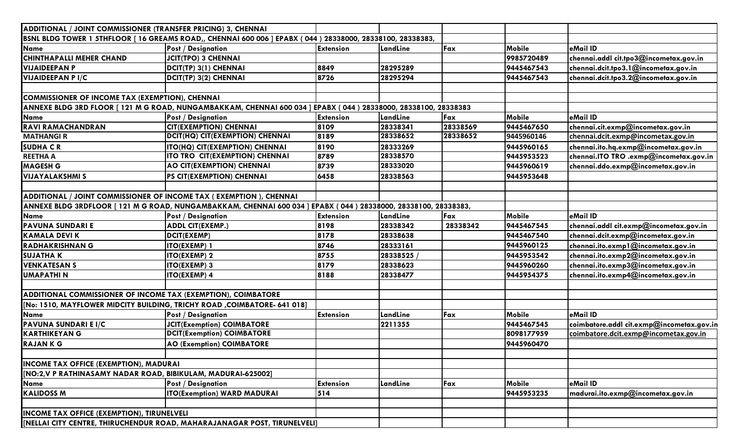| ADDITIONAL / JOINT COMMISSIONER (TRANSFER PRICING) 3, CHENNAI                                               |                                                                                                               |                  |          |          |               |                                           |  |
|-------------------------------------------------------------------------------------------------------------|---------------------------------------------------------------------------------------------------------------|------------------|----------|----------|---------------|-------------------------------------------|--|
| BSNL BLDG TOWER 1 5THFLOOR [ 16 GREAMS ROAD,, CHENNAI 600 006 ] EPABX ( 044 ) 28338000, 28338100, 28338383, |                                                                                                               |                  |          |          |               |                                           |  |
| <b>Name</b>                                                                                                 | <b>Post / Designation</b>                                                                                     | <b>Extension</b> | LandLine | Fax      | Mobile        | eMail ID                                  |  |
| <b>CHINTHAPALLI MEHER CHAND</b>                                                                             | <b>JCIT(TPO) 3 CHENNAI</b>                                                                                    |                  |          |          | 9985720489    | chennai.addl cit.tpo3@incometax.gov.in    |  |
| <b>VIJAIDEEPAN P</b>                                                                                        | DCIT(TP) 3(1) CHENNAI                                                                                         | 8849             | 28295289 |          | 9445467543    | chennai.dcit.tpo3.1@incometax.gov.in      |  |
| <b>VIJAIDEEPAN P I/C</b>                                                                                    | DCIT(TP) 3(2) CHENNAI                                                                                         | 8726             | 28295294 |          | 9445467543    | chennai.dcit.tpo3.2@incometax.gov.in      |  |
|                                                                                                             |                                                                                                               |                  |          |          |               |                                           |  |
| COMMISSIONER OF INCOME TAX (EXEMPTION), CHENNAI                                                             |                                                                                                               |                  |          |          |               |                                           |  |
|                                                                                                             | ANNEXE BLDG 3RD FLOOR [121 M G ROAD, NUNGAMBAKKAM, CHENNAI 600 034 ] EPABX (044) 28338000, 28338100, 28338383 |                  |          |          |               |                                           |  |
| <b>Name</b>                                                                                                 | <b>Post / Designation</b>                                                                                     | <b>Extension</b> | LandLine | Fax      | Mobile        | eMail ID                                  |  |
| <b>RAVI RAMACHANDRAN</b>                                                                                    | <b>CIT(EXEMPTION) CHENNAI</b>                                                                                 | 8109             | 28338341 | 28338569 | 9445467650    | chennai.cit.exmp@incometax.gov.in         |  |
| <b>MATHANGIR</b>                                                                                            | DCIT(HQ) CIT(EXEMPTION) CHENNAI                                                                               | 8189             | 28338652 | 28338652 | 9445960146    | chennai.dcit.exmp@incometax.gov.in        |  |
| <b>SUDHA CR</b>                                                                                             | ITO(HQ) CIT(EXEMPTION) CHENNAI                                                                                | 8190             | 28333269 |          | 9445960165    | chennai.ito.hq.exmp@incometax.gov.in      |  |
| <b>REETHA A</b>                                                                                             | ITO TRO CIT(EXEMPTION) CHENNAI                                                                                | 8789             | 28338570 |          | 9445953523    | chennai.ITO TRO .exmp@incometax.gov.in    |  |
| <b>MAGESH G</b>                                                                                             | <b>AO CIT(EXEMPTION) CHENNAI</b>                                                                              | 8739             | 28333020 |          | 9445960619    | chennai.ddo.exmp@incometax.gov.in         |  |
| <b>VIJAYALAKSHMI S</b>                                                                                      | PS CIT(EXEMPTION) CHENNAI                                                                                     | 6458             | 28338563 |          | 9445953648    |                                           |  |
|                                                                                                             |                                                                                                               |                  |          |          |               |                                           |  |
| ADDITIONAL / JOINT COMMISSIONER OF INCOME TAX ( EXEMPTION ), CHENNAI                                        |                                                                                                               |                  |          |          |               |                                           |  |
|                                                                                                             | ANNEXE BLDG 3RDFLOOR [121 M G ROAD, NUNGAMBAKKAM, CHENNAI 600 034 ] EPABX (044) 28338000, 28338100, 28338383, |                  |          |          |               |                                           |  |
| <b>Name</b>                                                                                                 | <b>Post / Designation</b>                                                                                     | <b>Extension</b> | LandLine | Fax      | <b>Mobile</b> | eMail ID                                  |  |
| <b>PAVUNA SUNDARI E</b>                                                                                     | <b>ADDL CIT(EXEMP.)</b>                                                                                       | 8198             | 28338342 | 28338342 | 9445467545    | chennai.addl cit.exmp@incometax.gov.in    |  |
| <b>KAMALA DEVI K</b>                                                                                        | <b>DCIT(EXEMP)</b>                                                                                            | 8178             | 28338638 |          | 9445467540    | chennai.dcit.exmp@incometax.gov.in        |  |
| <b>RADHAKRISHNAN G</b>                                                                                      | <b>ITO(EXEMP) 1</b>                                                                                           | 8746             | 28333161 |          | 9445960125    | chennai.ito.exmp1@incometax.gov.in        |  |
| <b>SUJATHAK</b>                                                                                             | <b>ITO(EXEMP) 2</b>                                                                                           | 8755             | 28338525 |          | 9445953542    | chennai.ito.exmp2@incometax.gov.in        |  |
| <b>VENKATESAN S</b>                                                                                         | <b>ITO(EXEMP) 3</b>                                                                                           | 8179             | 28338623 |          | 9445960260    | chennai.ito.exmp3@incometax.gov.in        |  |
| <b>UMAPATHIN</b>                                                                                            | <b>ITO(EXEMP) 4</b>                                                                                           | 8188             | 28338477 |          | 9445954375    | chennai.ito.exmp4@incometax.gov.in        |  |
|                                                                                                             |                                                                                                               |                  |          |          |               |                                           |  |
| ADDITIONAL COMMISSIONER OF INCOME TAX (EXEMPTION), COIMBATORE                                               |                                                                                                               |                  |          |          |               |                                           |  |
|                                                                                                             | [No: 1510, MAYFLOWER MIDCITY BUILDING, TRICHY ROAD, COIMBATORE- 641 018]                                      |                  |          |          |               |                                           |  |
| <b>Name</b>                                                                                                 | <b>Post / Designation</b>                                                                                     | <b>Extension</b> | LandLine | Fax      | <b>Mobile</b> | eMail ID                                  |  |
| PAVUNA SUNDARI E I/C                                                                                        | <b>JCIT(Exemption) COIMBATORE</b>                                                                             |                  | 2211355  |          | 9445467545    | coimbatore.addl cit.exmp@incometax.gov.in |  |
| <b>KARTHIKEYAN G</b>                                                                                        | <b>DCIT(Exemption) COIMBATORE</b>                                                                             |                  |          |          | 8098177959    | coimbatore.dcit.exmp@incometax.gov.in     |  |
| <b>RAJANKG</b>                                                                                              | <b>AO (Exemption) COIMBATORE</b>                                                                              |                  |          |          | 9445960470    |                                           |  |
|                                                                                                             |                                                                                                               |                  |          |          |               |                                           |  |
| <b>INCOME TAX OFFICE (EXEMPTION), MADURAI</b>                                                               |                                                                                                               |                  |          |          |               |                                           |  |
| [NO:2, V P RATHINASAMY NADAR ROAD, BIBIKULAM, MADURAI-625002]                                               |                                                                                                               |                  |          |          |               |                                           |  |
| <b>Name</b>                                                                                                 | Post / Designation                                                                                            | <b>Extension</b> | LandLine | Fax      | <b>Mobile</b> | eMail ID                                  |  |
| <b>KALIDOSS M</b>                                                                                           | <b>ITO(Exemption) WARD MADURAI</b>                                                                            | 514              |          |          | 9445953235    | madurai.ito.exmp@incometax.gov.in         |  |
|                                                                                                             |                                                                                                               |                  |          |          |               |                                           |  |
| <b>INCOME TAX OFFICE (EXEMPTION), TIRUNELVELI</b>                                                           |                                                                                                               |                  |          |          |               |                                           |  |
| [NELLAI CITY CENTRE, THIRUCHENDUR ROAD, MAHARAJANAGAR POST, TIRUNELVELI]                                    |                                                                                                               |                  |          |          |               |                                           |  |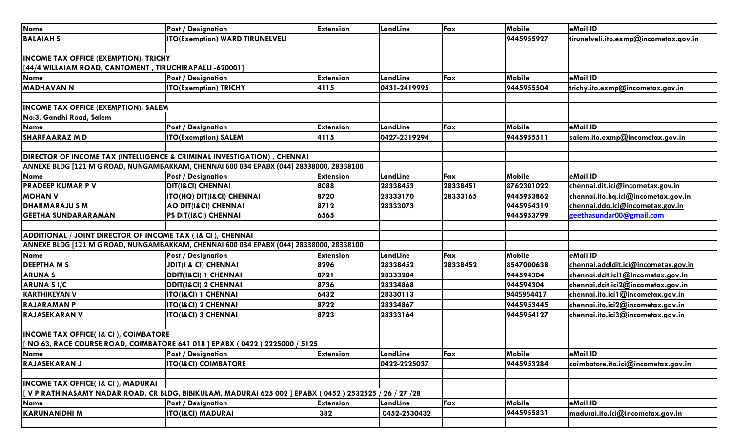| <b>Name</b>                                                                                          | <b>Post / Designation</b>                                                               | <b>Extension</b> | LandLine     | Fax      | <b>Mobile</b> | eMail ID                              |
|------------------------------------------------------------------------------------------------------|-----------------------------------------------------------------------------------------|------------------|--------------|----------|---------------|---------------------------------------|
| <b>BALAIAH S</b>                                                                                     | <b>ITO(Exemption) WARD TIRUNELVELI</b>                                                  |                  |              |          | 9445955927    | tirunelveli.ito.exmp@incometax.gov.in |
|                                                                                                      |                                                                                         |                  |              |          |               |                                       |
| <b>INCOME TAX OFFICE (EXEMPTION), TRICHY</b>                                                         |                                                                                         |                  |              |          |               |                                       |
| [44/4 WILLAIAM ROAD, CANTOMENT, TIRUCHIRAPALLI -620001]                                              |                                                                                         |                  |              |          |               |                                       |
| Name                                                                                                 | <b>Post / Designation</b>                                                               | <b>Extension</b> | LandLine     | Fax      | Mobile        | eMail ID                              |
| <b>MADHAVAN N</b>                                                                                    | <b>ITO(Exemption) TRICHY</b>                                                            | 4115             | 0431-2419995 |          | 9445955504    | trichy.ito.exmp@incometax.gov.in      |
|                                                                                                      |                                                                                         |                  |              |          |               |                                       |
| <b>INCOME TAX OFFICE (EXEMPTION), SALEM</b>                                                          |                                                                                         |                  |              |          |               |                                       |
| No:3, Gandhi Road, Salem                                                                             |                                                                                         |                  |              |          |               |                                       |
| <b>Name</b>                                                                                          | <b>Post / Designation</b>                                                               | <b>Extension</b> | LandLine     | Fax      | <b>Mobile</b> | eMail ID                              |
| <b>SHARFAARAZ MD</b>                                                                                 | <b>ITO(Exemption) SALEM</b>                                                             | 4115             | 0427-2319294 |          | 9445955511    | salem.ito.exmp@incometax.gov.in       |
|                                                                                                      |                                                                                         |                  |              |          |               |                                       |
|                                                                                                      | DIRECTOR OF INCOME TAX (INTELLIGENCE & CRIMINAL INVESTIGATION), CHENNAI                 |                  |              |          |               |                                       |
|                                                                                                      | ANNEXE BLDG [121 M G ROAD, NUNGAMBAKKAM, CHENNAI 600 034 EPABX (044) 28338000, 28338100 |                  |              |          |               |                                       |
| <b>Name</b>                                                                                          | <b>Post / Designation</b>                                                               | <b>Extension</b> | LandLine     | Fax      | Mobile        | eMail ID                              |
| <b>PRADEEP KUMAR P V</b>                                                                             | <b>DIT(I&amp;CI) CHENNAI</b>                                                            | 8088             | 28338453     | 28338451 | 8762301022    | chennai.dit.ici@incometax.gov.in      |
| <b>MOHAN V</b>                                                                                       | <b>ITO(HQ) DIT(I&amp;CI) CHENNAI</b>                                                    | 8720             | 28333170     | 28333165 | 9445953862    | chennai.ito.hq.ici@incometax.gov.in   |
| <b>DHARMARAJU S M</b>                                                                                | <b>AO DIT(I&amp;CI) CHENNAI</b>                                                         | 8712             | 28333073     |          | 9445954319    | chennai.ddo.ici@incometax.gov.in      |
| <b>GEETHA SUNDARARAMAN</b>                                                                           | <b>PS DIT(I&amp;CI) CHENNAI</b>                                                         | 6565             |              |          | 9445953799    | geethasundar00@gmail.com              |
|                                                                                                      |                                                                                         |                  |              |          |               |                                       |
| ADDITIONAL / JOINT DIRECTOR OF INCOME TAX (I& CI), CHENNAI                                           |                                                                                         |                  |              |          |               |                                       |
| ANNEXE BLDG [121 M G ROAD, NUNGAMBAKKAM, CHENNAI 600 034 EPABX (044) 28338000, 28338100              |                                                                                         |                  |              |          |               |                                       |
| <b>Name</b>                                                                                          | <b>Post / Designation</b>                                                               | <b>Extension</b> | LandLine     | Fax      | Mobile        | eMail ID                              |
| <b>DEEPTHAMS</b>                                                                                     | <b>JDIT(I &amp; CI) CHENNAI</b>                                                         | 8296             | 28338452     | 28338452 | 8547000638    | chennai.addldit.ici@incometax.gov.in  |
| <b>ARUNAS</b>                                                                                        | <b>DDIT(I&amp;CI) 1 CHENNAI</b>                                                         | 8721             | 28333204     |          | 944594304     | chennai.dcit.ici1@incometax.gov.in    |
| <b>ARUNA SI/C</b>                                                                                    | <b>DDIT(I&amp;CI) 2 CHENNAI</b>                                                         | 8736             | 28334868     |          | 944594304     | chennai.dcit.ici2@incometax.gov.in    |
| <b>KARTHIKEYAN V</b>                                                                                 | <b>ITO(I&amp;CI) 1 CHENNAI</b>                                                          | 6432             | 28330113     |          | 9445954417    | chennai.ito.ici1@incometax.gov.in     |
| <b>RAJARAMAN P</b>                                                                                   | <b>ITO(I&amp;CI) 2 CHENNAI</b>                                                          | 8722             | 28334867     |          | 9445953445    | chennai.ito.ici2@incometax.gov.in     |
| <b>RAJASEKARAN V</b>                                                                                 | <b>ITO(I&amp;CI) 3 CHENNAI</b>                                                          | 8723             | 28333164     |          | 9445954127    | chennai.ito.ici3@incometax.gov.in     |
|                                                                                                      |                                                                                         |                  |              |          |               |                                       |
| <b>INCOME TAX OFFICE(I&amp; CI), COIMBATORE</b>                                                      |                                                                                         |                  |              |          |               |                                       |
|                                                                                                      | [ NO 63, RACE COURSE ROAD, COIMBATORE 641 018 ] EPABX (0422) 2225000 / 5125             |                  |              |          |               |                                       |
| <b>Name</b>                                                                                          | <b>Post / Designation</b>                                                               | <b>Extension</b> | LandLine     | Fax      | Mobile        | eMail ID                              |
| <b>RAJASEKARAN J</b>                                                                                 | <b>ITO(I&amp;CI) COIMBATORE</b>                                                         |                  | 0422-2225037 |          | 9445953284    | coimbatore.ito.ici@incometax.gov.in   |
|                                                                                                      |                                                                                         |                  |              |          |               |                                       |
| <b>INCOME TAX OFFICE(I&amp; CI), MADURAI</b>                                                         |                                                                                         |                  |              |          |               |                                       |
| [VPRATHINASAMY NADAR ROAD, CR BLDG, BIBIKULAM, MADURAI 625 002 ] EPABX (0452 ) 2532525 / 26 / 27 /28 |                                                                                         |                  |              |          |               |                                       |
| <b>Name</b>                                                                                          | <b>Post / Designation</b>                                                               | <b>Extension</b> | LandLine     | Fax      | <b>Mobile</b> | eMail ID                              |
| <b>KARUNANIDHI M</b>                                                                                 | <b>ITO(I&amp;CI) MADURAI</b>                                                            | 382              | 0452-2530432 |          | 9445955831    | madurai.ito.ici@incometax.gov.in      |
|                                                                                                      |                                                                                         |                  |              |          |               |                                       |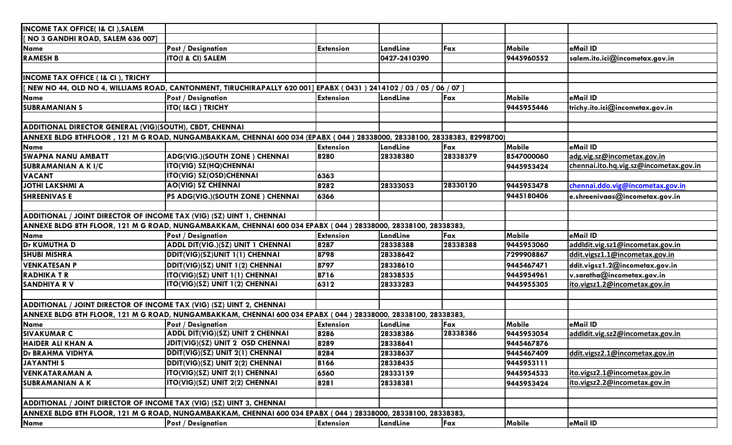| <b>INCOME TAX OFFICE(I&amp; CI), SALEM</b>                                                                   |                                                                                                                        |                  |              |          |               |                                        |  |
|--------------------------------------------------------------------------------------------------------------|------------------------------------------------------------------------------------------------------------------------|------------------|--------------|----------|---------------|----------------------------------------|--|
| NO 3 GANDHI ROAD, SALEM 636 007]                                                                             |                                                                                                                        |                  |              |          |               |                                        |  |
| Name                                                                                                         | <b>Post / Designation</b>                                                                                              | <b>Extension</b> | LandLine     | Fax      | <b>Mobile</b> | eMail ID                               |  |
| <b>RAMESH B</b>                                                                                              | <b>ITO(I &amp; CI) SALEM</b>                                                                                           |                  | 0427-2410390 |          | 9445960552    | salem.ito.ici@incometax.gov.in         |  |
|                                                                                                              |                                                                                                                        |                  |              |          |               |                                        |  |
| <b>INCOME TAX OFFICE (I&amp; CI), TRICHY</b>                                                                 |                                                                                                                        |                  |              |          |               |                                        |  |
|                                                                                                              | [ NEW NO 44, OLD NO 4, WILLIAMS ROAD, CANTONMENT, TIRUCHIRAPALLY 620 001] EPABX ( 0431 ) 2414102 / 03 / 05 / 06 / 07 ] |                  |              |          |               |                                        |  |
| <b>Name</b>                                                                                                  | <b>Post / Designation</b>                                                                                              | <b>Extension</b> | LandLine     | Fax      | <b>Mobile</b> | eMail ID                               |  |
| <b>SUBRAMANIAN S</b>                                                                                         | <b>ITO(I&amp;CI) TRICHY</b>                                                                                            |                  |              |          | 9445955446    | trichy.ito.ici@incometax.gov.in        |  |
|                                                                                                              |                                                                                                                        |                  |              |          |               |                                        |  |
| ADDITIONAL DIRECTOR GENERAL (VIG)(SOUTH), CBDT, CHENNAI                                                      |                                                                                                                        |                  |              |          |               |                                        |  |
|                                                                                                              | ANNEXE BLDG 8THFLOOR, 121 M G ROAD, NUNGAMBAKKAM, CHENNAI 600 034 (EPABX (044) 28338000, 28338100, 28338383, 82998700) |                  |              |          |               |                                        |  |
| Name                                                                                                         |                                                                                                                        | <b>Extension</b> | LandLine     | Fax      | Mobile        | eMail ID                               |  |
| <b>SWAPNA NANU AMBATT</b>                                                                                    | <b>ADG(VIG.)(SOUTH ZONE) CHENNAI</b>                                                                                   | 8280             | 28338380     | 28338379 | 8547000060    | adg.vig.sz@incometax.gov.in            |  |
| <b>SUBRAMANIAN A K I/C</b>                                                                                   | <b>ITO(VIG) SZ(HQ)CHENNAI</b>                                                                                          |                  |              |          | 9445953424    | chennai.ito.hq.vig.sz@incometax.gov.in |  |
| <b>VACANT</b>                                                                                                | <b>ITO(VIG) SZ(OSD)CHENNAI</b>                                                                                         | 6363             |              |          |               |                                        |  |
| JOTHI LAKSHMI A                                                                                              | <b>AO(VIG) SZ CHENNAI</b>                                                                                              | 8282             | 28333053     | 28330120 | 9445953478    | chennai.ddo.vig@incometax.gov.in       |  |
| <b>SHREENIVAS E</b>                                                                                          | PS ADG(VIG.)(SOUTH ZONE) CHENNAI                                                                                       | 6366             |              |          | 9445180406    | e.shreenivaas@incometax.gov.in         |  |
|                                                                                                              |                                                                                                                        |                  |              |          |               |                                        |  |
| ADDITIONAL / JOINT DIRECTOR OF INCOME TAX (VIG) (SZ) UINT 1, CHENNAI                                         |                                                                                                                        |                  |              |          |               |                                        |  |
|                                                                                                              | ANNEXE BLDG 8TH FLOOR, 121 M G ROAD, NUNGAMBAKKAM, CHENNAI 600 034 EPABX (044) 28338000, 28338100, 28338383,           |                  |              |          |               |                                        |  |
| Name                                                                                                         | <b>Post / Designation</b>                                                                                              | <b>Extension</b> | LandLine     | Fax      | <b>Mobile</b> | eMail ID                               |  |
| <b>Dr KUMUTHA D</b>                                                                                          | ADDL DIT(VIG.)(SZ) UNIT 1 CHENNAI                                                                                      | 8287             | 28338388     | 28338388 | 9445953060    | addldit.vig.sz1@incometax.gov.in       |  |
| <b>SHUBI MISHRA</b>                                                                                          | DDIT(VIG)(SZ)UNIT 1(1) CHENNAI                                                                                         | 8798             | 28338642     |          | 7299908867    | ddit.vigsz1.1@incometax.gov.in         |  |
| <b>VENKATESAN P</b>                                                                                          | DDIT(VIG)(SZ) UNIT 1(2) CHENNAI                                                                                        | 8797             | 28338610     |          | 9445467471    | ddit.vigsz1.2@incometax.gov.in         |  |
| <b>RADHIKATR</b>                                                                                             | ITO(VIG)(SZ) UNIT 1(1) CHENNAI                                                                                         | 8716             | 28338535     |          | 9445954961    | v.saratha@incometax.gov.in             |  |
| <b>SANDHIYA RV</b>                                                                                           | ITO(VIG)(SZ) UNIT 1(2) CHENNAI                                                                                         | 6312             | 28333283     |          | 9445955305    | ito.vigsz1.2@incometax.gov.in          |  |
|                                                                                                              |                                                                                                                        |                  |              |          |               |                                        |  |
| ADDITIONAL / JOINT DIRECTOR OF INCOME TAX (VIG) (SZ) UINT 2, CHENNAI                                         |                                                                                                                        |                  |              |          |               |                                        |  |
| ANNEXE BLDG 8TH FLOOR, 121 M G ROAD, NUNGAMBAKKAM, CHENNAI 600 034 EPABX (044) 28338000, 28338100, 28338383, |                                                                                                                        |                  |              |          |               |                                        |  |
| <b>Name</b>                                                                                                  | <b>Post / Designation</b>                                                                                              | <b>Extension</b> | LandLine     | Fax      | <b>Mobile</b> | eMail ID                               |  |
| <b>SIVAKUMAR C</b>                                                                                           | <b>ADDL DIT(VIG)(SZ) UNIT 2 CHENNAI</b>                                                                                | 8286             | 28338386     | 28338386 | 9445953054    | addldit.vig.sz2@incometax.gov.in       |  |
| <b>HAIDER ALI KHAN A</b>                                                                                     | JDIT(VIG)(SZ) UNIT 2 OSD CHENNAI                                                                                       | 8289             | 28338641     |          | 9445467876    |                                        |  |
| <b>Dr BRAHMA VIDHYA</b>                                                                                      | DDIT(VIG)(SZ) UNIT 2(1) CHENNAI                                                                                        | 8284             | 28338637     |          | 9445467409    | ddit.vigsz2.1@incometax.gov.in         |  |
| <b>JAYANTHIS</b>                                                                                             | DDIT(VIG)(SZ) UNIT 2(2) CHENNAI                                                                                        | 8166             | 28338435     |          | 9445953111    |                                        |  |
| <b>VENKATARAMAN A</b>                                                                                        | ITO(VIG)(SZ) UNIT 2(1) CHENNAI                                                                                         | 6560             | 28333159     |          | 9445954533    | ito.vigsz2.1@incometax.gov.in          |  |
| <b>SUBRAMANIAN A K</b>                                                                                       | ITO(VIG)(SZ) UNIT 2(2) CHENNAI                                                                                         | 8281             | 28338381     |          | 9445953424    | ito.vigsz2.2@incometax.gov.in          |  |
|                                                                                                              |                                                                                                                        |                  |              |          |               |                                        |  |
| ADDITIONAL / JOINT DIRECTOR OF INCOME TAX (VIG) (SZ) UINT 3, CHENNAI                                         |                                                                                                                        |                  |              |          |               |                                        |  |
| ANNEXE BLDG 8TH FLOOR, 121 M G ROAD, NUNGAMBAKKAM, CHENNAI 600 034 EPABX (044) 28338000, 28338100, 28338383, |                                                                                                                        |                  |              |          |               |                                        |  |
| <b>Name</b>                                                                                                  | <b>Post / Designation</b>                                                                                              | <b>Extension</b> | LandLine     | Fax      | <b>Mobile</b> | eMail ID                               |  |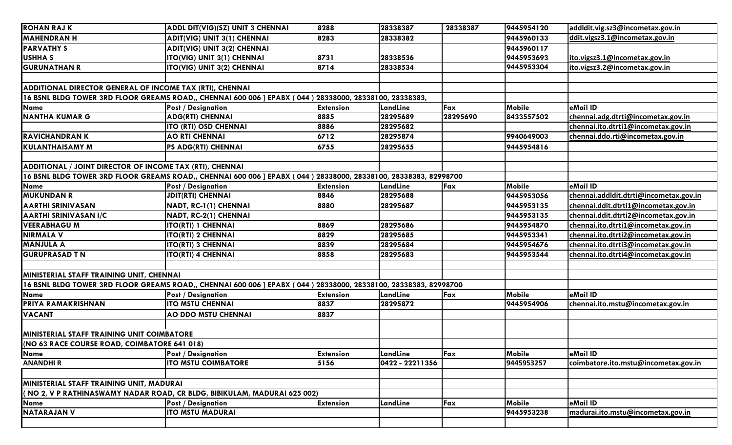| <b>ROHAN RAJ K</b>                                                                                              | <b>ADDL DIT(VIG)(SZ) UNIT 3 CHENNAI</b>                                                                           | 8288             | 28338387        | 28338387 | 9445954120 | addldit.vig.sz3@incometax.gov.in       |
|-----------------------------------------------------------------------------------------------------------------|-------------------------------------------------------------------------------------------------------------------|------------------|-----------------|----------|------------|----------------------------------------|
| <b>MAHENDRAN H</b>                                                                                              | <b>ADIT(VIG) UNIT 3(1) CHENNAI</b>                                                                                | 8283             | 28338382        |          | 9445960133 | ddit.vigsz3.1@incometax.gov.in         |
| <b>PARVATHY S</b>                                                                                               | <b>ADIT(VIG) UNIT 3(2) CHENNAI</b>                                                                                |                  |                 |          | 9445960117 |                                        |
| <b>USHHA S</b>                                                                                                  | ITO(VIG) UNIT 3(1) CHENNAI                                                                                        | 8731             | 28338536        |          | 9445953693 | ito.vigsz3.1@incometax.gov.in          |
| <b>GURUNATHAN R</b>                                                                                             | ITO(VIG) UNIT 3(2) CHENNAI                                                                                        | 8714             | 28338534        |          | 9445953304 | ito.vigsz3.2@incometax.gov.in          |
|                                                                                                                 |                                                                                                                   |                  |                 |          |            |                                        |
| ADDITIONAL DIRECTOR GENERAL OF INCOME TAX (RTI), CHENNAI                                                        |                                                                                                                   |                  |                 |          |            |                                        |
|                                                                                                                 | 16 BSNL BLDG TOWER 3RD FLOOR GREAMS ROAD,, CHENNAI 600 006 ] EPABX ( 044 ) 28338000, 28338100, 28338383,          |                  |                 |          |            |                                        |
| <b>Name</b>                                                                                                     | <b>Post / Designation</b>                                                                                         | <b>Extension</b> | LandLine        | Fax      | Mobile     | eMail ID                               |
| <b>NANTHA KUMAR G</b>                                                                                           | <b>ADG(RTI) CHENNAI</b>                                                                                           | 8885             | 28295689        | 28295690 | 8433557502 | chennai.adg.dtrti@incometax.gov.in     |
|                                                                                                                 | ITO (RTI) OSD CHENNAI                                                                                             | 8886             | 28295682        |          |            | chennai.ito.dtrti1@incometax.gov.in    |
| <b>RAVICHANDRANK</b>                                                                                            | <b>AO RTI CHENNAI</b>                                                                                             | 6712             | 28295874        |          | 9940649003 | chennai.ddo.rti@incometax.gov.in       |
| <b>KULANTHAISAMY M</b>                                                                                          | <b>PS ADG(RTI) CHENNAI</b>                                                                                        | 6755             | 28295655        |          | 9445954816 |                                        |
|                                                                                                                 |                                                                                                                   |                  |                 |          |            |                                        |
| ADDITIONAL / JOINT DIRECTOR OF INCOME TAX (RTI), CHENNAI                                                        |                                                                                                                   |                  |                 |          |            |                                        |
|                                                                                                                 | 16 BSNL BLDG TOWER 3RD FLOOR GREAMS ROAD,, CHENNAI 600 006 ] EPABX ( 044 ) 28338000, 28338100, 28338383, 82998700 |                  |                 |          |            |                                        |
| <b>Name</b>                                                                                                     | <b>Post / Designation</b>                                                                                         | <b>Extension</b> | LandLine        | Fax      | Mobile     | eMail ID                               |
| <b>MUKUNDAN R</b>                                                                                               | <b>JDIT(RTI) CHENNAI</b>                                                                                          | 8846             | 28295688        |          | 9445953056 | chennai.addldit.dtrti@incometax.gov.in |
| <b>AARTHI SRINIVASAN</b>                                                                                        | NADT, RC-1(1) CHENNAI                                                                                             | 8880             | 28295687        |          | 9445953135 | chennai.ddit.dtrti1@incometax.gov.in   |
| <b>AARTHI SRINIVASAN I/C</b>                                                                                    | NADT, RC-2(1) CHENNAI                                                                                             |                  |                 |          | 9445953135 | chennai.ddit.dtrti2@incometax.gov.in   |
| <b>VEERABHAGU M</b>                                                                                             | <b>ITO(RTI) 1 CHENNAI</b>                                                                                         | 8869             | 28295686        |          | 9445954870 | chennai.ito.dtrti1@incometax.gov.in    |
| <b>NIRMALA V</b>                                                                                                | <b>ITO(RTI) 2 CHENNAI</b>                                                                                         | 8829             | 28295685        |          | 9445953341 | chennai.ito.dtrti2@incometax.gov.in    |
| <b>MANJULA A</b>                                                                                                | <b>ITO(RTI) 3 CHENNAI</b>                                                                                         | 8839             | 28295684        |          | 9445954676 | chennai.ito.dtrti3@incometax.gov.in    |
| <b>GURUPRASAD T N</b>                                                                                           | <b>ITO(RTI) 4 CHENNAI</b>                                                                                         | 8858             | 28295683        |          | 9445953544 | chennai.ito.dtrti4@incometax.gov.in    |
|                                                                                                                 |                                                                                                                   |                  |                 |          |            |                                        |
| MINISTERIAL STAFF TRAINING UNIT, CHENNAI                                                                        |                                                                                                                   |                  |                 |          |            |                                        |
| 16 BSNL BLDG TOWER 3RD FLOOR GREAMS ROAD,, CHENNAI 600 006 ] EPABX (044) 28338000, 28338100, 28338383, 82998700 |                                                                                                                   |                  |                 |          |            |                                        |
| <b>Name</b>                                                                                                     | <b>Post / Designation</b>                                                                                         | <b>Extension</b> | LandLine        | Fax      | Mobile     | eMail ID                               |
| PRIYA RAMAKRISHNAN                                                                                              | <b>ITO MSTU CHENNAI</b>                                                                                           | 8837             | 28295872        |          | 9445954906 | chennai.ito.mstu@incometax.gov.in      |
| <b>VACANT</b>                                                                                                   | AO DDO MSTU CHENNAI                                                                                               | 8837             |                 |          |            |                                        |
|                                                                                                                 |                                                                                                                   |                  |                 |          |            |                                        |
| <b>MINISTERIAL STAFF TRAINING UNIT COIMBATORE</b>                                                               |                                                                                                                   |                  |                 |          |            |                                        |
| (NO 63 RACE COURSE ROAD, COIMBATORE 641 018)                                                                    |                                                                                                                   |                  |                 |          |            |                                        |
| <b>Name</b>                                                                                                     | <b>Post / Designation</b>                                                                                         | <b>Extension</b> | LandLine        | Fax      | Mobile     | eMail ID                               |
| <b>ANANDHIR</b>                                                                                                 | <b>ITO MSTU COIMBATORE</b>                                                                                        | 5156             | 0422 - 22211356 |          | 9445953257 | coimbatore.ito.mstu@incometax.gov.in   |
|                                                                                                                 |                                                                                                                   |                  |                 |          |            |                                        |
| MINISTERIAL STAFF TRAINING UNIT, MADURAI                                                                        |                                                                                                                   |                  |                 |          |            |                                        |
| ( NO 2, V P RATHINASWAMY NADAR ROAD, CR BLDG, BIBIKULAM, MADURAI 625 002)                                       |                                                                                                                   |                  |                 |          |            |                                        |
| <b>Name</b>                                                                                                     | <b>Post / Designation</b>                                                                                         | <b>Extension</b> | LandLine        | Fax      | Mobile     | eMail ID                               |
| <b>NATARAJAN V</b>                                                                                              | <b>ITO MSTU MADURAI</b>                                                                                           |                  |                 |          | 9445953238 | madurai.ito.mstu@incometax.gov.in      |
|                                                                                                                 |                                                                                                                   |                  |                 |          |            |                                        |